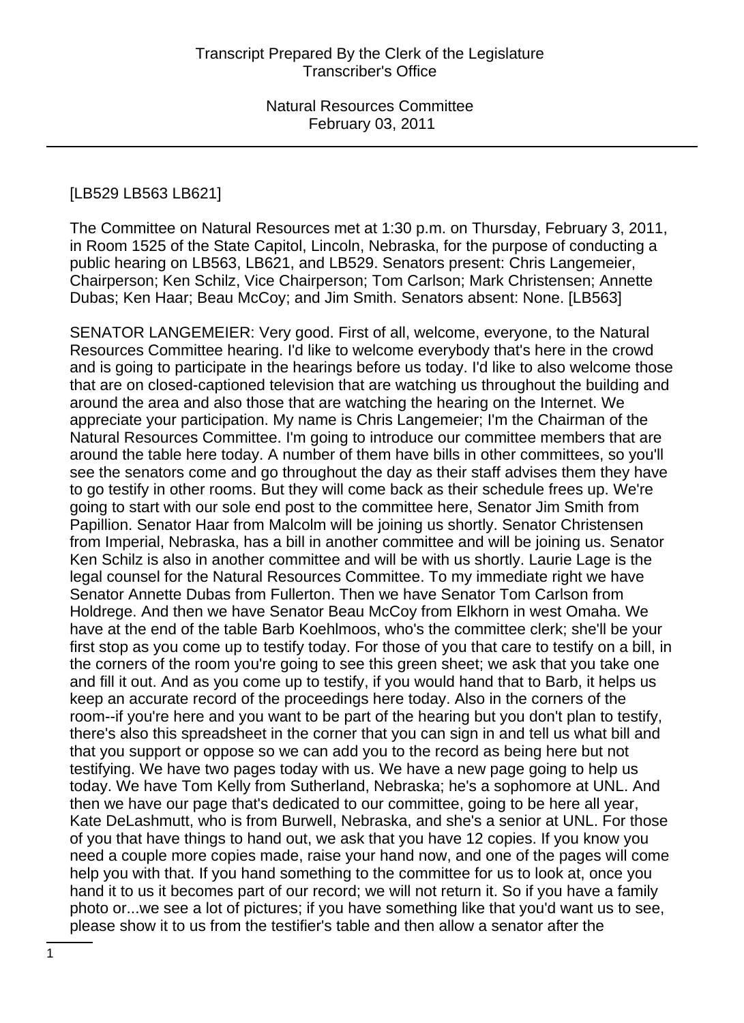#### [LB529 LB563 LB621]

The Committee on Natural Resources met at 1:30 p.m. on Thursday, February 3, 2011, in Room 1525 of the State Capitol, Lincoln, Nebraska, for the purpose of conducting a public hearing on LB563, LB621, and LB529. Senators present: Chris Langemeier, Chairperson; Ken Schilz, Vice Chairperson; Tom Carlson; Mark Christensen; Annette Dubas; Ken Haar; Beau McCoy; and Jim Smith. Senators absent: None. [LB563]

SENATOR LANGEMEIER: Very good. First of all, welcome, everyone, to the Natural Resources Committee hearing. I'd like to welcome everybody that's here in the crowd and is going to participate in the hearings before us today. I'd like to also welcome those that are on closed-captioned television that are watching us throughout the building and around the area and also those that are watching the hearing on the Internet. We appreciate your participation. My name is Chris Langemeier; I'm the Chairman of the Natural Resources Committee. I'm going to introduce our committee members that are around the table here today. A number of them have bills in other committees, so you'll see the senators come and go throughout the day as their staff advises them they have to go testify in other rooms. But they will come back as their schedule frees up. We're going to start with our sole end post to the committee here, Senator Jim Smith from Papillion. Senator Haar from Malcolm will be joining us shortly. Senator Christensen from Imperial, Nebraska, has a bill in another committee and will be joining us. Senator Ken Schilz is also in another committee and will be with us shortly. Laurie Lage is the legal counsel for the Natural Resources Committee. To my immediate right we have Senator Annette Dubas from Fullerton. Then we have Senator Tom Carlson from Holdrege. And then we have Senator Beau McCoy from Elkhorn in west Omaha. We have at the end of the table Barb Koehlmoos, who's the committee clerk; she'll be your first stop as you come up to testify today. For those of you that care to testify on a bill, in the corners of the room you're going to see this green sheet; we ask that you take one and fill it out. And as you come up to testify, if you would hand that to Barb, it helps us keep an accurate record of the proceedings here today. Also in the corners of the room--if you're here and you want to be part of the hearing but you don't plan to testify, there's also this spreadsheet in the corner that you can sign in and tell us what bill and that you support or oppose so we can add you to the record as being here but not testifying. We have two pages today with us. We have a new page going to help us today. We have Tom Kelly from Sutherland, Nebraska; he's a sophomore at UNL. And then we have our page that's dedicated to our committee, going to be here all year, Kate DeLashmutt, who is from Burwell, Nebraska, and she's a senior at UNL. For those of you that have things to hand out, we ask that you have 12 copies. If you know you need a couple more copies made, raise your hand now, and one of the pages will come help you with that. If you hand something to the committee for us to look at, once you hand it to us it becomes part of our record; we will not return it. So if you have a family photo or...we see a lot of pictures; if you have something like that you'd want us to see, please show it to us from the testifier's table and then allow a senator after the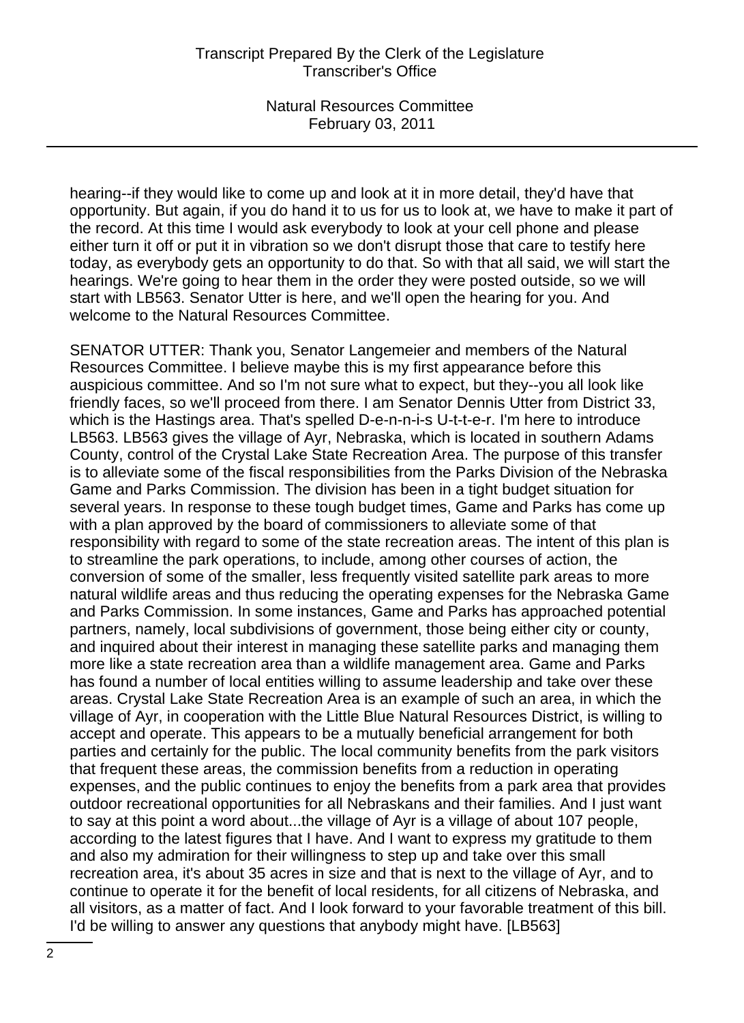hearing--if they would like to come up and look at it in more detail, they'd have that opportunity. But again, if you do hand it to us for us to look at, we have to make it part of the record. At this time I would ask everybody to look at your cell phone and please either turn it off or put it in vibration so we don't disrupt those that care to testify here today, as everybody gets an opportunity to do that. So with that all said, we will start the hearings. We're going to hear them in the order they were posted outside, so we will start with LB563. Senator Utter is here, and we'll open the hearing for you. And welcome to the Natural Resources Committee.

SENATOR UTTER: Thank you, Senator Langemeier and members of the Natural Resources Committee. I believe maybe this is my first appearance before this auspicious committee. And so I'm not sure what to expect, but they--you all look like friendly faces, so we'll proceed from there. I am Senator Dennis Utter from District 33, which is the Hastings area. That's spelled D-e-n-n-i-s U-t-t-e-r. I'm here to introduce LB563. LB563 gives the village of Ayr, Nebraska, which is located in southern Adams County, control of the Crystal Lake State Recreation Area. The purpose of this transfer is to alleviate some of the fiscal responsibilities from the Parks Division of the Nebraska Game and Parks Commission. The division has been in a tight budget situation for several years. In response to these tough budget times, Game and Parks has come up with a plan approved by the board of commissioners to alleviate some of that responsibility with regard to some of the state recreation areas. The intent of this plan is to streamline the park operations, to include, among other courses of action, the conversion of some of the smaller, less frequently visited satellite park areas to more natural wildlife areas and thus reducing the operating expenses for the Nebraska Game and Parks Commission. In some instances, Game and Parks has approached potential partners, namely, local subdivisions of government, those being either city or county, and inquired about their interest in managing these satellite parks and managing them more like a state recreation area than a wildlife management area. Game and Parks has found a number of local entities willing to assume leadership and take over these areas. Crystal Lake State Recreation Area is an example of such an area, in which the village of Ayr, in cooperation with the Little Blue Natural Resources District, is willing to accept and operate. This appears to be a mutually beneficial arrangement for both parties and certainly for the public. The local community benefits from the park visitors that frequent these areas, the commission benefits from a reduction in operating expenses, and the public continues to enjoy the benefits from a park area that provides outdoor recreational opportunities for all Nebraskans and their families. And I just want to say at this point a word about...the village of Ayr is a village of about 107 people, according to the latest figures that I have. And I want to express my gratitude to them and also my admiration for their willingness to step up and take over this small recreation area, it's about 35 acres in size and that is next to the village of Ayr, and to continue to operate it for the benefit of local residents, for all citizens of Nebraska, and all visitors, as a matter of fact. And I look forward to your favorable treatment of this bill. I'd be willing to answer any questions that anybody might have. [LB563]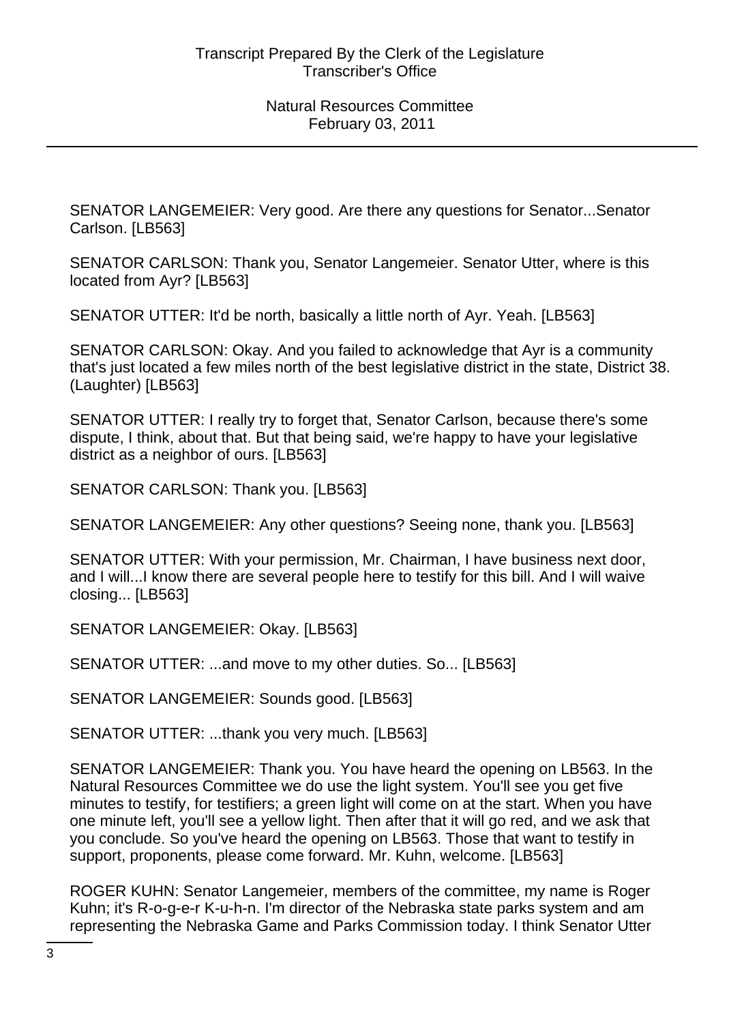SENATOR LANGEMEIER: Very good. Are there any questions for Senator...Senator Carlson. [LB563]

SENATOR CARLSON: Thank you, Senator Langemeier. Senator Utter, where is this located from Ayr? [LB563]

SENATOR UTTER: It'd be north, basically a little north of Ayr. Yeah. [LB563]

SENATOR CARLSON: Okay. And you failed to acknowledge that Ayr is a community that's just located a few miles north of the best legislative district in the state, District 38. (Laughter) [LB563]

SENATOR UTTER: I really try to forget that, Senator Carlson, because there's some dispute, I think, about that. But that being said, we're happy to have your legislative district as a neighbor of ours. [LB563]

SENATOR CARLSON: Thank you. [LB563]

SENATOR LANGEMEIER: Any other questions? Seeing none, thank you. [LB563]

SENATOR UTTER: With your permission, Mr. Chairman, I have business next door, and I will...I know there are several people here to testify for this bill. And I will waive closing... [LB563]

SENATOR LANGEMEIER: Okay. [LB563]

SENATOR UTTER: ...and move to my other duties. So... [LB563]

SENATOR LANGEMEIER: Sounds good. [LB563]

SENATOR UTTER: ...thank you very much. [LB563]

SENATOR LANGEMEIER: Thank you. You have heard the opening on LB563. In the Natural Resources Committee we do use the light system. You'll see you get five minutes to testify, for testifiers; a green light will come on at the start. When you have one minute left, you'll see a yellow light. Then after that it will go red, and we ask that you conclude. So you've heard the opening on LB563. Those that want to testify in support, proponents, please come forward. Mr. Kuhn, welcome. [LB563]

ROGER KUHN: Senator Langemeier, members of the committee, my name is Roger Kuhn; it's R-o-g-e-r K-u-h-n. I'm director of the Nebraska state parks system and am representing the Nebraska Game and Parks Commission today. I think Senator Utter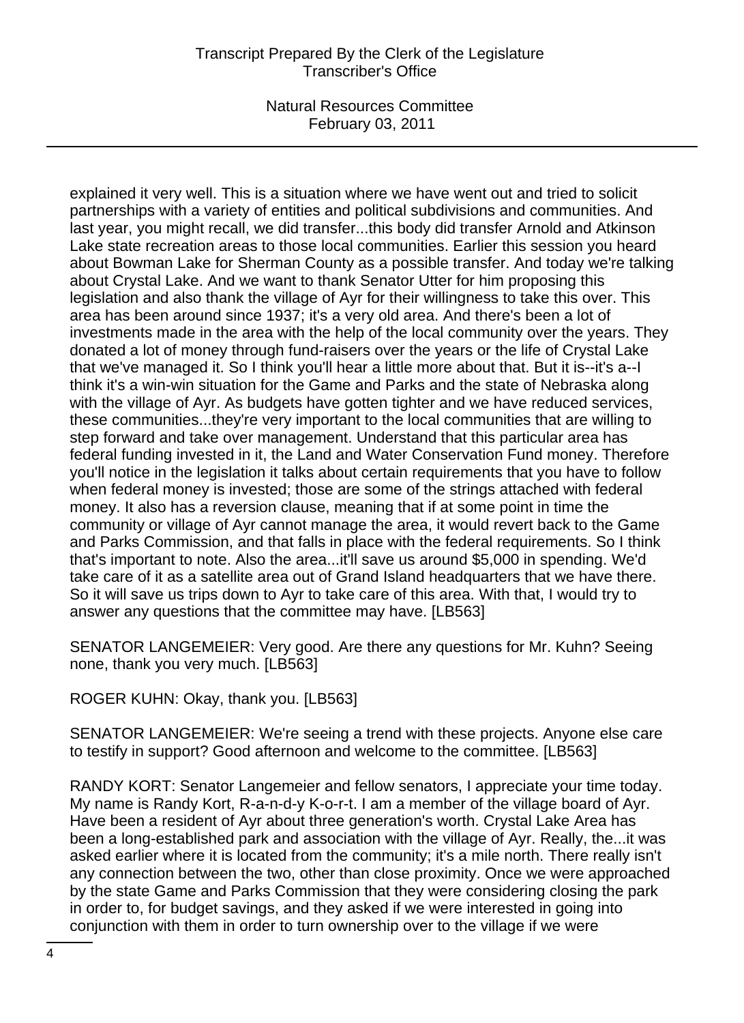# Transcript Prepared By the Clerk of the Legislature Transcriber's Office

Natural Resources Committee February 03, 2011

explained it very well. This is a situation where we have went out and tried to solicit partnerships with a variety of entities and political subdivisions and communities. And last year, you might recall, we did transfer...this body did transfer Arnold and Atkinson Lake state recreation areas to those local communities. Earlier this session you heard about Bowman Lake for Sherman County as a possible transfer. And today we're talking about Crystal Lake. And we want to thank Senator Utter for him proposing this legislation and also thank the village of Ayr for their willingness to take this over. This area has been around since 1937; it's a very old area. And there's been a lot of investments made in the area with the help of the local community over the years. They donated a lot of money through fund-raisers over the years or the life of Crystal Lake that we've managed it. So I think you'll hear a little more about that. But it is--it's a--I think it's a win-win situation for the Game and Parks and the state of Nebraska along with the village of Ayr. As budgets have gotten tighter and we have reduced services, these communities...they're very important to the local communities that are willing to step forward and take over management. Understand that this particular area has federal funding invested in it, the Land and Water Conservation Fund money. Therefore you'll notice in the legislation it talks about certain requirements that you have to follow when federal money is invested; those are some of the strings attached with federal money. It also has a reversion clause, meaning that if at some point in time the community or village of Ayr cannot manage the area, it would revert back to the Game and Parks Commission, and that falls in place with the federal requirements. So I think that's important to note. Also the area...it'll save us around \$5,000 in spending. We'd take care of it as a satellite area out of Grand Island headquarters that we have there. So it will save us trips down to Ayr to take care of this area. With that, I would try to answer any questions that the committee may have. [LB563]

SENATOR LANGEMEIER: Very good. Are there any questions for Mr. Kuhn? Seeing none, thank you very much. [LB563]

ROGER KUHN: Okay, thank you. [LB563]

SENATOR LANGEMEIER: We're seeing a trend with these projects. Anyone else care to testify in support? Good afternoon and welcome to the committee. [LB563]

RANDY KORT: Senator Langemeier and fellow senators, I appreciate your time today. My name is Randy Kort, R-a-n-d-y K-o-r-t. I am a member of the village board of Ayr. Have been a resident of Ayr about three generation's worth. Crystal Lake Area has been a long-established park and association with the village of Ayr. Really, the...it was asked earlier where it is located from the community; it's a mile north. There really isn't any connection between the two, other than close proximity. Once we were approached by the state Game and Parks Commission that they were considering closing the park in order to, for budget savings, and they asked if we were interested in going into conjunction with them in order to turn ownership over to the village if we were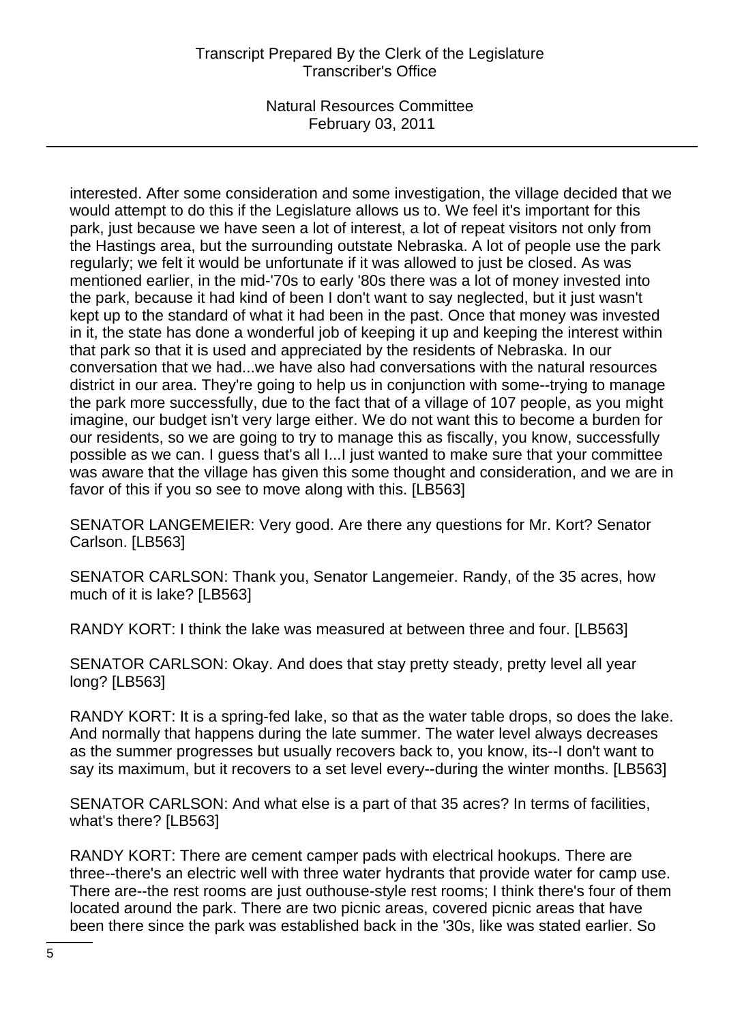interested. After some consideration and some investigation, the village decided that we would attempt to do this if the Legislature allows us to. We feel it's important for this park, just because we have seen a lot of interest, a lot of repeat visitors not only from the Hastings area, but the surrounding outstate Nebraska. A lot of people use the park regularly; we felt it would be unfortunate if it was allowed to just be closed. As was mentioned earlier, in the mid-'70s to early '80s there was a lot of money invested into the park, because it had kind of been I don't want to say neglected, but it just wasn't kept up to the standard of what it had been in the past. Once that money was invested in it, the state has done a wonderful job of keeping it up and keeping the interest within that park so that it is used and appreciated by the residents of Nebraska. In our conversation that we had...we have also had conversations with the natural resources district in our area. They're going to help us in conjunction with some--trying to manage the park more successfully, due to the fact that of a village of 107 people, as you might imagine, our budget isn't very large either. We do not want this to become a burden for our residents, so we are going to try to manage this as fiscally, you know, successfully possible as we can. I guess that's all I...I just wanted to make sure that your committee was aware that the village has given this some thought and consideration, and we are in favor of this if you so see to move along with this. [LB563]

SENATOR LANGEMEIER: Very good. Are there any questions for Mr. Kort? Senator Carlson. [LB563]

SENATOR CARLSON: Thank you, Senator Langemeier. Randy, of the 35 acres, how much of it is lake? [LB563]

RANDY KORT: I think the lake was measured at between three and four. [LB563]

SENATOR CARLSON: Okay. And does that stay pretty steady, pretty level all year long? [LB563]

RANDY KORT: It is a spring-fed lake, so that as the water table drops, so does the lake. And normally that happens during the late summer. The water level always decreases as the summer progresses but usually recovers back to, you know, its--I don't want to say its maximum, but it recovers to a set level every--during the winter months. [LB563]

SENATOR CARLSON: And what else is a part of that 35 acres? In terms of facilities, what's there? [LB563]

RANDY KORT: There are cement camper pads with electrical hookups. There are three--there's an electric well with three water hydrants that provide water for camp use. There are--the rest rooms are just outhouse-style rest rooms; I think there's four of them located around the park. There are two picnic areas, covered picnic areas that have been there since the park was established back in the '30s, like was stated earlier. So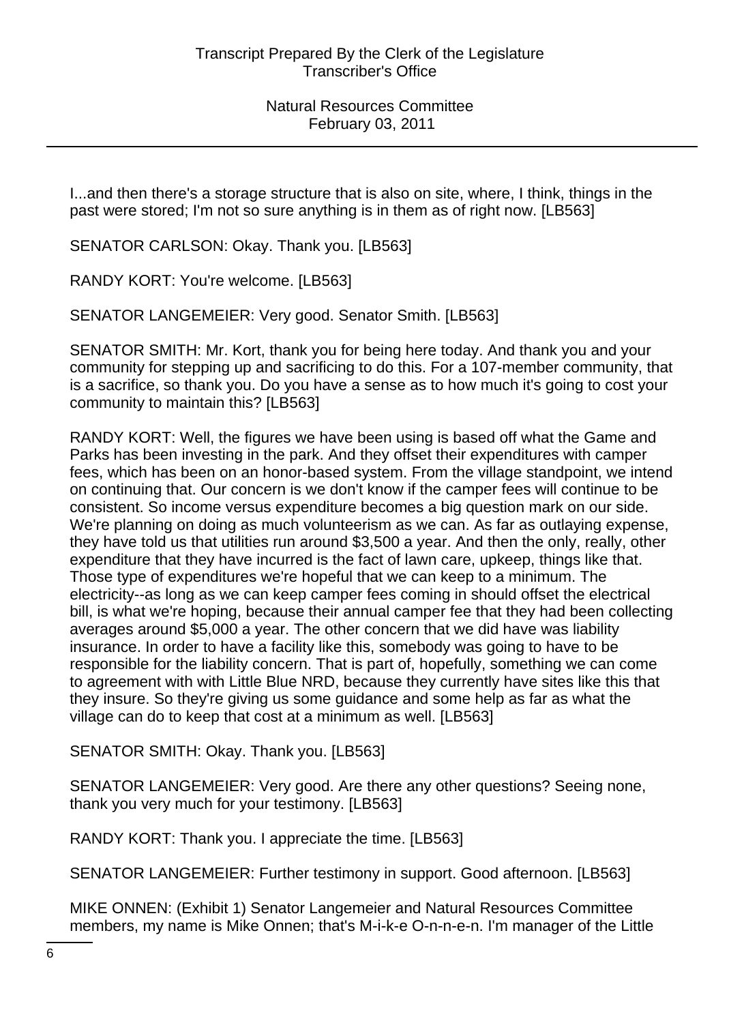I...and then there's a storage structure that is also on site, where, I think, things in the past were stored; I'm not so sure anything is in them as of right now. [LB563]

SENATOR CARLSON: Okay. Thank you. [LB563]

RANDY KORT: You're welcome. [LB563]

SENATOR LANGEMEIER: Very good. Senator Smith. [LB563]

SENATOR SMITH: Mr. Kort, thank you for being here today. And thank you and your community for stepping up and sacrificing to do this. For a 107-member community, that is a sacrifice, so thank you. Do you have a sense as to how much it's going to cost your community to maintain this? [LB563]

RANDY KORT: Well, the figures we have been using is based off what the Game and Parks has been investing in the park. And they offset their expenditures with camper fees, which has been on an honor-based system. From the village standpoint, we intend on continuing that. Our concern is we don't know if the camper fees will continue to be consistent. So income versus expenditure becomes a big question mark on our side. We're planning on doing as much volunteerism as we can. As far as outlaying expense, they have told us that utilities run around \$3,500 a year. And then the only, really, other expenditure that they have incurred is the fact of lawn care, upkeep, things like that. Those type of expenditures we're hopeful that we can keep to a minimum. The electricity--as long as we can keep camper fees coming in should offset the electrical bill, is what we're hoping, because their annual camper fee that they had been collecting averages around \$5,000 a year. The other concern that we did have was liability insurance. In order to have a facility like this, somebody was going to have to be responsible for the liability concern. That is part of, hopefully, something we can come to agreement with with Little Blue NRD, because they currently have sites like this that they insure. So they're giving us some guidance and some help as far as what the village can do to keep that cost at a minimum as well. [LB563]

SENATOR SMITH: Okay. Thank you. [LB563]

SENATOR LANGEMEIER: Very good. Are there any other questions? Seeing none, thank you very much for your testimony. [LB563]

RANDY KORT: Thank you. I appreciate the time. [LB563]

SENATOR LANGEMEIER: Further testimony in support. Good afternoon. [LB563]

MIKE ONNEN: (Exhibit 1) Senator Langemeier and Natural Resources Committee members, my name is Mike Onnen; that's M-i-k-e O-n-n-e-n. I'm manager of the Little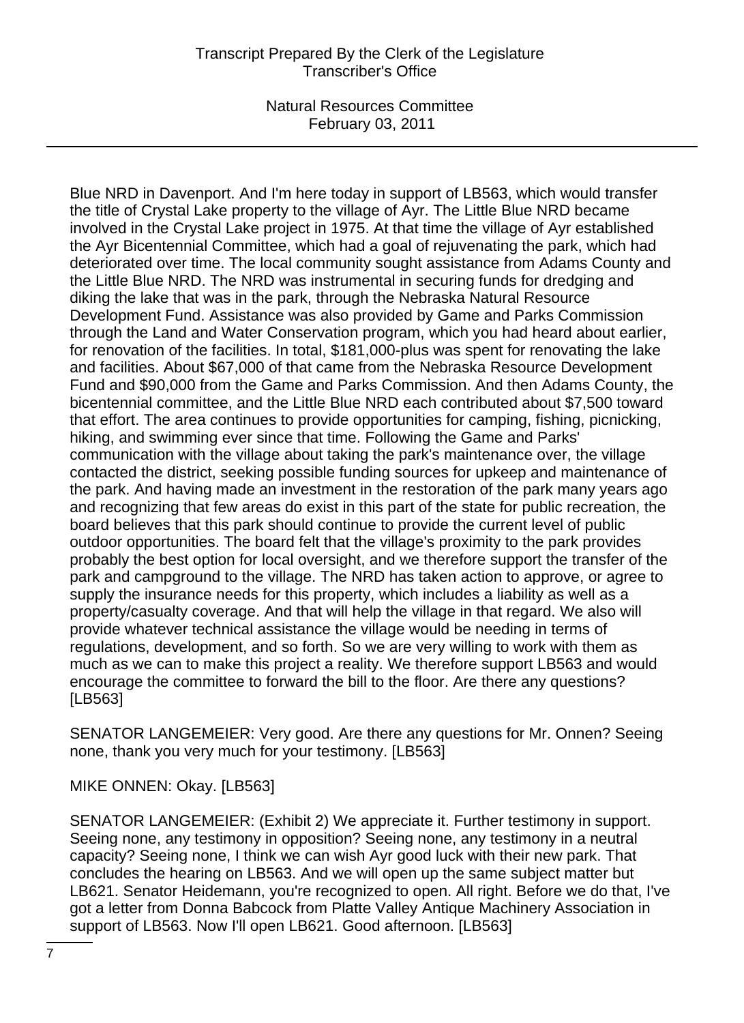# Transcript Prepared By the Clerk of the Legislature Transcriber's Office

Natural Resources Committee February 03, 2011

Blue NRD in Davenport. And I'm here today in support of LB563, which would transfer the title of Crystal Lake property to the village of Ayr. The Little Blue NRD became involved in the Crystal Lake project in 1975. At that time the village of Ayr established the Ayr Bicentennial Committee, which had a goal of rejuvenating the park, which had deteriorated over time. The local community sought assistance from Adams County and the Little Blue NRD. The NRD was instrumental in securing funds for dredging and diking the lake that was in the park, through the Nebraska Natural Resource Development Fund. Assistance was also provided by Game and Parks Commission through the Land and Water Conservation program, which you had heard about earlier, for renovation of the facilities. In total, \$181,000-plus was spent for renovating the lake and facilities. About \$67,000 of that came from the Nebraska Resource Development Fund and \$90,000 from the Game and Parks Commission. And then Adams County, the bicentennial committee, and the Little Blue NRD each contributed about \$7,500 toward that effort. The area continues to provide opportunities for camping, fishing, picnicking, hiking, and swimming ever since that time. Following the Game and Parks' communication with the village about taking the park's maintenance over, the village contacted the district, seeking possible funding sources for upkeep and maintenance of the park. And having made an investment in the restoration of the park many years ago and recognizing that few areas do exist in this part of the state for public recreation, the board believes that this park should continue to provide the current level of public outdoor opportunities. The board felt that the village's proximity to the park provides probably the best option for local oversight, and we therefore support the transfer of the park and campground to the village. The NRD has taken action to approve, or agree to supply the insurance needs for this property, which includes a liability as well as a property/casualty coverage. And that will help the village in that regard. We also will provide whatever technical assistance the village would be needing in terms of regulations, development, and so forth. So we are very willing to work with them as much as we can to make this project a reality. We therefore support LB563 and would encourage the committee to forward the bill to the floor. Are there any questions? [LB563]

SENATOR LANGEMEIER: Very good. Are there any questions for Mr. Onnen? Seeing none, thank you very much for your testimony. [LB563]

MIKE ONNEN: Okay. [LB563]

SENATOR LANGEMEIER: (Exhibit 2) We appreciate it. Further testimony in support. Seeing none, any testimony in opposition? Seeing none, any testimony in a neutral capacity? Seeing none, I think we can wish Ayr good luck with their new park. That concludes the hearing on LB563. And we will open up the same subject matter but LB621. Senator Heidemann, you're recognized to open. All right. Before we do that, I've got a letter from Donna Babcock from Platte Valley Antique Machinery Association in support of LB563. Now I'll open LB621. Good afternoon. [LB563]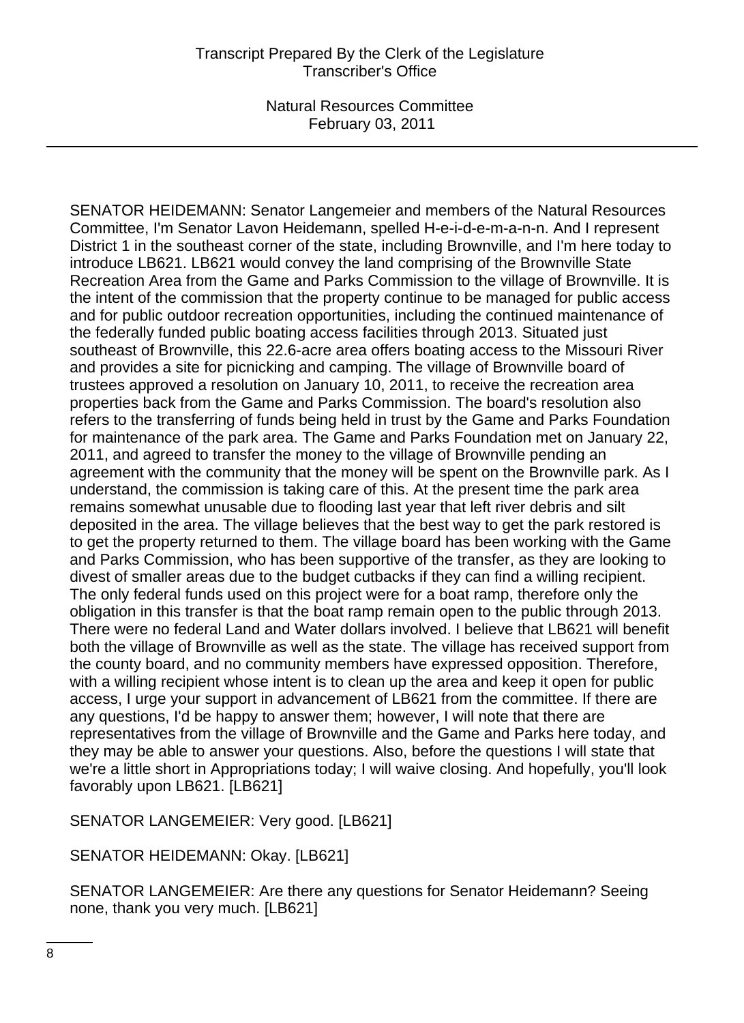SENATOR HEIDEMANN: Senator Langemeier and members of the Natural Resources Committee, I'm Senator Lavon Heidemann, spelled H-e-i-d-e-m-a-n-n. And I represent District 1 in the southeast corner of the state, including Brownville, and I'm here today to introduce LB621. LB621 would convey the land comprising of the Brownville State Recreation Area from the Game and Parks Commission to the village of Brownville. It is the intent of the commission that the property continue to be managed for public access and for public outdoor recreation opportunities, including the continued maintenance of the federally funded public boating access facilities through 2013. Situated just southeast of Brownville, this 22.6-acre area offers boating access to the Missouri River and provides a site for picnicking and camping. The village of Brownville board of trustees approved a resolution on January 10, 2011, to receive the recreation area properties back from the Game and Parks Commission. The board's resolution also refers to the transferring of funds being held in trust by the Game and Parks Foundation for maintenance of the park area. The Game and Parks Foundation met on January 22, 2011, and agreed to transfer the money to the village of Brownville pending an agreement with the community that the money will be spent on the Brownville park. As I understand, the commission is taking care of this. At the present time the park area remains somewhat unusable due to flooding last year that left river debris and silt deposited in the area. The village believes that the best way to get the park restored is to get the property returned to them. The village board has been working with the Game and Parks Commission, who has been supportive of the transfer, as they are looking to divest of smaller areas due to the budget cutbacks if they can find a willing recipient. The only federal funds used on this project were for a boat ramp, therefore only the obligation in this transfer is that the boat ramp remain open to the public through 2013. There were no federal Land and Water dollars involved. I believe that LB621 will benefit both the village of Brownville as well as the state. The village has received support from the county board, and no community members have expressed opposition. Therefore, with a willing recipient whose intent is to clean up the area and keep it open for public access, I urge your support in advancement of LB621 from the committee. If there are any questions, I'd be happy to answer them; however, I will note that there are representatives from the village of Brownville and the Game and Parks here today, and they may be able to answer your questions. Also, before the questions I will state that we're a little short in Appropriations today; I will waive closing. And hopefully, you'll look favorably upon LB621. [LB621]

SENATOR LANGEMEIER: Very good. [LB621]

SENATOR HEIDEMANN: Okay. [LB621]

SENATOR LANGEMEIER: Are there any questions for Senator Heidemann? Seeing none, thank you very much. [LB621]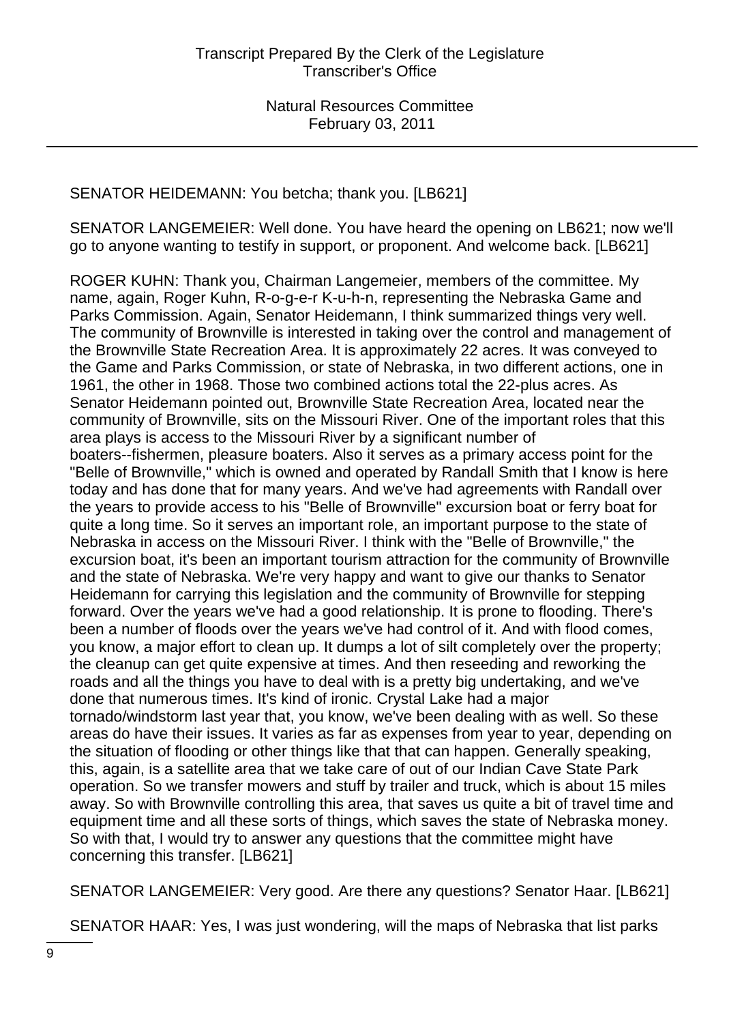# SENATOR HEIDEMANN: You betcha; thank you. [LB621]

SENATOR LANGEMEIER: Well done. You have heard the opening on LB621; now we'll go to anyone wanting to testify in support, or proponent. And welcome back. [LB621]

ROGER KUHN: Thank you, Chairman Langemeier, members of the committee. My name, again, Roger Kuhn, R-o-g-e-r K-u-h-n, representing the Nebraska Game and Parks Commission. Again, Senator Heidemann, I think summarized things very well. The community of Brownville is interested in taking over the control and management of the Brownville State Recreation Area. It is approximately 22 acres. It was conveyed to the Game and Parks Commission, or state of Nebraska, in two different actions, one in 1961, the other in 1968. Those two combined actions total the 22-plus acres. As Senator Heidemann pointed out, Brownville State Recreation Area, located near the community of Brownville, sits on the Missouri River. One of the important roles that this area plays is access to the Missouri River by a significant number of boaters--fishermen, pleasure boaters. Also it serves as a primary access point for the "Belle of Brownville," which is owned and operated by Randall Smith that I know is here today and has done that for many years. And we've had agreements with Randall over the years to provide access to his "Belle of Brownville" excursion boat or ferry boat for quite a long time. So it serves an important role, an important purpose to the state of Nebraska in access on the Missouri River. I think with the "Belle of Brownville," the excursion boat, it's been an important tourism attraction for the community of Brownville and the state of Nebraska. We're very happy and want to give our thanks to Senator Heidemann for carrying this legislation and the community of Brownville for stepping forward. Over the years we've had a good relationship. It is prone to flooding. There's been a number of floods over the years we've had control of it. And with flood comes, you know, a major effort to clean up. It dumps a lot of silt completely over the property; the cleanup can get quite expensive at times. And then reseeding and reworking the roads and all the things you have to deal with is a pretty big undertaking, and we've done that numerous times. It's kind of ironic. Crystal Lake had a major tornado/windstorm last year that, you know, we've been dealing with as well. So these areas do have their issues. It varies as far as expenses from year to year, depending on the situation of flooding or other things like that that can happen. Generally speaking, this, again, is a satellite area that we take care of out of our Indian Cave State Park operation. So we transfer mowers and stuff by trailer and truck, which is about 15 miles away. So with Brownville controlling this area, that saves us quite a bit of travel time and equipment time and all these sorts of things, which saves the state of Nebraska money. So with that, I would try to answer any questions that the committee might have concerning this transfer. [LB621]

SENATOR LANGEMEIER: Very good. Are there any questions? Senator Haar. [LB621]

SENATOR HAAR: Yes, I was just wondering, will the maps of Nebraska that list parks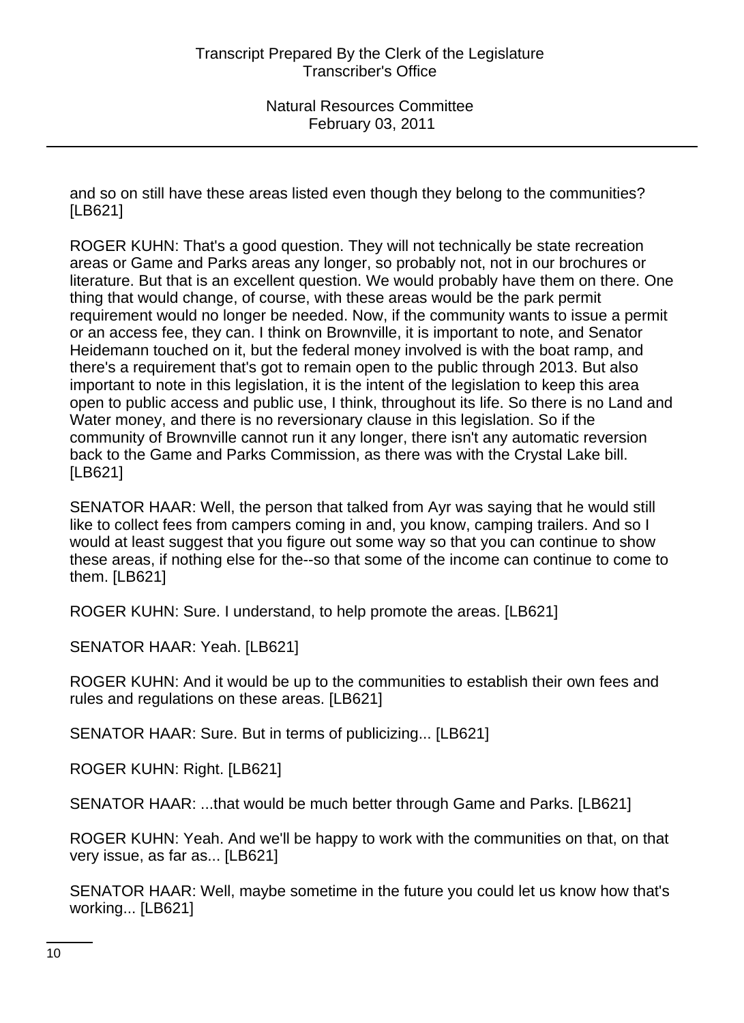and so on still have these areas listed even though they belong to the communities? [LB621]

ROGER KUHN: That's a good question. They will not technically be state recreation areas or Game and Parks areas any longer, so probably not, not in our brochures or literature. But that is an excellent question. We would probably have them on there. One thing that would change, of course, with these areas would be the park permit requirement would no longer be needed. Now, if the community wants to issue a permit or an access fee, they can. I think on Brownville, it is important to note, and Senator Heidemann touched on it, but the federal money involved is with the boat ramp, and there's a requirement that's got to remain open to the public through 2013. But also important to note in this legislation, it is the intent of the legislation to keep this area open to public access and public use, I think, throughout its life. So there is no Land and Water money, and there is no reversionary clause in this legislation. So if the community of Brownville cannot run it any longer, there isn't any automatic reversion back to the Game and Parks Commission, as there was with the Crystal Lake bill. [LB621]

SENATOR HAAR: Well, the person that talked from Ayr was saying that he would still like to collect fees from campers coming in and, you know, camping trailers. And so I would at least suggest that you figure out some way so that you can continue to show these areas, if nothing else for the--so that some of the income can continue to come to them. [LB621]

ROGER KUHN: Sure. I understand, to help promote the areas. [LB621]

SENATOR HAAR: Yeah. [LB621]

ROGER KUHN: And it would be up to the communities to establish their own fees and rules and regulations on these areas. [LB621]

SENATOR HAAR: Sure. But in terms of publicizing... [LB621]

ROGER KUHN: Right. [LB621]

SENATOR HAAR: ...that would be much better through Game and Parks. [LB621]

ROGER KUHN: Yeah. And we'll be happy to work with the communities on that, on that very issue, as far as... [LB621]

SENATOR HAAR: Well, maybe sometime in the future you could let us know how that's working... [LB621]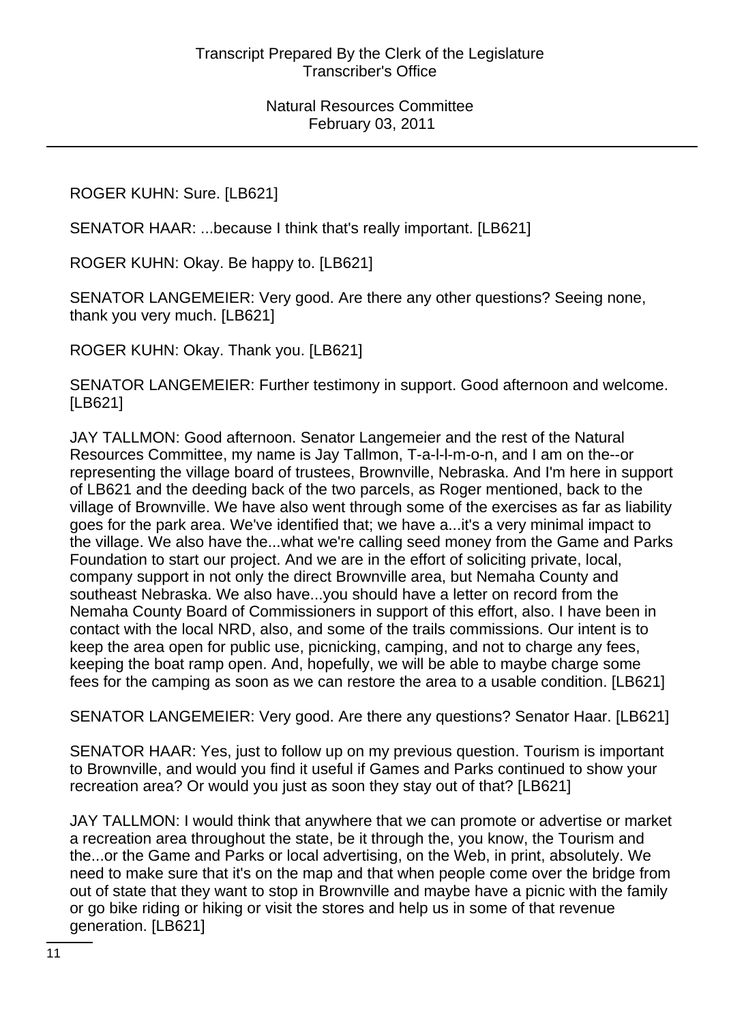ROGER KUHN: Sure. [LB621]

SENATOR HAAR: ...because I think that's really important. [LB621]

ROGER KUHN: Okay. Be happy to. [LB621]

SENATOR LANGEMEIER: Very good. Are there any other questions? Seeing none, thank you very much. [LB621]

ROGER KUHN: Okay. Thank you. [LB621]

SENATOR LANGEMEIER: Further testimony in support. Good afternoon and welcome. [LB621]

JAY TALLMON: Good afternoon. Senator Langemeier and the rest of the Natural Resources Committee, my name is Jay Tallmon, T-a-l-l-m-o-n, and I am on the--or representing the village board of trustees, Brownville, Nebraska. And I'm here in support of LB621 and the deeding back of the two parcels, as Roger mentioned, back to the village of Brownville. We have also went through some of the exercises as far as liability goes for the park area. We've identified that; we have a...it's a very minimal impact to the village. We also have the...what we're calling seed money from the Game and Parks Foundation to start our project. And we are in the effort of soliciting private, local, company support in not only the direct Brownville area, but Nemaha County and southeast Nebraska. We also have...you should have a letter on record from the Nemaha County Board of Commissioners in support of this effort, also. I have been in contact with the local NRD, also, and some of the trails commissions. Our intent is to keep the area open for public use, picnicking, camping, and not to charge any fees, keeping the boat ramp open. And, hopefully, we will be able to maybe charge some fees for the camping as soon as we can restore the area to a usable condition. [LB621]

SENATOR LANGEMEIER: Very good. Are there any questions? Senator Haar. [LB621]

SENATOR HAAR: Yes, just to follow up on my previous question. Tourism is important to Brownville, and would you find it useful if Games and Parks continued to show your recreation area? Or would you just as soon they stay out of that? [LB621]

JAY TALLMON: I would think that anywhere that we can promote or advertise or market a recreation area throughout the state, be it through the, you know, the Tourism and the...or the Game and Parks or local advertising, on the Web, in print, absolutely. We need to make sure that it's on the map and that when people come over the bridge from out of state that they want to stop in Brownville and maybe have a picnic with the family or go bike riding or hiking or visit the stores and help us in some of that revenue generation. [LB621]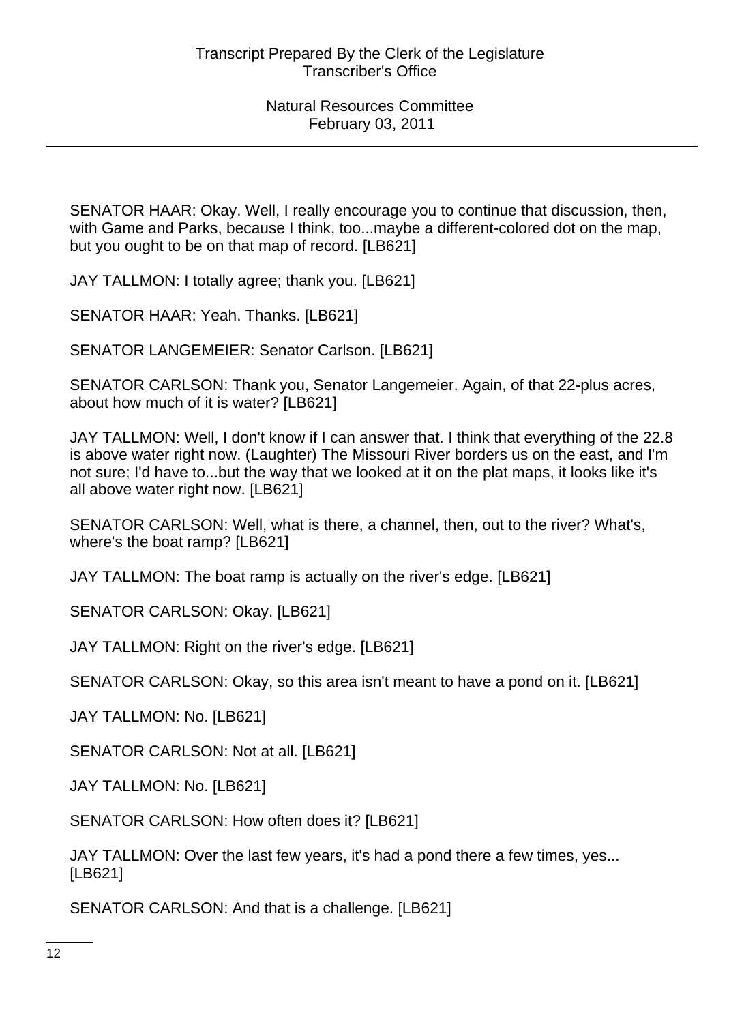SENATOR HAAR: Okay. Well, I really encourage you to continue that discussion, then, with Game and Parks, because I think, too...maybe a different-colored dot on the map, but you ought to be on that map of record. [LB621]

JAY TALLMON: I totally agree; thank you. [LB621]

SENATOR HAAR: Yeah. Thanks. [LB621]

SENATOR LANGEMEIER: Senator Carlson. [LB621]

SENATOR CARLSON: Thank you, Senator Langemeier. Again, of that 22-plus acres, about how much of it is water? [LB621]

JAY TALLMON: Well, I don't know if I can answer that. I think that everything of the 22.8 is above water right now. (Laughter) The Missouri River borders us on the east, and I'm not sure; I'd have to...but the way that we looked at it on the plat maps, it looks like it's all above water right now. [LB621]

SENATOR CARLSON: Well, what is there, a channel, then, out to the river? What's, where's the boat ramp? [LB621]

JAY TALLMON: The boat ramp is actually on the river's edge. [LB621]

SENATOR CARLSON: Okay. [LB621]

JAY TALLMON: Right on the river's edge. [LB621]

SENATOR CARLSON: Okay, so this area isn't meant to have a pond on it. [LB621]

JAY TALLMON: No. [LB621]

SENATOR CARLSON: Not at all. [LB621]

JAY TALLMON: No. [LB621]

SENATOR CARLSON: How often does it? [LB621]

JAY TALLMON: Over the last few years, it's had a pond there a few times, yes... [LB621]

SENATOR CARLSON: And that is a challenge. [LB621]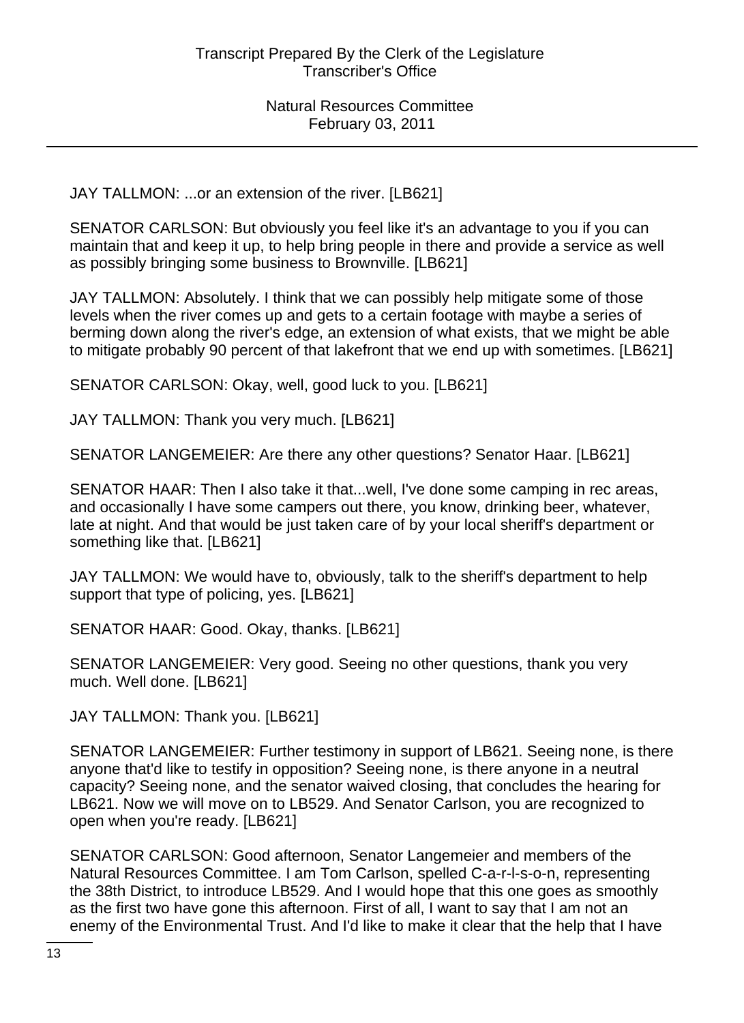JAY TALLMON: ...or an extension of the river. [LB621]

SENATOR CARLSON: But obviously you feel like it's an advantage to you if you can maintain that and keep it up, to help bring people in there and provide a service as well as possibly bringing some business to Brownville. [LB621]

JAY TALLMON: Absolutely. I think that we can possibly help mitigate some of those levels when the river comes up and gets to a certain footage with maybe a series of berming down along the river's edge, an extension of what exists, that we might be able to mitigate probably 90 percent of that lakefront that we end up with sometimes. [LB621]

SENATOR CARLSON: Okay, well, good luck to you. [LB621]

JAY TALLMON: Thank you very much. [LB621]

SENATOR LANGEMEIER: Are there any other questions? Senator Haar. [LB621]

SENATOR HAAR: Then I also take it that...well, I've done some camping in rec areas, and occasionally I have some campers out there, you know, drinking beer, whatever, late at night. And that would be just taken care of by your local sheriff's department or something like that. [LB621]

JAY TALLMON: We would have to, obviously, talk to the sheriff's department to help support that type of policing, yes. [LB621]

SENATOR HAAR: Good. Okay, thanks. [LB621]

SENATOR LANGEMEIER: Very good. Seeing no other questions, thank you very much. Well done. [LB621]

JAY TALLMON: Thank you. [LB621]

SENATOR LANGEMEIER: Further testimony in support of LB621. Seeing none, is there anyone that'd like to testify in opposition? Seeing none, is there anyone in a neutral capacity? Seeing none, and the senator waived closing, that concludes the hearing for LB621. Now we will move on to LB529. And Senator Carlson, you are recognized to open when you're ready. [LB621]

SENATOR CARLSON: Good afternoon, Senator Langemeier and members of the Natural Resources Committee. I am Tom Carlson, spelled C-a-r-l-s-o-n, representing the 38th District, to introduce LB529. And I would hope that this one goes as smoothly as the first two have gone this afternoon. First of all, I want to say that I am not an enemy of the Environmental Trust. And I'd like to make it clear that the help that I have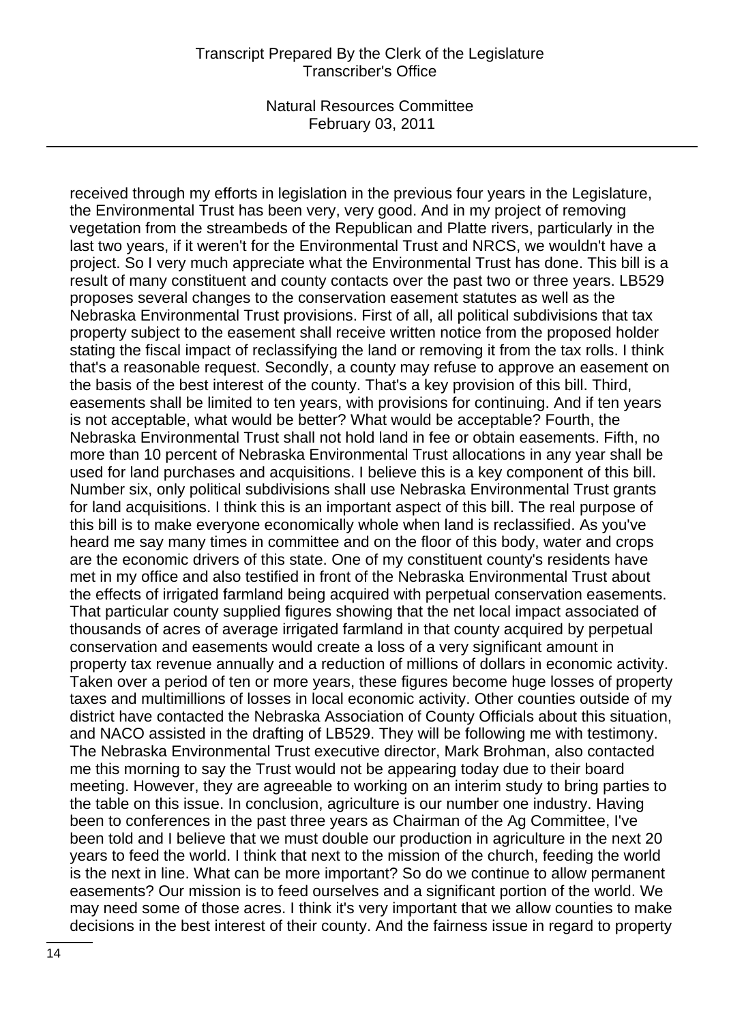#### Transcript Prepared By the Clerk of the Legislature Transcriber's Office

Natural Resources Committee February 03, 2011

received through my efforts in legislation in the previous four years in the Legislature, the Environmental Trust has been very, very good. And in my project of removing vegetation from the streambeds of the Republican and Platte rivers, particularly in the last two years, if it weren't for the Environmental Trust and NRCS, we wouldn't have a project. So I very much appreciate what the Environmental Trust has done. This bill is a result of many constituent and county contacts over the past two or three years. LB529 proposes several changes to the conservation easement statutes as well as the Nebraska Environmental Trust provisions. First of all, all political subdivisions that tax property subject to the easement shall receive written notice from the proposed holder stating the fiscal impact of reclassifying the land or removing it from the tax rolls. I think that's a reasonable request. Secondly, a county may refuse to approve an easement on the basis of the best interest of the county. That's a key provision of this bill. Third, easements shall be limited to ten years, with provisions for continuing. And if ten years is not acceptable, what would be better? What would be acceptable? Fourth, the Nebraska Environmental Trust shall not hold land in fee or obtain easements. Fifth, no more than 10 percent of Nebraska Environmental Trust allocations in any year shall be used for land purchases and acquisitions. I believe this is a key component of this bill. Number six, only political subdivisions shall use Nebraska Environmental Trust grants for land acquisitions. I think this is an important aspect of this bill. The real purpose of this bill is to make everyone economically whole when land is reclassified. As you've heard me say many times in committee and on the floor of this body, water and crops are the economic drivers of this state. One of my constituent county's residents have met in my office and also testified in front of the Nebraska Environmental Trust about the effects of irrigated farmland being acquired with perpetual conservation easements. That particular county supplied figures showing that the net local impact associated of thousands of acres of average irrigated farmland in that county acquired by perpetual conservation and easements would create a loss of a very significant amount in property tax revenue annually and a reduction of millions of dollars in economic activity. Taken over a period of ten or more years, these figures become huge losses of property taxes and multimillions of losses in local economic activity. Other counties outside of my district have contacted the Nebraska Association of County Officials about this situation, and NACO assisted in the drafting of LB529. They will be following me with testimony. The Nebraska Environmental Trust executive director, Mark Brohman, also contacted me this morning to say the Trust would not be appearing today due to their board meeting. However, they are agreeable to working on an interim study to bring parties to the table on this issue. In conclusion, agriculture is our number one industry. Having been to conferences in the past three years as Chairman of the Ag Committee, I've been told and I believe that we must double our production in agriculture in the next 20 years to feed the world. I think that next to the mission of the church, feeding the world is the next in line. What can be more important? So do we continue to allow permanent easements? Our mission is to feed ourselves and a significant portion of the world. We may need some of those acres. I think it's very important that we allow counties to make decisions in the best interest of their county. And the fairness issue in regard to property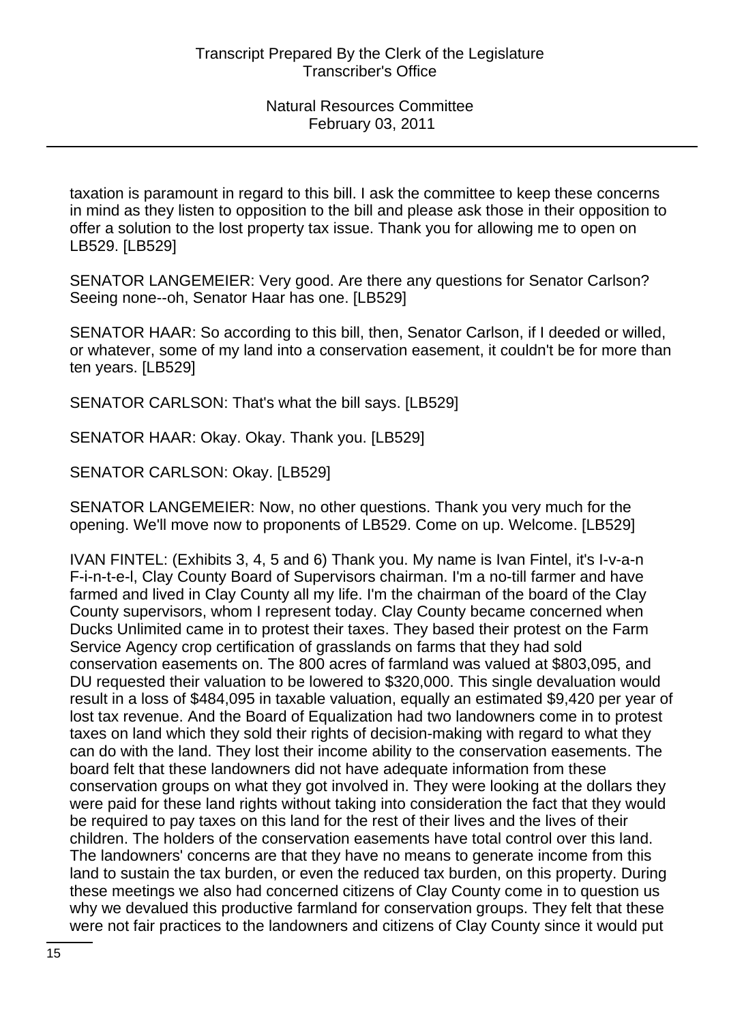taxation is paramount in regard to this bill. I ask the committee to keep these concerns in mind as they listen to opposition to the bill and please ask those in their opposition to offer a solution to the lost property tax issue. Thank you for allowing me to open on LB529. [LB529]

SENATOR LANGEMEIER: Very good. Are there any questions for Senator Carlson? Seeing none--oh, Senator Haar has one. [LB529]

SENATOR HAAR: So according to this bill, then, Senator Carlson, if I deeded or willed, or whatever, some of my land into a conservation easement, it couldn't be for more than ten years. [LB529]

SENATOR CARLSON: That's what the bill says. [LB529]

SENATOR HAAR: Okay. Okay. Thank you. [LB529]

SENATOR CARLSON: Okay. [LB529]

SENATOR LANGEMEIER: Now, no other questions. Thank you very much for the opening. We'll move now to proponents of LB529. Come on up. Welcome. [LB529]

IVAN FINTEL: (Exhibits 3, 4, 5 and 6) Thank you. My name is Ivan Fintel, it's I-v-a-n F-i-n-t-e-l, Clay County Board of Supervisors chairman. I'm a no-till farmer and have farmed and lived in Clay County all my life. I'm the chairman of the board of the Clay County supervisors, whom I represent today. Clay County became concerned when Ducks Unlimited came in to protest their taxes. They based their protest on the Farm Service Agency crop certification of grasslands on farms that they had sold conservation easements on. The 800 acres of farmland was valued at \$803,095, and DU requested their valuation to be lowered to \$320,000. This single devaluation would result in a loss of \$484,095 in taxable valuation, equally an estimated \$9,420 per year of lost tax revenue. And the Board of Equalization had two landowners come in to protest taxes on land which they sold their rights of decision-making with regard to what they can do with the land. They lost their income ability to the conservation easements. The board felt that these landowners did not have adequate information from these conservation groups on what they got involved in. They were looking at the dollars they were paid for these land rights without taking into consideration the fact that they would be required to pay taxes on this land for the rest of their lives and the lives of their children. The holders of the conservation easements have total control over this land. The landowners' concerns are that they have no means to generate income from this land to sustain the tax burden, or even the reduced tax burden, on this property. During these meetings we also had concerned citizens of Clay County come in to question us why we devalued this productive farmland for conservation groups. They felt that these were not fair practices to the landowners and citizens of Clay County since it would put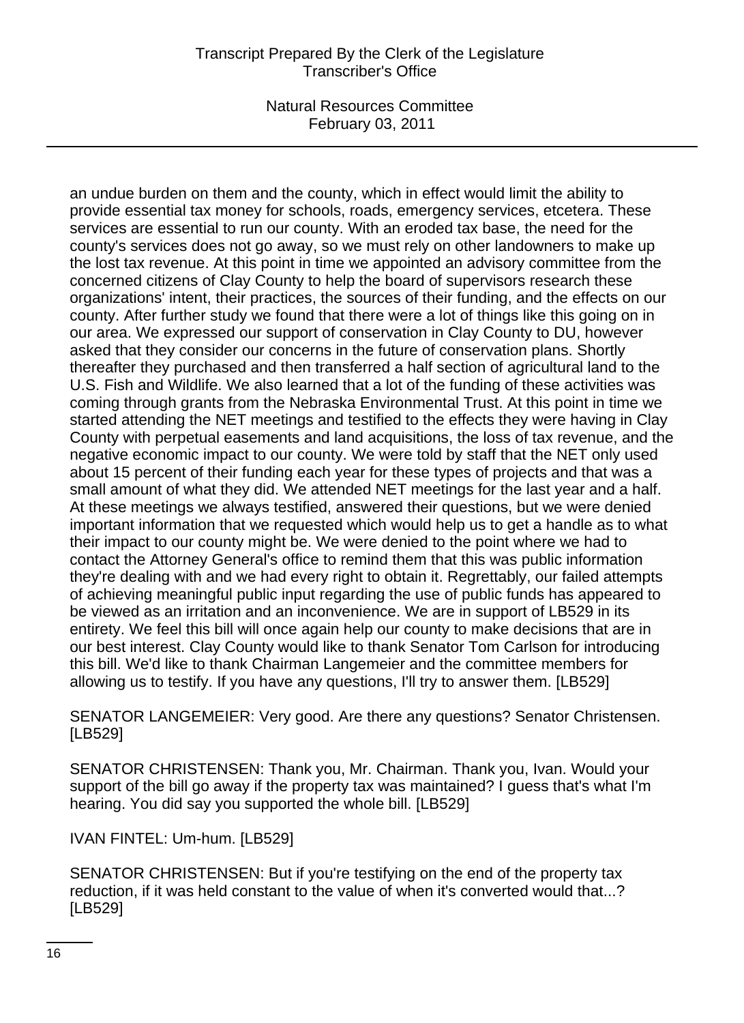# Transcript Prepared By the Clerk of the Legislature Transcriber's Office

Natural Resources Committee February 03, 2011

an undue burden on them and the county, which in effect would limit the ability to provide essential tax money for schools, roads, emergency services, etcetera. These services are essential to run our county. With an eroded tax base, the need for the county's services does not go away, so we must rely on other landowners to make up the lost tax revenue. At this point in time we appointed an advisory committee from the concerned citizens of Clay County to help the board of supervisors research these organizations' intent, their practices, the sources of their funding, and the effects on our county. After further study we found that there were a lot of things like this going on in our area. We expressed our support of conservation in Clay County to DU, however asked that they consider our concerns in the future of conservation plans. Shortly thereafter they purchased and then transferred a half section of agricultural land to the U.S. Fish and Wildlife. We also learned that a lot of the funding of these activities was coming through grants from the Nebraska Environmental Trust. At this point in time we started attending the NET meetings and testified to the effects they were having in Clay County with perpetual easements and land acquisitions, the loss of tax revenue, and the negative economic impact to our county. We were told by staff that the NET only used about 15 percent of their funding each year for these types of projects and that was a small amount of what they did. We attended NET meetings for the last year and a half. At these meetings we always testified, answered their questions, but we were denied important information that we requested which would help us to get a handle as to what their impact to our county might be. We were denied to the point where we had to contact the Attorney General's office to remind them that this was public information they're dealing with and we had every right to obtain it. Regrettably, our failed attempts of achieving meaningful public input regarding the use of public funds has appeared to be viewed as an irritation and an inconvenience. We are in support of LB529 in its entirety. We feel this bill will once again help our county to make decisions that are in our best interest. Clay County would like to thank Senator Tom Carlson for introducing this bill. We'd like to thank Chairman Langemeier and the committee members for allowing us to testify. If you have any questions, I'll try to answer them. [LB529]

SENATOR LANGEMEIER: Very good. Are there any questions? Senator Christensen. [LB529]

SENATOR CHRISTENSEN: Thank you, Mr. Chairman. Thank you, Ivan. Would your support of the bill go away if the property tax was maintained? I guess that's what I'm hearing. You did say you supported the whole bill. [LB529]

IVAN FINTEL: Um-hum. [LB529]

SENATOR CHRISTENSEN: But if you're testifying on the end of the property tax reduction, if it was held constant to the value of when it's converted would that...? [LB529]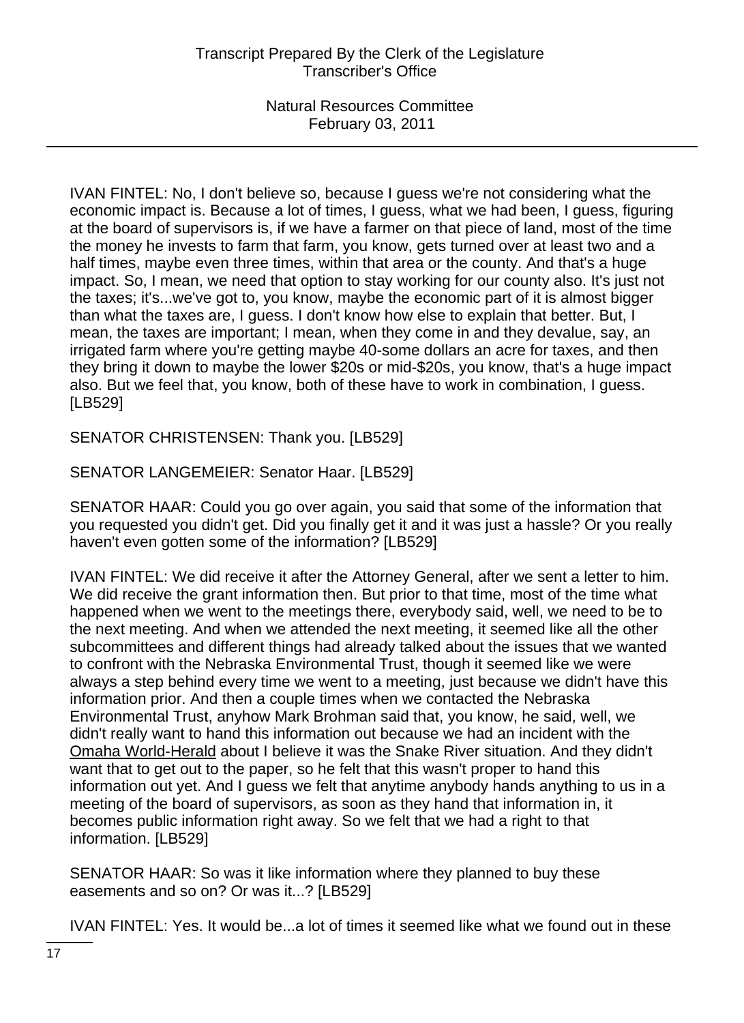IVAN FINTEL: No, I don't believe so, because I guess we're not considering what the economic impact is. Because a lot of times, I guess, what we had been, I guess, figuring at the board of supervisors is, if we have a farmer on that piece of land, most of the time the money he invests to farm that farm, you know, gets turned over at least two and a half times, maybe even three times, within that area or the county. And that's a huge impact. So, I mean, we need that option to stay working for our county also. It's just not the taxes; it's...we've got to, you know, maybe the economic part of it is almost bigger than what the taxes are, I guess. I don't know how else to explain that better. But, I mean, the taxes are important; I mean, when they come in and they devalue, say, an irrigated farm where you're getting maybe 40-some dollars an acre for taxes, and then they bring it down to maybe the lower \$20s or mid-\$20s, you know, that's a huge impact also. But we feel that, you know, both of these have to work in combination, I guess. [LB529]

SENATOR CHRISTENSEN: Thank you. [LB529]

SENATOR LANGEMEIER: Senator Haar. [LB529]

SENATOR HAAR: Could you go over again, you said that some of the information that you requested you didn't get. Did you finally get it and it was just a hassle? Or you really haven't even gotten some of the information? [LB529]

IVAN FINTEL: We did receive it after the Attorney General, after we sent a letter to him. We did receive the grant information then. But prior to that time, most of the time what happened when we went to the meetings there, everybody said, well, we need to be to the next meeting. And when we attended the next meeting, it seemed like all the other subcommittees and different things had already talked about the issues that we wanted to confront with the Nebraska Environmental Trust, though it seemed like we were always a step behind every time we went to a meeting, just because we didn't have this information prior. And then a couple times when we contacted the Nebraska Environmental Trust, anyhow Mark Brohman said that, you know, he said, well, we didn't really want to hand this information out because we had an incident with the Omaha World-Herald about I believe it was the Snake River situation. And they didn't want that to get out to the paper, so he felt that this wasn't proper to hand this information out yet. And I guess we felt that anytime anybody hands anything to us in a meeting of the board of supervisors, as soon as they hand that information in, it becomes public information right away. So we felt that we had a right to that information. [LB529]

SENATOR HAAR: So was it like information where they planned to buy these easements and so on? Or was it...? [LB529]

IVAN FINTEL: Yes. It would be...a lot of times it seemed like what we found out in these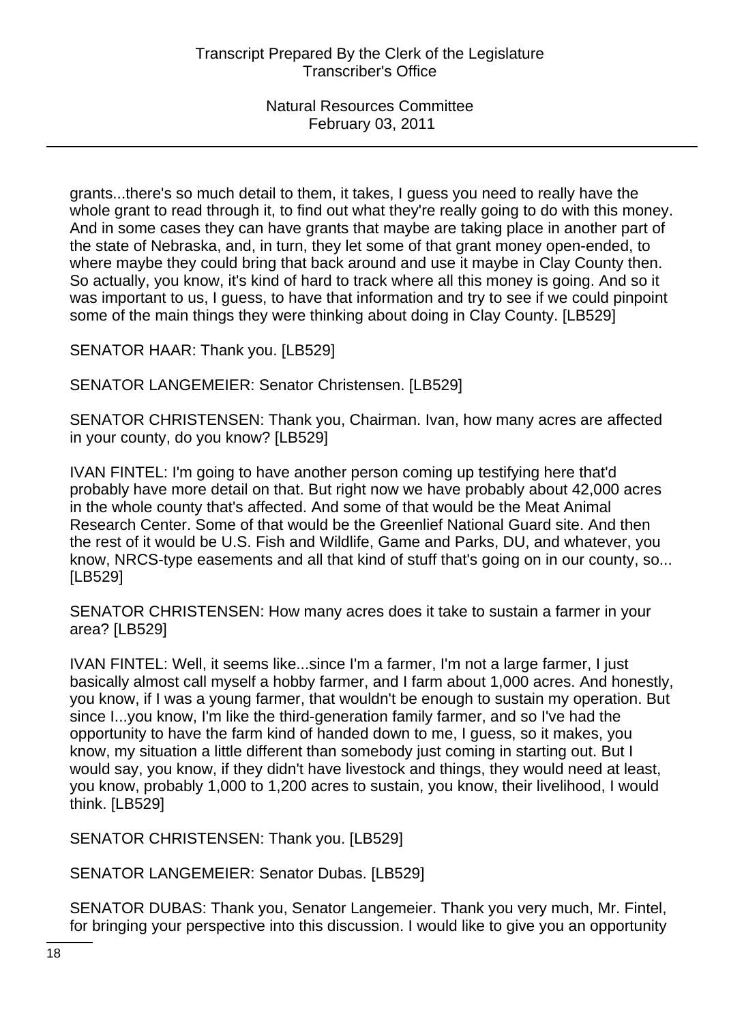grants...there's so much detail to them, it takes, I guess you need to really have the whole grant to read through it, to find out what they're really going to do with this money. And in some cases they can have grants that maybe are taking place in another part of the state of Nebraska, and, in turn, they let some of that grant money open-ended, to where maybe they could bring that back around and use it maybe in Clay County then. So actually, you know, it's kind of hard to track where all this money is going. And so it was important to us, I guess, to have that information and try to see if we could pinpoint some of the main things they were thinking about doing in Clay County. [LB529]

SENATOR HAAR: Thank you. [LB529]

SENATOR LANGEMEIER: Senator Christensen. [LB529]

SENATOR CHRISTENSEN: Thank you, Chairman. Ivan, how many acres are affected in your county, do you know? [LB529]

IVAN FINTEL: I'm going to have another person coming up testifying here that'd probably have more detail on that. But right now we have probably about 42,000 acres in the whole county that's affected. And some of that would be the Meat Animal Research Center. Some of that would be the Greenlief National Guard site. And then the rest of it would be U.S. Fish and Wildlife, Game and Parks, DU, and whatever, you know, NRCS-type easements and all that kind of stuff that's going on in our county, so... [LB529]

SENATOR CHRISTENSEN: How many acres does it take to sustain a farmer in your area? [LB529]

IVAN FINTEL: Well, it seems like...since I'm a farmer, I'm not a large farmer, I just basically almost call myself a hobby farmer, and I farm about 1,000 acres. And honestly, you know, if I was a young farmer, that wouldn't be enough to sustain my operation. But since I...you know, I'm like the third-generation family farmer, and so I've had the opportunity to have the farm kind of handed down to me, I guess, so it makes, you know, my situation a little different than somebody just coming in starting out. But I would say, you know, if they didn't have livestock and things, they would need at least, you know, probably 1,000 to 1,200 acres to sustain, you know, their livelihood, I would think. [LB529]

SENATOR CHRISTENSEN: Thank you. [LB529]

SENATOR LANGEMEIER: Senator Dubas. [LB529]

SENATOR DUBAS: Thank you, Senator Langemeier. Thank you very much, Mr. Fintel, for bringing your perspective into this discussion. I would like to give you an opportunity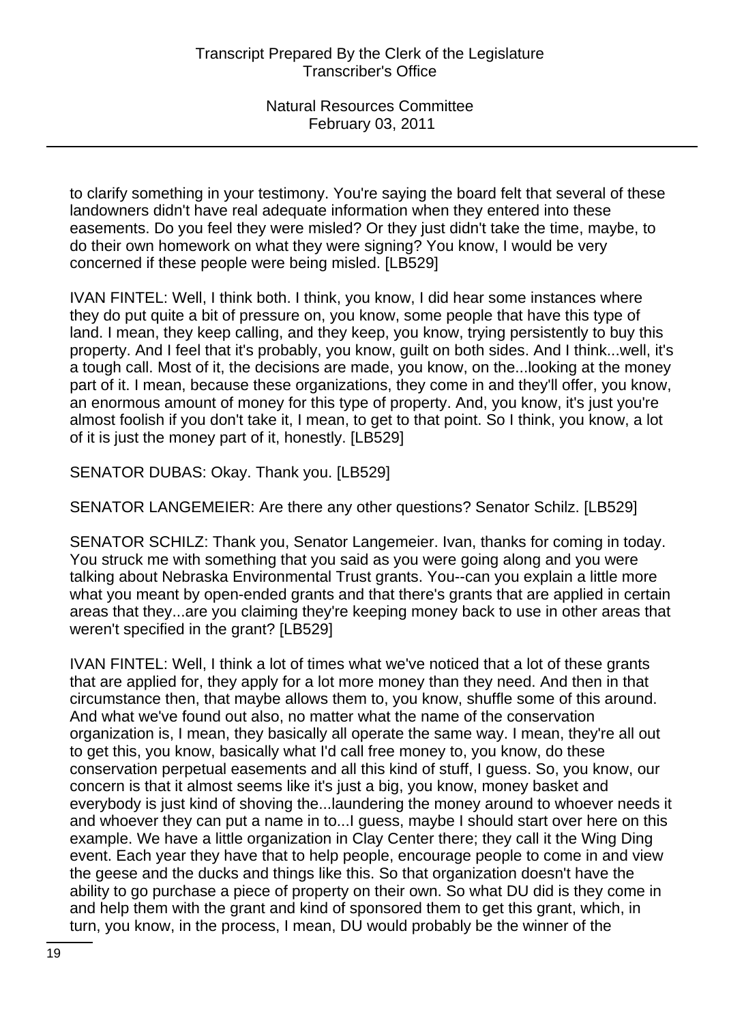to clarify something in your testimony. You're saying the board felt that several of these landowners didn't have real adequate information when they entered into these easements. Do you feel they were misled? Or they just didn't take the time, maybe, to do their own homework on what they were signing? You know, I would be very concerned if these people were being misled. [LB529]

IVAN FINTEL: Well, I think both. I think, you know, I did hear some instances where they do put quite a bit of pressure on, you know, some people that have this type of land. I mean, they keep calling, and they keep, you know, trying persistently to buy this property. And I feel that it's probably, you know, guilt on both sides. And I think...well, it's a tough call. Most of it, the decisions are made, you know, on the...looking at the money part of it. I mean, because these organizations, they come in and they'll offer, you know, an enormous amount of money for this type of property. And, you know, it's just you're almost foolish if you don't take it, I mean, to get to that point. So I think, you know, a lot of it is just the money part of it, honestly. [LB529]

SENATOR DUBAS: Okay. Thank you. [LB529]

SENATOR LANGEMEIER: Are there any other questions? Senator Schilz. [LB529]

SENATOR SCHILZ: Thank you, Senator Langemeier. Ivan, thanks for coming in today. You struck me with something that you said as you were going along and you were talking about Nebraska Environmental Trust grants. You--can you explain a little more what you meant by open-ended grants and that there's grants that are applied in certain areas that they...are you claiming they're keeping money back to use in other areas that weren't specified in the grant? [LB529]

IVAN FINTEL: Well, I think a lot of times what we've noticed that a lot of these grants that are applied for, they apply for a lot more money than they need. And then in that circumstance then, that maybe allows them to, you know, shuffle some of this around. And what we've found out also, no matter what the name of the conservation organization is, I mean, they basically all operate the same way. I mean, they're all out to get this, you know, basically what I'd call free money to, you know, do these conservation perpetual easements and all this kind of stuff, I guess. So, you know, our concern is that it almost seems like it's just a big, you know, money basket and everybody is just kind of shoving the...laundering the money around to whoever needs it and whoever they can put a name in to...I guess, maybe I should start over here on this example. We have a little organization in Clay Center there; they call it the Wing Ding event. Each year they have that to help people, encourage people to come in and view the geese and the ducks and things like this. So that organization doesn't have the ability to go purchase a piece of property on their own. So what DU did is they come in and help them with the grant and kind of sponsored them to get this grant, which, in turn, you know, in the process, I mean, DU would probably be the winner of the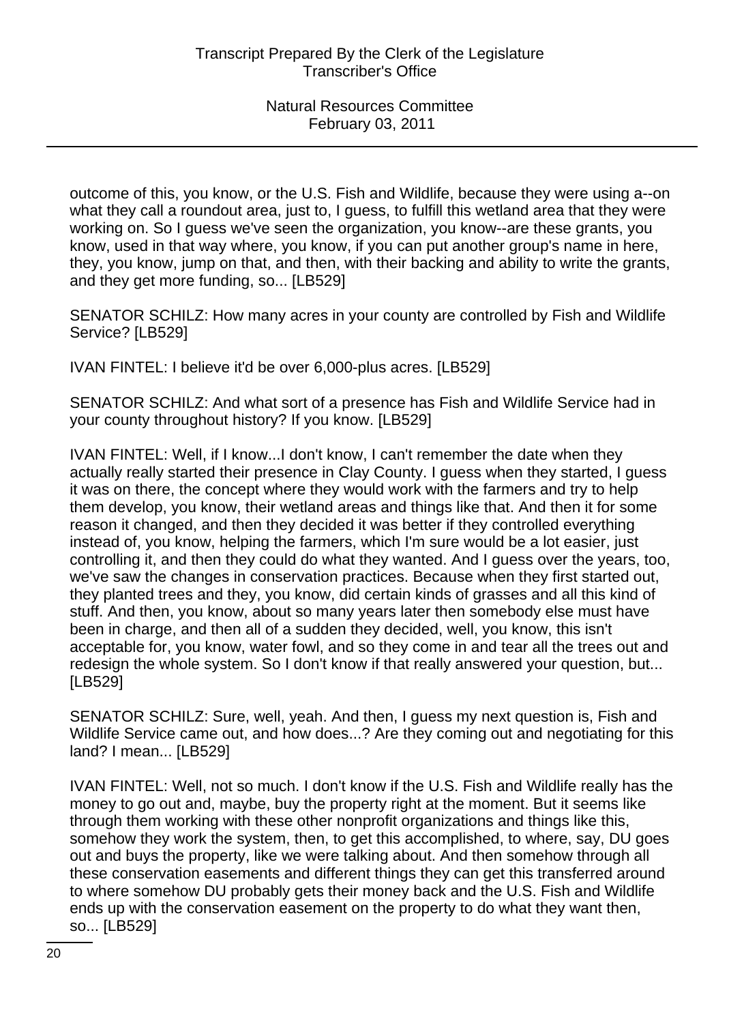outcome of this, you know, or the U.S. Fish and Wildlife, because they were using a--on what they call a roundout area, just to, I guess, to fulfill this wetland area that they were working on. So I guess we've seen the organization, you know--are these grants, you know, used in that way where, you know, if you can put another group's name in here, they, you know, jump on that, and then, with their backing and ability to write the grants, and they get more funding, so... [LB529]

SENATOR SCHILZ: How many acres in your county are controlled by Fish and Wildlife Service? [LB529]

IVAN FINTEL: I believe it'd be over 6,000-plus acres. [LB529]

SENATOR SCHILZ: And what sort of a presence has Fish and Wildlife Service had in your county throughout history? If you know. [LB529]

IVAN FINTEL: Well, if I know...I don't know, I can't remember the date when they actually really started their presence in Clay County. I guess when they started, I guess it was on there, the concept where they would work with the farmers and try to help them develop, you know, their wetland areas and things like that. And then it for some reason it changed, and then they decided it was better if they controlled everything instead of, you know, helping the farmers, which I'm sure would be a lot easier, just controlling it, and then they could do what they wanted. And I guess over the years, too, we've saw the changes in conservation practices. Because when they first started out, they planted trees and they, you know, did certain kinds of grasses and all this kind of stuff. And then, you know, about so many years later then somebody else must have been in charge, and then all of a sudden they decided, well, you know, this isn't acceptable for, you know, water fowl, and so they come in and tear all the trees out and redesign the whole system. So I don't know if that really answered your question, but... [LB529]

SENATOR SCHILZ: Sure, well, yeah. And then, I guess my next question is, Fish and Wildlife Service came out, and how does...? Are they coming out and negotiating for this land? I mean... [LB529]

IVAN FINTEL: Well, not so much. I don't know if the U.S. Fish and Wildlife really has the money to go out and, maybe, buy the property right at the moment. But it seems like through them working with these other nonprofit organizations and things like this, somehow they work the system, then, to get this accomplished, to where, say, DU goes out and buys the property, like we were talking about. And then somehow through all these conservation easements and different things they can get this transferred around to where somehow DU probably gets their money back and the U.S. Fish and Wildlife ends up with the conservation easement on the property to do what they want then, so... [LB529]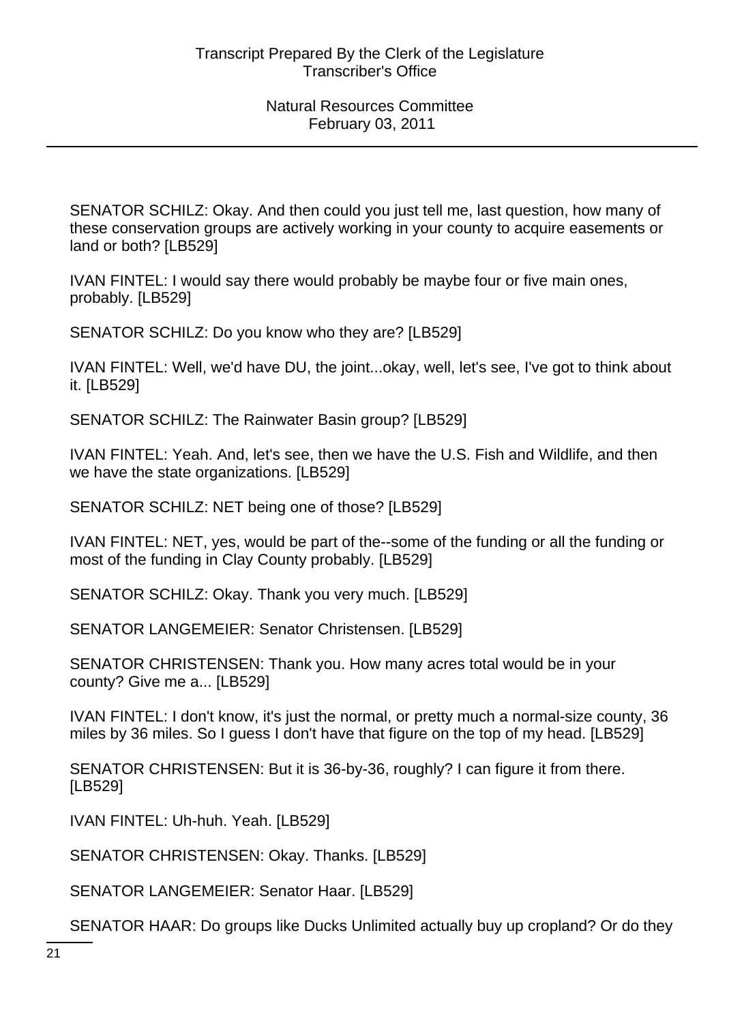SENATOR SCHILZ: Okay. And then could you just tell me, last question, how many of these conservation groups are actively working in your county to acquire easements or land or both? [LB529]

IVAN FINTEL: I would say there would probably be maybe four or five main ones, probably. [LB529]

SENATOR SCHILZ: Do you know who they are? [LB529]

IVAN FINTEL: Well, we'd have DU, the joint...okay, well, let's see, I've got to think about it. [LB529]

SENATOR SCHILZ: The Rainwater Basin group? [LB529]

IVAN FINTEL: Yeah. And, let's see, then we have the U.S. Fish and Wildlife, and then we have the state organizations. [LB529]

SENATOR SCHILZ: NET being one of those? [LB529]

IVAN FINTEL: NET, yes, would be part of the--some of the funding or all the funding or most of the funding in Clay County probably. [LB529]

SENATOR SCHILZ: Okay. Thank you very much. [LB529]

SENATOR LANGEMEIER: Senator Christensen. [LB529]

SENATOR CHRISTENSEN: Thank you. How many acres total would be in your county? Give me a... [LB529]

IVAN FINTEL: I don't know, it's just the normal, or pretty much a normal-size county, 36 miles by 36 miles. So I guess I don't have that figure on the top of my head. [LB529]

SENATOR CHRISTENSEN: But it is 36-by-36, roughly? I can figure it from there. [LB529]

IVAN FINTEL: Uh-huh. Yeah. [LB529]

SENATOR CHRISTENSEN: Okay. Thanks. [LB529]

SENATOR LANGEMEIER: Senator Haar. [LB529]

SENATOR HAAR: Do groups like Ducks Unlimited actually buy up cropland? Or do they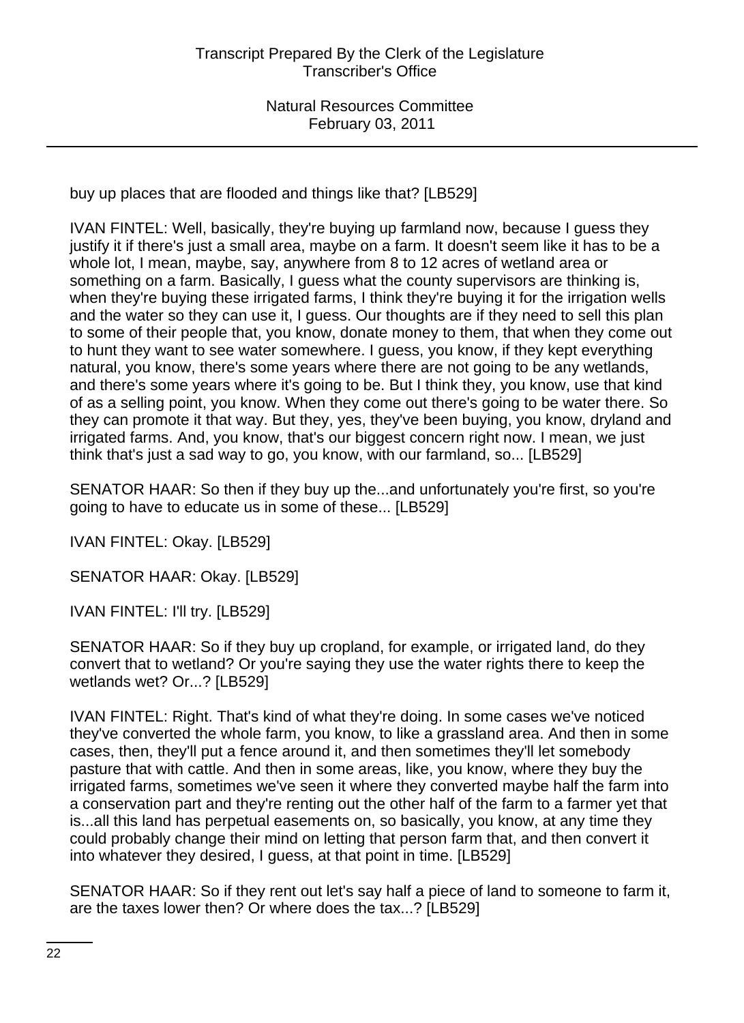buy up places that are flooded and things like that? [LB529]

IVAN FINTEL: Well, basically, they're buying up farmland now, because I guess they justify it if there's just a small area, maybe on a farm. It doesn't seem like it has to be a whole lot, I mean, maybe, say, anywhere from 8 to 12 acres of wetland area or something on a farm. Basically, I guess what the county supervisors are thinking is, when they're buying these irrigated farms, I think they're buying it for the irrigation wells and the water so they can use it, I guess. Our thoughts are if they need to sell this plan to some of their people that, you know, donate money to them, that when they come out to hunt they want to see water somewhere. I guess, you know, if they kept everything natural, you know, there's some years where there are not going to be any wetlands, and there's some years where it's going to be. But I think they, you know, use that kind of as a selling point, you know. When they come out there's going to be water there. So they can promote it that way. But they, yes, they've been buying, you know, dryland and irrigated farms. And, you know, that's our biggest concern right now. I mean, we just think that's just a sad way to go, you know, with our farmland, so... [LB529]

SENATOR HAAR: So then if they buy up the...and unfortunately you're first, so you're going to have to educate us in some of these... [LB529]

IVAN FINTEL: Okay. [LB529]

SENATOR HAAR: Okay. [LB529]

IVAN FINTEL: I'll try. [LB529]

SENATOR HAAR: So if they buy up cropland, for example, or irrigated land, do they convert that to wetland? Or you're saying they use the water rights there to keep the wetlands wet? Or...? [LB529]

IVAN FINTEL: Right. That's kind of what they're doing. In some cases we've noticed they've converted the whole farm, you know, to like a grassland area. And then in some cases, then, they'll put a fence around it, and then sometimes they'll let somebody pasture that with cattle. And then in some areas, like, you know, where they buy the irrigated farms, sometimes we've seen it where they converted maybe half the farm into a conservation part and they're renting out the other half of the farm to a farmer yet that is...all this land has perpetual easements on, so basically, you know, at any time they could probably change their mind on letting that person farm that, and then convert it into whatever they desired, I guess, at that point in time. [LB529]

SENATOR HAAR: So if they rent out let's say half a piece of land to someone to farm it, are the taxes lower then? Or where does the tax...? [LB529]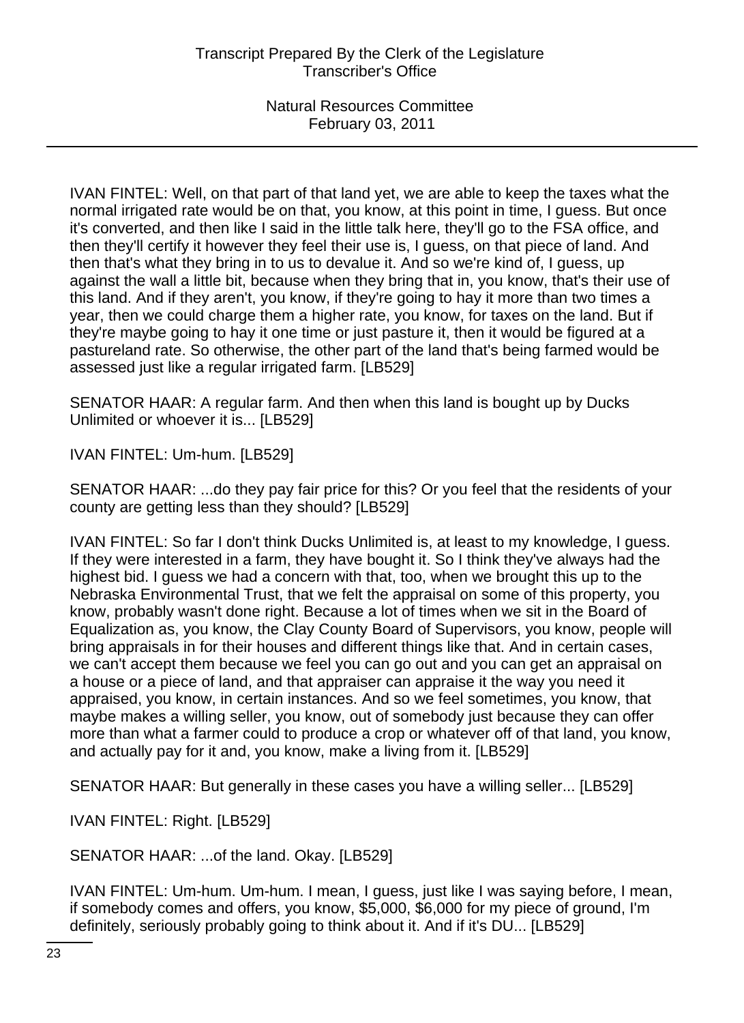IVAN FINTEL: Well, on that part of that land yet, we are able to keep the taxes what the normal irrigated rate would be on that, you know, at this point in time, I guess. But once it's converted, and then like I said in the little talk here, they'll go to the FSA office, and then they'll certify it however they feel their use is, I guess, on that piece of land. And then that's what they bring in to us to devalue it. And so we're kind of, I guess, up against the wall a little bit, because when they bring that in, you know, that's their use of this land. And if they aren't, you know, if they're going to hay it more than two times a year, then we could charge them a higher rate, you know, for taxes on the land. But if they're maybe going to hay it one time or just pasture it, then it would be figured at a pastureland rate. So otherwise, the other part of the land that's being farmed would be assessed just like a regular irrigated farm. [LB529]

SENATOR HAAR: A regular farm. And then when this land is bought up by Ducks Unlimited or whoever it is... [LB529]

IVAN FINTEL: Um-hum. [LB529]

SENATOR HAAR: ...do they pay fair price for this? Or you feel that the residents of your county are getting less than they should? [LB529]

IVAN FINTEL: So far I don't think Ducks Unlimited is, at least to my knowledge, I guess. If they were interested in a farm, they have bought it. So I think they've always had the highest bid. I guess we had a concern with that, too, when we brought this up to the Nebraska Environmental Trust, that we felt the appraisal on some of this property, you know, probably wasn't done right. Because a lot of times when we sit in the Board of Equalization as, you know, the Clay County Board of Supervisors, you know, people will bring appraisals in for their houses and different things like that. And in certain cases, we can't accept them because we feel you can go out and you can get an appraisal on a house or a piece of land, and that appraiser can appraise it the way you need it appraised, you know, in certain instances. And so we feel sometimes, you know, that maybe makes a willing seller, you know, out of somebody just because they can offer more than what a farmer could to produce a crop or whatever off of that land, you know, and actually pay for it and, you know, make a living from it. [LB529]

SENATOR HAAR: But generally in these cases you have a willing seller... [LB529]

IVAN FINTEL: Right. [LB529]

SENATOR HAAR: ...of the land. Okay. [LB529]

IVAN FINTEL: Um-hum. Um-hum. I mean, I guess, just like I was saying before, I mean, if somebody comes and offers, you know, \$5,000, \$6,000 for my piece of ground, I'm definitely, seriously probably going to think about it. And if it's DU... [LB529]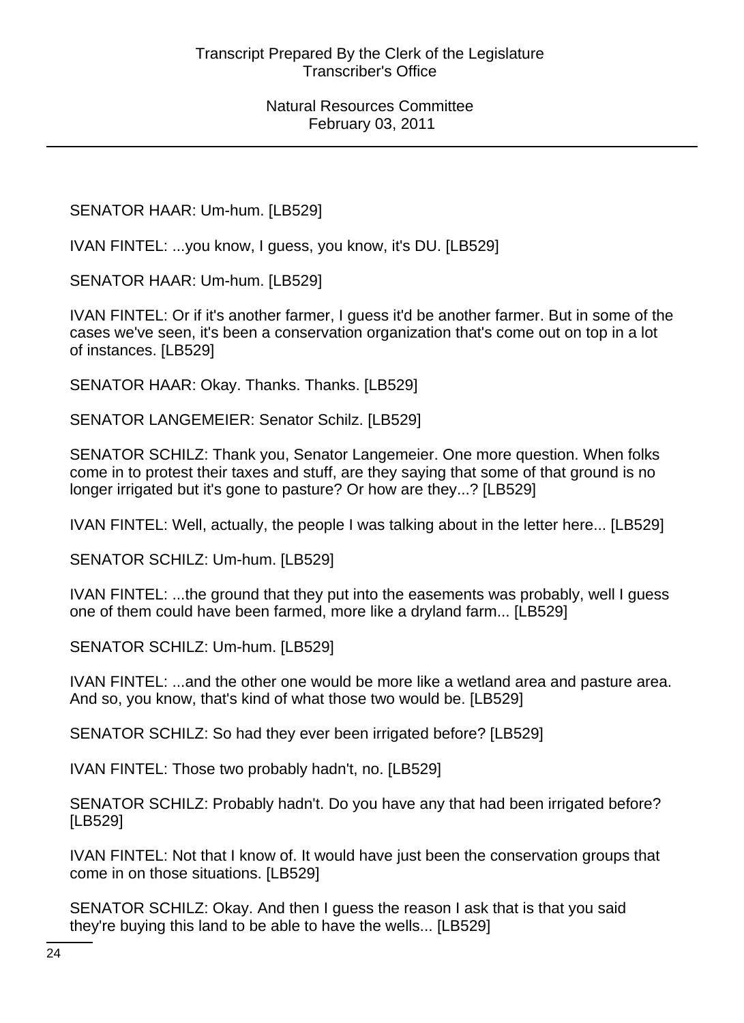SENATOR HAAR: Um-hum. [LB529]

IVAN FINTEL: ...you know, I guess, you know, it's DU. [LB529]

SENATOR HAAR: Um-hum. [LB529]

IVAN FINTEL: Or if it's another farmer, I guess it'd be another farmer. But in some of the cases we've seen, it's been a conservation organization that's come out on top in a lot of instances. [LB529]

SENATOR HAAR: Okay. Thanks. Thanks. [LB529]

SENATOR LANGEMEIER: Senator Schilz. [LB529]

SENATOR SCHILZ: Thank you, Senator Langemeier. One more question. When folks come in to protest their taxes and stuff, are they saying that some of that ground is no longer irrigated but it's gone to pasture? Or how are they...? [LB529]

IVAN FINTEL: Well, actually, the people I was talking about in the letter here... [LB529]

SENATOR SCHILZ: Um-hum. [LB529]

IVAN FINTEL: ...the ground that they put into the easements was probably, well I guess one of them could have been farmed, more like a dryland farm... [LB529]

SENATOR SCHILZ: Um-hum. [LB529]

IVAN FINTEL: ...and the other one would be more like a wetland area and pasture area. And so, you know, that's kind of what those two would be. [LB529]

SENATOR SCHILZ: So had they ever been irrigated before? [LB529]

IVAN FINTEL: Those two probably hadn't, no. [LB529]

SENATOR SCHILZ: Probably hadn't. Do you have any that had been irrigated before? [LB529]

IVAN FINTEL: Not that I know of. It would have just been the conservation groups that come in on those situations. [LB529]

SENATOR SCHILZ: Okay. And then I guess the reason I ask that is that you said they're buying this land to be able to have the wells... [LB529]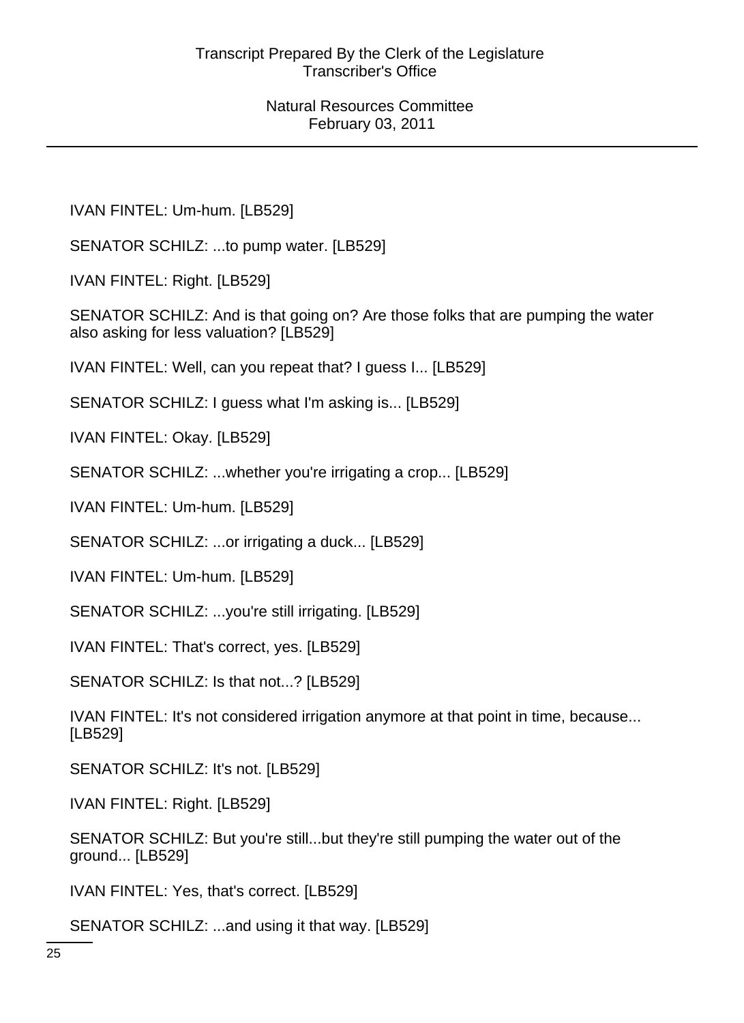IVAN FINTEL: Um-hum. [LB529]

SENATOR SCHILZ: ...to pump water. [LB529]

IVAN FINTEL: Right. [LB529]

SENATOR SCHILZ: And is that going on? Are those folks that are pumping the water also asking for less valuation? [LB529]

IVAN FINTEL: Well, can you repeat that? I guess I... [LB529]

SENATOR SCHILZ: I guess what I'm asking is... [LB529]

IVAN FINTEL: Okay. [LB529]

SENATOR SCHILZ: ...whether you're irrigating a crop... [LB529]

IVAN FINTEL: Um-hum. [LB529]

SENATOR SCHILZ: ...or irrigating a duck... [LB529]

IVAN FINTEL: Um-hum. [LB529]

SENATOR SCHILZ: ...you're still irrigating. [LB529]

IVAN FINTEL: That's correct, yes. [LB529]

SENATOR SCHILZ: Is that not...? [LB529]

IVAN FINTEL: It's not considered irrigation anymore at that point in time, because... [LB529]

SENATOR SCHILZ: It's not. [LB529]

IVAN FINTEL: Right. [LB529]

SENATOR SCHILZ: But you're still...but they're still pumping the water out of the ground... [LB529]

IVAN FINTEL: Yes, that's correct. [LB529]

SENATOR SCHILZ: ...and using it that way. [LB529]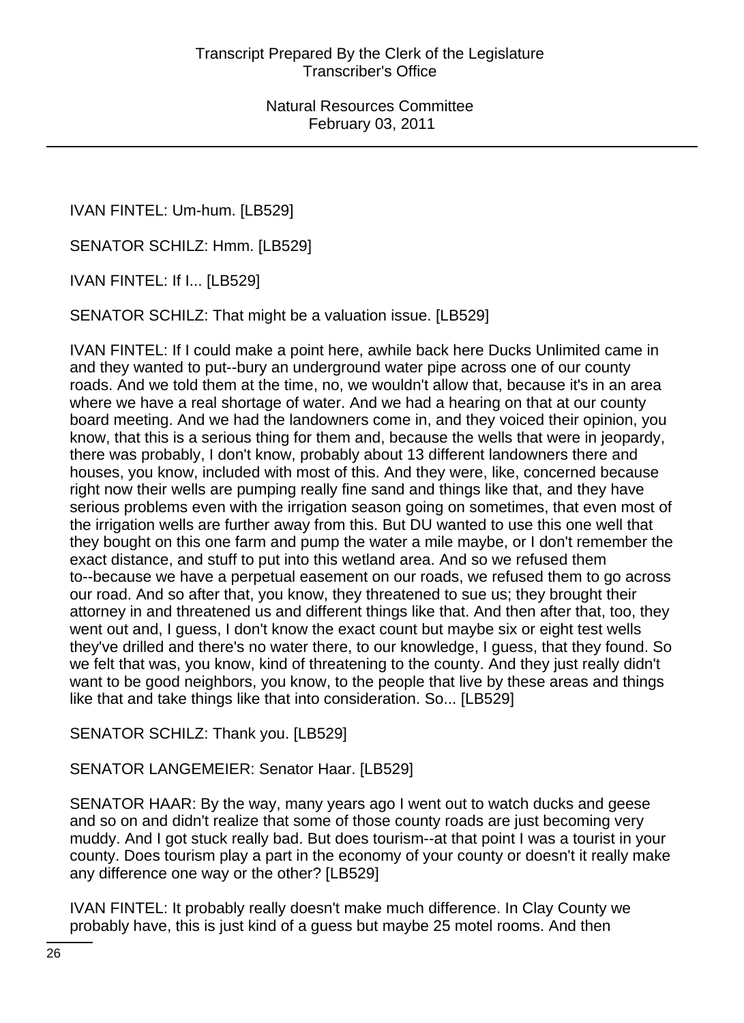IVAN FINTEL: Um-hum. [LB529]

SENATOR SCHILZ: Hmm. [LB529]

IVAN FINTEL: If I... [LB529]

SENATOR SCHILZ: That might be a valuation issue. [LB529]

IVAN FINTEL: If I could make a point here, awhile back here Ducks Unlimited came in and they wanted to put--bury an underground water pipe across one of our county roads. And we told them at the time, no, we wouldn't allow that, because it's in an area where we have a real shortage of water. And we had a hearing on that at our county board meeting. And we had the landowners come in, and they voiced their opinion, you know, that this is a serious thing for them and, because the wells that were in jeopardy, there was probably, I don't know, probably about 13 different landowners there and houses, you know, included with most of this. And they were, like, concerned because right now their wells are pumping really fine sand and things like that, and they have serious problems even with the irrigation season going on sometimes, that even most of the irrigation wells are further away from this. But DU wanted to use this one well that they bought on this one farm and pump the water a mile maybe, or I don't remember the exact distance, and stuff to put into this wetland area. And so we refused them to--because we have a perpetual easement on our roads, we refused them to go across our road. And so after that, you know, they threatened to sue us; they brought their attorney in and threatened us and different things like that. And then after that, too, they went out and, I guess, I don't know the exact count but maybe six or eight test wells they've drilled and there's no water there, to our knowledge, I guess, that they found. So we felt that was, you know, kind of threatening to the county. And they just really didn't want to be good neighbors, you know, to the people that live by these areas and things like that and take things like that into consideration. So... [LB529]

SENATOR SCHILZ: Thank you. [LB529]

SENATOR LANGEMEIER: Senator Haar. [LB529]

SENATOR HAAR: By the way, many years ago I went out to watch ducks and geese and so on and didn't realize that some of those county roads are just becoming very muddy. And I got stuck really bad. But does tourism--at that point I was a tourist in your county. Does tourism play a part in the economy of your county or doesn't it really make any difference one way or the other? [LB529]

IVAN FINTEL: It probably really doesn't make much difference. In Clay County we probably have, this is just kind of a guess but maybe 25 motel rooms. And then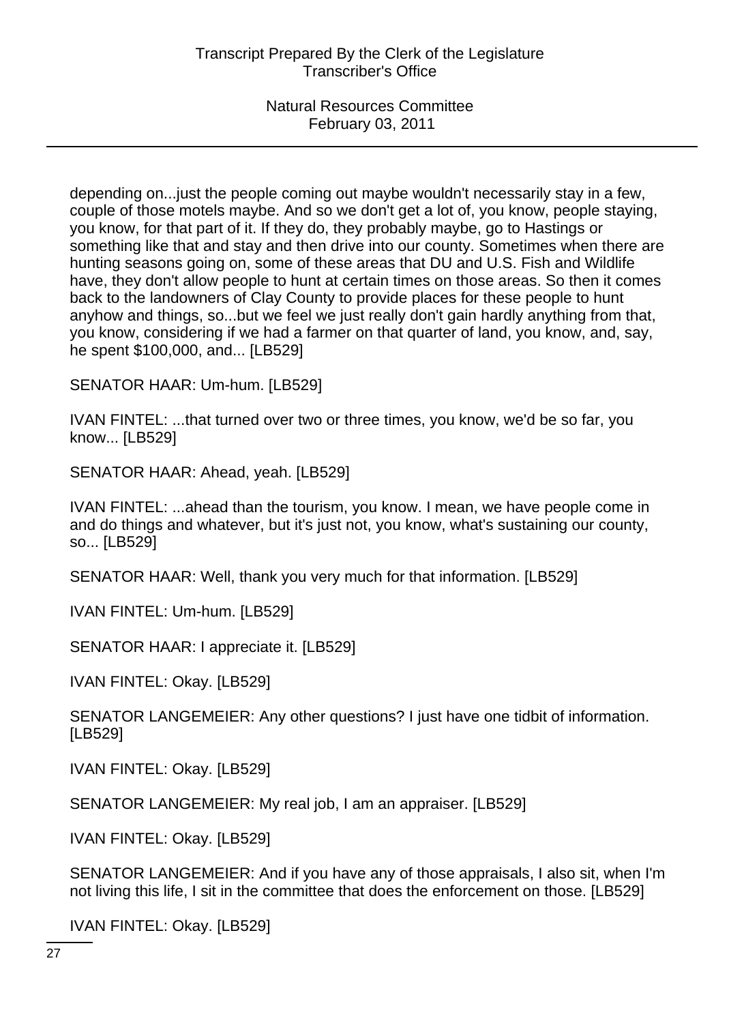depending on...just the people coming out maybe wouldn't necessarily stay in a few, couple of those motels maybe. And so we don't get a lot of, you know, people staying, you know, for that part of it. If they do, they probably maybe, go to Hastings or something like that and stay and then drive into our county. Sometimes when there are hunting seasons going on, some of these areas that DU and U.S. Fish and Wildlife have, they don't allow people to hunt at certain times on those areas. So then it comes back to the landowners of Clay County to provide places for these people to hunt anyhow and things, so...but we feel we just really don't gain hardly anything from that, you know, considering if we had a farmer on that quarter of land, you know, and, say, he spent \$100,000, and... [LB529]

SENATOR HAAR: Um-hum. [LB529]

IVAN FINTEL: ...that turned over two or three times, you know, we'd be so far, you know... [LB529]

SENATOR HAAR: Ahead, yeah. [LB529]

IVAN FINTEL: ...ahead than the tourism, you know. I mean, we have people come in and do things and whatever, but it's just not, you know, what's sustaining our county, so... [LB529]

SENATOR HAAR: Well, thank you very much for that information. [LB529]

IVAN FINTEL: Um-hum. [LB529]

SENATOR HAAR: I appreciate it. [LB529]

IVAN FINTEL: Okay. [LB529]

SENATOR LANGEMEIER: Any other questions? I just have one tidbit of information. [LB529]

IVAN FINTEL: Okay. [LB529]

SENATOR LANGEMEIER: My real job, I am an appraiser. [LB529]

IVAN FINTEL: Okay. [LB529]

SENATOR LANGEMEIER: And if you have any of those appraisals, I also sit, when I'm not living this life, I sit in the committee that does the enforcement on those. [LB529]

IVAN FINTEL: Okay. [LB529]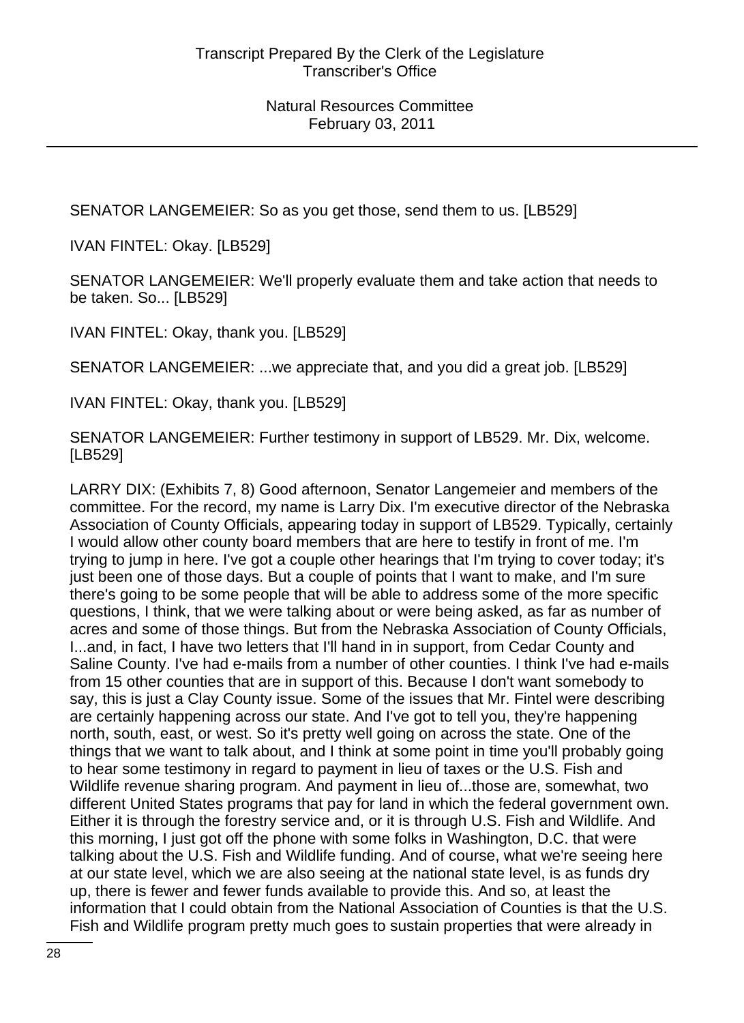SENATOR LANGEMEIER: So as you get those, send them to us. [LB529]

IVAN FINTEL: Okay. [LB529]

SENATOR LANGEMEIER: We'll properly evaluate them and take action that needs to be taken. So... [LB529]

IVAN FINTEL: Okay, thank you. [LB529]

SENATOR LANGEMEIER: ...we appreciate that, and you did a great job. [LB529]

IVAN FINTEL: Okay, thank you. [LB529]

SENATOR LANGEMEIER: Further testimony in support of LB529. Mr. Dix, welcome. [LB529]

LARRY DIX: (Exhibits 7, 8) Good afternoon, Senator Langemeier and members of the committee. For the record, my name is Larry Dix. I'm executive director of the Nebraska Association of County Officials, appearing today in support of LB529. Typically, certainly I would allow other county board members that are here to testify in front of me. I'm trying to jump in here. I've got a couple other hearings that I'm trying to cover today; it's just been one of those days. But a couple of points that I want to make, and I'm sure there's going to be some people that will be able to address some of the more specific questions, I think, that we were talking about or were being asked, as far as number of acres and some of those things. But from the Nebraska Association of County Officials, I...and, in fact, I have two letters that I'll hand in in support, from Cedar County and Saline County. I've had e-mails from a number of other counties. I think I've had e-mails from 15 other counties that are in support of this. Because I don't want somebody to say, this is just a Clay County issue. Some of the issues that Mr. Fintel were describing are certainly happening across our state. And I've got to tell you, they're happening north, south, east, or west. So it's pretty well going on across the state. One of the things that we want to talk about, and I think at some point in time you'll probably going to hear some testimony in regard to payment in lieu of taxes or the U.S. Fish and Wildlife revenue sharing program. And payment in lieu of...those are, somewhat, two different United States programs that pay for land in which the federal government own. Either it is through the forestry service and, or it is through U.S. Fish and Wildlife. And this morning, I just got off the phone with some folks in Washington, D.C. that were talking about the U.S. Fish and Wildlife funding. And of course, what we're seeing here at our state level, which we are also seeing at the national state level, is as funds dry up, there is fewer and fewer funds available to provide this. And so, at least the information that I could obtain from the National Association of Counties is that the U.S. Fish and Wildlife program pretty much goes to sustain properties that were already in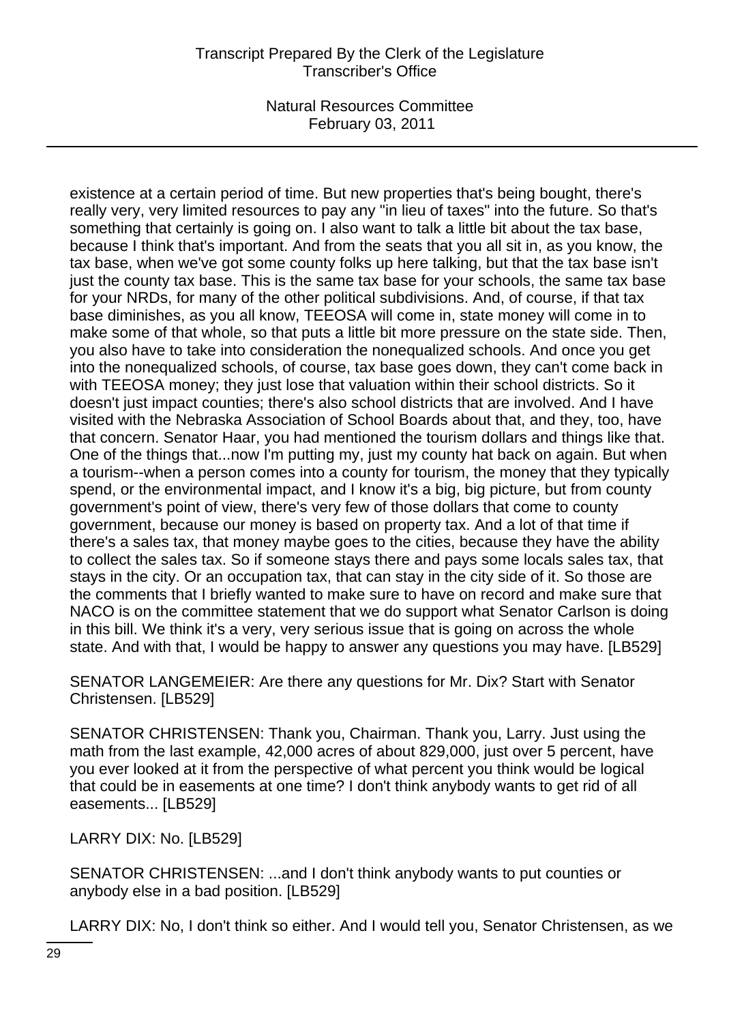existence at a certain period of time. But new properties that's being bought, there's really very, very limited resources to pay any "in lieu of taxes" into the future. So that's something that certainly is going on. I also want to talk a little bit about the tax base, because I think that's important. And from the seats that you all sit in, as you know, the tax base, when we've got some county folks up here talking, but that the tax base isn't just the county tax base. This is the same tax base for your schools, the same tax base for your NRDs, for many of the other political subdivisions. And, of course, if that tax base diminishes, as you all know, TEEOSA will come in, state money will come in to make some of that whole, so that puts a little bit more pressure on the state side. Then, you also have to take into consideration the nonequalized schools. And once you get into the nonequalized schools, of course, tax base goes down, they can't come back in with TEEOSA money; they just lose that valuation within their school districts. So it doesn't just impact counties; there's also school districts that are involved. And I have visited with the Nebraska Association of School Boards about that, and they, too, have that concern. Senator Haar, you had mentioned the tourism dollars and things like that. One of the things that...now I'm putting my, just my county hat back on again. But when a tourism--when a person comes into a county for tourism, the money that they typically spend, or the environmental impact, and I know it's a big, big picture, but from county government's point of view, there's very few of those dollars that come to county government, because our money is based on property tax. And a lot of that time if there's a sales tax, that money maybe goes to the cities, because they have the ability to collect the sales tax. So if someone stays there and pays some locals sales tax, that stays in the city. Or an occupation tax, that can stay in the city side of it. So those are the comments that I briefly wanted to make sure to have on record and make sure that NACO is on the committee statement that we do support what Senator Carlson is doing in this bill. We think it's a very, very serious issue that is going on across the whole state. And with that, I would be happy to answer any questions you may have. [LB529]

SENATOR LANGEMEIER: Are there any questions for Mr. Dix? Start with Senator Christensen. [LB529]

SENATOR CHRISTENSEN: Thank you, Chairman. Thank you, Larry. Just using the math from the last example, 42,000 acres of about 829,000, just over 5 percent, have you ever looked at it from the perspective of what percent you think would be logical that could be in easements at one time? I don't think anybody wants to get rid of all easements... [LB529]

LARRY DIX: No. [LB529]

SENATOR CHRISTENSEN: ...and I don't think anybody wants to put counties or anybody else in a bad position. [LB529]

LARRY DIX: No, I don't think so either. And I would tell you, Senator Christensen, as we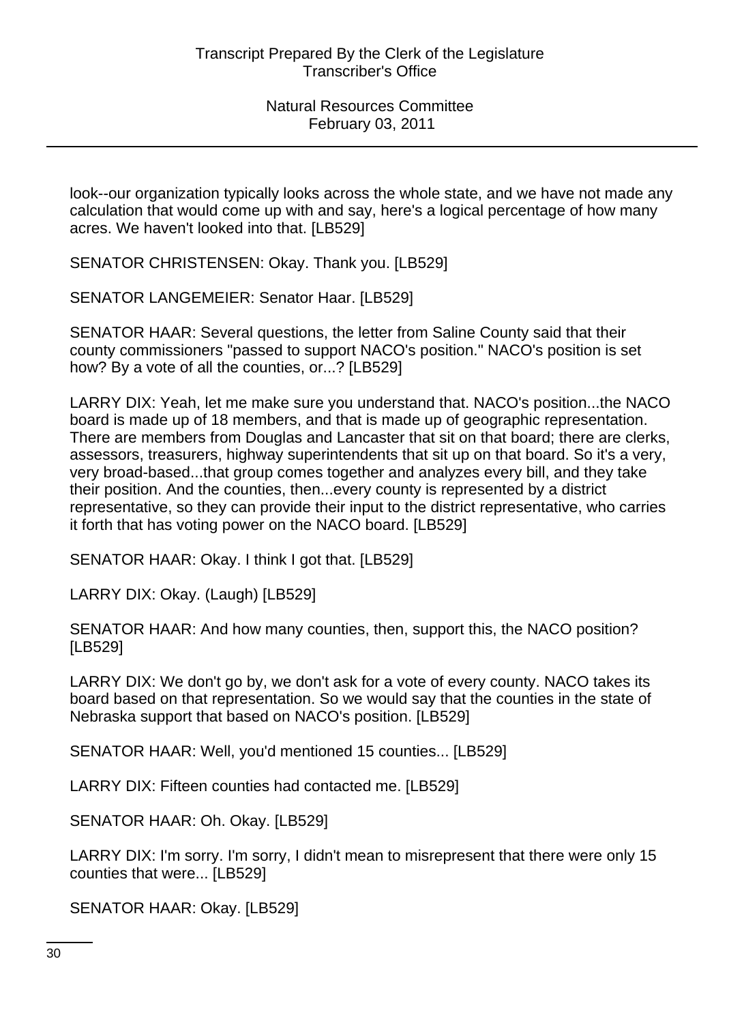look--our organization typically looks across the whole state, and we have not made any calculation that would come up with and say, here's a logical percentage of how many acres. We haven't looked into that. [LB529]

SENATOR CHRISTENSEN: Okay. Thank you. [LB529]

SENATOR LANGEMEIER: Senator Haar. [LB529]

SENATOR HAAR: Several questions, the letter from Saline County said that their county commissioners "passed to support NACO's position." NACO's position is set how? By a vote of all the counties, or...? [LB529]

LARRY DIX: Yeah, let me make sure you understand that. NACO's position...the NACO board is made up of 18 members, and that is made up of geographic representation. There are members from Douglas and Lancaster that sit on that board; there are clerks, assessors, treasurers, highway superintendents that sit up on that board. So it's a very, very broad-based...that group comes together and analyzes every bill, and they take their position. And the counties, then...every county is represented by a district representative, so they can provide their input to the district representative, who carries it forth that has voting power on the NACO board. [LB529]

SENATOR HAAR: Okay. I think I got that. [LB529]

LARRY DIX: Okay. (Laugh) [LB529]

SENATOR HAAR: And how many counties, then, support this, the NACO position? [LB529]

LARRY DIX: We don't go by, we don't ask for a vote of every county. NACO takes its board based on that representation. So we would say that the counties in the state of Nebraska support that based on NACO's position. [LB529]

SENATOR HAAR: Well, you'd mentioned 15 counties... [LB529]

LARRY DIX: Fifteen counties had contacted me. [LB529]

SENATOR HAAR: Oh. Okay. [LB529]

LARRY DIX: I'm sorry. I'm sorry, I didn't mean to misrepresent that there were only 15 counties that were... [LB529]

SENATOR HAAR: Okay. [LB529]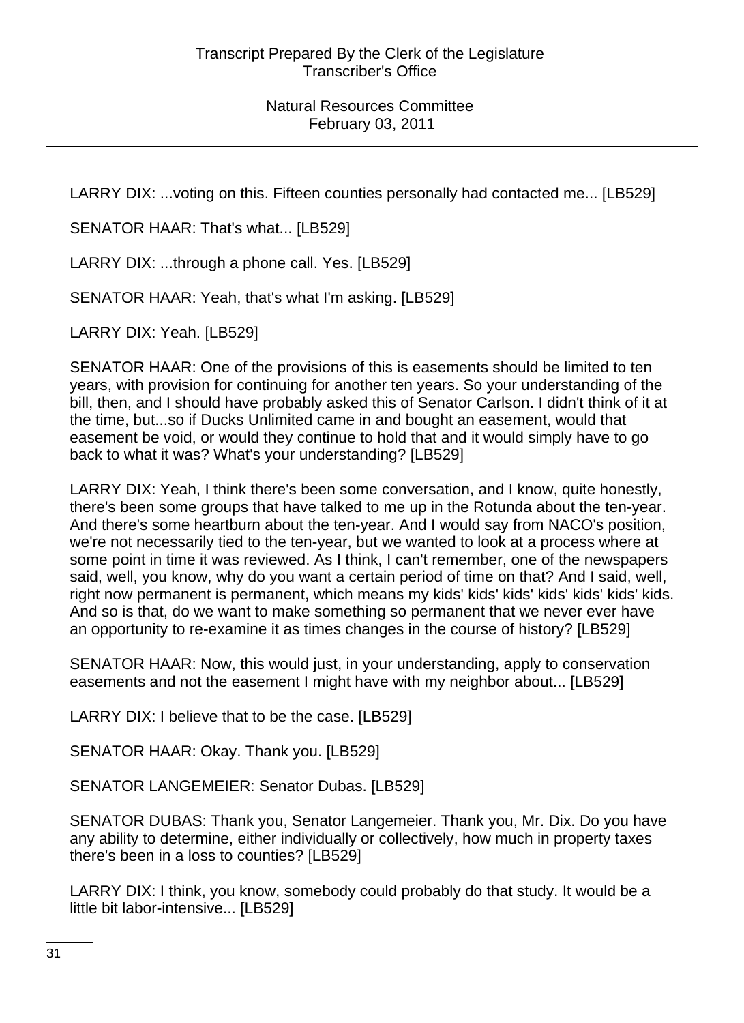LARRY DIX: ...voting on this. Fifteen counties personally had contacted me... [LB529]

SENATOR HAAR: That's what... [LB529]

LARRY DIX: ...through a phone call. Yes. [LB529]

SENATOR HAAR: Yeah, that's what I'm asking. [LB529]

LARRY DIX: Yeah. [LB529]

SENATOR HAAR: One of the provisions of this is easements should be limited to ten years, with provision for continuing for another ten years. So your understanding of the bill, then, and I should have probably asked this of Senator Carlson. I didn't think of it at the time, but...so if Ducks Unlimited came in and bought an easement, would that easement be void, or would they continue to hold that and it would simply have to go back to what it was? What's your understanding? [LB529]

LARRY DIX: Yeah, I think there's been some conversation, and I know, quite honestly, there's been some groups that have talked to me up in the Rotunda about the ten-year. And there's some heartburn about the ten-year. And I would say from NACO's position, we're not necessarily tied to the ten-year, but we wanted to look at a process where at some point in time it was reviewed. As I think, I can't remember, one of the newspapers said, well, you know, why do you want a certain period of time on that? And I said, well, right now permanent is permanent, which means my kids' kids' kids' kids' kids' kids' kids. And so is that, do we want to make something so permanent that we never ever have an opportunity to re-examine it as times changes in the course of history? [LB529]

SENATOR HAAR: Now, this would just, in your understanding, apply to conservation easements and not the easement I might have with my neighbor about... [LB529]

LARRY DIX: I believe that to be the case. [LB529]

SENATOR HAAR: Okay. Thank you. [LB529]

SENATOR LANGEMEIER: Senator Dubas. [LB529]

SENATOR DUBAS: Thank you, Senator Langemeier. Thank you, Mr. Dix. Do you have any ability to determine, either individually or collectively, how much in property taxes there's been in a loss to counties? [LB529]

LARRY DIX: I think, you know, somebody could probably do that study. It would be a little bit labor-intensive... [LB529]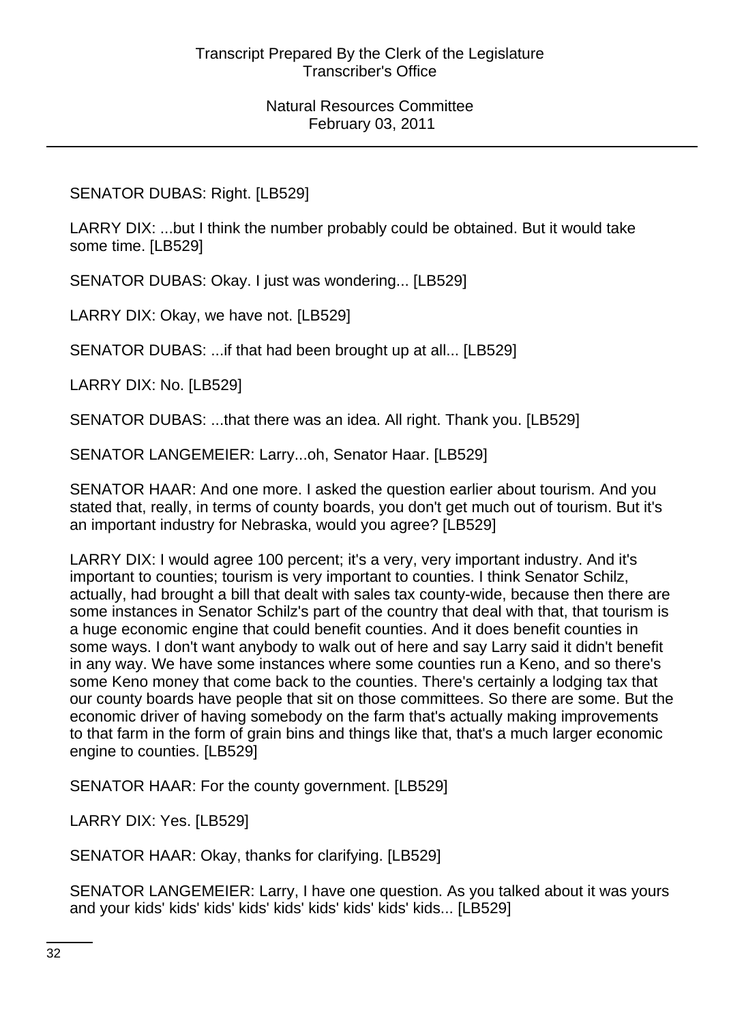# SENATOR DUBAS: Right. [LB529]

LARRY DIX: ...but I think the number probably could be obtained. But it would take some time. [LB529]

SENATOR DUBAS: Okay. I just was wondering... [LB529]

LARRY DIX: Okay, we have not. [LB529]

SENATOR DUBAS: ...if that had been brought up at all... [LB529]

LARRY DIX: No. [LB529]

SENATOR DUBAS: ...that there was an idea. All right. Thank you. [LB529]

SENATOR LANGEMEIER: Larry...oh, Senator Haar. [LB529]

SENATOR HAAR: And one more. I asked the question earlier about tourism. And you stated that, really, in terms of county boards, you don't get much out of tourism. But it's an important industry for Nebraska, would you agree? [LB529]

LARRY DIX: I would agree 100 percent; it's a very, very important industry. And it's important to counties; tourism is very important to counties. I think Senator Schilz, actually, had brought a bill that dealt with sales tax county-wide, because then there are some instances in Senator Schilz's part of the country that deal with that, that tourism is a huge economic engine that could benefit counties. And it does benefit counties in some ways. I don't want anybody to walk out of here and say Larry said it didn't benefit in any way. We have some instances where some counties run a Keno, and so there's some Keno money that come back to the counties. There's certainly a lodging tax that our county boards have people that sit on those committees. So there are some. But the economic driver of having somebody on the farm that's actually making improvements to that farm in the form of grain bins and things like that, that's a much larger economic engine to counties. [LB529]

SENATOR HAAR: For the county government. [LB529]

LARRY DIX: Yes. [LB529]

SENATOR HAAR: Okay, thanks for clarifying. [LB529]

SENATOR LANGEMEIER: Larry, I have one question. As you talked about it was yours and your kids' kids' kids' kids' kids' kids' kids' kids' kids... [LB529]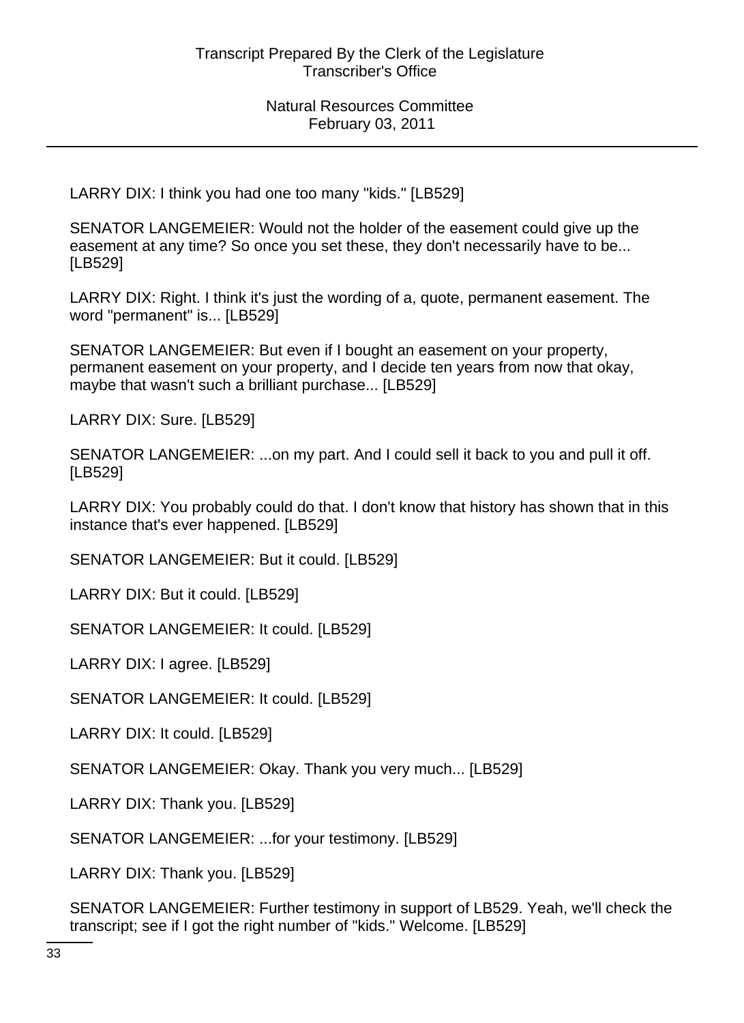LARRY DIX: I think you had one too many "kids." [LB529]

SENATOR LANGEMEIER: Would not the holder of the easement could give up the easement at any time? So once you set these, they don't necessarily have to be... [LB529]

LARRY DIX: Right. I think it's just the wording of a, quote, permanent easement. The word "permanent" is... [LB529]

SENATOR LANGEMEIER: But even if I bought an easement on your property, permanent easement on your property, and I decide ten years from now that okay, maybe that wasn't such a brilliant purchase... [LB529]

LARRY DIX: Sure. [LB529]

SENATOR LANGEMEIER: ...on my part. And I could sell it back to you and pull it off. [LB529]

LARRY DIX: You probably could do that. I don't know that history has shown that in this instance that's ever happened. [LB529]

SENATOR LANGEMEIER: But it could. [LB529]

LARRY DIX: But it could. [LB529]

SENATOR LANGEMEIER: It could. [LB529]

LARRY DIX: I agree. [LB529]

SENATOR LANGEMEIER: It could. [LB529]

LARRY DIX: It could. [LB529]

SENATOR LANGEMEIER: Okay. Thank you very much... [LB529]

LARRY DIX: Thank you. [LB529]

SENATOR LANGEMEIER: ...for your testimony. [LB529]

LARRY DIX: Thank you. [LB529]

SENATOR LANGEMEIER: Further testimony in support of LB529. Yeah, we'll check the transcript; see if I got the right number of "kids." Welcome. [LB529]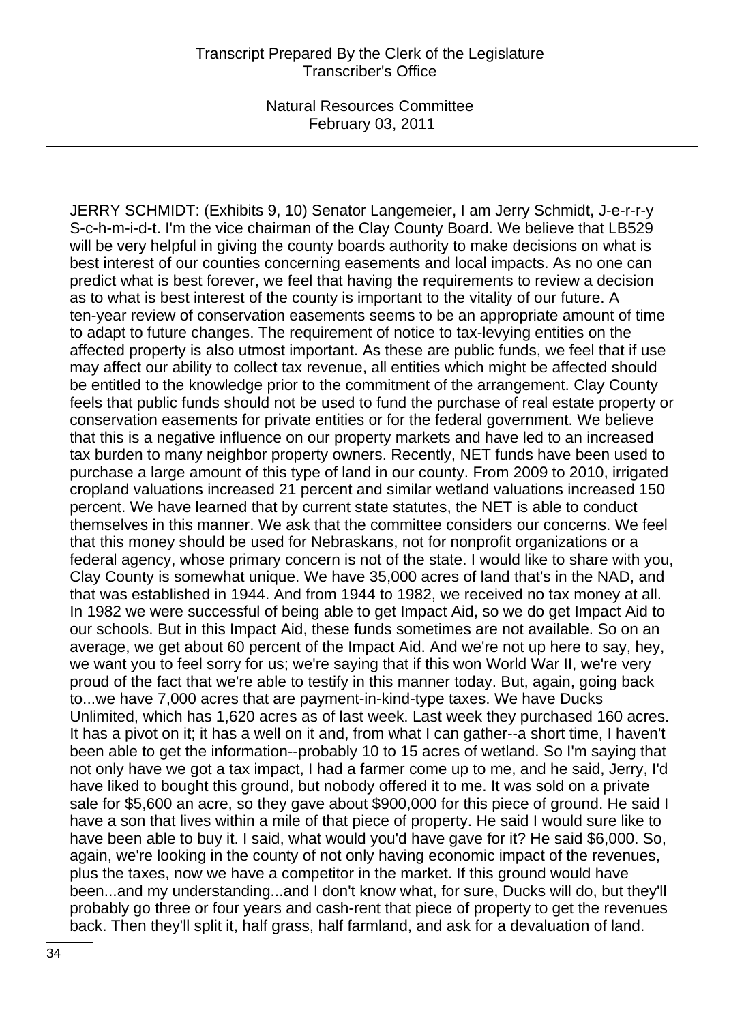JERRY SCHMIDT: (Exhibits 9, 10) Senator Langemeier, I am Jerry Schmidt, J-e-r-r-y S-c-h-m-i-d-t. I'm the vice chairman of the Clay County Board. We believe that LB529 will be very helpful in giving the county boards authority to make decisions on what is best interest of our counties concerning easements and local impacts. As no one can predict what is best forever, we feel that having the requirements to review a decision as to what is best interest of the county is important to the vitality of our future. A ten-year review of conservation easements seems to be an appropriate amount of time to adapt to future changes. The requirement of notice to tax-levying entities on the affected property is also utmost important. As these are public funds, we feel that if use may affect our ability to collect tax revenue, all entities which might be affected should be entitled to the knowledge prior to the commitment of the arrangement. Clay County feels that public funds should not be used to fund the purchase of real estate property or conservation easements for private entities or for the federal government. We believe that this is a negative influence on our property markets and have led to an increased tax burden to many neighbor property owners. Recently, NET funds have been used to purchase a large amount of this type of land in our county. From 2009 to 2010, irrigated cropland valuations increased 21 percent and similar wetland valuations increased 150 percent. We have learned that by current state statutes, the NET is able to conduct themselves in this manner. We ask that the committee considers our concerns. We feel that this money should be used for Nebraskans, not for nonprofit organizations or a federal agency, whose primary concern is not of the state. I would like to share with you, Clay County is somewhat unique. We have 35,000 acres of land that's in the NAD, and that was established in 1944. And from 1944 to 1982, we received no tax money at all. In 1982 we were successful of being able to get Impact Aid, so we do get Impact Aid to our schools. But in this Impact Aid, these funds sometimes are not available. So on an average, we get about 60 percent of the Impact Aid. And we're not up here to say, hey, we want you to feel sorry for us; we're saying that if this won World War II, we're very proud of the fact that we're able to testify in this manner today. But, again, going back to...we have 7,000 acres that are payment-in-kind-type taxes. We have Ducks Unlimited, which has 1,620 acres as of last week. Last week they purchased 160 acres. It has a pivot on it; it has a well on it and, from what I can gather--a short time, I haven't been able to get the information--probably 10 to 15 acres of wetland. So I'm saying that not only have we got a tax impact, I had a farmer come up to me, and he said, Jerry, I'd have liked to bought this ground, but nobody offered it to me. It was sold on a private sale for \$5,600 an acre, so they gave about \$900,000 for this piece of ground. He said I have a son that lives within a mile of that piece of property. He said I would sure like to have been able to buy it. I said, what would you'd have gave for it? He said \$6,000. So, again, we're looking in the county of not only having economic impact of the revenues, plus the taxes, now we have a competitor in the market. If this ground would have been...and my understanding...and I don't know what, for sure, Ducks will do, but they'll probably go three or four years and cash-rent that piece of property to get the revenues back. Then they'll split it, half grass, half farmland, and ask for a devaluation of land.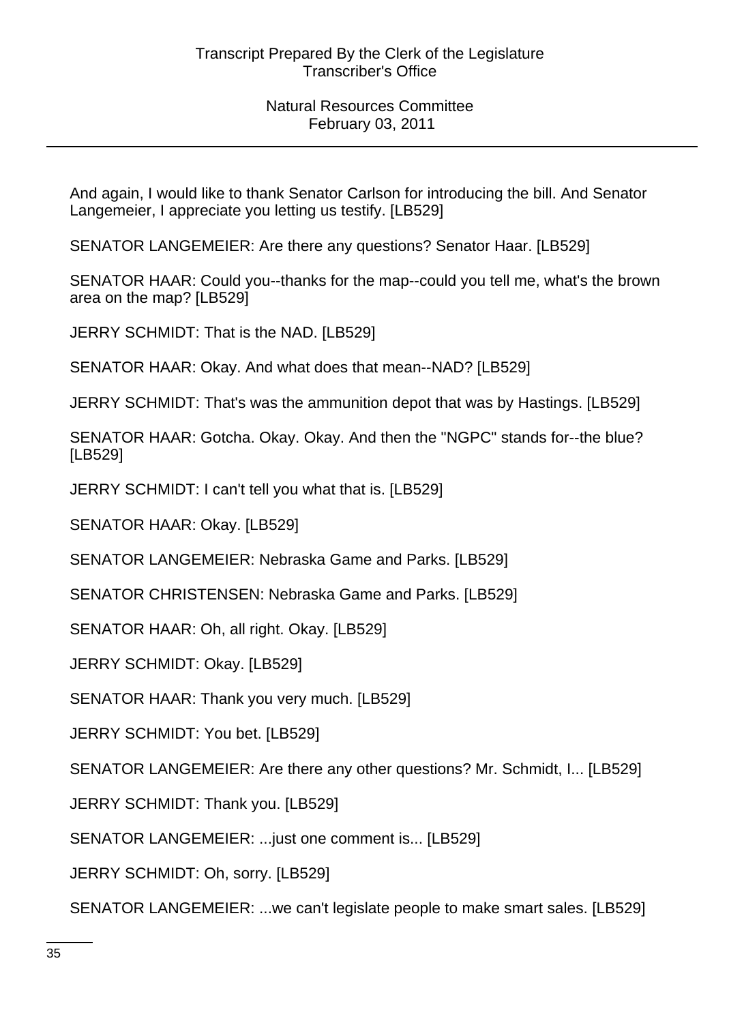And again, I would like to thank Senator Carlson for introducing the bill. And Senator Langemeier, I appreciate you letting us testify. [LB529]

SENATOR LANGEMEIER: Are there any questions? Senator Haar. [LB529]

SENATOR HAAR: Could you--thanks for the map--could you tell me, what's the brown area on the map? [LB529]

JERRY SCHMIDT: That is the NAD. [LB529]

SENATOR HAAR: Okay. And what does that mean--NAD? [LB529]

JERRY SCHMIDT: That's was the ammunition depot that was by Hastings. [LB529]

SENATOR HAAR: Gotcha. Okay. Okay. And then the "NGPC" stands for--the blue? [LB529]

JERRY SCHMIDT: I can't tell you what that is. [LB529]

SENATOR HAAR: Okay. [LB529]

SENATOR LANGEMEIER: Nebraska Game and Parks. [LB529]

SENATOR CHRISTENSEN: Nebraska Game and Parks. [LB529]

SENATOR HAAR: Oh, all right. Okay. [LB529]

JERRY SCHMIDT: Okay. [LB529]

SENATOR HAAR: Thank you very much. [LB529]

JERRY SCHMIDT: You bet. [LB529]

SENATOR LANGEMEIER: Are there any other questions? Mr. Schmidt, I... [LB529]

JERRY SCHMIDT: Thank you. [LB529]

SENATOR LANGEMEIER: ...just one comment is... [LB529]

JERRY SCHMIDT: Oh, sorry. [LB529]

SENATOR LANGEMEIER: ...we can't legislate people to make smart sales. [LB529]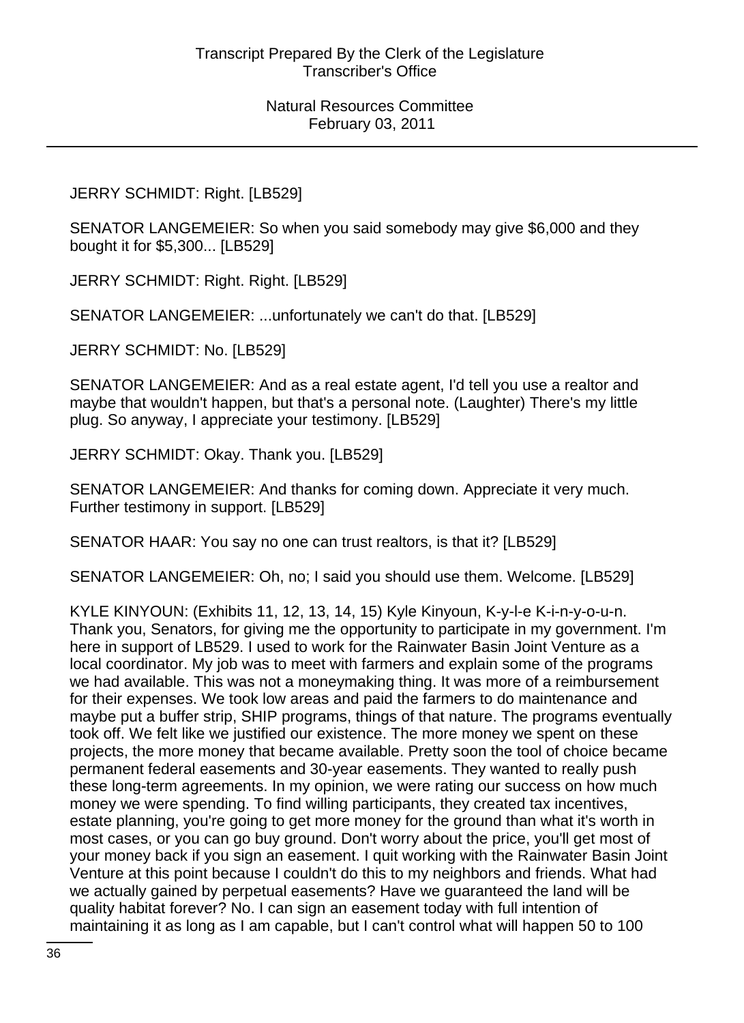JERRY SCHMIDT: Right. [LB529]

SENATOR LANGEMEIER: So when you said somebody may give \$6,000 and they bought it for \$5,300... [LB529]

JERRY SCHMIDT: Right. Right. [LB529]

SENATOR LANGEMEIER: ...unfortunately we can't do that. [LB529]

JERRY SCHMIDT: No. [LB529]

SENATOR LANGEMEIER: And as a real estate agent, I'd tell you use a realtor and maybe that wouldn't happen, but that's a personal note. (Laughter) There's my little plug. So anyway, I appreciate your testimony. [LB529]

JERRY SCHMIDT: Okay. Thank you. [LB529]

SENATOR LANGEMEIER: And thanks for coming down. Appreciate it very much. Further testimony in support. [LB529]

SENATOR HAAR: You say no one can trust realtors, is that it? [LB529]

SENATOR LANGEMEIER: Oh, no; I said you should use them. Welcome. [LB529]

KYLE KINYOUN: (Exhibits 11, 12, 13, 14, 15) Kyle Kinyoun, K-y-l-e K-i-n-y-o-u-n. Thank you, Senators, for giving me the opportunity to participate in my government. I'm here in support of LB529. I used to work for the Rainwater Basin Joint Venture as a local coordinator. My job was to meet with farmers and explain some of the programs we had available. This was not a moneymaking thing. It was more of a reimbursement for their expenses. We took low areas and paid the farmers to do maintenance and maybe put a buffer strip, SHIP programs, things of that nature. The programs eventually took off. We felt like we justified our existence. The more money we spent on these projects, the more money that became available. Pretty soon the tool of choice became permanent federal easements and 30-year easements. They wanted to really push these long-term agreements. In my opinion, we were rating our success on how much money we were spending. To find willing participants, they created tax incentives, estate planning, you're going to get more money for the ground than what it's worth in most cases, or you can go buy ground. Don't worry about the price, you'll get most of your money back if you sign an easement. I quit working with the Rainwater Basin Joint Venture at this point because I couldn't do this to my neighbors and friends. What had we actually gained by perpetual easements? Have we guaranteed the land will be quality habitat forever? No. I can sign an easement today with full intention of maintaining it as long as I am capable, but I can't control what will happen 50 to 100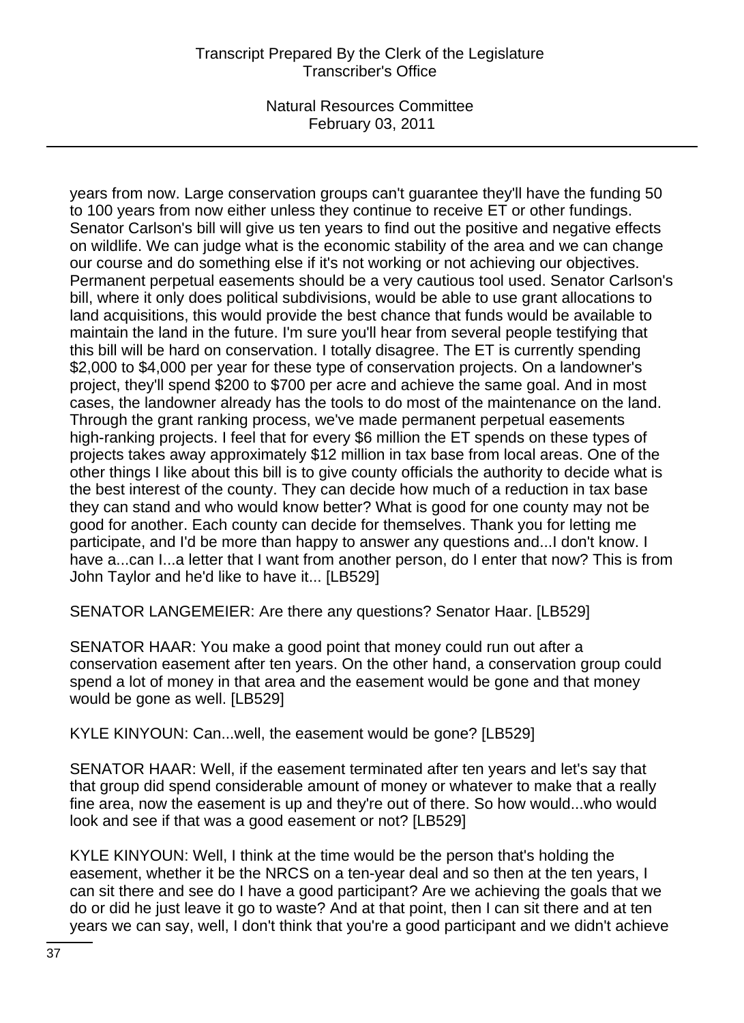years from now. Large conservation groups can't guarantee they'll have the funding 50 to 100 years from now either unless they continue to receive ET or other fundings. Senator Carlson's bill will give us ten years to find out the positive and negative effects on wildlife. We can judge what is the economic stability of the area and we can change our course and do something else if it's not working or not achieving our objectives. Permanent perpetual easements should be a very cautious tool used. Senator Carlson's bill, where it only does political subdivisions, would be able to use grant allocations to land acquisitions, this would provide the best chance that funds would be available to maintain the land in the future. I'm sure you'll hear from several people testifying that this bill will be hard on conservation. I totally disagree. The ET is currently spending \$2,000 to \$4,000 per year for these type of conservation projects. On a landowner's project, they'll spend \$200 to \$700 per acre and achieve the same goal. And in most cases, the landowner already has the tools to do most of the maintenance on the land. Through the grant ranking process, we've made permanent perpetual easements high-ranking projects. I feel that for every \$6 million the ET spends on these types of projects takes away approximately \$12 million in tax base from local areas. One of the other things I like about this bill is to give county officials the authority to decide what is the best interest of the county. They can decide how much of a reduction in tax base they can stand and who would know better? What is good for one county may not be good for another. Each county can decide for themselves. Thank you for letting me participate, and I'd be more than happy to answer any questions and...I don't know. I have a...can I...a letter that I want from another person, do I enter that now? This is from John Taylor and he'd like to have it... [LB529]

SENATOR LANGEMEIER: Are there any questions? Senator Haar. [LB529]

SENATOR HAAR: You make a good point that money could run out after a conservation easement after ten years. On the other hand, a conservation group could spend a lot of money in that area and the easement would be gone and that money would be gone as well. [LB529]

KYLE KINYOUN: Can...well, the easement would be gone? [LB529]

SENATOR HAAR: Well, if the easement terminated after ten years and let's say that that group did spend considerable amount of money or whatever to make that a really fine area, now the easement is up and they're out of there. So how would...who would look and see if that was a good easement or not? [LB529]

KYLE KINYOUN: Well, I think at the time would be the person that's holding the easement, whether it be the NRCS on a ten-year deal and so then at the ten years, I can sit there and see do I have a good participant? Are we achieving the goals that we do or did he just leave it go to waste? And at that point, then I can sit there and at ten years we can say, well, I don't think that you're a good participant and we didn't achieve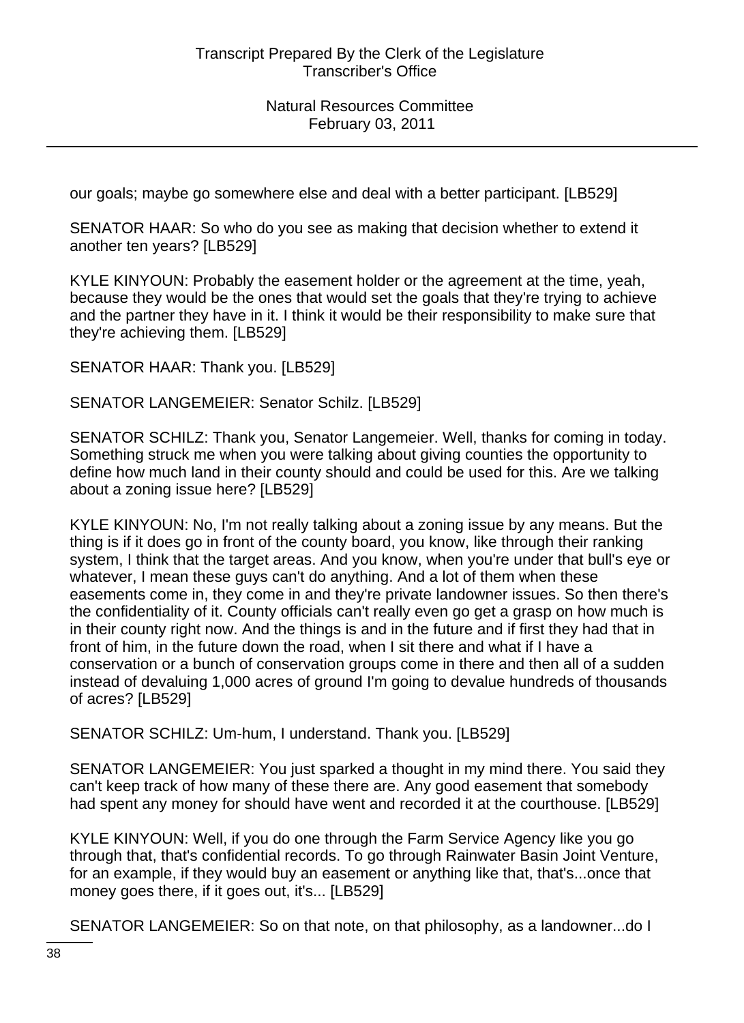our goals; maybe go somewhere else and deal with a better participant. [LB529]

SENATOR HAAR: So who do you see as making that decision whether to extend it another ten years? [LB529]

KYLE KINYOUN: Probably the easement holder or the agreement at the time, yeah, because they would be the ones that would set the goals that they're trying to achieve and the partner they have in it. I think it would be their responsibility to make sure that they're achieving them. [LB529]

SENATOR HAAR: Thank you. [LB529]

# SENATOR LANGEMEIER: Senator Schilz. [LB529]

SENATOR SCHILZ: Thank you, Senator Langemeier. Well, thanks for coming in today. Something struck me when you were talking about giving counties the opportunity to define how much land in their county should and could be used for this. Are we talking about a zoning issue here? [LB529]

KYLE KINYOUN: No, I'm not really talking about a zoning issue by any means. But the thing is if it does go in front of the county board, you know, like through their ranking system, I think that the target areas. And you know, when you're under that bull's eye or whatever, I mean these guys can't do anything. And a lot of them when these easements come in, they come in and they're private landowner issues. So then there's the confidentiality of it. County officials can't really even go get a grasp on how much is in their county right now. And the things is and in the future and if first they had that in front of him, in the future down the road, when I sit there and what if I have a conservation or a bunch of conservation groups come in there and then all of a sudden instead of devaluing 1,000 acres of ground I'm going to devalue hundreds of thousands of acres? [LB529]

SENATOR SCHILZ: Um-hum, I understand. Thank you. [LB529]

SENATOR LANGEMEIER: You just sparked a thought in my mind there. You said they can't keep track of how many of these there are. Any good easement that somebody had spent any money for should have went and recorded it at the courthouse. [LB529]

KYLE KINYOUN: Well, if you do one through the Farm Service Agency like you go through that, that's confidential records. To go through Rainwater Basin Joint Venture, for an example, if they would buy an easement or anything like that, that's...once that money goes there, if it goes out, it's... [LB529]

SENATOR LANGEMEIER: So on that note, on that philosophy, as a landowner...do I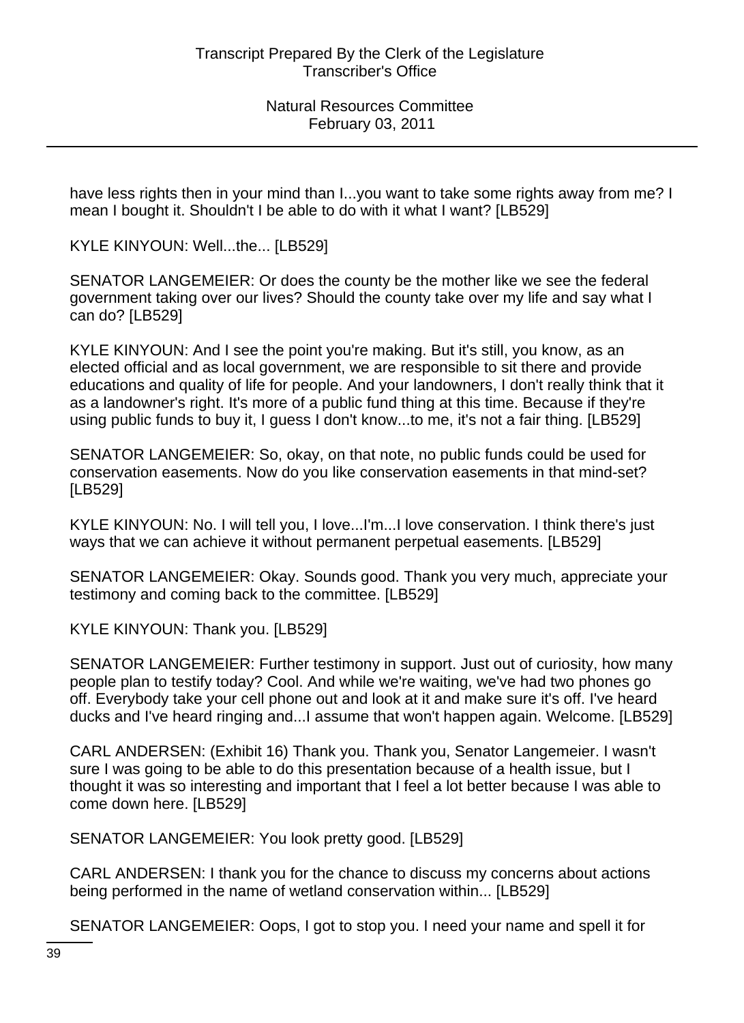have less rights then in your mind than I...you want to take some rights away from me? I mean I bought it. Shouldn't I be able to do with it what I want? [LB529]

KYLE KINYOUN: Well...the... [LB529]

SENATOR LANGEMEIER: Or does the county be the mother like we see the federal government taking over our lives? Should the county take over my life and say what I can do? [LB529]

KYLE KINYOUN: And I see the point you're making. But it's still, you know, as an elected official and as local government, we are responsible to sit there and provide educations and quality of life for people. And your landowners, I don't really think that it as a landowner's right. It's more of a public fund thing at this time. Because if they're using public funds to buy it, I guess I don't know...to me, it's not a fair thing. [LB529]

SENATOR LANGEMEIER: So, okay, on that note, no public funds could be used for conservation easements. Now do you like conservation easements in that mind-set? [LB529]

KYLE KINYOUN: No. I will tell you, I love...I'm...I love conservation. I think there's just ways that we can achieve it without permanent perpetual easements. [LB529]

SENATOR LANGEMEIER: Okay. Sounds good. Thank you very much, appreciate your testimony and coming back to the committee. [LB529]

KYLE KINYOUN: Thank you. [LB529]

SENATOR LANGEMEIER: Further testimony in support. Just out of curiosity, how many people plan to testify today? Cool. And while we're waiting, we've had two phones go off. Everybody take your cell phone out and look at it and make sure it's off. I've heard ducks and I've heard ringing and...I assume that won't happen again. Welcome. [LB529]

CARL ANDERSEN: (Exhibit 16) Thank you. Thank you, Senator Langemeier. I wasn't sure I was going to be able to do this presentation because of a health issue, but I thought it was so interesting and important that I feel a lot better because I was able to come down here. [LB529]

SENATOR LANGEMEIER: You look pretty good. [LB529]

CARL ANDERSEN: I thank you for the chance to discuss my concerns about actions being performed in the name of wetland conservation within... [LB529]

SENATOR LANGEMEIER: Oops, I got to stop you. I need your name and spell it for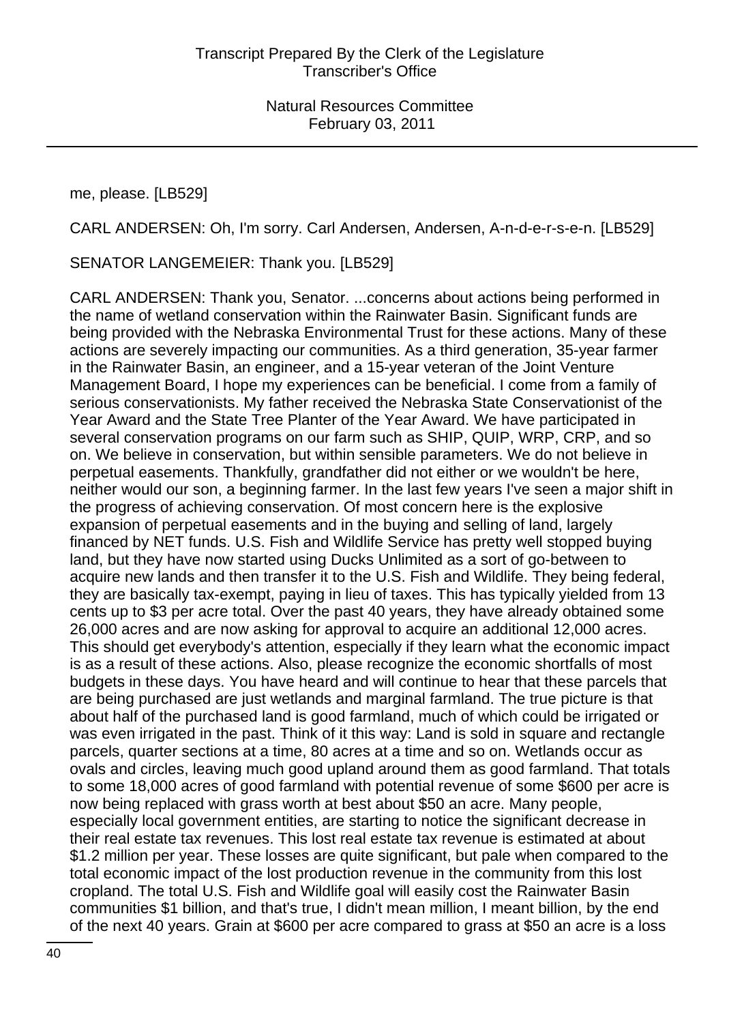me, please. [LB529]

CARL ANDERSEN: Oh, I'm sorry. Carl Andersen, Andersen, A-n-d-e-r-s-e-n. [LB529]

SENATOR LANGEMEIER: Thank you. [LB529]

CARL ANDERSEN: Thank you, Senator. ...concerns about actions being performed in the name of wetland conservation within the Rainwater Basin. Significant funds are being provided with the Nebraska Environmental Trust for these actions. Many of these actions are severely impacting our communities. As a third generation, 35-year farmer in the Rainwater Basin, an engineer, and a 15-year veteran of the Joint Venture Management Board, I hope my experiences can be beneficial. I come from a family of serious conservationists. My father received the Nebraska State Conservationist of the Year Award and the State Tree Planter of the Year Award. We have participated in several conservation programs on our farm such as SHIP, QUIP, WRP, CRP, and so on. We believe in conservation, but within sensible parameters. We do not believe in perpetual easements. Thankfully, grandfather did not either or we wouldn't be here, neither would our son, a beginning farmer. In the last few years I've seen a major shift in the progress of achieving conservation. Of most concern here is the explosive expansion of perpetual easements and in the buying and selling of land, largely financed by NET funds. U.S. Fish and Wildlife Service has pretty well stopped buying land, but they have now started using Ducks Unlimited as a sort of go-between to acquire new lands and then transfer it to the U.S. Fish and Wildlife. They being federal, they are basically tax-exempt, paying in lieu of taxes. This has typically yielded from 13 cents up to \$3 per acre total. Over the past 40 years, they have already obtained some 26,000 acres and are now asking for approval to acquire an additional 12,000 acres. This should get everybody's attention, especially if they learn what the economic impact is as a result of these actions. Also, please recognize the economic shortfalls of most budgets in these days. You have heard and will continue to hear that these parcels that are being purchased are just wetlands and marginal farmland. The true picture is that about half of the purchased land is good farmland, much of which could be irrigated or was even irrigated in the past. Think of it this way: Land is sold in square and rectangle parcels, quarter sections at a time, 80 acres at a time and so on. Wetlands occur as ovals and circles, leaving much good upland around them as good farmland. That totals to some 18,000 acres of good farmland with potential revenue of some \$600 per acre is now being replaced with grass worth at best about \$50 an acre. Many people, especially local government entities, are starting to notice the significant decrease in their real estate tax revenues. This lost real estate tax revenue is estimated at about \$1.2 million per year. These losses are quite significant, but pale when compared to the total economic impact of the lost production revenue in the community from this lost cropland. The total U.S. Fish and Wildlife goal will easily cost the Rainwater Basin communities \$1 billion, and that's true, I didn't mean million, I meant billion, by the end of the next 40 years. Grain at \$600 per acre compared to grass at \$50 an acre is a loss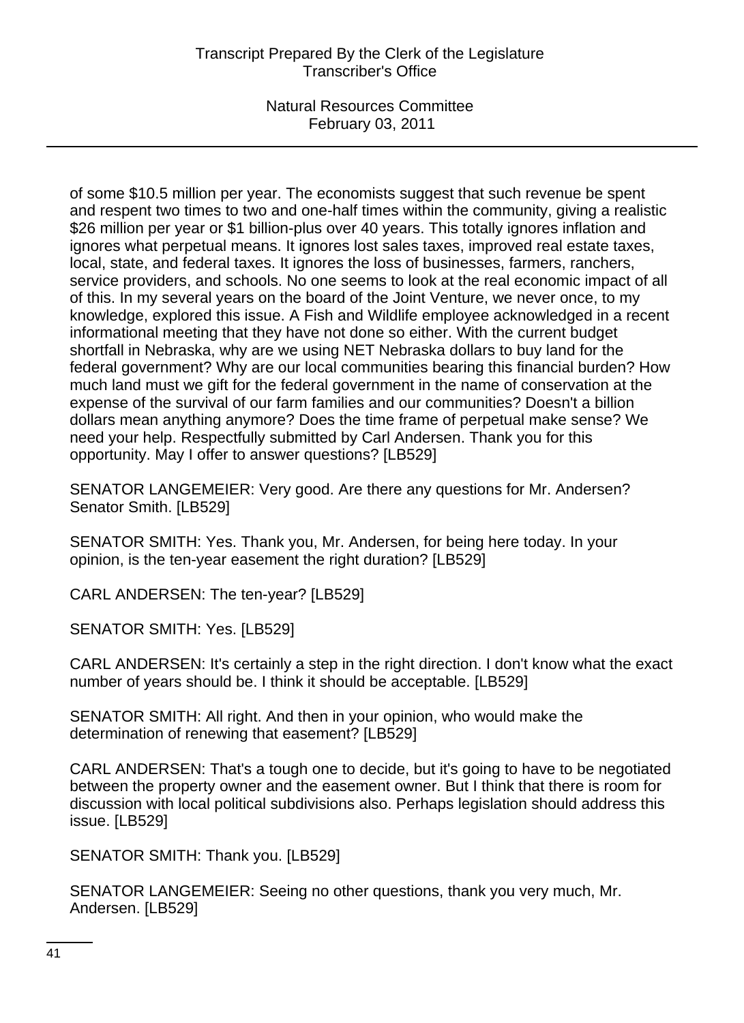of some \$10.5 million per year. The economists suggest that such revenue be spent and respent two times to two and one-half times within the community, giving a realistic \$26 million per year or \$1 billion-plus over 40 years. This totally ignores inflation and ignores what perpetual means. It ignores lost sales taxes, improved real estate taxes, local, state, and federal taxes. It ignores the loss of businesses, farmers, ranchers, service providers, and schools. No one seems to look at the real economic impact of all of this. In my several years on the board of the Joint Venture, we never once, to my knowledge, explored this issue. A Fish and Wildlife employee acknowledged in a recent informational meeting that they have not done so either. With the current budget shortfall in Nebraska, why are we using NET Nebraska dollars to buy land for the federal government? Why are our local communities bearing this financial burden? How much land must we gift for the federal government in the name of conservation at the expense of the survival of our farm families and our communities? Doesn't a billion dollars mean anything anymore? Does the time frame of perpetual make sense? We need your help. Respectfully submitted by Carl Andersen. Thank you for this opportunity. May I offer to answer questions? [LB529]

SENATOR LANGEMEIER: Very good. Are there any questions for Mr. Andersen? Senator Smith. [LB529]

SENATOR SMITH: Yes. Thank you, Mr. Andersen, for being here today. In your opinion, is the ten-year easement the right duration? [LB529]

CARL ANDERSEN: The ten-year? [LB529]

SENATOR SMITH: Yes. [LB529]

CARL ANDERSEN: It's certainly a step in the right direction. I don't know what the exact number of years should be. I think it should be acceptable. [LB529]

SENATOR SMITH: All right. And then in your opinion, who would make the determination of renewing that easement? [LB529]

CARL ANDERSEN: That's a tough one to decide, but it's going to have to be negotiated between the property owner and the easement owner. But I think that there is room for discussion with local political subdivisions also. Perhaps legislation should address this issue. [LB529]

SENATOR SMITH: Thank you. [LB529]

SENATOR LANGEMEIER: Seeing no other questions, thank you very much, Mr. Andersen. [LB529]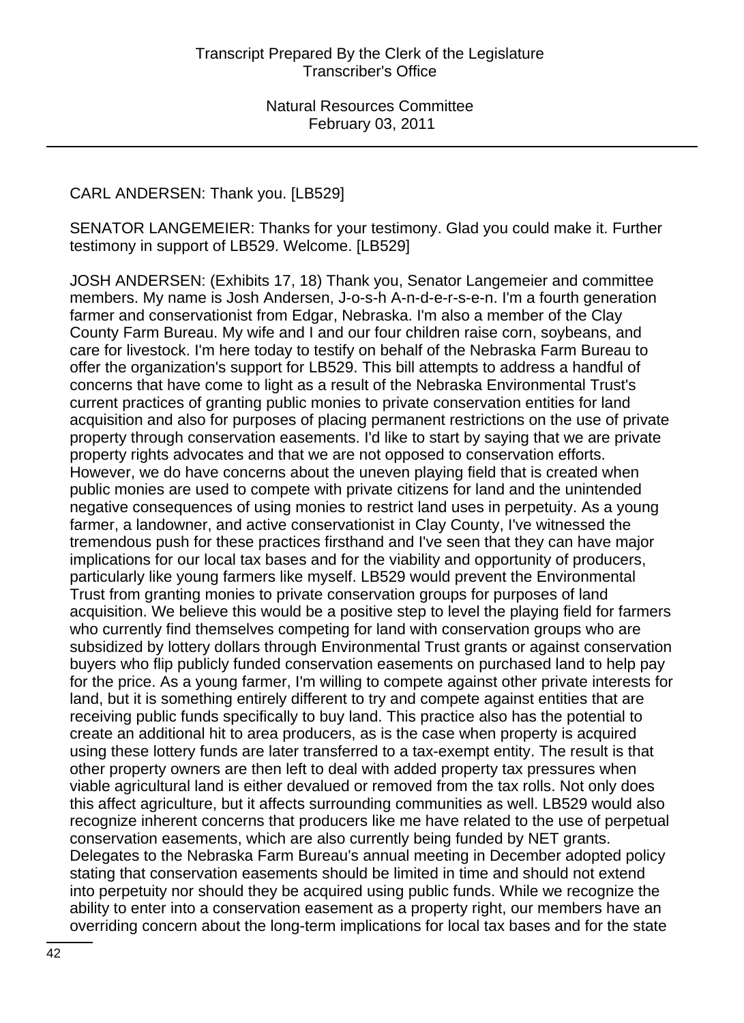# CARL ANDERSEN: Thank you. [LB529]

SENATOR LANGEMEIER: Thanks for your testimony. Glad you could make it. Further testimony in support of LB529. Welcome. [LB529]

JOSH ANDERSEN: (Exhibits 17, 18) Thank you, Senator Langemeier and committee members. My name is Josh Andersen, J-o-s-h A-n-d-e-r-s-e-n. I'm a fourth generation farmer and conservationist from Edgar, Nebraska. I'm also a member of the Clay County Farm Bureau. My wife and I and our four children raise corn, soybeans, and care for livestock. I'm here today to testify on behalf of the Nebraska Farm Bureau to offer the organization's support for LB529. This bill attempts to address a handful of concerns that have come to light as a result of the Nebraska Environmental Trust's current practices of granting public monies to private conservation entities for land acquisition and also for purposes of placing permanent restrictions on the use of private property through conservation easements. I'd like to start by saying that we are private property rights advocates and that we are not opposed to conservation efforts. However, we do have concerns about the uneven playing field that is created when public monies are used to compete with private citizens for land and the unintended negative consequences of using monies to restrict land uses in perpetuity. As a young farmer, a landowner, and active conservationist in Clay County, I've witnessed the tremendous push for these practices firsthand and I've seen that they can have major implications for our local tax bases and for the viability and opportunity of producers, particularly like young farmers like myself. LB529 would prevent the Environmental Trust from granting monies to private conservation groups for purposes of land acquisition. We believe this would be a positive step to level the playing field for farmers who currently find themselves competing for land with conservation groups who are subsidized by lottery dollars through Environmental Trust grants or against conservation buyers who flip publicly funded conservation easements on purchased land to help pay for the price. As a young farmer, I'm willing to compete against other private interests for land, but it is something entirely different to try and compete against entities that are receiving public funds specifically to buy land. This practice also has the potential to create an additional hit to area producers, as is the case when property is acquired using these lottery funds are later transferred to a tax-exempt entity. The result is that other property owners are then left to deal with added property tax pressures when viable agricultural land is either devalued or removed from the tax rolls. Not only does this affect agriculture, but it affects surrounding communities as well. LB529 would also recognize inherent concerns that producers like me have related to the use of perpetual conservation easements, which are also currently being funded by NET grants. Delegates to the Nebraska Farm Bureau's annual meeting in December adopted policy stating that conservation easements should be limited in time and should not extend into perpetuity nor should they be acquired using public funds. While we recognize the ability to enter into a conservation easement as a property right, our members have an overriding concern about the long-term implications for local tax bases and for the state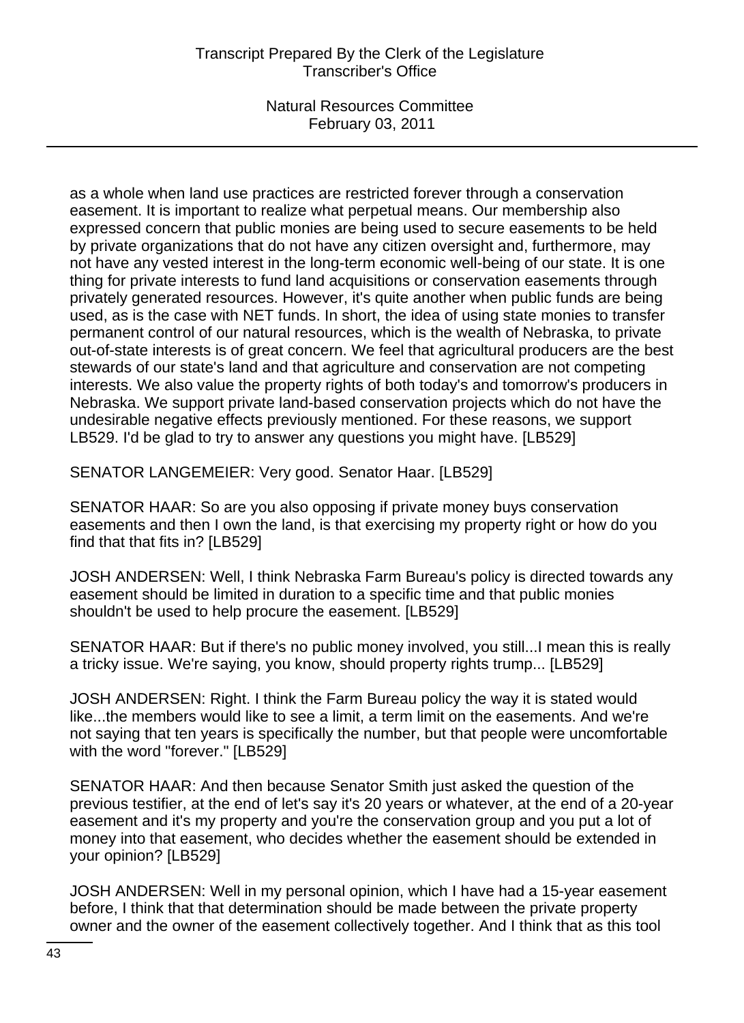as a whole when land use practices are restricted forever through a conservation easement. It is important to realize what perpetual means. Our membership also expressed concern that public monies are being used to secure easements to be held by private organizations that do not have any citizen oversight and, furthermore, may not have any vested interest in the long-term economic well-being of our state. It is one thing for private interests to fund land acquisitions or conservation easements through privately generated resources. However, it's quite another when public funds are being used, as is the case with NET funds. In short, the idea of using state monies to transfer permanent control of our natural resources, which is the wealth of Nebraska, to private out-of-state interests is of great concern. We feel that agricultural producers are the best stewards of our state's land and that agriculture and conservation are not competing interests. We also value the property rights of both today's and tomorrow's producers in Nebraska. We support private land-based conservation projects which do not have the undesirable negative effects previously mentioned. For these reasons, we support LB529. I'd be glad to try to answer any questions you might have. [LB529]

SENATOR LANGEMEIER: Very good. Senator Haar. [LB529]

SENATOR HAAR: So are you also opposing if private money buys conservation easements and then I own the land, is that exercising my property right or how do you find that that fits in? [LB529]

JOSH ANDERSEN: Well, I think Nebraska Farm Bureau's policy is directed towards any easement should be limited in duration to a specific time and that public monies shouldn't be used to help procure the easement. [LB529]

SENATOR HAAR: But if there's no public money involved, you still...I mean this is really a tricky issue. We're saying, you know, should property rights trump... [LB529]

JOSH ANDERSEN: Right. I think the Farm Bureau policy the way it is stated would like...the members would like to see a limit, a term limit on the easements. And we're not saying that ten years is specifically the number, but that people were uncomfortable with the word "forever." [LB529]

SENATOR HAAR: And then because Senator Smith just asked the question of the previous testifier, at the end of let's say it's 20 years or whatever, at the end of a 20-year easement and it's my property and you're the conservation group and you put a lot of money into that easement, who decides whether the easement should be extended in your opinion? [LB529]

JOSH ANDERSEN: Well in my personal opinion, which I have had a 15-year easement before, I think that that determination should be made between the private property owner and the owner of the easement collectively together. And I think that as this tool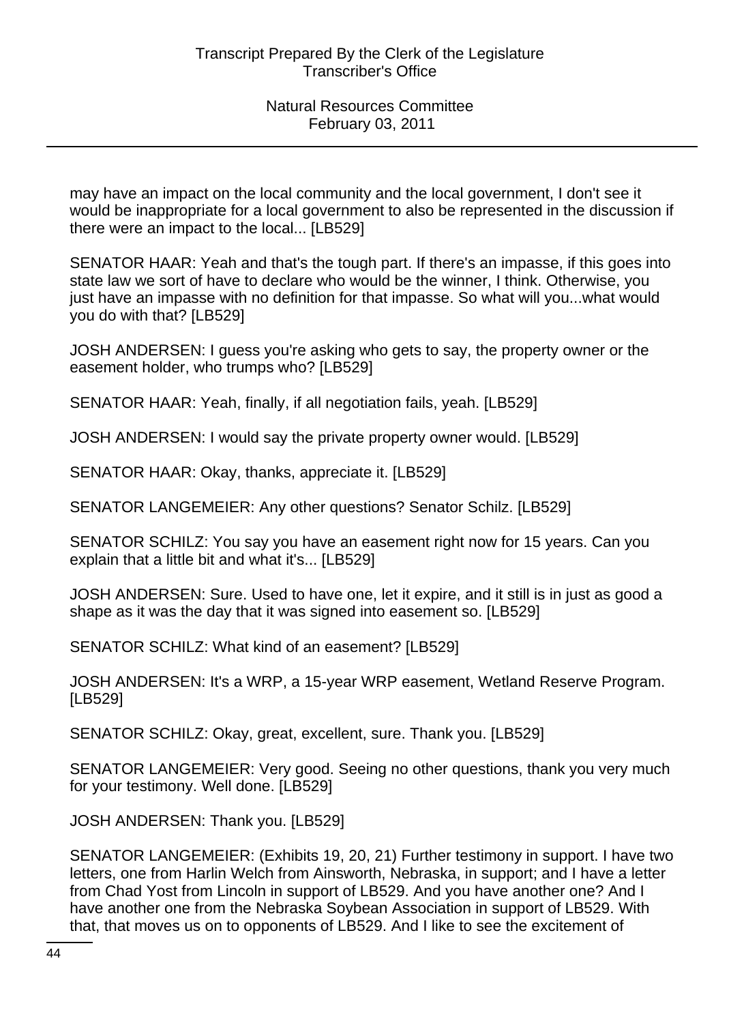may have an impact on the local community and the local government, I don't see it would be inappropriate for a local government to also be represented in the discussion if there were an impact to the local... [LB529]

SENATOR HAAR: Yeah and that's the tough part. If there's an impasse, if this goes into state law we sort of have to declare who would be the winner, I think. Otherwise, you just have an impasse with no definition for that impasse. So what will you...what would you do with that? [LB529]

JOSH ANDERSEN: I guess you're asking who gets to say, the property owner or the easement holder, who trumps who? [LB529]

SENATOR HAAR: Yeah, finally, if all negotiation fails, yeah. [LB529]

JOSH ANDERSEN: I would say the private property owner would. [LB529]

SENATOR HAAR: Okay, thanks, appreciate it. [LB529]

SENATOR LANGEMEIER: Any other questions? Senator Schilz. [LB529]

SENATOR SCHILZ: You say you have an easement right now for 15 years. Can you explain that a little bit and what it's... [LB529]

JOSH ANDERSEN: Sure. Used to have one, let it expire, and it still is in just as good a shape as it was the day that it was signed into easement so. [LB529]

SENATOR SCHILZ: What kind of an easement? [LB529]

JOSH ANDERSEN: It's a WRP, a 15-year WRP easement, Wetland Reserve Program. [LB529]

SENATOR SCHILZ: Okay, great, excellent, sure. Thank you. [LB529]

SENATOR LANGEMEIER: Very good. Seeing no other questions, thank you very much for your testimony. Well done. [LB529]

JOSH ANDERSEN: Thank you. [LB529]

SENATOR LANGEMEIER: (Exhibits 19, 20, 21) Further testimony in support. I have two letters, one from Harlin Welch from Ainsworth, Nebraska, in support; and I have a letter from Chad Yost from Lincoln in support of LB529. And you have another one? And I have another one from the Nebraska Soybean Association in support of LB529. With that, that moves us on to opponents of LB529. And I like to see the excitement of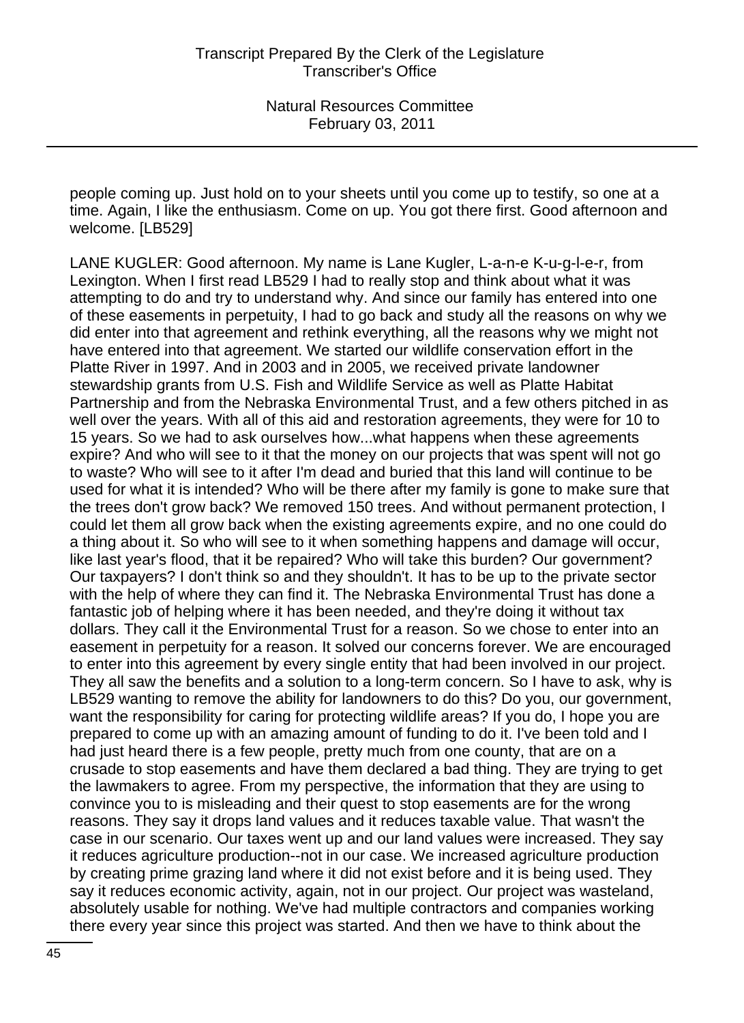people coming up. Just hold on to your sheets until you come up to testify, so one at a time. Again, I like the enthusiasm. Come on up. You got there first. Good afternoon and welcome. [LB529]

LANE KUGLER: Good afternoon. My name is Lane Kugler, L-a-n-e K-u-g-l-e-r, from Lexington. When I first read LB529 I had to really stop and think about what it was attempting to do and try to understand why. And since our family has entered into one of these easements in perpetuity, I had to go back and study all the reasons on why we did enter into that agreement and rethink everything, all the reasons why we might not have entered into that agreement. We started our wildlife conservation effort in the Platte River in 1997. And in 2003 and in 2005, we received private landowner stewardship grants from U.S. Fish and Wildlife Service as well as Platte Habitat Partnership and from the Nebraska Environmental Trust, and a few others pitched in as well over the years. With all of this aid and restoration agreements, they were for 10 to 15 years. So we had to ask ourselves how...what happens when these agreements expire? And who will see to it that the money on our projects that was spent will not go to waste? Who will see to it after I'm dead and buried that this land will continue to be used for what it is intended? Who will be there after my family is gone to make sure that the trees don't grow back? We removed 150 trees. And without permanent protection, I could let them all grow back when the existing agreements expire, and no one could do a thing about it. So who will see to it when something happens and damage will occur, like last year's flood, that it be repaired? Who will take this burden? Our government? Our taxpayers? I don't think so and they shouldn't. It has to be up to the private sector with the help of where they can find it. The Nebraska Environmental Trust has done a fantastic job of helping where it has been needed, and they're doing it without tax dollars. They call it the Environmental Trust for a reason. So we chose to enter into an easement in perpetuity for a reason. It solved our concerns forever. We are encouraged to enter into this agreement by every single entity that had been involved in our project. They all saw the benefits and a solution to a long-term concern. So I have to ask, why is LB529 wanting to remove the ability for landowners to do this? Do you, our government, want the responsibility for caring for protecting wildlife areas? If you do, I hope you are prepared to come up with an amazing amount of funding to do it. I've been told and I had just heard there is a few people, pretty much from one county, that are on a crusade to stop easements and have them declared a bad thing. They are trying to get the lawmakers to agree. From my perspective, the information that they are using to convince you to is misleading and their quest to stop easements are for the wrong reasons. They say it drops land values and it reduces taxable value. That wasn't the case in our scenario. Our taxes went up and our land values were increased. They say it reduces agriculture production--not in our case. We increased agriculture production by creating prime grazing land where it did not exist before and it is being used. They say it reduces economic activity, again, not in our project. Our project was wasteland, absolutely usable for nothing. We've had multiple contractors and companies working there every year since this project was started. And then we have to think about the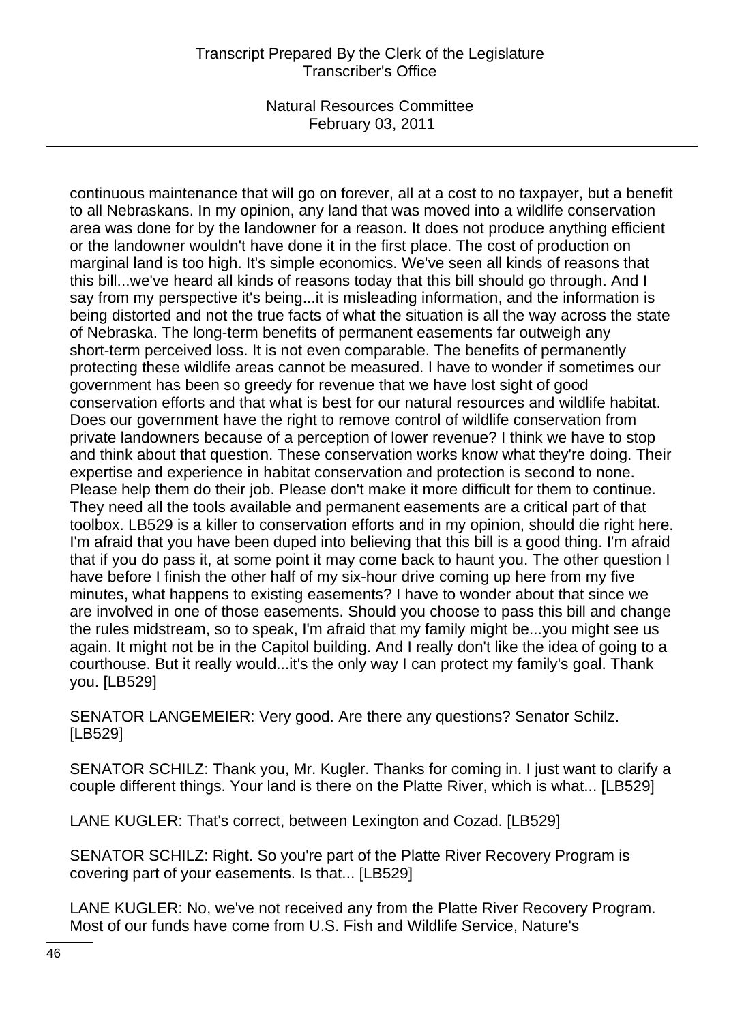# Transcript Prepared By the Clerk of the Legislature Transcriber's Office

Natural Resources Committee February 03, 2011

continuous maintenance that will go on forever, all at a cost to no taxpayer, but a benefit to all Nebraskans. In my opinion, any land that was moved into a wildlife conservation area was done for by the landowner for a reason. It does not produce anything efficient or the landowner wouldn't have done it in the first place. The cost of production on marginal land is too high. It's simple economics. We've seen all kinds of reasons that this bill...we've heard all kinds of reasons today that this bill should go through. And I say from my perspective it's being...it is misleading information, and the information is being distorted and not the true facts of what the situation is all the way across the state of Nebraska. The long-term benefits of permanent easements far outweigh any short-term perceived loss. It is not even comparable. The benefits of permanently protecting these wildlife areas cannot be measured. I have to wonder if sometimes our government has been so greedy for revenue that we have lost sight of good conservation efforts and that what is best for our natural resources and wildlife habitat. Does our government have the right to remove control of wildlife conservation from private landowners because of a perception of lower revenue? I think we have to stop and think about that question. These conservation works know what they're doing. Their expertise and experience in habitat conservation and protection is second to none. Please help them do their job. Please don't make it more difficult for them to continue. They need all the tools available and permanent easements are a critical part of that toolbox. LB529 is a killer to conservation efforts and in my opinion, should die right here. I'm afraid that you have been duped into believing that this bill is a good thing. I'm afraid that if you do pass it, at some point it may come back to haunt you. The other question I have before I finish the other half of my six-hour drive coming up here from my five minutes, what happens to existing easements? I have to wonder about that since we are involved in one of those easements. Should you choose to pass this bill and change the rules midstream, so to speak, I'm afraid that my family might be...you might see us again. It might not be in the Capitol building. And I really don't like the idea of going to a courthouse. But it really would...it's the only way I can protect my family's goal. Thank you. [LB529]

SENATOR LANGEMEIER: Very good. Are there any questions? Senator Schilz. [LB529]

SENATOR SCHILZ: Thank you, Mr. Kugler. Thanks for coming in. I just want to clarify a couple different things. Your land is there on the Platte River, which is what... [LB529]

LANE KUGLER: That's correct, between Lexington and Cozad. [LB529]

SENATOR SCHILZ: Right. So you're part of the Platte River Recovery Program is covering part of your easements. Is that... [LB529]

LANE KUGLER: No, we've not received any from the Platte River Recovery Program. Most of our funds have come from U.S. Fish and Wildlife Service, Nature's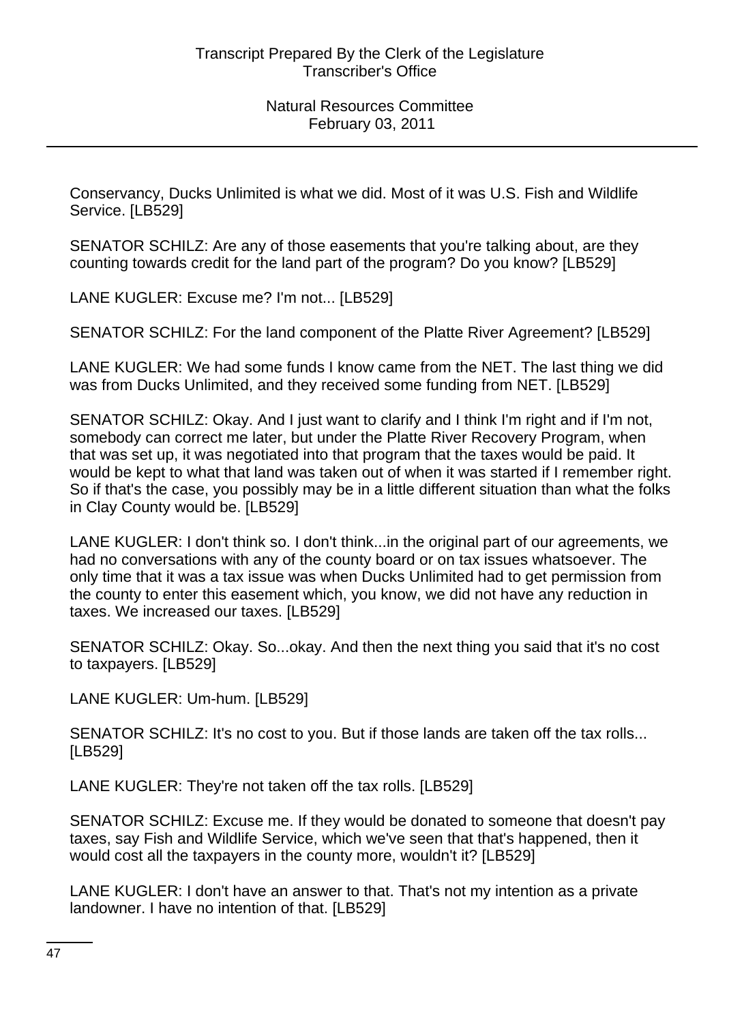Conservancy, Ducks Unlimited is what we did. Most of it was U.S. Fish and Wildlife Service. [LB529]

SENATOR SCHILZ: Are any of those easements that you're talking about, are they counting towards credit for the land part of the program? Do you know? [LB529]

LANE KUGLER: Excuse me? I'm not... [LB529]

SENATOR SCHILZ: For the land component of the Platte River Agreement? [LB529]

LANE KUGLER: We had some funds I know came from the NET. The last thing we did was from Ducks Unlimited, and they received some funding from NET. [LB529]

SENATOR SCHILZ: Okay. And I just want to clarify and I think I'm right and if I'm not, somebody can correct me later, but under the Platte River Recovery Program, when that was set up, it was negotiated into that program that the taxes would be paid. It would be kept to what that land was taken out of when it was started if I remember right. So if that's the case, you possibly may be in a little different situation than what the folks in Clay County would be. [LB529]

LANE KUGLER: I don't think so. I don't think...in the original part of our agreements, we had no conversations with any of the county board or on tax issues whatsoever. The only time that it was a tax issue was when Ducks Unlimited had to get permission from the county to enter this easement which, you know, we did not have any reduction in taxes. We increased our taxes. [LB529]

SENATOR SCHILZ: Okay. So...okay. And then the next thing you said that it's no cost to taxpayers. [LB529]

LANE KUGLER: Um-hum. [LB529]

SENATOR SCHILZ: It's no cost to you. But if those lands are taken off the tax rolls... [LB529]

LANE KUGLER: They're not taken off the tax rolls. [LB529]

SENATOR SCHILZ: Excuse me. If they would be donated to someone that doesn't pay taxes, say Fish and Wildlife Service, which we've seen that that's happened, then it would cost all the taxpayers in the county more, wouldn't it? [LB529]

LANE KUGLER: I don't have an answer to that. That's not my intention as a private landowner. I have no intention of that. [LB529]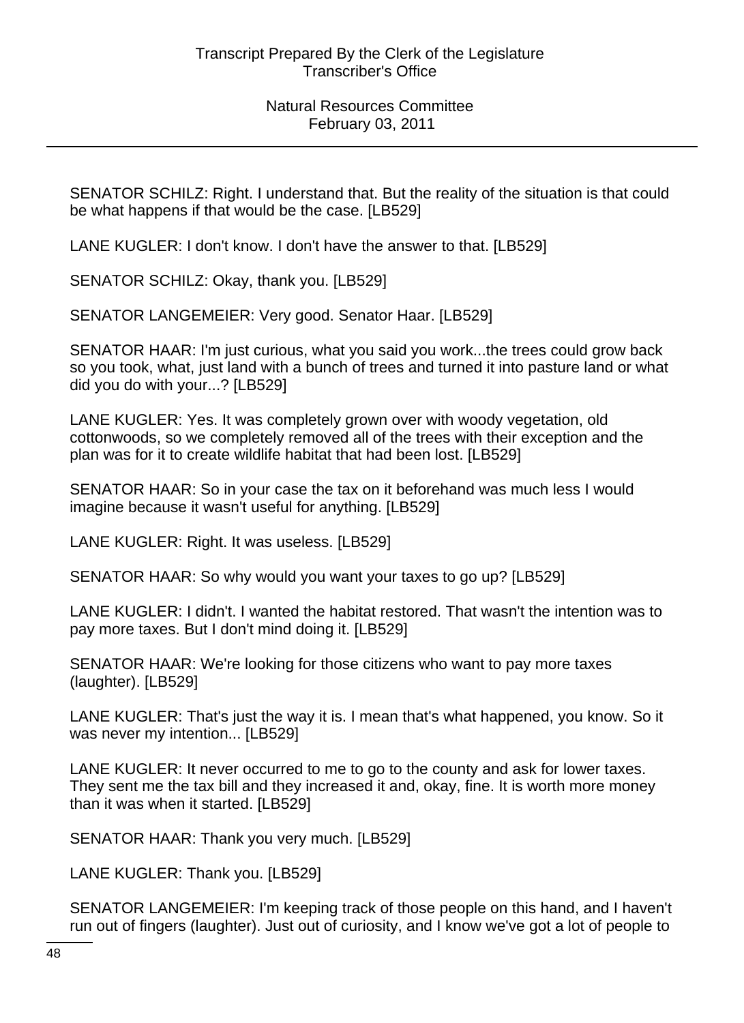SENATOR SCHILZ: Right. I understand that. But the reality of the situation is that could be what happens if that would be the case. [LB529]

LANE KUGLER: I don't know. I don't have the answer to that. [LB529]

SENATOR SCHILZ: Okay, thank you. [LB529]

SENATOR LANGEMEIER: Very good. Senator Haar. [LB529]

SENATOR HAAR: I'm just curious, what you said you work...the trees could grow back so you took, what, just land with a bunch of trees and turned it into pasture land or what did you do with your...? [LB529]

LANE KUGLER: Yes. It was completely grown over with woody vegetation, old cottonwoods, so we completely removed all of the trees with their exception and the plan was for it to create wildlife habitat that had been lost. [LB529]

SENATOR HAAR: So in your case the tax on it beforehand was much less I would imagine because it wasn't useful for anything. [LB529]

LANE KUGLER: Right. It was useless. [LB529]

SENATOR HAAR: So why would you want your taxes to go up? [LB529]

LANE KUGLER: I didn't. I wanted the habitat restored. That wasn't the intention was to pay more taxes. But I don't mind doing it. [LB529]

SENATOR HAAR: We're looking for those citizens who want to pay more taxes (laughter). [LB529]

LANE KUGLER: That's just the way it is. I mean that's what happened, you know. So it was never my intention... [LB529]

LANE KUGLER: It never occurred to me to go to the county and ask for lower taxes. They sent me the tax bill and they increased it and, okay, fine. It is worth more money than it was when it started. [LB529]

SENATOR HAAR: Thank you very much. [LB529]

LANE KUGLER: Thank you. [LB529]

SENATOR LANGEMEIER: I'm keeping track of those people on this hand, and I haven't run out of fingers (laughter). Just out of curiosity, and I know we've got a lot of people to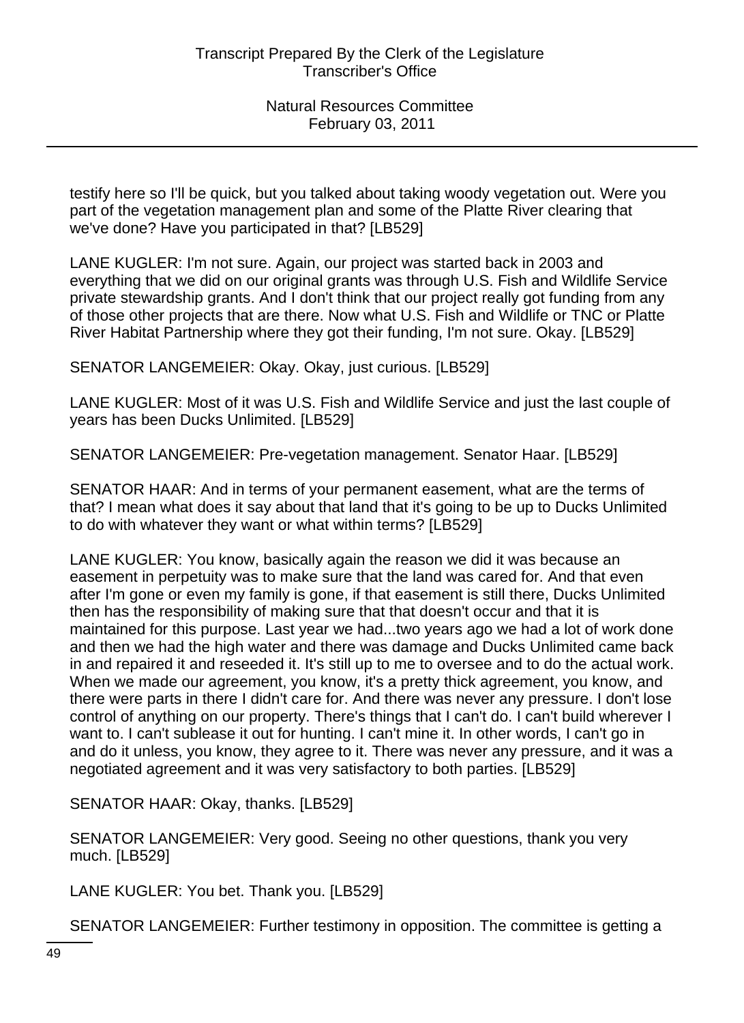testify here so I'll be quick, but you talked about taking woody vegetation out. Were you part of the vegetation management plan and some of the Platte River clearing that we've done? Have you participated in that? [LB529]

LANE KUGLER: I'm not sure. Again, our project was started back in 2003 and everything that we did on our original grants was through U.S. Fish and Wildlife Service private stewardship grants. And I don't think that our project really got funding from any of those other projects that are there. Now what U.S. Fish and Wildlife or TNC or Platte River Habitat Partnership where they got their funding, I'm not sure. Okay. [LB529]

SENATOR LANGEMEIER: Okay. Okay, just curious. [LB529]

LANE KUGLER: Most of it was U.S. Fish and Wildlife Service and just the last couple of years has been Ducks Unlimited. [LB529]

SENATOR LANGEMEIER: Pre-vegetation management. Senator Haar. [LB529]

SENATOR HAAR: And in terms of your permanent easement, what are the terms of that? I mean what does it say about that land that it's going to be up to Ducks Unlimited to do with whatever they want or what within terms? [LB529]

LANE KUGLER: You know, basically again the reason we did it was because an easement in perpetuity was to make sure that the land was cared for. And that even after I'm gone or even my family is gone, if that easement is still there, Ducks Unlimited then has the responsibility of making sure that that doesn't occur and that it is maintained for this purpose. Last year we had...two years ago we had a lot of work done and then we had the high water and there was damage and Ducks Unlimited came back in and repaired it and reseeded it. It's still up to me to oversee and to do the actual work. When we made our agreement, you know, it's a pretty thick agreement, you know, and there were parts in there I didn't care for. And there was never any pressure. I don't lose control of anything on our property. There's things that I can't do. I can't build wherever I want to. I can't sublease it out for hunting. I can't mine it. In other words, I can't go in and do it unless, you know, they agree to it. There was never any pressure, and it was a negotiated agreement and it was very satisfactory to both parties. [LB529]

SENATOR HAAR: Okay, thanks. [LB529]

SENATOR LANGEMEIER: Very good. Seeing no other questions, thank you very much. [LB529]

LANE KUGLER: You bet. Thank you. [LB529]

SENATOR LANGEMEIER: Further testimony in opposition. The committee is getting a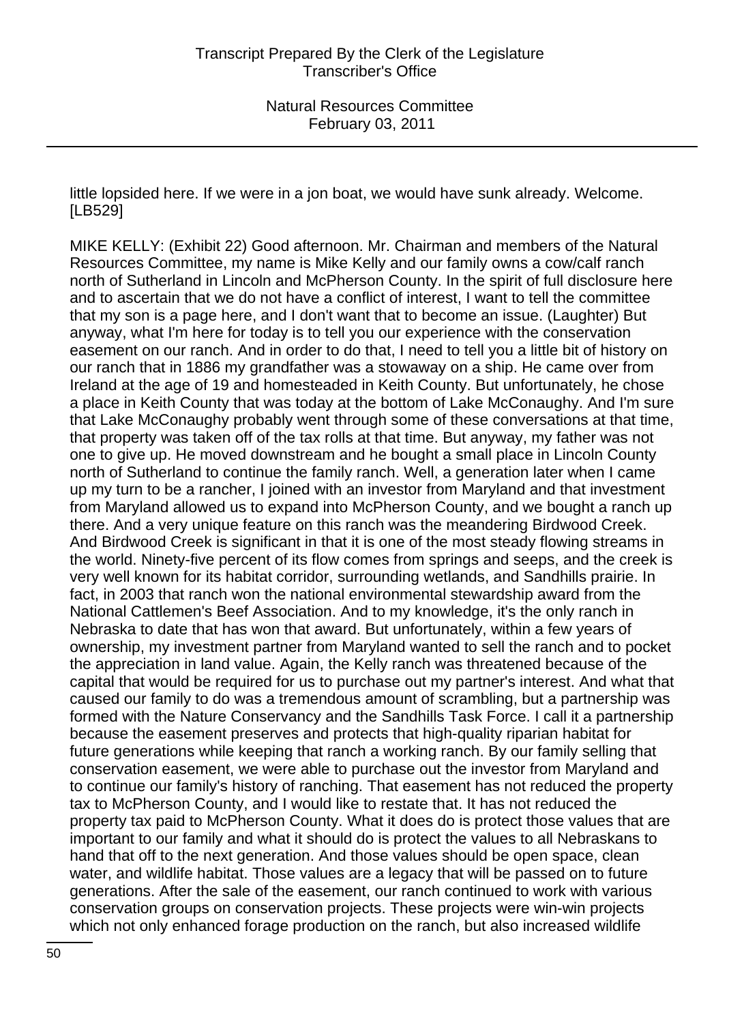little lopsided here. If we were in a jon boat, we would have sunk already. Welcome. [LB529]

MIKE KELLY: (Exhibit 22) Good afternoon. Mr. Chairman and members of the Natural Resources Committee, my name is Mike Kelly and our family owns a cow/calf ranch north of Sutherland in Lincoln and McPherson County. In the spirit of full disclosure here and to ascertain that we do not have a conflict of interest, I want to tell the committee that my son is a page here, and I don't want that to become an issue. (Laughter) But anyway, what I'm here for today is to tell you our experience with the conservation easement on our ranch. And in order to do that, I need to tell you a little bit of history on our ranch that in 1886 my grandfather was a stowaway on a ship. He came over from Ireland at the age of 19 and homesteaded in Keith County. But unfortunately, he chose a place in Keith County that was today at the bottom of Lake McConaughy. And I'm sure that Lake McConaughy probably went through some of these conversations at that time, that property was taken off of the tax rolls at that time. But anyway, my father was not one to give up. He moved downstream and he bought a small place in Lincoln County north of Sutherland to continue the family ranch. Well, a generation later when I came up my turn to be a rancher, I joined with an investor from Maryland and that investment from Maryland allowed us to expand into McPherson County, and we bought a ranch up there. And a very unique feature on this ranch was the meandering Birdwood Creek. And Birdwood Creek is significant in that it is one of the most steady flowing streams in the world. Ninety-five percent of its flow comes from springs and seeps, and the creek is very well known for its habitat corridor, surrounding wetlands, and Sandhills prairie. In fact, in 2003 that ranch won the national environmental stewardship award from the National Cattlemen's Beef Association. And to my knowledge, it's the only ranch in Nebraska to date that has won that award. But unfortunately, within a few years of ownership, my investment partner from Maryland wanted to sell the ranch and to pocket the appreciation in land value. Again, the Kelly ranch was threatened because of the capital that would be required for us to purchase out my partner's interest. And what that caused our family to do was a tremendous amount of scrambling, but a partnership was formed with the Nature Conservancy and the Sandhills Task Force. I call it a partnership because the easement preserves and protects that high-quality riparian habitat for future generations while keeping that ranch a working ranch. By our family selling that conservation easement, we were able to purchase out the investor from Maryland and to continue our family's history of ranching. That easement has not reduced the property tax to McPherson County, and I would like to restate that. It has not reduced the property tax paid to McPherson County. What it does do is protect those values that are important to our family and what it should do is protect the values to all Nebraskans to hand that off to the next generation. And those values should be open space, clean water, and wildlife habitat. Those values are a legacy that will be passed on to future generations. After the sale of the easement, our ranch continued to work with various conservation groups on conservation projects. These projects were win-win projects which not only enhanced forage production on the ranch, but also increased wildlife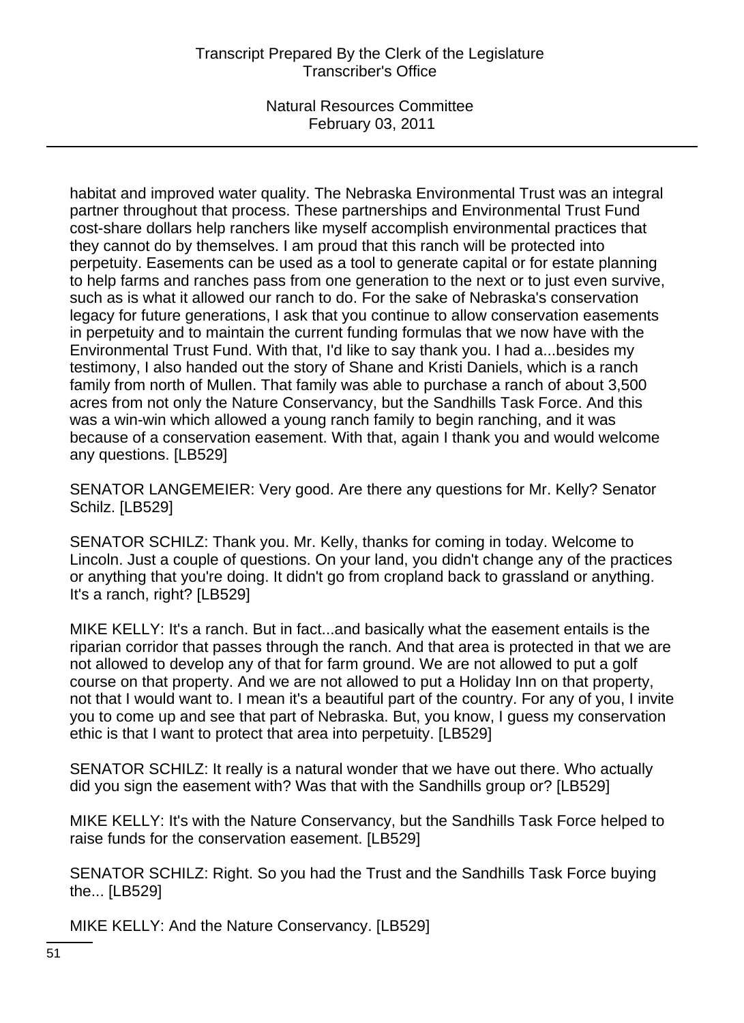habitat and improved water quality. The Nebraska Environmental Trust was an integral partner throughout that process. These partnerships and Environmental Trust Fund cost-share dollars help ranchers like myself accomplish environmental practices that they cannot do by themselves. I am proud that this ranch will be protected into perpetuity. Easements can be used as a tool to generate capital or for estate planning to help farms and ranches pass from one generation to the next or to just even survive, such as is what it allowed our ranch to do. For the sake of Nebraska's conservation legacy for future generations, I ask that you continue to allow conservation easements in perpetuity and to maintain the current funding formulas that we now have with the Environmental Trust Fund. With that, I'd like to say thank you. I had a...besides my testimony, I also handed out the story of Shane and Kristi Daniels, which is a ranch family from north of Mullen. That family was able to purchase a ranch of about 3,500 acres from not only the Nature Conservancy, but the Sandhills Task Force. And this was a win-win which allowed a young ranch family to begin ranching, and it was because of a conservation easement. With that, again I thank you and would welcome any questions. [LB529]

SENATOR LANGEMEIER: Very good. Are there any questions for Mr. Kelly? Senator Schilz. [LB529]

SENATOR SCHILZ: Thank you. Mr. Kelly, thanks for coming in today. Welcome to Lincoln. Just a couple of questions. On your land, you didn't change any of the practices or anything that you're doing. It didn't go from cropland back to grassland or anything. It's a ranch, right? [LB529]

MIKE KELLY: It's a ranch. But in fact...and basically what the easement entails is the riparian corridor that passes through the ranch. And that area is protected in that we are not allowed to develop any of that for farm ground. We are not allowed to put a golf course on that property. And we are not allowed to put a Holiday Inn on that property, not that I would want to. I mean it's a beautiful part of the country. For any of you, I invite you to come up and see that part of Nebraska. But, you know, I guess my conservation ethic is that I want to protect that area into perpetuity. [LB529]

SENATOR SCHILZ: It really is a natural wonder that we have out there. Who actually did you sign the easement with? Was that with the Sandhills group or? [LB529]

MIKE KELLY: It's with the Nature Conservancy, but the Sandhills Task Force helped to raise funds for the conservation easement. [LB529]

SENATOR SCHILZ: Right. So you had the Trust and the Sandhills Task Force buying the... [LB529]

MIKE KELLY: And the Nature Conservancy. [LB529]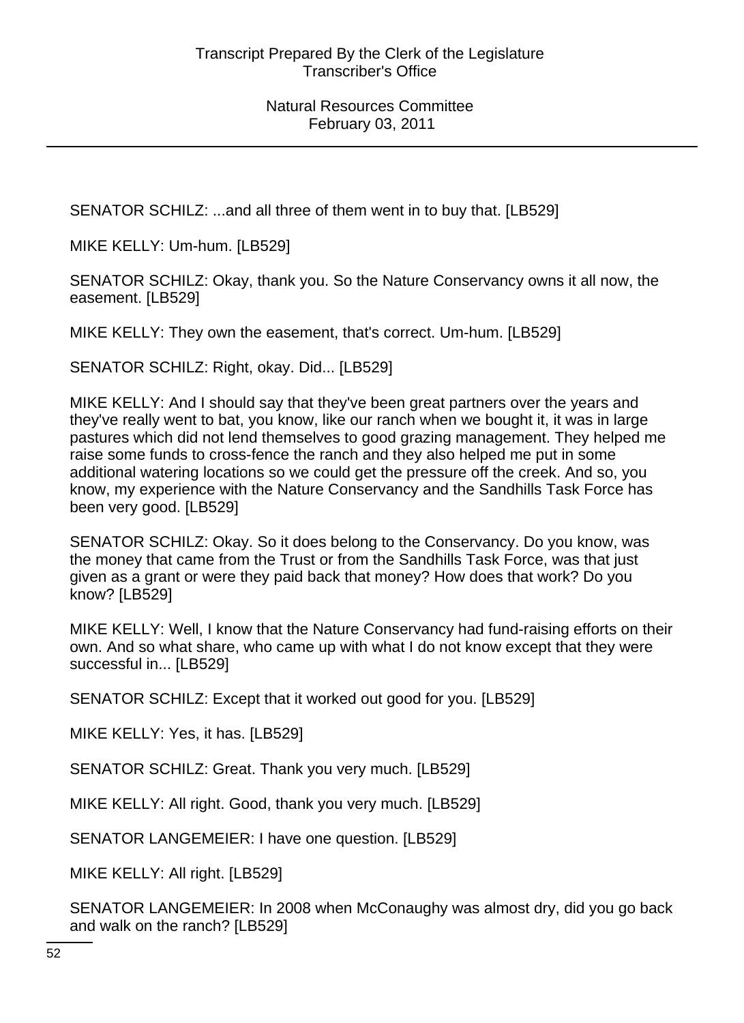SENATOR SCHILZ: ...and all three of them went in to buy that. [LB529]

MIKE KELLY: Um-hum. [LB529]

SENATOR SCHILZ: Okay, thank you. So the Nature Conservancy owns it all now, the easement. [LB529]

MIKE KELLY: They own the easement, that's correct. Um-hum. [LB529]

SENATOR SCHILZ: Right, okay. Did... [LB529]

MIKE KELLY: And I should say that they've been great partners over the years and they've really went to bat, you know, like our ranch when we bought it, it was in large pastures which did not lend themselves to good grazing management. They helped me raise some funds to cross-fence the ranch and they also helped me put in some additional watering locations so we could get the pressure off the creek. And so, you know, my experience with the Nature Conservancy and the Sandhills Task Force has been very good. [LB529]

SENATOR SCHILZ: Okay. So it does belong to the Conservancy. Do you know, was the money that came from the Trust or from the Sandhills Task Force, was that just given as a grant or were they paid back that money? How does that work? Do you know? [LB529]

MIKE KELLY: Well, I know that the Nature Conservancy had fund-raising efforts on their own. And so what share, who came up with what I do not know except that they were successful in... [LB529]

SENATOR SCHILZ: Except that it worked out good for you. [LB529]

MIKE KELLY: Yes, it has. [LB529]

SENATOR SCHILZ: Great. Thank you very much. [LB529]

MIKE KELLY: All right. Good, thank you very much. [LB529]

SENATOR LANGEMEIER: I have one question. [LB529]

MIKE KELLY: All right. [LB529]

SENATOR LANGEMEIER: In 2008 when McConaughy was almost dry, did you go back and walk on the ranch? [LB529]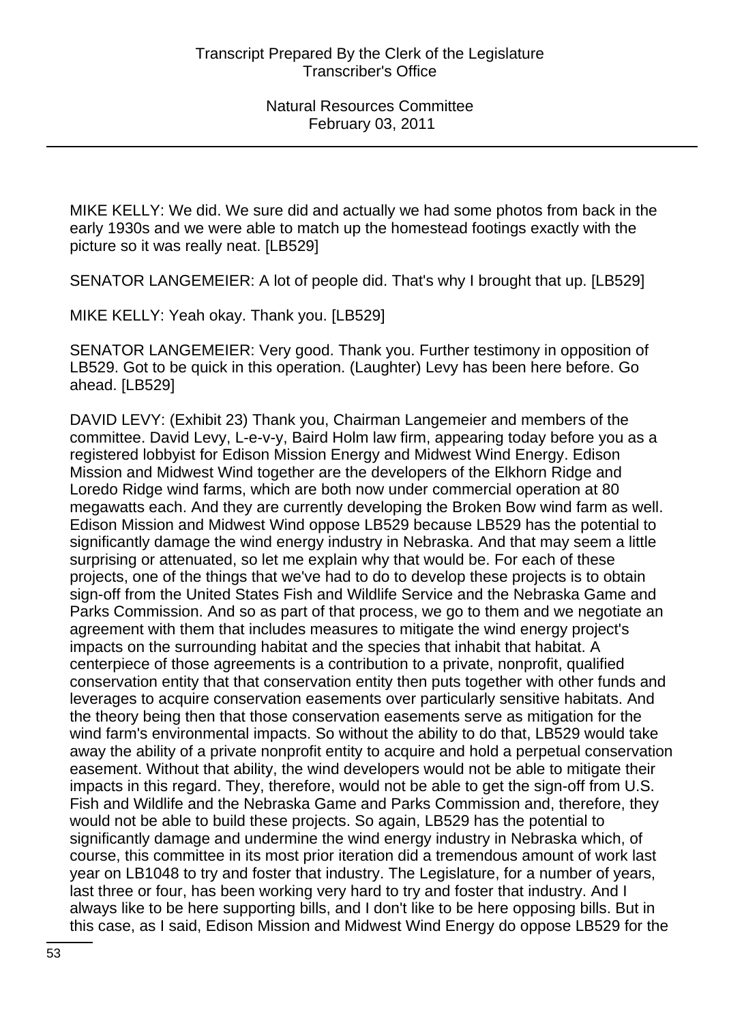MIKE KELLY: We did. We sure did and actually we had some photos from back in the early 1930s and we were able to match up the homestead footings exactly with the picture so it was really neat. [LB529]

SENATOR LANGEMEIER: A lot of people did. That's why I brought that up. [LB529]

MIKE KELLY: Yeah okay. Thank you. [LB529]

SENATOR LANGEMEIER: Very good. Thank you. Further testimony in opposition of LB529. Got to be quick in this operation. (Laughter) Levy has been here before. Go ahead. [LB529]

DAVID LEVY: (Exhibit 23) Thank you, Chairman Langemeier and members of the committee. David Levy, L-e-v-y, Baird Holm law firm, appearing today before you as a registered lobbyist for Edison Mission Energy and Midwest Wind Energy. Edison Mission and Midwest Wind together are the developers of the Elkhorn Ridge and Loredo Ridge wind farms, which are both now under commercial operation at 80 megawatts each. And they are currently developing the Broken Bow wind farm as well. Edison Mission and Midwest Wind oppose LB529 because LB529 has the potential to significantly damage the wind energy industry in Nebraska. And that may seem a little surprising or attenuated, so let me explain why that would be. For each of these projects, one of the things that we've had to do to develop these projects is to obtain sign-off from the United States Fish and Wildlife Service and the Nebraska Game and Parks Commission. And so as part of that process, we go to them and we negotiate an agreement with them that includes measures to mitigate the wind energy project's impacts on the surrounding habitat and the species that inhabit that habitat. A centerpiece of those agreements is a contribution to a private, nonprofit, qualified conservation entity that that conservation entity then puts together with other funds and leverages to acquire conservation easements over particularly sensitive habitats. And the theory being then that those conservation easements serve as mitigation for the wind farm's environmental impacts. So without the ability to do that, LB529 would take away the ability of a private nonprofit entity to acquire and hold a perpetual conservation easement. Without that ability, the wind developers would not be able to mitigate their impacts in this regard. They, therefore, would not be able to get the sign-off from U.S. Fish and Wildlife and the Nebraska Game and Parks Commission and, therefore, they would not be able to build these projects. So again, LB529 has the potential to significantly damage and undermine the wind energy industry in Nebraska which, of course, this committee in its most prior iteration did a tremendous amount of work last year on LB1048 to try and foster that industry. The Legislature, for a number of years, last three or four, has been working very hard to try and foster that industry. And I always like to be here supporting bills, and I don't like to be here opposing bills. But in this case, as I said, Edison Mission and Midwest Wind Energy do oppose LB529 for the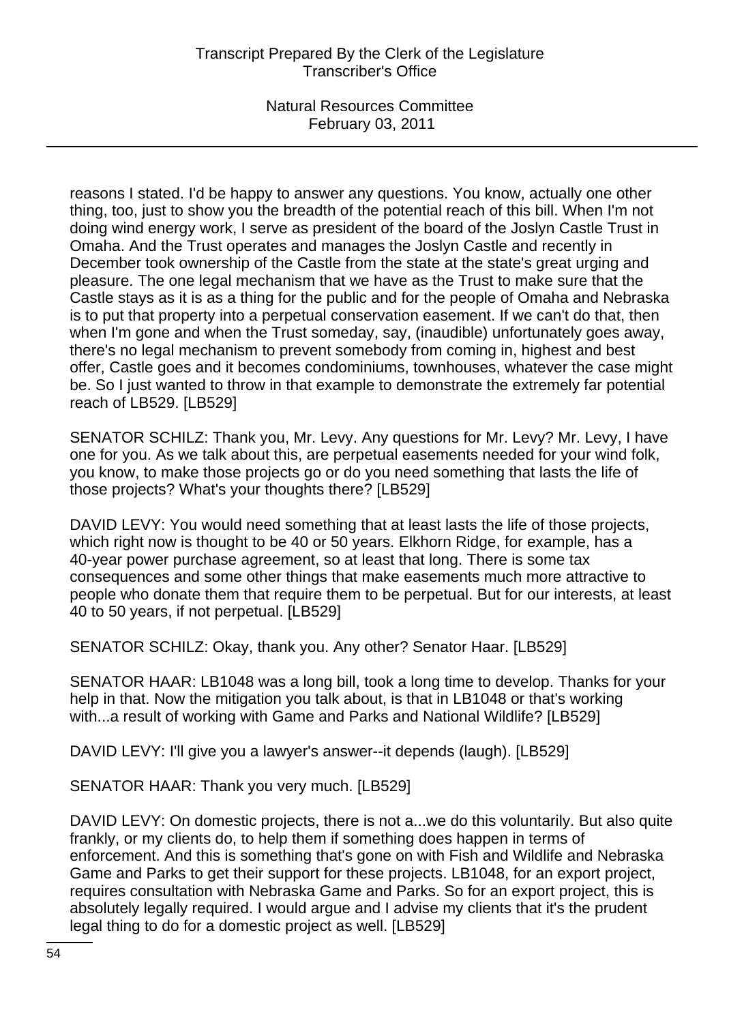reasons I stated. I'd be happy to answer any questions. You know, actually one other thing, too, just to show you the breadth of the potential reach of this bill. When I'm not doing wind energy work, I serve as president of the board of the Joslyn Castle Trust in Omaha. And the Trust operates and manages the Joslyn Castle and recently in December took ownership of the Castle from the state at the state's great urging and pleasure. The one legal mechanism that we have as the Trust to make sure that the Castle stays as it is as a thing for the public and for the people of Omaha and Nebraska is to put that property into a perpetual conservation easement. If we can't do that, then when I'm gone and when the Trust someday, say, (inaudible) unfortunately goes away, there's no legal mechanism to prevent somebody from coming in, highest and best offer, Castle goes and it becomes condominiums, townhouses, whatever the case might be. So I just wanted to throw in that example to demonstrate the extremely far potential reach of LB529. [LB529]

SENATOR SCHILZ: Thank you, Mr. Levy. Any questions for Mr. Levy? Mr. Levy, I have one for you. As we talk about this, are perpetual easements needed for your wind folk, you know, to make those projects go or do you need something that lasts the life of those projects? What's your thoughts there? [LB529]

DAVID LEVY: You would need something that at least lasts the life of those projects, which right now is thought to be 40 or 50 years. Elkhorn Ridge, for example, has a 40-year power purchase agreement, so at least that long. There is some tax consequences and some other things that make easements much more attractive to people who donate them that require them to be perpetual. But for our interests, at least 40 to 50 years, if not perpetual. [LB529]

SENATOR SCHILZ: Okay, thank you. Any other? Senator Haar. [LB529]

SENATOR HAAR: LB1048 was a long bill, took a long time to develop. Thanks for your help in that. Now the mitigation you talk about, is that in LB1048 or that's working with...a result of working with Game and Parks and National Wildlife? [LB529]

DAVID LEVY: I'll give you a lawyer's answer--it depends (laugh). [LB529]

SENATOR HAAR: Thank you very much. [LB529]

DAVID LEVY: On domestic projects, there is not a...we do this voluntarily. But also quite frankly, or my clients do, to help them if something does happen in terms of enforcement. And this is something that's gone on with Fish and Wildlife and Nebraska Game and Parks to get their support for these projects. LB1048, for an export project, requires consultation with Nebraska Game and Parks. So for an export project, this is absolutely legally required. I would argue and I advise my clients that it's the prudent legal thing to do for a domestic project as well. [LB529]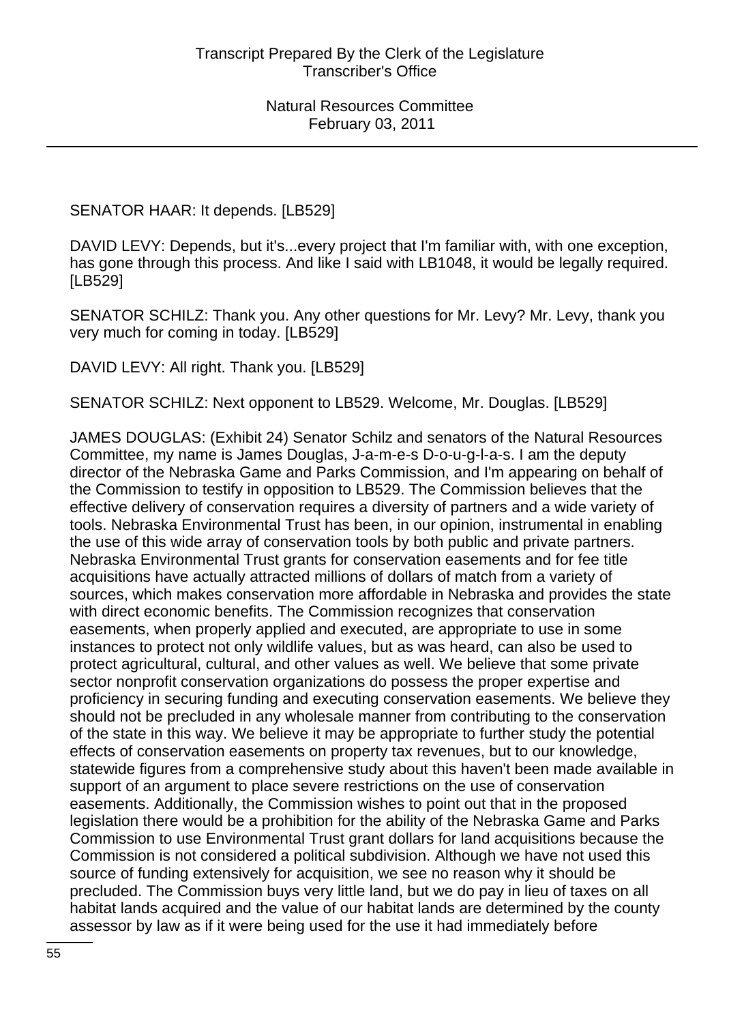SENATOR HAAR: It depends. [LB529]

DAVID LEVY: Depends, but it's...every project that I'm familiar with, with one exception, has gone through this process. And like I said with LB1048, it would be legally required. [LB529]

SENATOR SCHILZ: Thank you. Any other questions for Mr. Levy? Mr. Levy, thank you very much for coming in today. [LB529]

DAVID LEVY: All right. Thank you. [LB529]

SENATOR SCHILZ: Next opponent to LB529. Welcome, Mr. Douglas. [LB529]

JAMES DOUGLAS: (Exhibit 24) Senator Schilz and senators of the Natural Resources Committee, my name is James Douglas, J-a-m-e-s D-o-u-g-l-a-s. I am the deputy director of the Nebraska Game and Parks Commission, and I'm appearing on behalf of the Commission to testify in opposition to LB529. The Commission believes that the effective delivery of conservation requires a diversity of partners and a wide variety of tools. Nebraska Environmental Trust has been, in our opinion, instrumental in enabling the use of this wide array of conservation tools by both public and private partners. Nebraska Environmental Trust grants for conservation easements and for fee title acquisitions have actually attracted millions of dollars of match from a variety of sources, which makes conservation more affordable in Nebraska and provides the state with direct economic benefits. The Commission recognizes that conservation easements, when properly applied and executed, are appropriate to use in some instances to protect not only wildlife values, but as was heard, can also be used to protect agricultural, cultural, and other values as well. We believe that some private sector nonprofit conservation organizations do possess the proper expertise and proficiency in securing funding and executing conservation easements. We believe they should not be precluded in any wholesale manner from contributing to the conservation of the state in this way. We believe it may be appropriate to further study the potential effects of conservation easements on property tax revenues, but to our knowledge, statewide figures from a comprehensive study about this haven't been made available in support of an argument to place severe restrictions on the use of conservation easements. Additionally, the Commission wishes to point out that in the proposed legislation there would be a prohibition for the ability of the Nebraska Game and Parks Commission to use Environmental Trust grant dollars for land acquisitions because the Commission is not considered a political subdivision. Although we have not used this source of funding extensively for acquisition, we see no reason why it should be precluded. The Commission buys very little land, but we do pay in lieu of taxes on all habitat lands acquired and the value of our habitat lands are determined by the county assessor by law as if it were being used for the use it had immediately before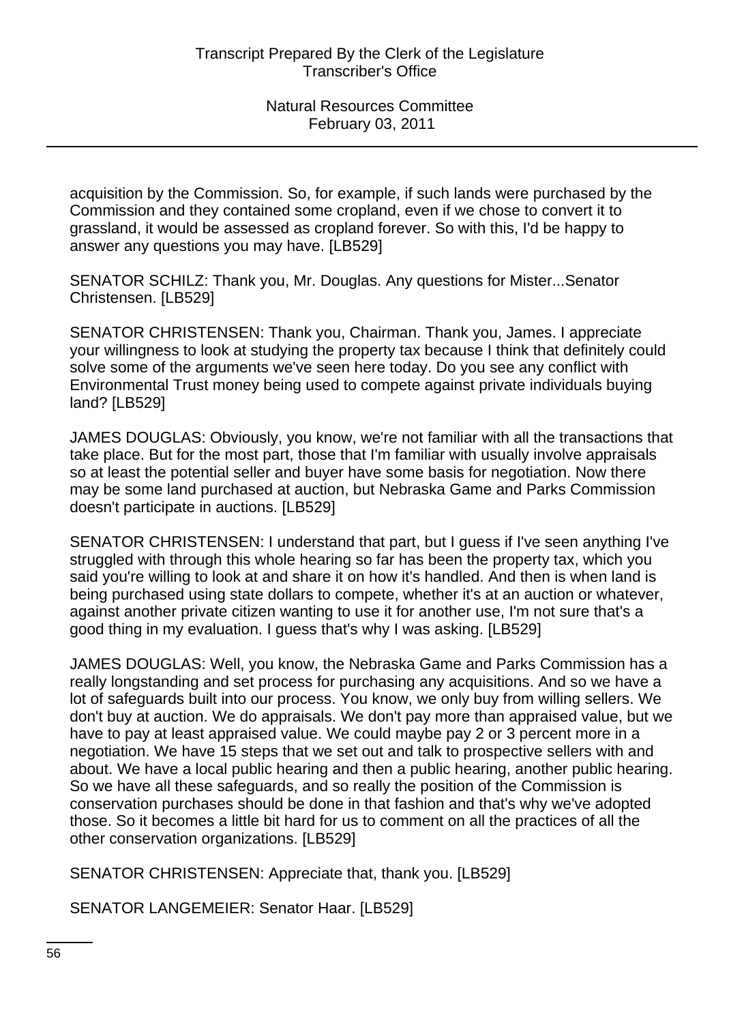acquisition by the Commission. So, for example, if such lands were purchased by the Commission and they contained some cropland, even if we chose to convert it to grassland, it would be assessed as cropland forever. So with this, I'd be happy to answer any questions you may have. [LB529]

SENATOR SCHILZ: Thank you, Mr. Douglas. Any questions for Mister...Senator Christensen. [LB529]

SENATOR CHRISTENSEN: Thank you, Chairman. Thank you, James. I appreciate your willingness to look at studying the property tax because I think that definitely could solve some of the arguments we've seen here today. Do you see any conflict with Environmental Trust money being used to compete against private individuals buying land? [LB529]

JAMES DOUGLAS: Obviously, you know, we're not familiar with all the transactions that take place. But for the most part, those that I'm familiar with usually involve appraisals so at least the potential seller and buyer have some basis for negotiation. Now there may be some land purchased at auction, but Nebraska Game and Parks Commission doesn't participate in auctions. [LB529]

SENATOR CHRISTENSEN: I understand that part, but I guess if I've seen anything I've struggled with through this whole hearing so far has been the property tax, which you said you're willing to look at and share it on how it's handled. And then is when land is being purchased using state dollars to compete, whether it's at an auction or whatever, against another private citizen wanting to use it for another use, I'm not sure that's a good thing in my evaluation. I guess that's why I was asking. [LB529]

JAMES DOUGLAS: Well, you know, the Nebraska Game and Parks Commission has a really longstanding and set process for purchasing any acquisitions. And so we have a lot of safeguards built into our process. You know, we only buy from willing sellers. We don't buy at auction. We do appraisals. We don't pay more than appraised value, but we have to pay at least appraised value. We could maybe pay 2 or 3 percent more in a negotiation. We have 15 steps that we set out and talk to prospective sellers with and about. We have a local public hearing and then a public hearing, another public hearing. So we have all these safeguards, and so really the position of the Commission is conservation purchases should be done in that fashion and that's why we've adopted those. So it becomes a little bit hard for us to comment on all the practices of all the other conservation organizations. [LB529]

SENATOR CHRISTENSEN: Appreciate that, thank you. [LB529]

SENATOR LANGEMEIER: Senator Haar. [LB529]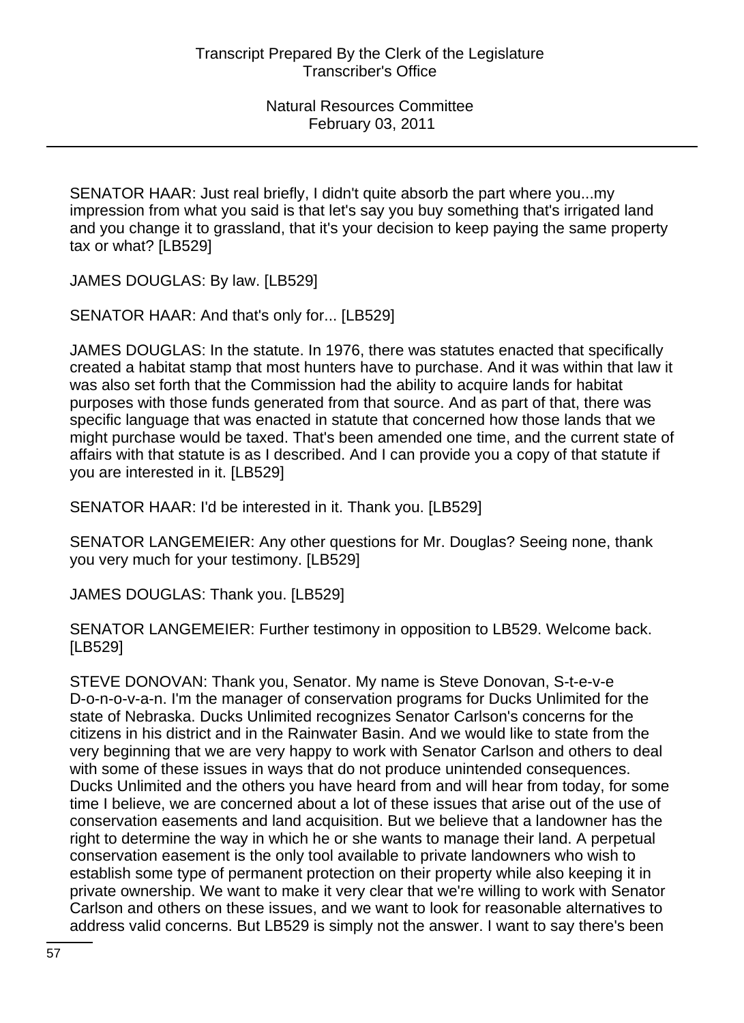SENATOR HAAR: Just real briefly, I didn't quite absorb the part where you...my impression from what you said is that let's say you buy something that's irrigated land and you change it to grassland, that it's your decision to keep paying the same property tax or what? [LB529]

JAMES DOUGLAS: By law. [LB529]

SENATOR HAAR: And that's only for... [LB529]

JAMES DOUGLAS: In the statute. In 1976, there was statutes enacted that specifically created a habitat stamp that most hunters have to purchase. And it was within that law it was also set forth that the Commission had the ability to acquire lands for habitat purposes with those funds generated from that source. And as part of that, there was specific language that was enacted in statute that concerned how those lands that we might purchase would be taxed. That's been amended one time, and the current state of affairs with that statute is as I described. And I can provide you a copy of that statute if you are interested in it. [LB529]

SENATOR HAAR: I'd be interested in it. Thank you. [LB529]

SENATOR LANGEMEIER: Any other questions for Mr. Douglas? Seeing none, thank you very much for your testimony. [LB529]

JAMES DOUGLAS: Thank you. [LB529]

SENATOR LANGEMEIER: Further testimony in opposition to LB529. Welcome back. [LB529]

STEVE DONOVAN: Thank you, Senator. My name is Steve Donovan, S-t-e-v-e D-o-n-o-v-a-n. I'm the manager of conservation programs for Ducks Unlimited for the state of Nebraska. Ducks Unlimited recognizes Senator Carlson's concerns for the citizens in his district and in the Rainwater Basin. And we would like to state from the very beginning that we are very happy to work with Senator Carlson and others to deal with some of these issues in ways that do not produce unintended consequences. Ducks Unlimited and the others you have heard from and will hear from today, for some time I believe, we are concerned about a lot of these issues that arise out of the use of conservation easements and land acquisition. But we believe that a landowner has the right to determine the way in which he or she wants to manage their land. A perpetual conservation easement is the only tool available to private landowners who wish to establish some type of permanent protection on their property while also keeping it in private ownership. We want to make it very clear that we're willing to work with Senator Carlson and others on these issues, and we want to look for reasonable alternatives to address valid concerns. But LB529 is simply not the answer. I want to say there's been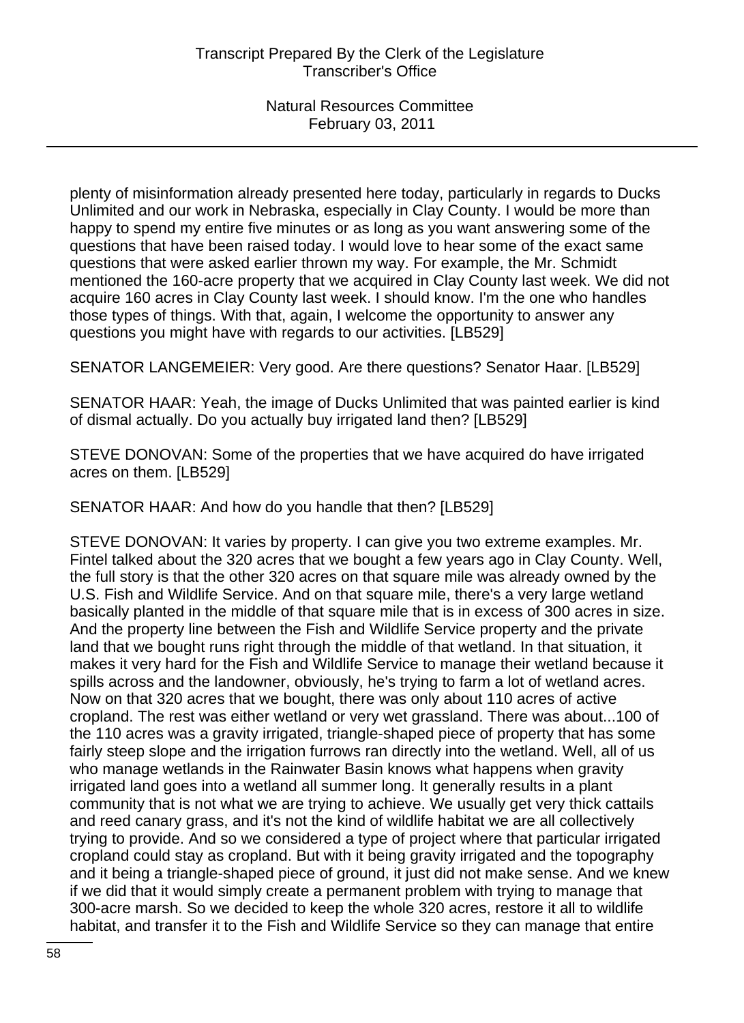plenty of misinformation already presented here today, particularly in regards to Ducks Unlimited and our work in Nebraska, especially in Clay County. I would be more than happy to spend my entire five minutes or as long as you want answering some of the questions that have been raised today. I would love to hear some of the exact same questions that were asked earlier thrown my way. For example, the Mr. Schmidt mentioned the 160-acre property that we acquired in Clay County last week. We did not acquire 160 acres in Clay County last week. I should know. I'm the one who handles those types of things. With that, again, I welcome the opportunity to answer any questions you might have with regards to our activities. [LB529]

SENATOR LANGEMEIER: Very good. Are there questions? Senator Haar. [LB529]

SENATOR HAAR: Yeah, the image of Ducks Unlimited that was painted earlier is kind of dismal actually. Do you actually buy irrigated land then? [LB529]

STEVE DONOVAN: Some of the properties that we have acquired do have irrigated acres on them. [LB529]

SENATOR HAAR: And how do you handle that then? [LB529]

STEVE DONOVAN: It varies by property. I can give you two extreme examples. Mr. Fintel talked about the 320 acres that we bought a few years ago in Clay County. Well, the full story is that the other 320 acres on that square mile was already owned by the U.S. Fish and Wildlife Service. And on that square mile, there's a very large wetland basically planted in the middle of that square mile that is in excess of 300 acres in size. And the property line between the Fish and Wildlife Service property and the private land that we bought runs right through the middle of that wetland. In that situation, it makes it very hard for the Fish and Wildlife Service to manage their wetland because it spills across and the landowner, obviously, he's trying to farm a lot of wetland acres. Now on that 320 acres that we bought, there was only about 110 acres of active cropland. The rest was either wetland or very wet grassland. There was about...100 of the 110 acres was a gravity irrigated, triangle-shaped piece of property that has some fairly steep slope and the irrigation furrows ran directly into the wetland. Well, all of us who manage wetlands in the Rainwater Basin knows what happens when gravity irrigated land goes into a wetland all summer long. It generally results in a plant community that is not what we are trying to achieve. We usually get very thick cattails and reed canary grass, and it's not the kind of wildlife habitat we are all collectively trying to provide. And so we considered a type of project where that particular irrigated cropland could stay as cropland. But with it being gravity irrigated and the topography and it being a triangle-shaped piece of ground, it just did not make sense. And we knew if we did that it would simply create a permanent problem with trying to manage that 300-acre marsh. So we decided to keep the whole 320 acres, restore it all to wildlife habitat, and transfer it to the Fish and Wildlife Service so they can manage that entire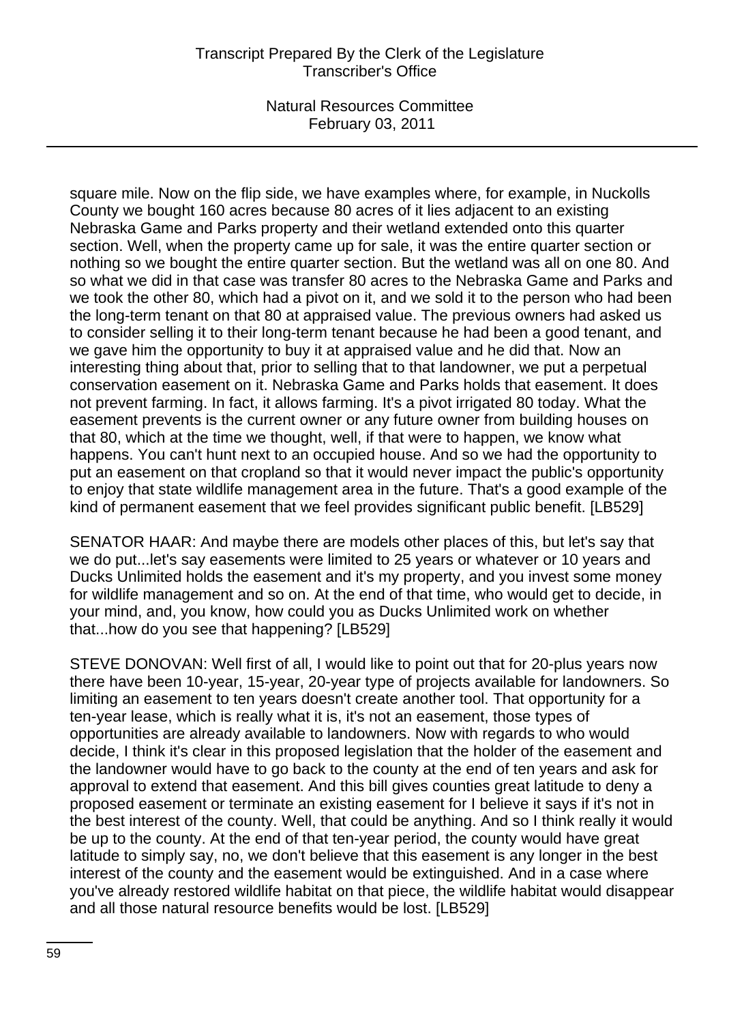square mile. Now on the flip side, we have examples where, for example, in Nuckolls County we bought 160 acres because 80 acres of it lies adjacent to an existing Nebraska Game and Parks property and their wetland extended onto this quarter section. Well, when the property came up for sale, it was the entire quarter section or nothing so we bought the entire quarter section. But the wetland was all on one 80. And so what we did in that case was transfer 80 acres to the Nebraska Game and Parks and we took the other 80, which had a pivot on it, and we sold it to the person who had been the long-term tenant on that 80 at appraised value. The previous owners had asked us to consider selling it to their long-term tenant because he had been a good tenant, and we gave him the opportunity to buy it at appraised value and he did that. Now an interesting thing about that, prior to selling that to that landowner, we put a perpetual conservation easement on it. Nebraska Game and Parks holds that easement. It does not prevent farming. In fact, it allows farming. It's a pivot irrigated 80 today. What the easement prevents is the current owner or any future owner from building houses on that 80, which at the time we thought, well, if that were to happen, we know what happens. You can't hunt next to an occupied house. And so we had the opportunity to put an easement on that cropland so that it would never impact the public's opportunity to enjoy that state wildlife management area in the future. That's a good example of the kind of permanent easement that we feel provides significant public benefit. [LB529]

SENATOR HAAR: And maybe there are models other places of this, but let's say that we do put...let's say easements were limited to 25 years or whatever or 10 years and Ducks Unlimited holds the easement and it's my property, and you invest some money for wildlife management and so on. At the end of that time, who would get to decide, in your mind, and, you know, how could you as Ducks Unlimited work on whether that...how do you see that happening? [LB529]

STEVE DONOVAN: Well first of all, I would like to point out that for 20-plus years now there have been 10-year, 15-year, 20-year type of projects available for landowners. So limiting an easement to ten years doesn't create another tool. That opportunity for a ten-year lease, which is really what it is, it's not an easement, those types of opportunities are already available to landowners. Now with regards to who would decide, I think it's clear in this proposed legislation that the holder of the easement and the landowner would have to go back to the county at the end of ten years and ask for approval to extend that easement. And this bill gives counties great latitude to deny a proposed easement or terminate an existing easement for I believe it says if it's not in the best interest of the county. Well, that could be anything. And so I think really it would be up to the county. At the end of that ten-year period, the county would have great latitude to simply say, no, we don't believe that this easement is any longer in the best interest of the county and the easement would be extinguished. And in a case where you've already restored wildlife habitat on that piece, the wildlife habitat would disappear and all those natural resource benefits would be lost. [LB529]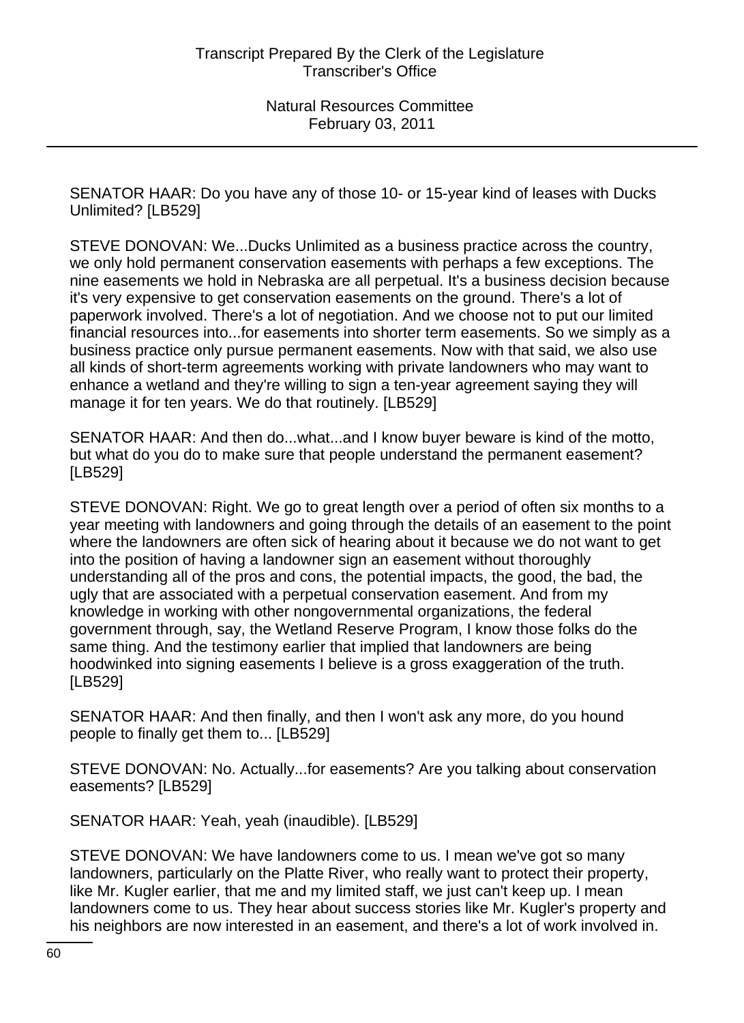SENATOR HAAR: Do you have any of those 10- or 15-year kind of leases with Ducks Unlimited? [LB529]

STEVE DONOVAN: We...Ducks Unlimited as a business practice across the country, we only hold permanent conservation easements with perhaps a few exceptions. The nine easements we hold in Nebraska are all perpetual. It's a business decision because it's very expensive to get conservation easements on the ground. There's a lot of paperwork involved. There's a lot of negotiation. And we choose not to put our limited financial resources into...for easements into shorter term easements. So we simply as a business practice only pursue permanent easements. Now with that said, we also use all kinds of short-term agreements working with private landowners who may want to enhance a wetland and they're willing to sign a ten-year agreement saying they will manage it for ten years. We do that routinely. [LB529]

SENATOR HAAR: And then do...what...and I know buyer beware is kind of the motto, but what do you do to make sure that people understand the permanent easement? [LB529]

STEVE DONOVAN: Right. We go to great length over a period of often six months to a year meeting with landowners and going through the details of an easement to the point where the landowners are often sick of hearing about it because we do not want to get into the position of having a landowner sign an easement without thoroughly understanding all of the pros and cons, the potential impacts, the good, the bad, the ugly that are associated with a perpetual conservation easement. And from my knowledge in working with other nongovernmental organizations, the federal government through, say, the Wetland Reserve Program, I know those folks do the same thing. And the testimony earlier that implied that landowners are being hoodwinked into signing easements I believe is a gross exaggeration of the truth. [LB529]

SENATOR HAAR: And then finally, and then I won't ask any more, do you hound people to finally get them to... [LB529]

STEVE DONOVAN: No. Actually...for easements? Are you talking about conservation easements? [LB529]

SENATOR HAAR: Yeah, yeah (inaudible). [LB529]

STEVE DONOVAN: We have landowners come to us. I mean we've got so many landowners, particularly on the Platte River, who really want to protect their property, like Mr. Kugler earlier, that me and my limited staff, we just can't keep up. I mean landowners come to us. They hear about success stories like Mr. Kugler's property and his neighbors are now interested in an easement, and there's a lot of work involved in.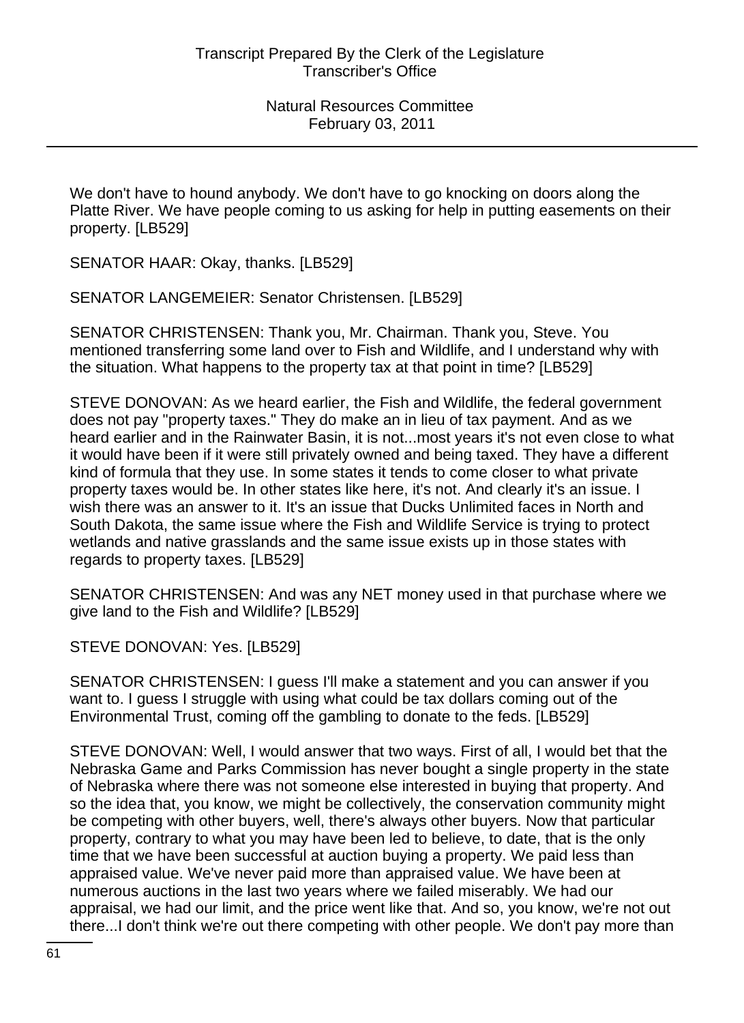We don't have to hound anybody. We don't have to go knocking on doors along the Platte River. We have people coming to us asking for help in putting easements on their property. [LB529]

SENATOR HAAR: Okay, thanks. [LB529]

SENATOR LANGEMEIER: Senator Christensen. [LB529]

SENATOR CHRISTENSEN: Thank you, Mr. Chairman. Thank you, Steve. You mentioned transferring some land over to Fish and Wildlife, and I understand why with the situation. What happens to the property tax at that point in time? [LB529]

STEVE DONOVAN: As we heard earlier, the Fish and Wildlife, the federal government does not pay "property taxes." They do make an in lieu of tax payment. And as we heard earlier and in the Rainwater Basin, it is not...most years it's not even close to what it would have been if it were still privately owned and being taxed. They have a different kind of formula that they use. In some states it tends to come closer to what private property taxes would be. In other states like here, it's not. And clearly it's an issue. I wish there was an answer to it. It's an issue that Ducks Unlimited faces in North and South Dakota, the same issue where the Fish and Wildlife Service is trying to protect wetlands and native grasslands and the same issue exists up in those states with regards to property taxes. [LB529]

SENATOR CHRISTENSEN: And was any NET money used in that purchase where we give land to the Fish and Wildlife? [LB529]

STEVE DONOVAN: Yes. [LB529]

SENATOR CHRISTENSEN: I guess I'll make a statement and you can answer if you want to. I guess I struggle with using what could be tax dollars coming out of the Environmental Trust, coming off the gambling to donate to the feds. [LB529]

STEVE DONOVAN: Well, I would answer that two ways. First of all, I would bet that the Nebraska Game and Parks Commission has never bought a single property in the state of Nebraska where there was not someone else interested in buying that property. And so the idea that, you know, we might be collectively, the conservation community might be competing with other buyers, well, there's always other buyers. Now that particular property, contrary to what you may have been led to believe, to date, that is the only time that we have been successful at auction buying a property. We paid less than appraised value. We've never paid more than appraised value. We have been at numerous auctions in the last two years where we failed miserably. We had our appraisal, we had our limit, and the price went like that. And so, you know, we're not out there...I don't think we're out there competing with other people. We don't pay more than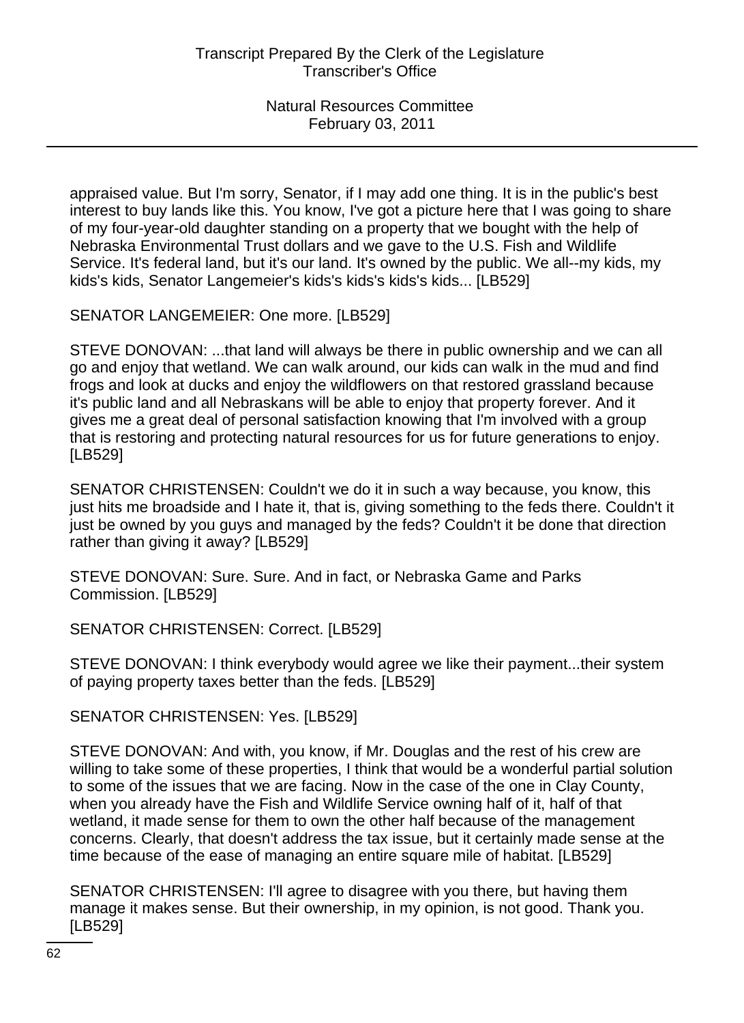appraised value. But I'm sorry, Senator, if I may add one thing. It is in the public's best interest to buy lands like this. You know, I've got a picture here that I was going to share of my four-year-old daughter standing on a property that we bought with the help of Nebraska Environmental Trust dollars and we gave to the U.S. Fish and Wildlife Service. It's federal land, but it's our land. It's owned by the public. We all--my kids, my kids's kids, Senator Langemeier's kids's kids's kids's kids... [LB529]

SENATOR LANGEMEIER: One more. [LB529]

STEVE DONOVAN: ...that land will always be there in public ownership and we can all go and enjoy that wetland. We can walk around, our kids can walk in the mud and find frogs and look at ducks and enjoy the wildflowers on that restored grassland because it's public land and all Nebraskans will be able to enjoy that property forever. And it gives me a great deal of personal satisfaction knowing that I'm involved with a group that is restoring and protecting natural resources for us for future generations to enjoy. [LB529]

SENATOR CHRISTENSEN: Couldn't we do it in such a way because, you know, this just hits me broadside and I hate it, that is, giving something to the feds there. Couldn't it just be owned by you guys and managed by the feds? Couldn't it be done that direction rather than giving it away? [LB529]

STEVE DONOVAN: Sure. Sure. And in fact, or Nebraska Game and Parks Commission. [LB529]

SENATOR CHRISTENSEN: Correct. [LB529]

STEVE DONOVAN: I think everybody would agree we like their payment...their system of paying property taxes better than the feds. [LB529]

SENATOR CHRISTENSEN: Yes. [LB529]

STEVE DONOVAN: And with, you know, if Mr. Douglas and the rest of his crew are willing to take some of these properties, I think that would be a wonderful partial solution to some of the issues that we are facing. Now in the case of the one in Clay County, when you already have the Fish and Wildlife Service owning half of it, half of that wetland, it made sense for them to own the other half because of the management concerns. Clearly, that doesn't address the tax issue, but it certainly made sense at the time because of the ease of managing an entire square mile of habitat. [LB529]

SENATOR CHRISTENSEN: I'll agree to disagree with you there, but having them manage it makes sense. But their ownership, in my opinion, is not good. Thank you. [LB529]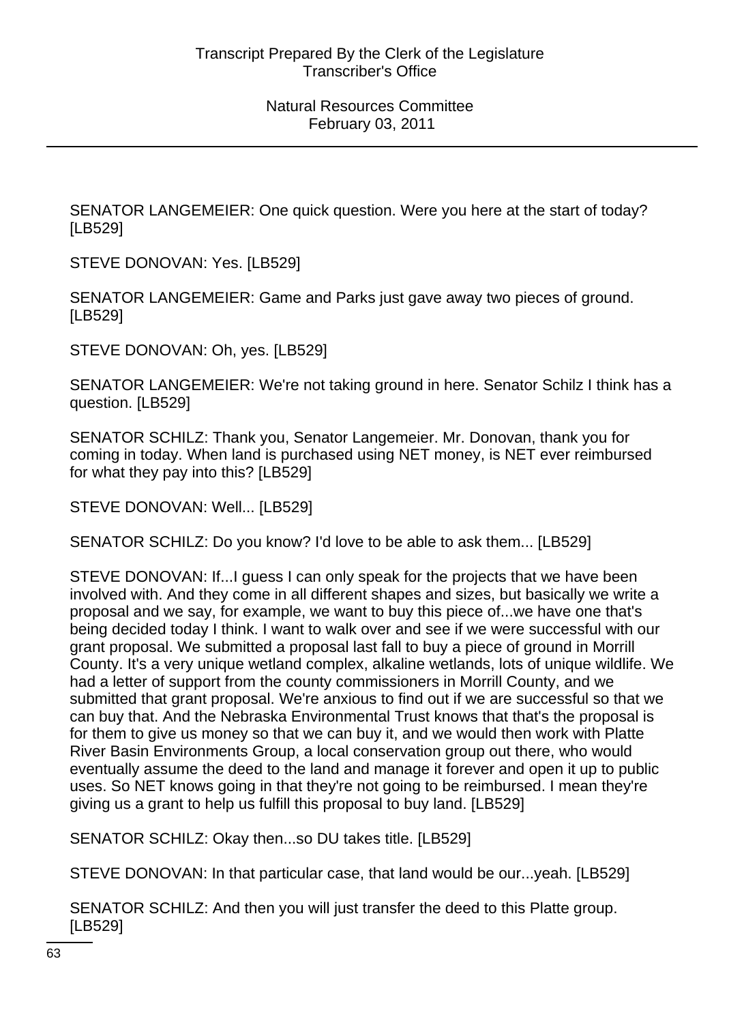SENATOR LANGEMEIER: One quick question. Were you here at the start of today? [LB529]

STEVE DONOVAN: Yes. [LB529]

SENATOR LANGEMEIER: Game and Parks just gave away two pieces of ground. [LB529]

STEVE DONOVAN: Oh, yes. [LB529]

SENATOR LANGEMEIER: We're not taking ground in here. Senator Schilz I think has a question. [LB529]

SENATOR SCHILZ: Thank you, Senator Langemeier. Mr. Donovan, thank you for coming in today. When land is purchased using NET money, is NET ever reimbursed for what they pay into this? [LB529]

STEVE DONOVAN: Well... [LB529]

SENATOR SCHILZ: Do you know? I'd love to be able to ask them... [LB529]

STEVE DONOVAN: If...I guess I can only speak for the projects that we have been involved with. And they come in all different shapes and sizes, but basically we write a proposal and we say, for example, we want to buy this piece of...we have one that's being decided today I think. I want to walk over and see if we were successful with our grant proposal. We submitted a proposal last fall to buy a piece of ground in Morrill County. It's a very unique wetland complex, alkaline wetlands, lots of unique wildlife. We had a letter of support from the county commissioners in Morrill County, and we submitted that grant proposal. We're anxious to find out if we are successful so that we can buy that. And the Nebraska Environmental Trust knows that that's the proposal is for them to give us money so that we can buy it, and we would then work with Platte River Basin Environments Group, a local conservation group out there, who would eventually assume the deed to the land and manage it forever and open it up to public uses. So NET knows going in that they're not going to be reimbursed. I mean they're giving us a grant to help us fulfill this proposal to buy land. [LB529]

SENATOR SCHILZ: Okay then...so DU takes title. [LB529]

STEVE DONOVAN: In that particular case, that land would be our...yeah. [LB529]

SENATOR SCHILZ: And then you will just transfer the deed to this Platte group. [LB529]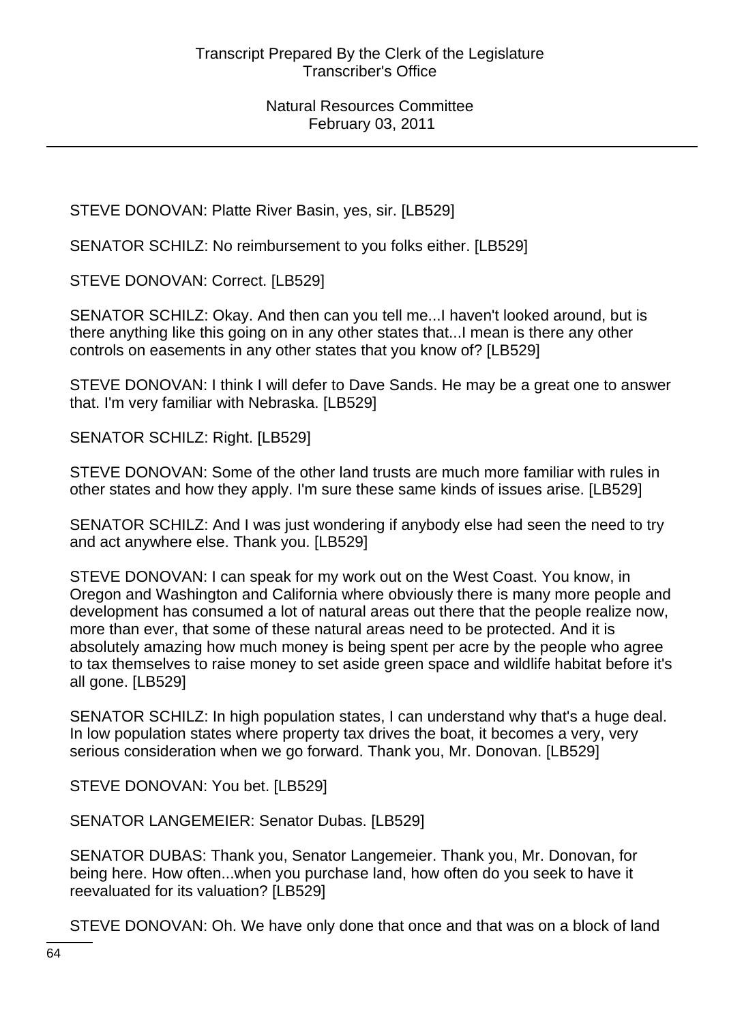STEVE DONOVAN: Platte River Basin, yes, sir. [LB529]

SENATOR SCHILZ: No reimbursement to you folks either. [LB529]

STEVE DONOVAN: Correct. [LB529]

SENATOR SCHILZ: Okay. And then can you tell me...I haven't looked around, but is there anything like this going on in any other states that...I mean is there any other controls on easements in any other states that you know of? [LB529]

STEVE DONOVAN: I think I will defer to Dave Sands. He may be a great one to answer that. I'm very familiar with Nebraska. [LB529]

SENATOR SCHILZ: Right. [LB529]

STEVE DONOVAN: Some of the other land trusts are much more familiar with rules in other states and how they apply. I'm sure these same kinds of issues arise. [LB529]

SENATOR SCHILZ: And I was just wondering if anybody else had seen the need to try and act anywhere else. Thank you. [LB529]

STEVE DONOVAN: I can speak for my work out on the West Coast. You know, in Oregon and Washington and California where obviously there is many more people and development has consumed a lot of natural areas out there that the people realize now, more than ever, that some of these natural areas need to be protected. And it is absolutely amazing how much money is being spent per acre by the people who agree to tax themselves to raise money to set aside green space and wildlife habitat before it's all gone. [LB529]

SENATOR SCHILZ: In high population states, I can understand why that's a huge deal. In low population states where property tax drives the boat, it becomes a very, very serious consideration when we go forward. Thank you, Mr. Donovan. [LB529]

STEVE DONOVAN: You bet. [LB529]

SENATOR LANGEMEIER: Senator Dubas. [LB529]

SENATOR DUBAS: Thank you, Senator Langemeier. Thank you, Mr. Donovan, for being here. How often...when you purchase land, how often do you seek to have it reevaluated for its valuation? [LB529]

STEVE DONOVAN: Oh. We have only done that once and that was on a block of land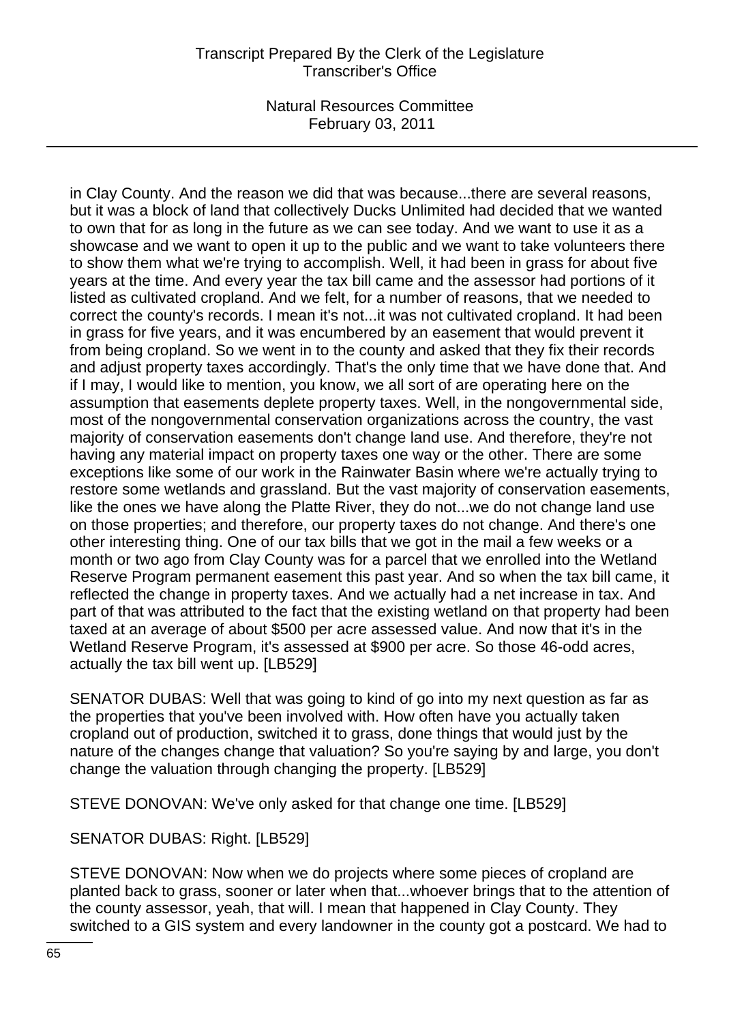# Transcript Prepared By the Clerk of the Legislature Transcriber's Office

Natural Resources Committee February 03, 2011

in Clay County. And the reason we did that was because...there are several reasons, but it was a block of land that collectively Ducks Unlimited had decided that we wanted to own that for as long in the future as we can see today. And we want to use it as a showcase and we want to open it up to the public and we want to take volunteers there to show them what we're trying to accomplish. Well, it had been in grass for about five years at the time. And every year the tax bill came and the assessor had portions of it listed as cultivated cropland. And we felt, for a number of reasons, that we needed to correct the county's records. I mean it's not...it was not cultivated cropland. It had been in grass for five years, and it was encumbered by an easement that would prevent it from being cropland. So we went in to the county and asked that they fix their records and adjust property taxes accordingly. That's the only time that we have done that. And if I may, I would like to mention, you know, we all sort of are operating here on the assumption that easements deplete property taxes. Well, in the nongovernmental side, most of the nongovernmental conservation organizations across the country, the vast majority of conservation easements don't change land use. And therefore, they're not having any material impact on property taxes one way or the other. There are some exceptions like some of our work in the Rainwater Basin where we're actually trying to restore some wetlands and grassland. But the vast majority of conservation easements, like the ones we have along the Platte River, they do not...we do not change land use on those properties; and therefore, our property taxes do not change. And there's one other interesting thing. One of our tax bills that we got in the mail a few weeks or a month or two ago from Clay County was for a parcel that we enrolled into the Wetland Reserve Program permanent easement this past year. And so when the tax bill came, it reflected the change in property taxes. And we actually had a net increase in tax. And part of that was attributed to the fact that the existing wetland on that property had been taxed at an average of about \$500 per acre assessed value. And now that it's in the Wetland Reserve Program, it's assessed at \$900 per acre. So those 46-odd acres, actually the tax bill went up. [LB529]

SENATOR DUBAS: Well that was going to kind of go into my next question as far as the properties that you've been involved with. How often have you actually taken cropland out of production, switched it to grass, done things that would just by the nature of the changes change that valuation? So you're saying by and large, you don't change the valuation through changing the property. [LB529]

STEVE DONOVAN: We've only asked for that change one time. [LB529]

SENATOR DUBAS: Right. [LB529]

STEVE DONOVAN: Now when we do projects where some pieces of cropland are planted back to grass, sooner or later when that...whoever brings that to the attention of the county assessor, yeah, that will. I mean that happened in Clay County. They switched to a GIS system and every landowner in the county got a postcard. We had to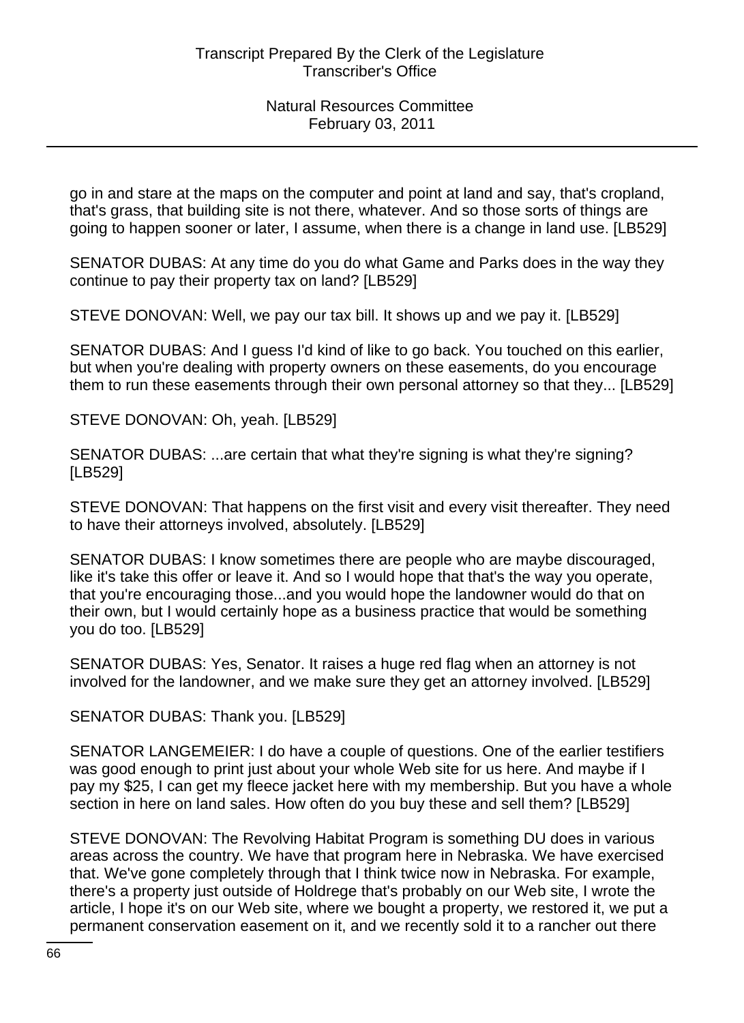go in and stare at the maps on the computer and point at land and say, that's cropland, that's grass, that building site is not there, whatever. And so those sorts of things are going to happen sooner or later, I assume, when there is a change in land use. [LB529]

SENATOR DUBAS: At any time do you do what Game and Parks does in the way they continue to pay their property tax on land? [LB529]

STEVE DONOVAN: Well, we pay our tax bill. It shows up and we pay it. [LB529]

SENATOR DUBAS: And I guess I'd kind of like to go back. You touched on this earlier, but when you're dealing with property owners on these easements, do you encourage them to run these easements through their own personal attorney so that they... [LB529]

STEVE DONOVAN: Oh, yeah. [LB529]

SENATOR DUBAS: ...are certain that what they're signing is what they're signing? [LB529]

STEVE DONOVAN: That happens on the first visit and every visit thereafter. They need to have their attorneys involved, absolutely. [LB529]

SENATOR DUBAS: I know sometimes there are people who are maybe discouraged, like it's take this offer or leave it. And so I would hope that that's the way you operate, that you're encouraging those...and you would hope the landowner would do that on their own, but I would certainly hope as a business practice that would be something you do too. [LB529]

SENATOR DUBAS: Yes, Senator. It raises a huge red flag when an attorney is not involved for the landowner, and we make sure they get an attorney involved. [LB529]

SENATOR DUBAS: Thank you. [LB529]

SENATOR LANGEMEIER: I do have a couple of questions. One of the earlier testifiers was good enough to print just about your whole Web site for us here. And maybe if I pay my \$25, I can get my fleece jacket here with my membership. But you have a whole section in here on land sales. How often do you buy these and sell them? [LB529]

STEVE DONOVAN: The Revolving Habitat Program is something DU does in various areas across the country. We have that program here in Nebraska. We have exercised that. We've gone completely through that I think twice now in Nebraska. For example, there's a property just outside of Holdrege that's probably on our Web site, I wrote the article, I hope it's on our Web site, where we bought a property, we restored it, we put a permanent conservation easement on it, and we recently sold it to a rancher out there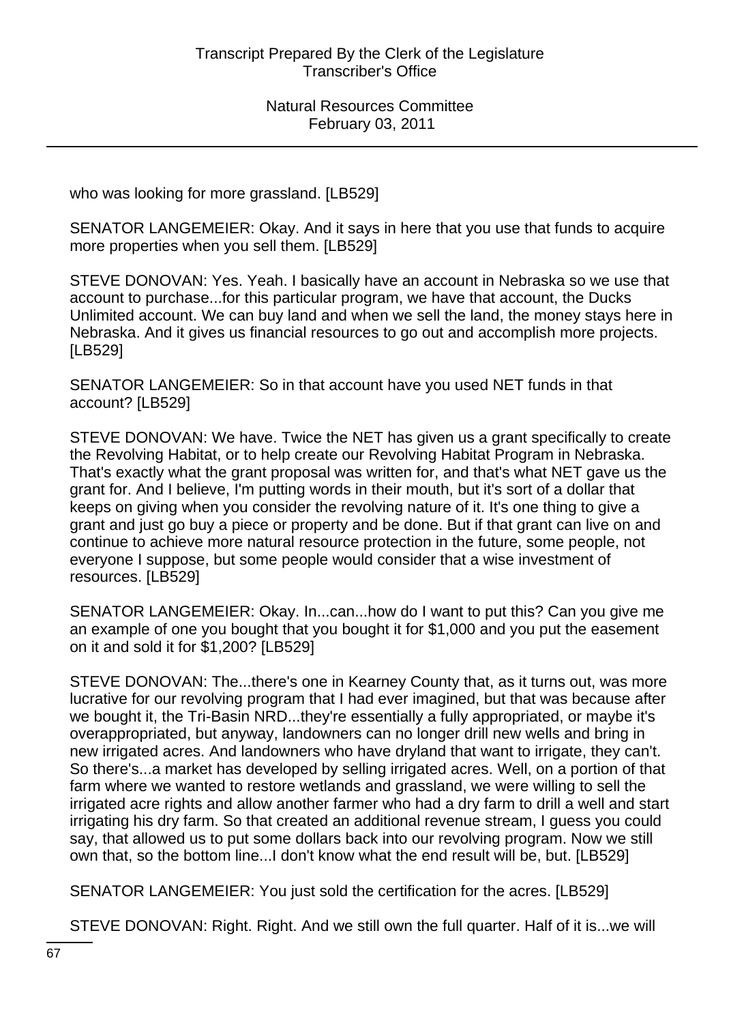who was looking for more grassland. [LB529]

SENATOR LANGEMEIER: Okay. And it says in here that you use that funds to acquire more properties when you sell them. [LB529]

STEVE DONOVAN: Yes. Yeah. I basically have an account in Nebraska so we use that account to purchase...for this particular program, we have that account, the Ducks Unlimited account. We can buy land and when we sell the land, the money stays here in Nebraska. And it gives us financial resources to go out and accomplish more projects. [LB529]

SENATOR LANGEMEIER: So in that account have you used NET funds in that account? [LB529]

STEVE DONOVAN: We have. Twice the NET has given us a grant specifically to create the Revolving Habitat, or to help create our Revolving Habitat Program in Nebraska. That's exactly what the grant proposal was written for, and that's what NET gave us the grant for. And I believe, I'm putting words in their mouth, but it's sort of a dollar that keeps on giving when you consider the revolving nature of it. It's one thing to give a grant and just go buy a piece or property and be done. But if that grant can live on and continue to achieve more natural resource protection in the future, some people, not everyone I suppose, but some people would consider that a wise investment of resources. [LB529]

SENATOR LANGEMEIER: Okay. In...can...how do I want to put this? Can you give me an example of one you bought that you bought it for \$1,000 and you put the easement on it and sold it for \$1,200? [LB529]

STEVE DONOVAN: The...there's one in Kearney County that, as it turns out, was more lucrative for our revolving program that I had ever imagined, but that was because after we bought it, the Tri-Basin NRD...they're essentially a fully appropriated, or maybe it's overappropriated, but anyway, landowners can no longer drill new wells and bring in new irrigated acres. And landowners who have dryland that want to irrigate, they can't. So there's...a market has developed by selling irrigated acres. Well, on a portion of that farm where we wanted to restore wetlands and grassland, we were willing to sell the irrigated acre rights and allow another farmer who had a dry farm to drill a well and start irrigating his dry farm. So that created an additional revenue stream, I guess you could say, that allowed us to put some dollars back into our revolving program. Now we still own that, so the bottom line...I don't know what the end result will be, but. [LB529]

SENATOR LANGEMEIER: You just sold the certification for the acres. [LB529]

STEVE DONOVAN: Right. Right. And we still own the full quarter. Half of it is...we will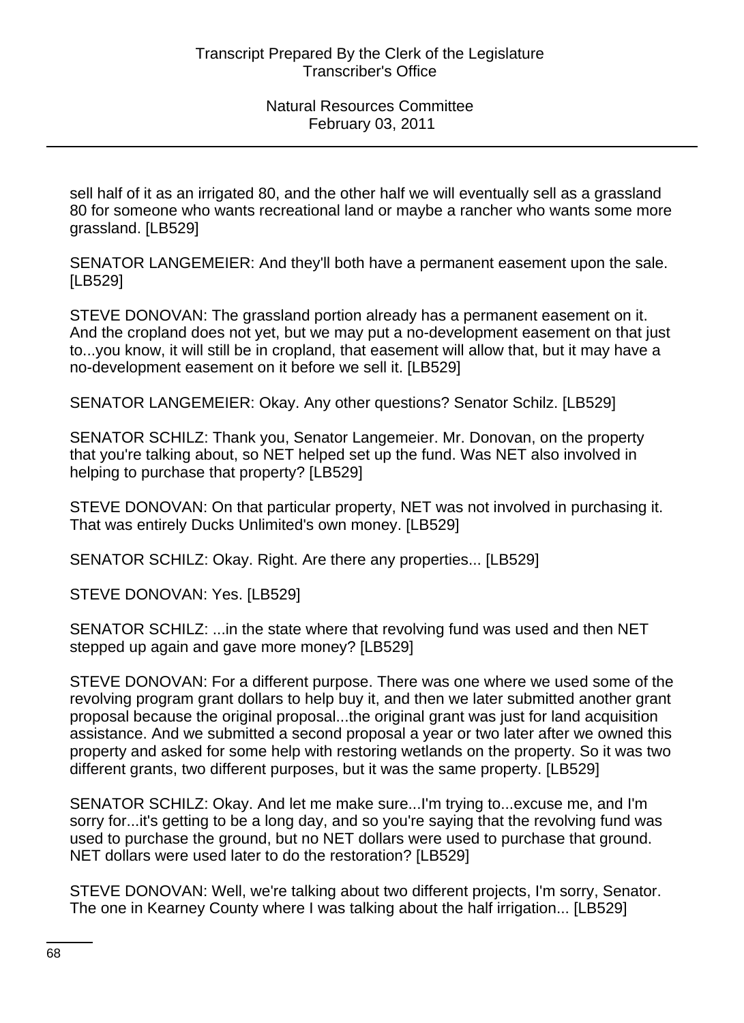sell half of it as an irrigated 80, and the other half we will eventually sell as a grassland 80 for someone who wants recreational land or maybe a rancher who wants some more grassland. [LB529]

SENATOR LANGEMEIER: And they'll both have a permanent easement upon the sale. [LB529]

STEVE DONOVAN: The grassland portion already has a permanent easement on it. And the cropland does not yet, but we may put a no-development easement on that just to...you know, it will still be in cropland, that easement will allow that, but it may have a no-development easement on it before we sell it. [LB529]

SENATOR LANGEMEIER: Okay. Any other questions? Senator Schilz. [LB529]

SENATOR SCHILZ: Thank you, Senator Langemeier. Mr. Donovan, on the property that you're talking about, so NET helped set up the fund. Was NET also involved in helping to purchase that property? [LB529]

STEVE DONOVAN: On that particular property, NET was not involved in purchasing it. That was entirely Ducks Unlimited's own money. [LB529]

SENATOR SCHILZ: Okay. Right. Are there any properties... [LB529]

STEVE DONOVAN: Yes. [LB529]

SENATOR SCHILZ: ...in the state where that revolving fund was used and then NET stepped up again and gave more money? [LB529]

STEVE DONOVAN: For a different purpose. There was one where we used some of the revolving program grant dollars to help buy it, and then we later submitted another grant proposal because the original proposal...the original grant was just for land acquisition assistance. And we submitted a second proposal a year or two later after we owned this property and asked for some help with restoring wetlands on the property. So it was two different grants, two different purposes, but it was the same property. [LB529]

SENATOR SCHILZ: Okay. And let me make sure...I'm trying to...excuse me, and I'm sorry for...it's getting to be a long day, and so you're saying that the revolving fund was used to purchase the ground, but no NET dollars were used to purchase that ground. NET dollars were used later to do the restoration? [LB529]

STEVE DONOVAN: Well, we're talking about two different projects, I'm sorry, Senator. The one in Kearney County where I was talking about the half irrigation... [LB529]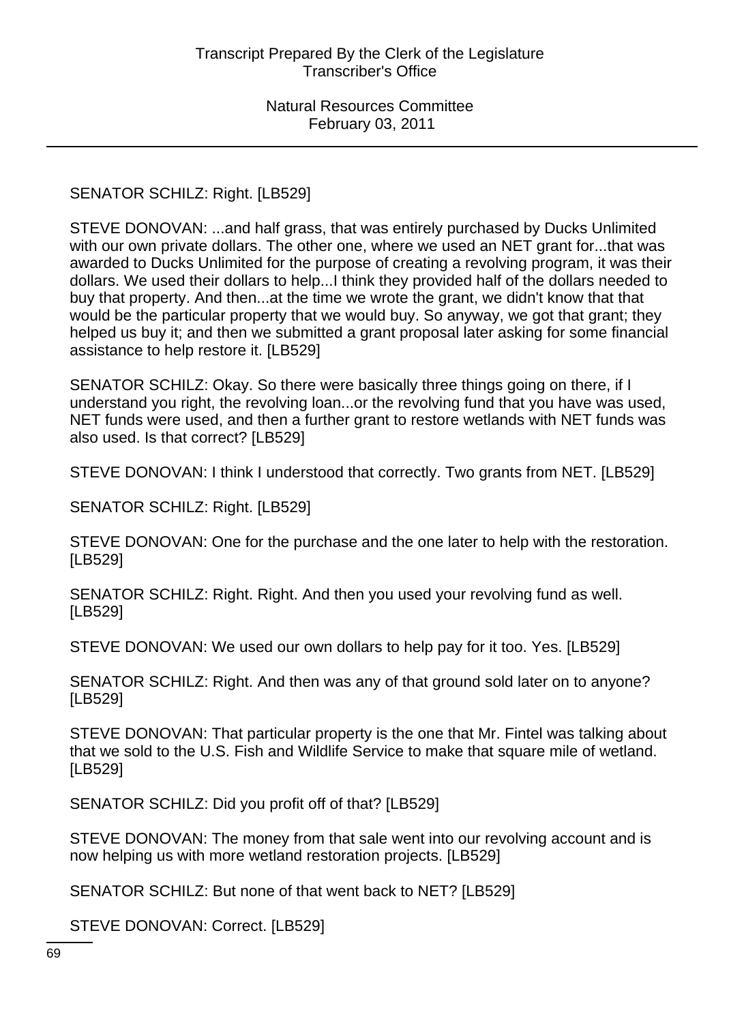#### SENATOR SCHILZ: Right. [LB529]

STEVE DONOVAN: ...and half grass, that was entirely purchased by Ducks Unlimited with our own private dollars. The other one, where we used an NET grant for...that was awarded to Ducks Unlimited for the purpose of creating a revolving program, it was their dollars. We used their dollars to help...I think they provided half of the dollars needed to buy that property. And then...at the time we wrote the grant, we didn't know that that would be the particular property that we would buy. So anyway, we got that grant; they helped us buy it; and then we submitted a grant proposal later asking for some financial assistance to help restore it. [LB529]

SENATOR SCHILZ: Okay. So there were basically three things going on there, if I understand you right, the revolving loan...or the revolving fund that you have was used, NET funds were used, and then a further grant to restore wetlands with NET funds was also used. Is that correct? [LB529]

STEVE DONOVAN: I think I understood that correctly. Two grants from NET. [LB529]

SENATOR SCHILZ: Right. [LB529]

STEVE DONOVAN: One for the purchase and the one later to help with the restoration. [LB529]

SENATOR SCHILZ: Right. Right. And then you used your revolving fund as well. [LB529]

STEVE DONOVAN: We used our own dollars to help pay for it too. Yes. [LB529]

SENATOR SCHILZ: Right. And then was any of that ground sold later on to anyone? [LB529]

STEVE DONOVAN: That particular property is the one that Mr. Fintel was talking about that we sold to the U.S. Fish and Wildlife Service to make that square mile of wetland. [LB529]

SENATOR SCHILZ: Did you profit off of that? [LB529]

STEVE DONOVAN: The money from that sale went into our revolving account and is now helping us with more wetland restoration projects. [LB529]

SENATOR SCHILZ: But none of that went back to NET? [LB529]

STEVE DONOVAN: Correct. [LB529]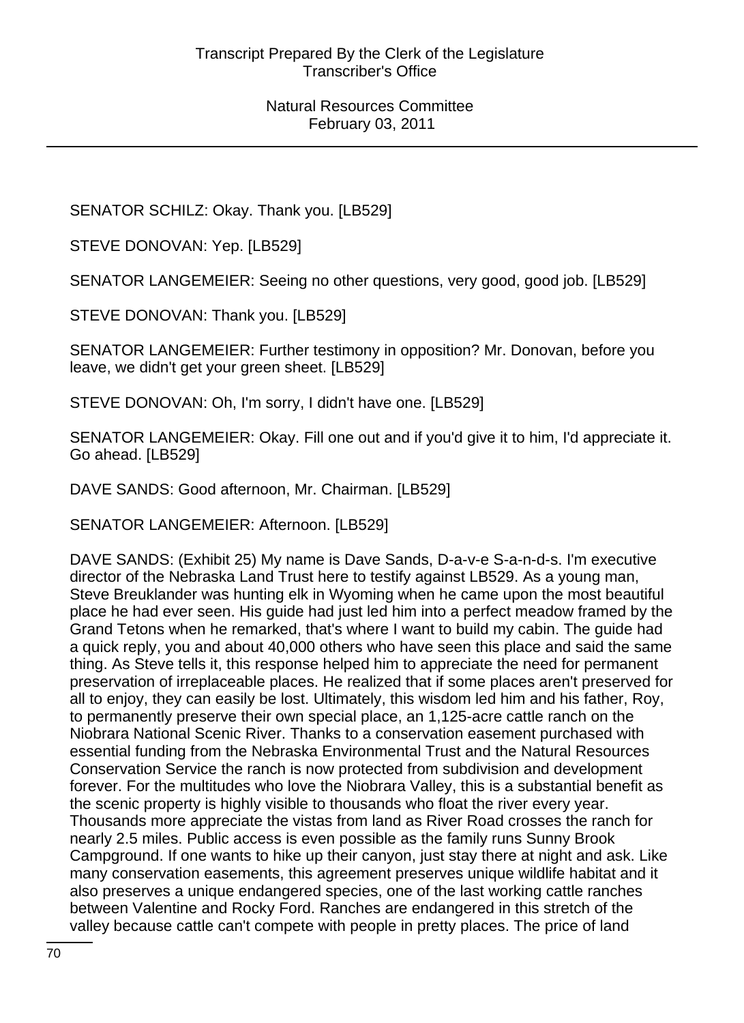SENATOR SCHILZ: Okay. Thank you. [LB529]

STEVE DONOVAN: Yep. [LB529]

SENATOR LANGEMEIER: Seeing no other questions, very good, good job. [LB529]

STEVE DONOVAN: Thank you. [LB529]

SENATOR LANGEMEIER: Further testimony in opposition? Mr. Donovan, before you leave, we didn't get your green sheet. [LB529]

STEVE DONOVAN: Oh, I'm sorry, I didn't have one. [LB529]

SENATOR LANGEMEIER: Okay. Fill one out and if you'd give it to him, I'd appreciate it. Go ahead. [LB529]

DAVE SANDS: Good afternoon, Mr. Chairman. [LB529]

SENATOR LANGEMEIER: Afternoon. [LB529]

DAVE SANDS: (Exhibit 25) My name is Dave Sands, D-a-v-e S-a-n-d-s. I'm executive director of the Nebraska Land Trust here to testify against LB529. As a young man, Steve Breuklander was hunting elk in Wyoming when he came upon the most beautiful place he had ever seen. His guide had just led him into a perfect meadow framed by the Grand Tetons when he remarked, that's where I want to build my cabin. The guide had a quick reply, you and about 40,000 others who have seen this place and said the same thing. As Steve tells it, this response helped him to appreciate the need for permanent preservation of irreplaceable places. He realized that if some places aren't preserved for all to enjoy, they can easily be lost. Ultimately, this wisdom led him and his father, Roy, to permanently preserve their own special place, an 1,125-acre cattle ranch on the Niobrara National Scenic River. Thanks to a conservation easement purchased with essential funding from the Nebraska Environmental Trust and the Natural Resources Conservation Service the ranch is now protected from subdivision and development forever. For the multitudes who love the Niobrara Valley, this is a substantial benefit as the scenic property is highly visible to thousands who float the river every year. Thousands more appreciate the vistas from land as River Road crosses the ranch for nearly 2.5 miles. Public access is even possible as the family runs Sunny Brook Campground. If one wants to hike up their canyon, just stay there at night and ask. Like many conservation easements, this agreement preserves unique wildlife habitat and it also preserves a unique endangered species, one of the last working cattle ranches between Valentine and Rocky Ford. Ranches are endangered in this stretch of the valley because cattle can't compete with people in pretty places. The price of land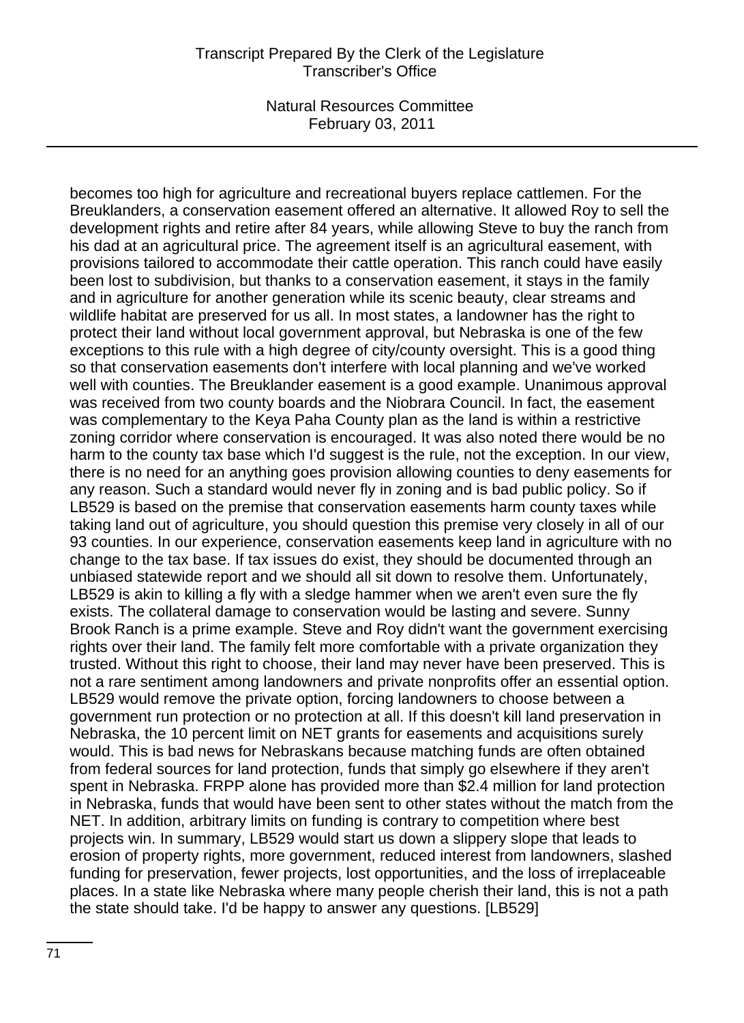becomes too high for agriculture and recreational buyers replace cattlemen. For the Breuklanders, a conservation easement offered an alternative. It allowed Roy to sell the development rights and retire after 84 years, while allowing Steve to buy the ranch from his dad at an agricultural price. The agreement itself is an agricultural easement, with provisions tailored to accommodate their cattle operation. This ranch could have easily been lost to subdivision, but thanks to a conservation easement, it stays in the family and in agriculture for another generation while its scenic beauty, clear streams and wildlife habitat are preserved for us all. In most states, a landowner has the right to protect their land without local government approval, but Nebraska is one of the few exceptions to this rule with a high degree of city/county oversight. This is a good thing so that conservation easements don't interfere with local planning and we've worked well with counties. The Breuklander easement is a good example. Unanimous approval was received from two county boards and the Niobrara Council. In fact, the easement was complementary to the Keya Paha County plan as the land is within a restrictive zoning corridor where conservation is encouraged. It was also noted there would be no harm to the county tax base which I'd suggest is the rule, not the exception. In our view, there is no need for an anything goes provision allowing counties to deny easements for any reason. Such a standard would never fly in zoning and is bad public policy. So if LB529 is based on the premise that conservation easements harm county taxes while taking land out of agriculture, you should question this premise very closely in all of our 93 counties. In our experience, conservation easements keep land in agriculture with no change to the tax base. If tax issues do exist, they should be documented through an unbiased statewide report and we should all sit down to resolve them. Unfortunately, LB529 is akin to killing a fly with a sledge hammer when we aren't even sure the fly exists. The collateral damage to conservation would be lasting and severe. Sunny Brook Ranch is a prime example. Steve and Roy didn't want the government exercising rights over their land. The family felt more comfortable with a private organization they trusted. Without this right to choose, their land may never have been preserved. This is not a rare sentiment among landowners and private nonprofits offer an essential option. LB529 would remove the private option, forcing landowners to choose between a government run protection or no protection at all. If this doesn't kill land preservation in Nebraska, the 10 percent limit on NET grants for easements and acquisitions surely would. This is bad news for Nebraskans because matching funds are often obtained from federal sources for land protection, funds that simply go elsewhere if they aren't spent in Nebraska. FRPP alone has provided more than \$2.4 million for land protection in Nebraska, funds that would have been sent to other states without the match from the NET. In addition, arbitrary limits on funding is contrary to competition where best projects win. In summary, LB529 would start us down a slippery slope that leads to erosion of property rights, more government, reduced interest from landowners, slashed funding for preservation, fewer projects, lost opportunities, and the loss of irreplaceable places. In a state like Nebraska where many people cherish their land, this is not a path the state should take. I'd be happy to answer any questions. [LB529]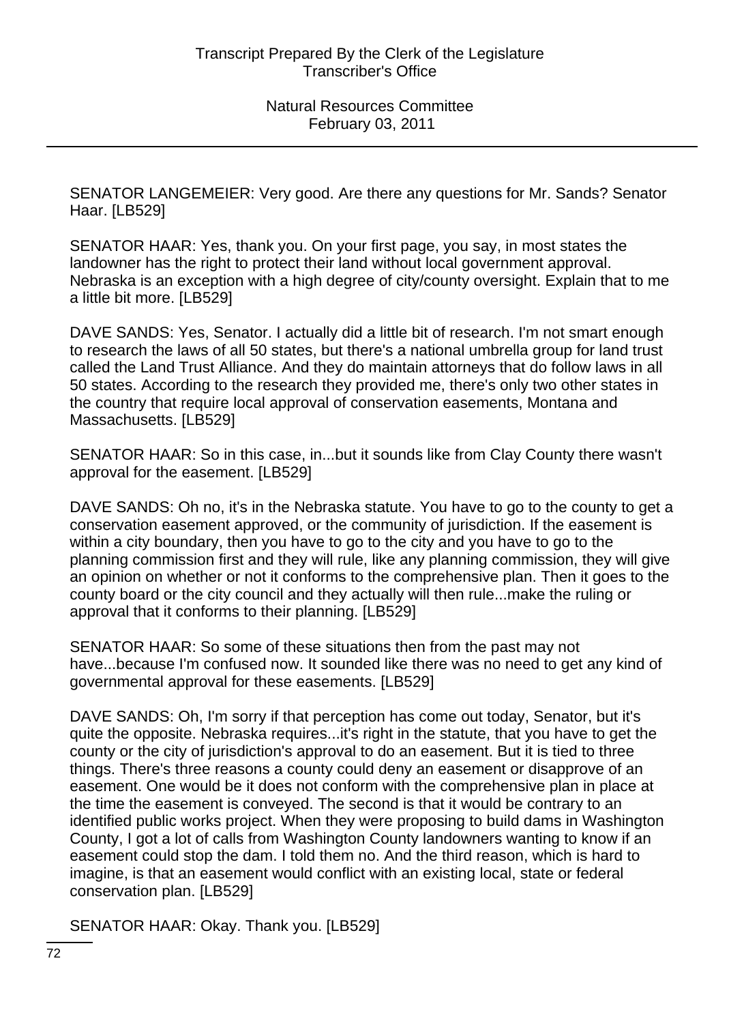SENATOR LANGEMEIER: Very good. Are there any questions for Mr. Sands? Senator Haar. [LB529]

SENATOR HAAR: Yes, thank you. On your first page, you say, in most states the landowner has the right to protect their land without local government approval. Nebraska is an exception with a high degree of city/county oversight. Explain that to me a little bit more. [LB529]

DAVE SANDS: Yes, Senator. I actually did a little bit of research. I'm not smart enough to research the laws of all 50 states, but there's a national umbrella group for land trust called the Land Trust Alliance. And they do maintain attorneys that do follow laws in all 50 states. According to the research they provided me, there's only two other states in the country that require local approval of conservation easements, Montana and Massachusetts. [LB529]

SENATOR HAAR: So in this case, in...but it sounds like from Clay County there wasn't approval for the easement. [LB529]

DAVE SANDS: Oh no, it's in the Nebraska statute. You have to go to the county to get a conservation easement approved, or the community of jurisdiction. If the easement is within a city boundary, then you have to go to the city and you have to go to the planning commission first and they will rule, like any planning commission, they will give an opinion on whether or not it conforms to the comprehensive plan. Then it goes to the county board or the city council and they actually will then rule...make the ruling or approval that it conforms to their planning. [LB529]

SENATOR HAAR: So some of these situations then from the past may not have...because I'm confused now. It sounded like there was no need to get any kind of governmental approval for these easements. [LB529]

DAVE SANDS: Oh, I'm sorry if that perception has come out today, Senator, but it's quite the opposite. Nebraska requires...it's right in the statute, that you have to get the county or the city of jurisdiction's approval to do an easement. But it is tied to three things. There's three reasons a county could deny an easement or disapprove of an easement. One would be it does not conform with the comprehensive plan in place at the time the easement is conveyed. The second is that it would be contrary to an identified public works project. When they were proposing to build dams in Washington County, I got a lot of calls from Washington County landowners wanting to know if an easement could stop the dam. I told them no. And the third reason, which is hard to imagine, is that an easement would conflict with an existing local, state or federal conservation plan. [LB529]

SENATOR HAAR: Okay. Thank you. [LB529]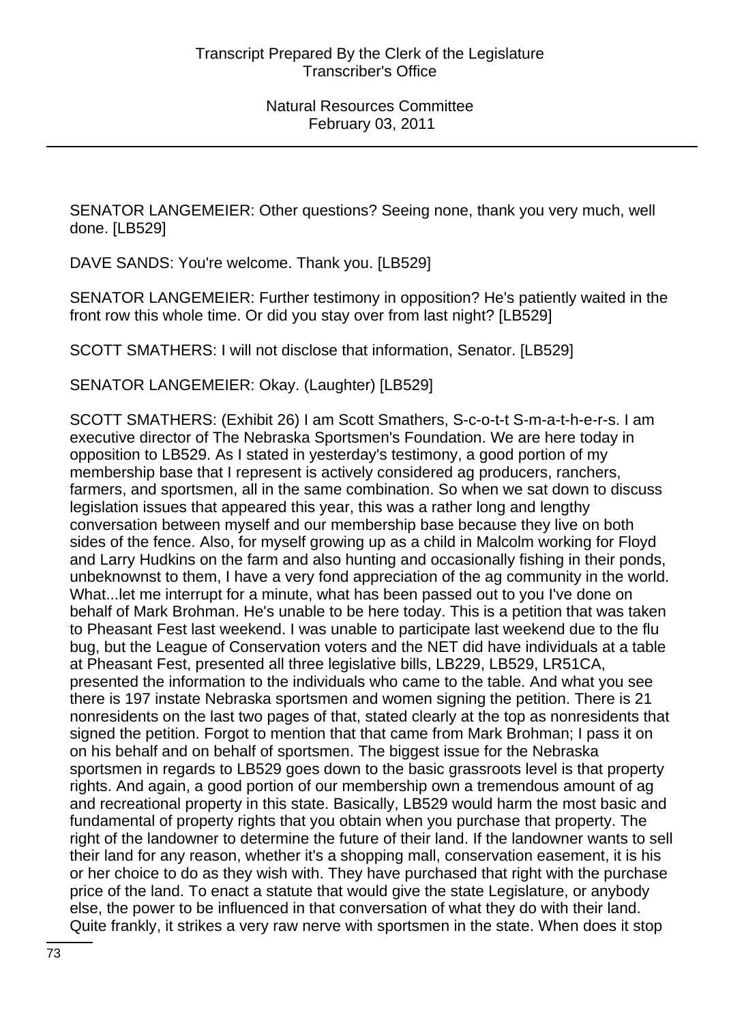SENATOR LANGEMEIER: Other questions? Seeing none, thank you very much, well done. [LB529]

DAVE SANDS: You're welcome. Thank you. [LB529]

SENATOR LANGEMEIER: Further testimony in opposition? He's patiently waited in the front row this whole time. Or did you stay over from last night? [LB529]

SCOTT SMATHERS: I will not disclose that information, Senator. [LB529]

SENATOR LANGEMEIER: Okay. (Laughter) [LB529]

SCOTT SMATHERS: (Exhibit 26) I am Scott Smathers, S-c-o-t-t S-m-a-t-h-e-r-s. I am executive director of The Nebraska Sportsmen's Foundation. We are here today in opposition to LB529. As I stated in yesterday's testimony, a good portion of my membership base that I represent is actively considered ag producers, ranchers, farmers, and sportsmen, all in the same combination. So when we sat down to discuss legislation issues that appeared this year, this was a rather long and lengthy conversation between myself and our membership base because they live on both sides of the fence. Also, for myself growing up as a child in Malcolm working for Floyd and Larry Hudkins on the farm and also hunting and occasionally fishing in their ponds, unbeknownst to them, I have a very fond appreciation of the ag community in the world. What...let me interrupt for a minute, what has been passed out to you I've done on behalf of Mark Brohman. He's unable to be here today. This is a petition that was taken to Pheasant Fest last weekend. I was unable to participate last weekend due to the flu bug, but the League of Conservation voters and the NET did have individuals at a table at Pheasant Fest, presented all three legislative bills, LB229, LB529, LR51CA, presented the information to the individuals who came to the table. And what you see there is 197 instate Nebraska sportsmen and women signing the petition. There is 21 nonresidents on the last two pages of that, stated clearly at the top as nonresidents that signed the petition. Forgot to mention that that came from Mark Brohman; I pass it on on his behalf and on behalf of sportsmen. The biggest issue for the Nebraska sportsmen in regards to LB529 goes down to the basic grassroots level is that property rights. And again, a good portion of our membership own a tremendous amount of ag and recreational property in this state. Basically, LB529 would harm the most basic and fundamental of property rights that you obtain when you purchase that property. The right of the landowner to determine the future of their land. If the landowner wants to sell their land for any reason, whether it's a shopping mall, conservation easement, it is his or her choice to do as they wish with. They have purchased that right with the purchase price of the land. To enact a statute that would give the state Legislature, or anybody else, the power to be influenced in that conversation of what they do with their land. Quite frankly, it strikes a very raw nerve with sportsmen in the state. When does it stop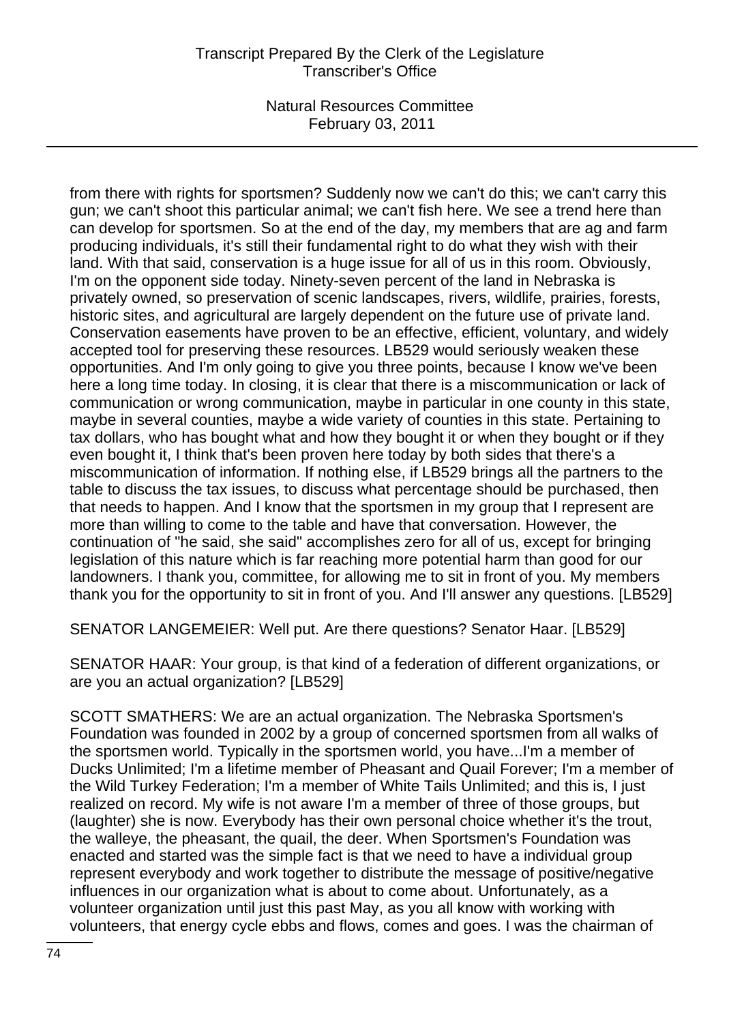from there with rights for sportsmen? Suddenly now we can't do this; we can't carry this gun; we can't shoot this particular animal; we can't fish here. We see a trend here than can develop for sportsmen. So at the end of the day, my members that are ag and farm producing individuals, it's still their fundamental right to do what they wish with their land. With that said, conservation is a huge issue for all of us in this room. Obviously, I'm on the opponent side today. Ninety-seven percent of the land in Nebraska is privately owned, so preservation of scenic landscapes, rivers, wildlife, prairies, forests, historic sites, and agricultural are largely dependent on the future use of private land. Conservation easements have proven to be an effective, efficient, voluntary, and widely accepted tool for preserving these resources. LB529 would seriously weaken these opportunities. And I'm only going to give you three points, because I know we've been here a long time today. In closing, it is clear that there is a miscommunication or lack of communication or wrong communication, maybe in particular in one county in this state, maybe in several counties, maybe a wide variety of counties in this state. Pertaining to tax dollars, who has bought what and how they bought it or when they bought or if they even bought it, I think that's been proven here today by both sides that there's a miscommunication of information. If nothing else, if LB529 brings all the partners to the table to discuss the tax issues, to discuss what percentage should be purchased, then that needs to happen. And I know that the sportsmen in my group that I represent are more than willing to come to the table and have that conversation. However, the continuation of "he said, she said" accomplishes zero for all of us, except for bringing legislation of this nature which is far reaching more potential harm than good for our landowners. I thank you, committee, for allowing me to sit in front of you. My members thank you for the opportunity to sit in front of you. And I'll answer any questions. [LB529]

SENATOR LANGEMEIER: Well put. Are there questions? Senator Haar. [LB529]

SENATOR HAAR: Your group, is that kind of a federation of different organizations, or are you an actual organization? [LB529]

SCOTT SMATHERS: We are an actual organization. The Nebraska Sportsmen's Foundation was founded in 2002 by a group of concerned sportsmen from all walks of the sportsmen world. Typically in the sportsmen world, you have...I'm a member of Ducks Unlimited; I'm a lifetime member of Pheasant and Quail Forever; I'm a member of the Wild Turkey Federation; I'm a member of White Tails Unlimited; and this is, I just realized on record. My wife is not aware I'm a member of three of those groups, but (laughter) she is now. Everybody has their own personal choice whether it's the trout, the walleye, the pheasant, the quail, the deer. When Sportsmen's Foundation was enacted and started was the simple fact is that we need to have a individual group represent everybody and work together to distribute the message of positive/negative influences in our organization what is about to come about. Unfortunately, as a volunteer organization until just this past May, as you all know with working with volunteers, that energy cycle ebbs and flows, comes and goes. I was the chairman of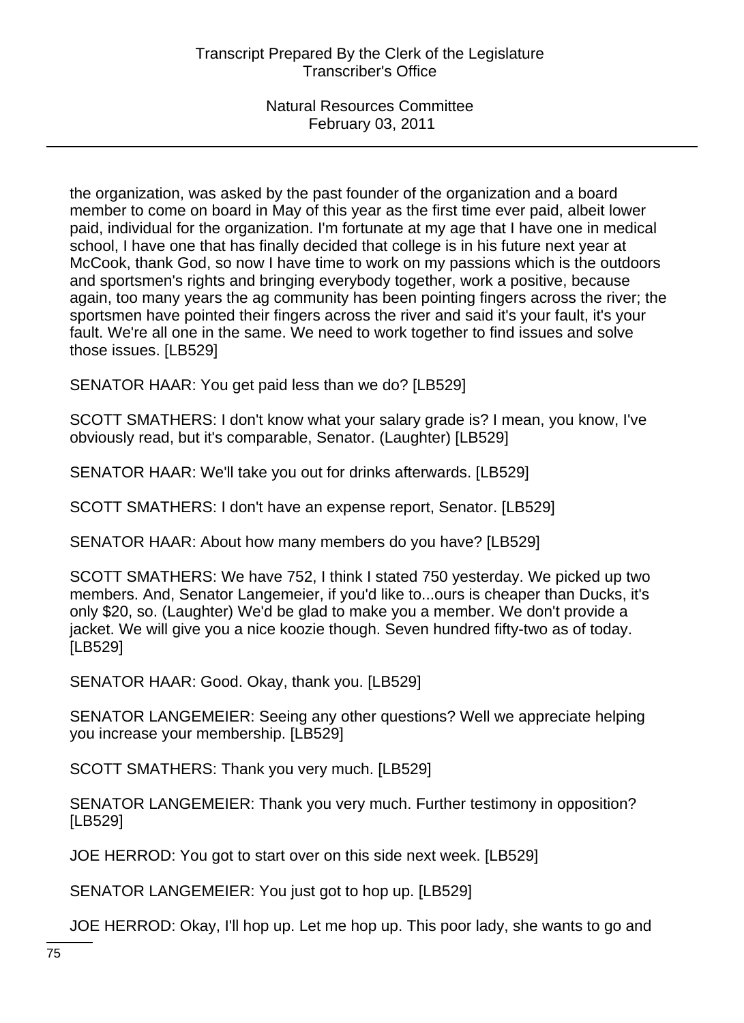the organization, was asked by the past founder of the organization and a board member to come on board in May of this year as the first time ever paid, albeit lower paid, individual for the organization. I'm fortunate at my age that I have one in medical school, I have one that has finally decided that college is in his future next year at McCook, thank God, so now I have time to work on my passions which is the outdoors and sportsmen's rights and bringing everybody together, work a positive, because again, too many years the ag community has been pointing fingers across the river; the sportsmen have pointed their fingers across the river and said it's your fault, it's your fault. We're all one in the same. We need to work together to find issues and solve those issues. [LB529]

SENATOR HAAR: You get paid less than we do? [LB529]

SCOTT SMATHERS: I don't know what your salary grade is? I mean, you know, I've obviously read, but it's comparable, Senator. (Laughter) [LB529]

SENATOR HAAR: We'll take you out for drinks afterwards. [LB529]

SCOTT SMATHERS: I don't have an expense report, Senator. [LB529]

SENATOR HAAR: About how many members do you have? [LB529]

SCOTT SMATHERS: We have 752, I think I stated 750 yesterday. We picked up two members. And, Senator Langemeier, if you'd like to...ours is cheaper than Ducks, it's only \$20, so. (Laughter) We'd be glad to make you a member. We don't provide a jacket. We will give you a nice koozie though. Seven hundred fifty-two as of today. [LB529]

SENATOR HAAR: Good. Okay, thank you. [LB529]

SENATOR LANGEMEIER: Seeing any other questions? Well we appreciate helping you increase your membership. [LB529]

SCOTT SMATHERS: Thank you very much. [LB529]

SENATOR LANGEMEIER: Thank you very much. Further testimony in opposition? [LB529]

JOE HERROD: You got to start over on this side next week. [LB529]

SENATOR LANGEMEIER: You just got to hop up. [LB529]

JOE HERROD: Okay, I'll hop up. Let me hop up. This poor lady, she wants to go and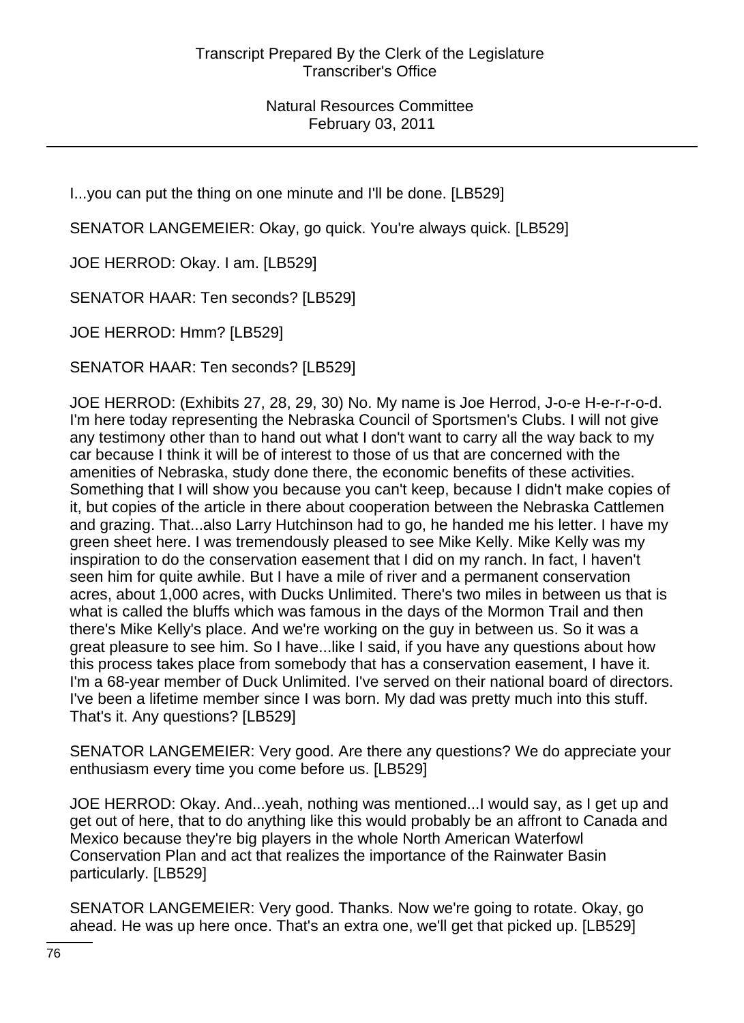I...you can put the thing on one minute and I'll be done. [LB529]

SENATOR LANGEMEIER: Okay, go quick. You're always quick. [LB529]

JOE HERROD: Okay. I am. [LB529]

SENATOR HAAR: Ten seconds? [LB529]

JOE HERROD: Hmm? [LB529]

SENATOR HAAR: Ten seconds? [LB529]

JOE HERROD: (Exhibits 27, 28, 29, 30) No. My name is Joe Herrod, J-o-e H-e-r-r-o-d. I'm here today representing the Nebraska Council of Sportsmen's Clubs. I will not give any testimony other than to hand out what I don't want to carry all the way back to my car because I think it will be of interest to those of us that are concerned with the amenities of Nebraska, study done there, the economic benefits of these activities. Something that I will show you because you can't keep, because I didn't make copies of it, but copies of the article in there about cooperation between the Nebraska Cattlemen and grazing. That...also Larry Hutchinson had to go, he handed me his letter. I have my green sheet here. I was tremendously pleased to see Mike Kelly. Mike Kelly was my inspiration to do the conservation easement that I did on my ranch. In fact, I haven't seen him for quite awhile. But I have a mile of river and a permanent conservation acres, about 1,000 acres, with Ducks Unlimited. There's two miles in between us that is what is called the bluffs which was famous in the days of the Mormon Trail and then there's Mike Kelly's place. And we're working on the guy in between us. So it was a great pleasure to see him. So I have...like I said, if you have any questions about how this process takes place from somebody that has a conservation easement, I have it. I'm a 68-year member of Duck Unlimited. I've served on their national board of directors. I've been a lifetime member since I was born. My dad was pretty much into this stuff. That's it. Any questions? [LB529]

SENATOR LANGEMEIER: Very good. Are there any questions? We do appreciate your enthusiasm every time you come before us. [LB529]

JOE HERROD: Okay. And...yeah, nothing was mentioned...I would say, as I get up and get out of here, that to do anything like this would probably be an affront to Canada and Mexico because they're big players in the whole North American Waterfowl Conservation Plan and act that realizes the importance of the Rainwater Basin particularly. [LB529]

SENATOR LANGEMEIER: Very good. Thanks. Now we're going to rotate. Okay, go ahead. He was up here once. That's an extra one, we'll get that picked up. [LB529]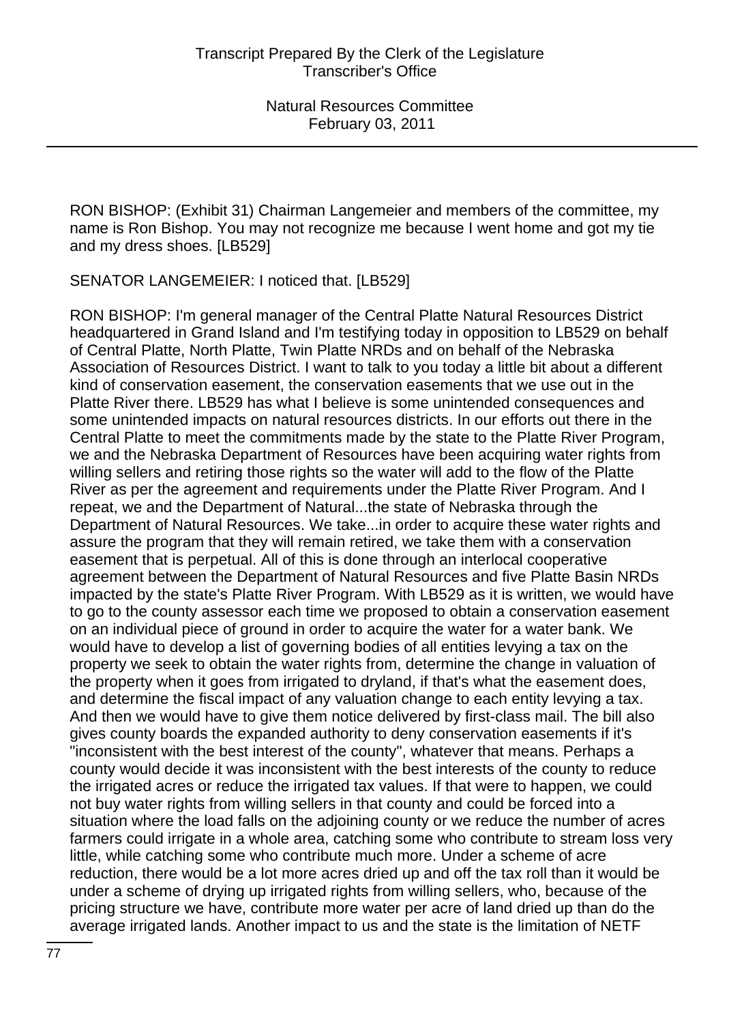RON BISHOP: (Exhibit 31) Chairman Langemeier and members of the committee, my name is Ron Bishop. You may not recognize me because I went home and got my tie and my dress shoes. [LB529]

SENATOR LANGEMEIER: I noticed that. [LB529]

RON BISHOP: I'm general manager of the Central Platte Natural Resources District headquartered in Grand Island and I'm testifying today in opposition to LB529 on behalf of Central Platte, North Platte, Twin Platte NRDs and on behalf of the Nebraska Association of Resources District. I want to talk to you today a little bit about a different kind of conservation easement, the conservation easements that we use out in the Platte River there. LB529 has what I believe is some unintended consequences and some unintended impacts on natural resources districts. In our efforts out there in the Central Platte to meet the commitments made by the state to the Platte River Program, we and the Nebraska Department of Resources have been acquiring water rights from willing sellers and retiring those rights so the water will add to the flow of the Platte River as per the agreement and requirements under the Platte River Program. And I repeat, we and the Department of Natural...the state of Nebraska through the Department of Natural Resources. We take...in order to acquire these water rights and assure the program that they will remain retired, we take them with a conservation easement that is perpetual. All of this is done through an interlocal cooperative agreement between the Department of Natural Resources and five Platte Basin NRDs impacted by the state's Platte River Program. With LB529 as it is written, we would have to go to the county assessor each time we proposed to obtain a conservation easement on an individual piece of ground in order to acquire the water for a water bank. We would have to develop a list of governing bodies of all entities levying a tax on the property we seek to obtain the water rights from, determine the change in valuation of the property when it goes from irrigated to dryland, if that's what the easement does, and determine the fiscal impact of any valuation change to each entity levying a tax. And then we would have to give them notice delivered by first-class mail. The bill also gives county boards the expanded authority to deny conservation easements if it's "inconsistent with the best interest of the county", whatever that means. Perhaps a county would decide it was inconsistent with the best interests of the county to reduce the irrigated acres or reduce the irrigated tax values. If that were to happen, we could not buy water rights from willing sellers in that county and could be forced into a situation where the load falls on the adjoining county or we reduce the number of acres farmers could irrigate in a whole area, catching some who contribute to stream loss very little, while catching some who contribute much more. Under a scheme of acre reduction, there would be a lot more acres dried up and off the tax roll than it would be under a scheme of drying up irrigated rights from willing sellers, who, because of the pricing structure we have, contribute more water per acre of land dried up than do the average irrigated lands. Another impact to us and the state is the limitation of NETF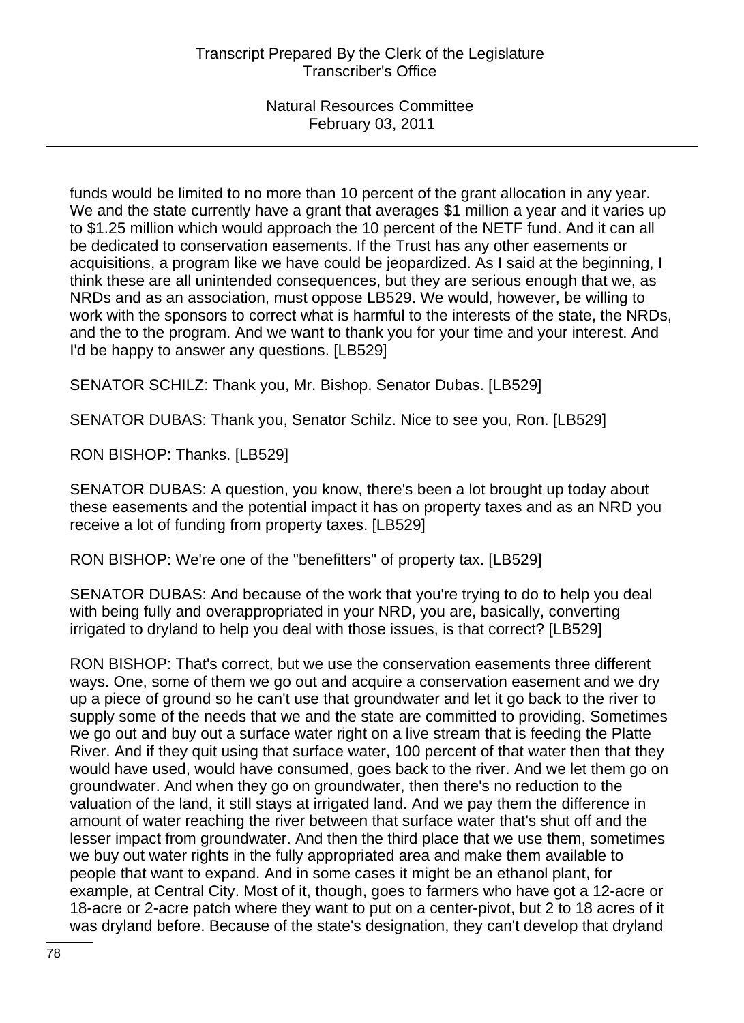funds would be limited to no more than 10 percent of the grant allocation in any year. We and the state currently have a grant that averages \$1 million a year and it varies up to \$1.25 million which would approach the 10 percent of the NETF fund. And it can all be dedicated to conservation easements. If the Trust has any other easements or acquisitions, a program like we have could be jeopardized. As I said at the beginning, I think these are all unintended consequences, but they are serious enough that we, as NRDs and as an association, must oppose LB529. We would, however, be willing to work with the sponsors to correct what is harmful to the interests of the state, the NRDs, and the to the program. And we want to thank you for your time and your interest. And I'd be happy to answer any questions. [LB529]

SENATOR SCHILZ: Thank you, Mr. Bishop. Senator Dubas. [LB529]

SENATOR DUBAS: Thank you, Senator Schilz. Nice to see you, Ron. [LB529]

RON BISHOP: Thanks. [LB529]

SENATOR DUBAS: A question, you know, there's been a lot brought up today about these easements and the potential impact it has on property taxes and as an NRD you receive a lot of funding from property taxes. [LB529]

RON BISHOP: We're one of the "benefitters" of property tax. [LB529]

SENATOR DUBAS: And because of the work that you're trying to do to help you deal with being fully and overappropriated in your NRD, you are, basically, converting irrigated to dryland to help you deal with those issues, is that correct? [LB529]

RON BISHOP: That's correct, but we use the conservation easements three different ways. One, some of them we go out and acquire a conservation easement and we dry up a piece of ground so he can't use that groundwater and let it go back to the river to supply some of the needs that we and the state are committed to providing. Sometimes we go out and buy out a surface water right on a live stream that is feeding the Platte River. And if they quit using that surface water, 100 percent of that water then that they would have used, would have consumed, goes back to the river. And we let them go on groundwater. And when they go on groundwater, then there's no reduction to the valuation of the land, it still stays at irrigated land. And we pay them the difference in amount of water reaching the river between that surface water that's shut off and the lesser impact from groundwater. And then the third place that we use them, sometimes we buy out water rights in the fully appropriated area and make them available to people that want to expand. And in some cases it might be an ethanol plant, for example, at Central City. Most of it, though, goes to farmers who have got a 12-acre or 18-acre or 2-acre patch where they want to put on a center-pivot, but 2 to 18 acres of it was dryland before. Because of the state's designation, they can't develop that dryland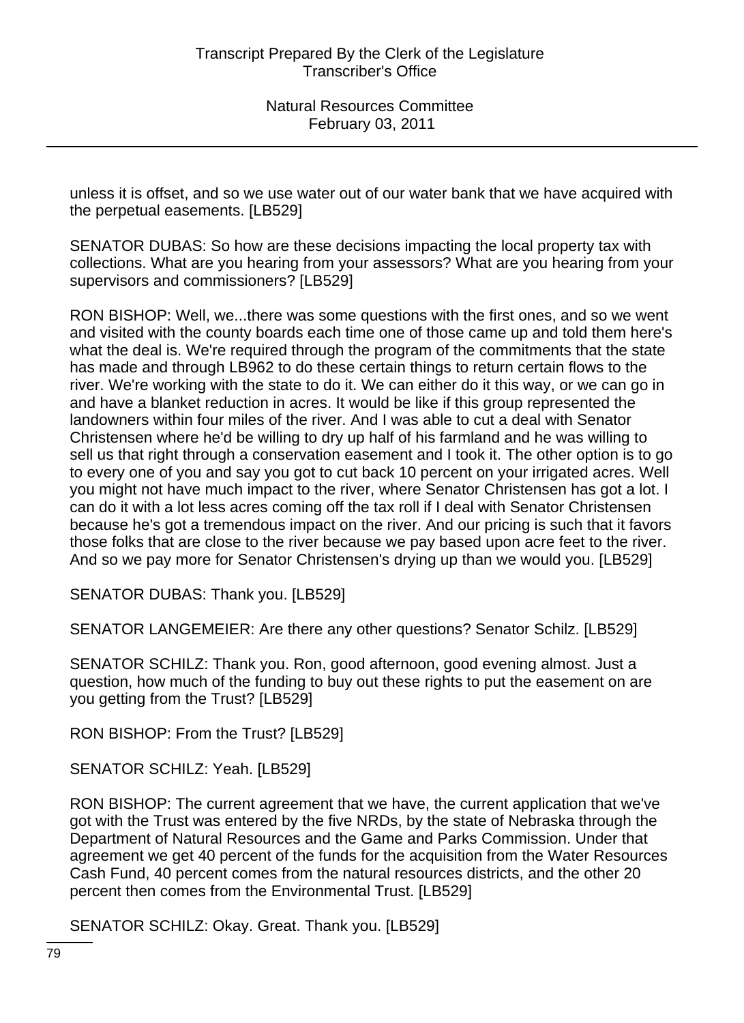unless it is offset, and so we use water out of our water bank that we have acquired with the perpetual easements. [LB529]

SENATOR DUBAS: So how are these decisions impacting the local property tax with collections. What are you hearing from your assessors? What are you hearing from your supervisors and commissioners? [LB529]

RON BISHOP: Well, we...there was some questions with the first ones, and so we went and visited with the county boards each time one of those came up and told them here's what the deal is. We're required through the program of the commitments that the state has made and through LB962 to do these certain things to return certain flows to the river. We're working with the state to do it. We can either do it this way, or we can go in and have a blanket reduction in acres. It would be like if this group represented the landowners within four miles of the river. And I was able to cut a deal with Senator Christensen where he'd be willing to dry up half of his farmland and he was willing to sell us that right through a conservation easement and I took it. The other option is to go to every one of you and say you got to cut back 10 percent on your irrigated acres. Well you might not have much impact to the river, where Senator Christensen has got a lot. I can do it with a lot less acres coming off the tax roll if I deal with Senator Christensen because he's got a tremendous impact on the river. And our pricing is such that it favors those folks that are close to the river because we pay based upon acre feet to the river. And so we pay more for Senator Christensen's drying up than we would you. [LB529]

SENATOR DUBAS: Thank you. [LB529]

SENATOR LANGEMEIER: Are there any other questions? Senator Schilz. [LB529]

SENATOR SCHILZ: Thank you. Ron, good afternoon, good evening almost. Just a question, how much of the funding to buy out these rights to put the easement on are you getting from the Trust? [LB529]

RON BISHOP: From the Trust? [LB529]

SENATOR SCHILZ: Yeah. [LB529]

RON BISHOP: The current agreement that we have, the current application that we've got with the Trust was entered by the five NRDs, by the state of Nebraska through the Department of Natural Resources and the Game and Parks Commission. Under that agreement we get 40 percent of the funds for the acquisition from the Water Resources Cash Fund, 40 percent comes from the natural resources districts, and the other 20 percent then comes from the Environmental Trust. [LB529]

SENATOR SCHILZ: Okay. Great. Thank you. [LB529]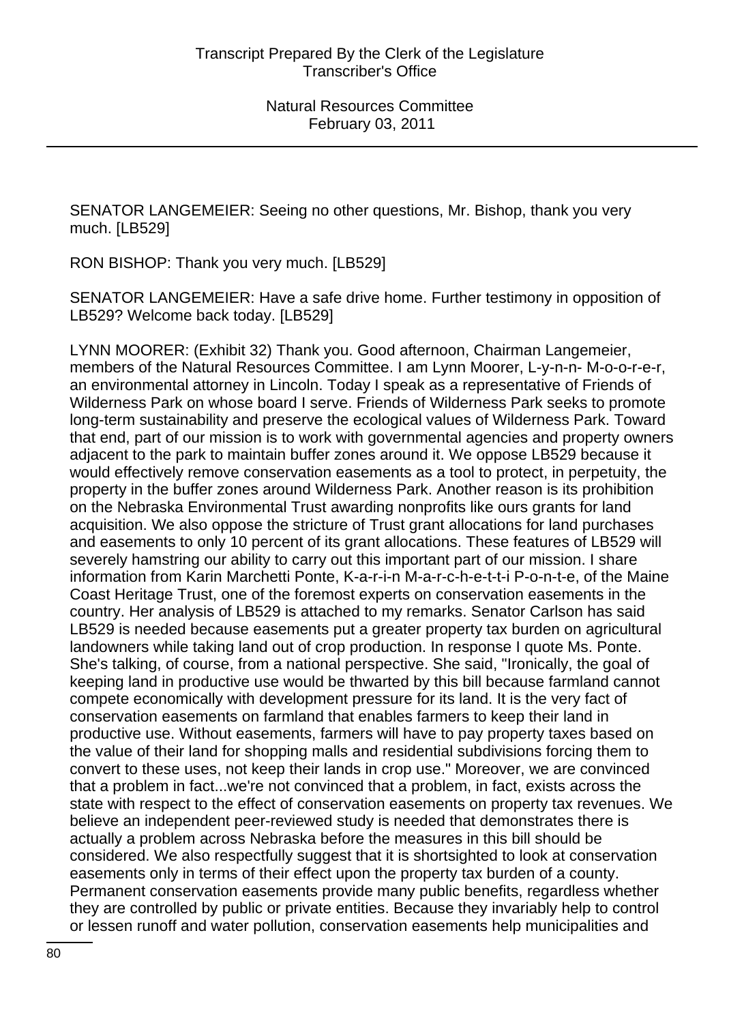SENATOR LANGEMEIER: Seeing no other questions, Mr. Bishop, thank you very much. [LB529]

RON BISHOP: Thank you very much. [LB529]

SENATOR LANGEMEIER: Have a safe drive home. Further testimony in opposition of LB529? Welcome back today. [LB529]

LYNN MOORER: (Exhibit 32) Thank you. Good afternoon, Chairman Langemeier, members of the Natural Resources Committee. I am Lynn Moorer, L-y-n-n- M-o-o-r-e-r, an environmental attorney in Lincoln. Today I speak as a representative of Friends of Wilderness Park on whose board I serve. Friends of Wilderness Park seeks to promote long-term sustainability and preserve the ecological values of Wilderness Park. Toward that end, part of our mission is to work with governmental agencies and property owners adjacent to the park to maintain buffer zones around it. We oppose LB529 because it would effectively remove conservation easements as a tool to protect, in perpetuity, the property in the buffer zones around Wilderness Park. Another reason is its prohibition on the Nebraska Environmental Trust awarding nonprofits like ours grants for land acquisition. We also oppose the stricture of Trust grant allocations for land purchases and easements to only 10 percent of its grant allocations. These features of LB529 will severely hamstring our ability to carry out this important part of our mission. I share information from Karin Marchetti Ponte, K-a-r-i-n M-a-r-c-h-e-t-t-i P-o-n-t-e, of the Maine Coast Heritage Trust, one of the foremost experts on conservation easements in the country. Her analysis of LB529 is attached to my remarks. Senator Carlson has said LB529 is needed because easements put a greater property tax burden on agricultural landowners while taking land out of crop production. In response I quote Ms. Ponte. She's talking, of course, from a national perspective. She said, "Ironically, the goal of keeping land in productive use would be thwarted by this bill because farmland cannot compete economically with development pressure for its land. It is the very fact of conservation easements on farmland that enables farmers to keep their land in productive use. Without easements, farmers will have to pay property taxes based on the value of their land for shopping malls and residential subdivisions forcing them to convert to these uses, not keep their lands in crop use." Moreover, we are convinced that a problem in fact...we're not convinced that a problem, in fact, exists across the state with respect to the effect of conservation easements on property tax revenues. We believe an independent peer-reviewed study is needed that demonstrates there is actually a problem across Nebraska before the measures in this bill should be considered. We also respectfully suggest that it is shortsighted to look at conservation easements only in terms of their effect upon the property tax burden of a county. Permanent conservation easements provide many public benefits, regardless whether they are controlled by public or private entities. Because they invariably help to control or lessen runoff and water pollution, conservation easements help municipalities and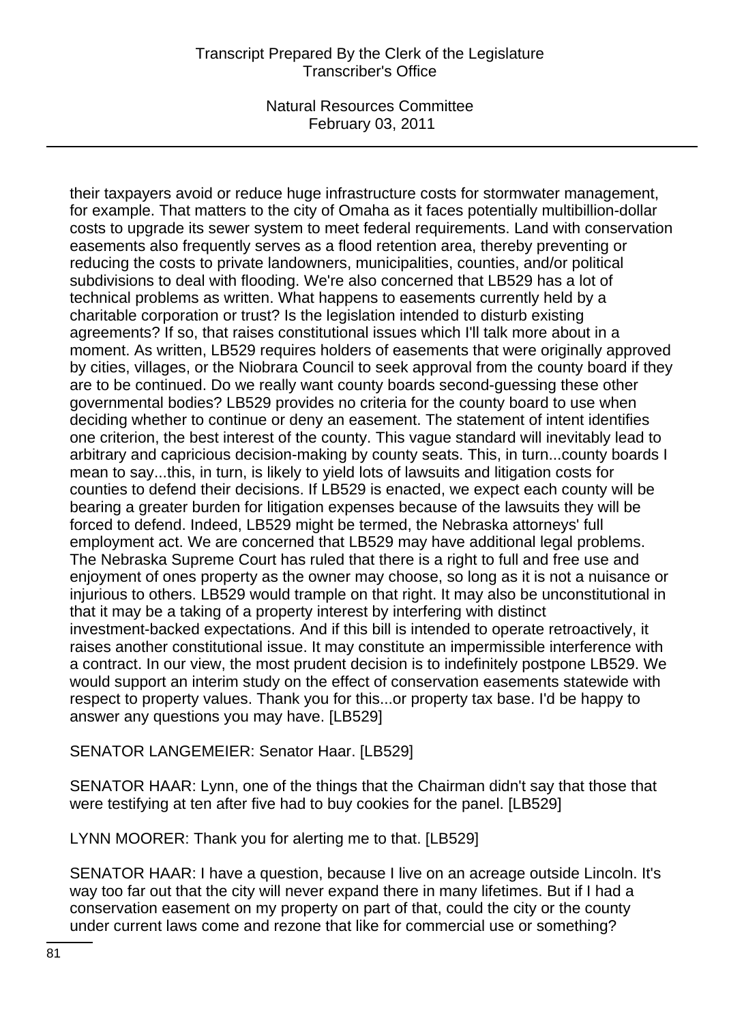## Transcript Prepared By the Clerk of the Legislature Transcriber's Office

Natural Resources Committee February 03, 2011

their taxpayers avoid or reduce huge infrastructure costs for stormwater management, for example. That matters to the city of Omaha as it faces potentially multibillion-dollar costs to upgrade its sewer system to meet federal requirements. Land with conservation easements also frequently serves as a flood retention area, thereby preventing or reducing the costs to private landowners, municipalities, counties, and/or political subdivisions to deal with flooding. We're also concerned that LB529 has a lot of technical problems as written. What happens to easements currently held by a charitable corporation or trust? Is the legislation intended to disturb existing agreements? If so, that raises constitutional issues which I'll talk more about in a moment. As written, LB529 requires holders of easements that were originally approved by cities, villages, or the Niobrara Council to seek approval from the county board if they are to be continued. Do we really want county boards second-guessing these other governmental bodies? LB529 provides no criteria for the county board to use when deciding whether to continue or deny an easement. The statement of intent identifies one criterion, the best interest of the county. This vague standard will inevitably lead to arbitrary and capricious decision-making by county seats. This, in turn...county boards I mean to say...this, in turn, is likely to yield lots of lawsuits and litigation costs for counties to defend their decisions. If LB529 is enacted, we expect each county will be bearing a greater burden for litigation expenses because of the lawsuits they will be forced to defend. Indeed, LB529 might be termed, the Nebraska attorneys' full employment act. We are concerned that LB529 may have additional legal problems. The Nebraska Supreme Court has ruled that there is a right to full and free use and enjoyment of ones property as the owner may choose, so long as it is not a nuisance or injurious to others. LB529 would trample on that right. It may also be unconstitutional in that it may be a taking of a property interest by interfering with distinct investment-backed expectations. And if this bill is intended to operate retroactively, it raises another constitutional issue. It may constitute an impermissible interference with a contract. In our view, the most prudent decision is to indefinitely postpone LB529. We would support an interim study on the effect of conservation easements statewide with respect to property values. Thank you for this...or property tax base. I'd be happy to answer any questions you may have. [LB529]

SENATOR LANGEMEIER: Senator Haar. [LB529]

SENATOR HAAR: Lynn, one of the things that the Chairman didn't say that those that were testifying at ten after five had to buy cookies for the panel. [LB529]

LYNN MOORER: Thank you for alerting me to that. [LB529]

SENATOR HAAR: I have a question, because I live on an acreage outside Lincoln. It's way too far out that the city will never expand there in many lifetimes. But if I had a conservation easement on my property on part of that, could the city or the county under current laws come and rezone that like for commercial use or something?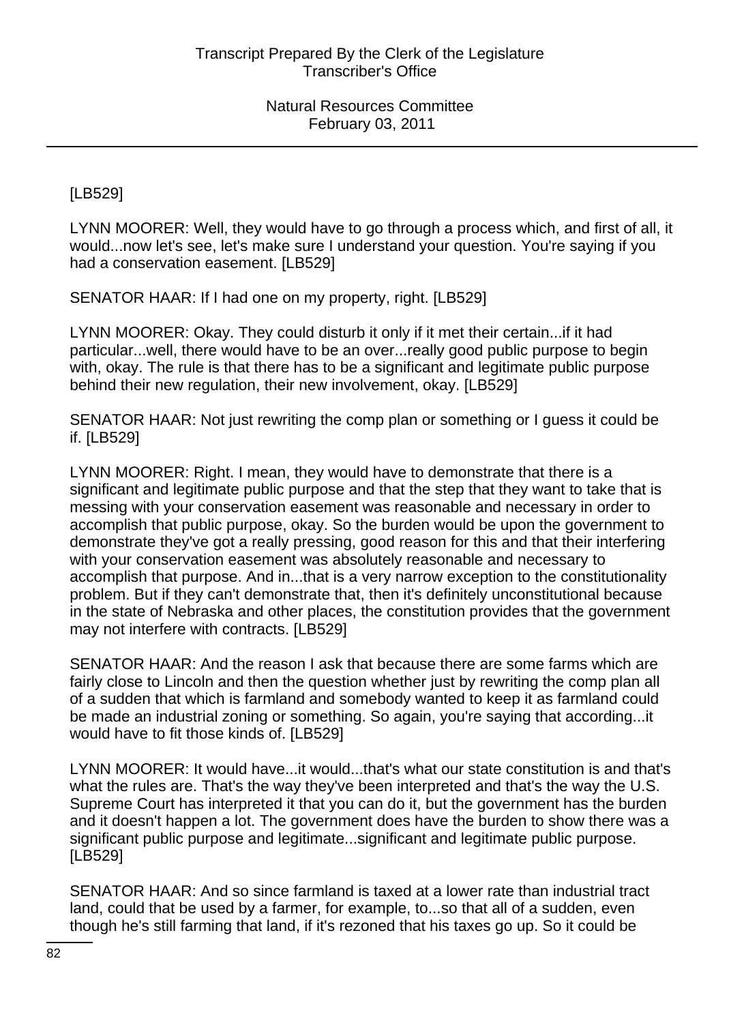[LB529]

LYNN MOORER: Well, they would have to go through a process which, and first of all, it would...now let's see, let's make sure I understand your question. You're saying if you had a conservation easement. [LB529]

SENATOR HAAR: If I had one on my property, right. [LB529]

LYNN MOORER: Okay. They could disturb it only if it met their certain...if it had particular...well, there would have to be an over...really good public purpose to begin with, okay. The rule is that there has to be a significant and legitimate public purpose behind their new regulation, their new involvement, okay. [LB529]

SENATOR HAAR: Not just rewriting the comp plan or something or I guess it could be if. [LB529]

LYNN MOORER: Right. I mean, they would have to demonstrate that there is a significant and legitimate public purpose and that the step that they want to take that is messing with your conservation easement was reasonable and necessary in order to accomplish that public purpose, okay. So the burden would be upon the government to demonstrate they've got a really pressing, good reason for this and that their interfering with your conservation easement was absolutely reasonable and necessary to accomplish that purpose. And in...that is a very narrow exception to the constitutionality problem. But if they can't demonstrate that, then it's definitely unconstitutional because in the state of Nebraska and other places, the constitution provides that the government may not interfere with contracts. [LB529]

SENATOR HAAR: And the reason I ask that because there are some farms which are fairly close to Lincoln and then the question whether just by rewriting the comp plan all of a sudden that which is farmland and somebody wanted to keep it as farmland could be made an industrial zoning or something. So again, you're saying that according...it would have to fit those kinds of. [LB529]

LYNN MOORER: It would have...it would...that's what our state constitution is and that's what the rules are. That's the way they've been interpreted and that's the way the U.S. Supreme Court has interpreted it that you can do it, but the government has the burden and it doesn't happen a lot. The government does have the burden to show there was a significant public purpose and legitimate...significant and legitimate public purpose. [LB529]

SENATOR HAAR: And so since farmland is taxed at a lower rate than industrial tract land, could that be used by a farmer, for example, to...so that all of a sudden, even though he's still farming that land, if it's rezoned that his taxes go up. So it could be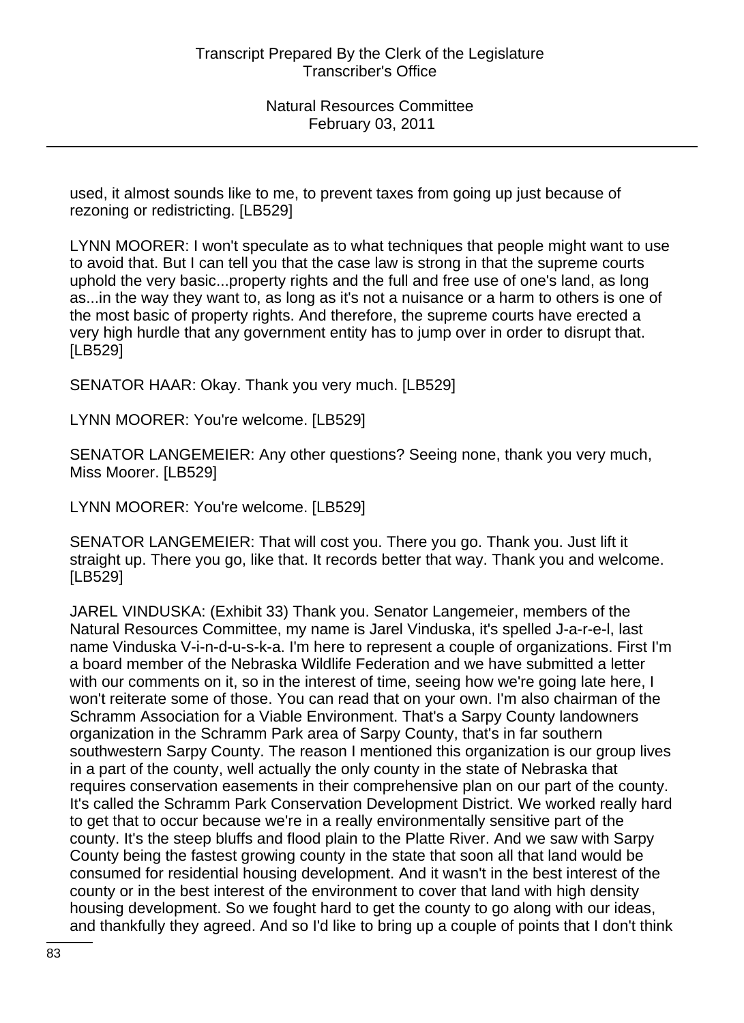used, it almost sounds like to me, to prevent taxes from going up just because of rezoning or redistricting. [LB529]

LYNN MOORER: I won't speculate as to what techniques that people might want to use to avoid that. But I can tell you that the case law is strong in that the supreme courts uphold the very basic...property rights and the full and free use of one's land, as long as...in the way they want to, as long as it's not a nuisance or a harm to others is one of the most basic of property rights. And therefore, the supreme courts have erected a very high hurdle that any government entity has to jump over in order to disrupt that. [LB529]

SENATOR HAAR: Okay. Thank you very much. [LB529]

LYNN MOORER: You're welcome. [LB529]

SENATOR LANGEMEIER: Any other questions? Seeing none, thank you very much, Miss Moorer. [LB529]

LYNN MOORER: You're welcome. [LB529]

SENATOR LANGEMEIER: That will cost you. There you go. Thank you. Just lift it straight up. There you go, like that. It records better that way. Thank you and welcome. [LB529]

JAREL VINDUSKA: (Exhibit 33) Thank you. Senator Langemeier, members of the Natural Resources Committee, my name is Jarel Vinduska, it's spelled J-a-r-e-l, last name Vinduska V-i-n-d-u-s-k-a. I'm here to represent a couple of organizations. First I'm a board member of the Nebraska Wildlife Federation and we have submitted a letter with our comments on it, so in the interest of time, seeing how we're going late here, I won't reiterate some of those. You can read that on your own. I'm also chairman of the Schramm Association for a Viable Environment. That's a Sarpy County landowners organization in the Schramm Park area of Sarpy County, that's in far southern southwestern Sarpy County. The reason I mentioned this organization is our group lives in a part of the county, well actually the only county in the state of Nebraska that requires conservation easements in their comprehensive plan on our part of the county. It's called the Schramm Park Conservation Development District. We worked really hard to get that to occur because we're in a really environmentally sensitive part of the county. It's the steep bluffs and flood plain to the Platte River. And we saw with Sarpy County being the fastest growing county in the state that soon all that land would be consumed for residential housing development. And it wasn't in the best interest of the county or in the best interest of the environment to cover that land with high density housing development. So we fought hard to get the county to go along with our ideas, and thankfully they agreed. And so I'd like to bring up a couple of points that I don't think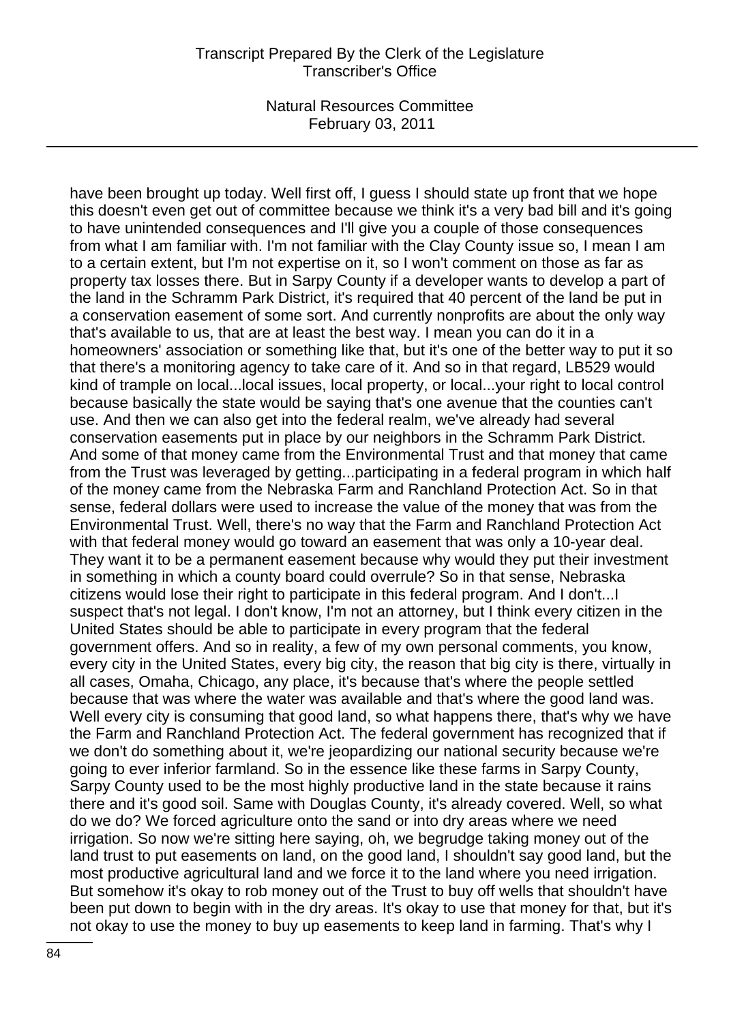have been brought up today. Well first off, I guess I should state up front that we hope this doesn't even get out of committee because we think it's a very bad bill and it's going to have unintended consequences and I'll give you a couple of those consequences from what I am familiar with. I'm not familiar with the Clay County issue so, I mean I am to a certain extent, but I'm not expertise on it, so I won't comment on those as far as property tax losses there. But in Sarpy County if a developer wants to develop a part of the land in the Schramm Park District, it's required that 40 percent of the land be put in a conservation easement of some sort. And currently nonprofits are about the only way that's available to us, that are at least the best way. I mean you can do it in a homeowners' association or something like that, but it's one of the better way to put it so that there's a monitoring agency to take care of it. And so in that regard, LB529 would kind of trample on local...local issues, local property, or local...your right to local control because basically the state would be saying that's one avenue that the counties can't use. And then we can also get into the federal realm, we've already had several conservation easements put in place by our neighbors in the Schramm Park District. And some of that money came from the Environmental Trust and that money that came from the Trust was leveraged by getting...participating in a federal program in which half of the money came from the Nebraska Farm and Ranchland Protection Act. So in that sense, federal dollars were used to increase the value of the money that was from the Environmental Trust. Well, there's no way that the Farm and Ranchland Protection Act with that federal money would go toward an easement that was only a 10-year deal. They want it to be a permanent easement because why would they put their investment in something in which a county board could overrule? So in that sense, Nebraska citizens would lose their right to participate in this federal program. And I don't...I suspect that's not legal. I don't know, I'm not an attorney, but I think every citizen in the United States should be able to participate in every program that the federal government offers. And so in reality, a few of my own personal comments, you know, every city in the United States, every big city, the reason that big city is there, virtually in all cases, Omaha, Chicago, any place, it's because that's where the people settled because that was where the water was available and that's where the good land was. Well every city is consuming that good land, so what happens there, that's why we have the Farm and Ranchland Protection Act. The federal government has recognized that if we don't do something about it, we're jeopardizing our national security because we're going to ever inferior farmland. So in the essence like these farms in Sarpy County, Sarpy County used to be the most highly productive land in the state because it rains there and it's good soil. Same with Douglas County, it's already covered. Well, so what do we do? We forced agriculture onto the sand or into dry areas where we need irrigation. So now we're sitting here saying, oh, we begrudge taking money out of the land trust to put easements on land, on the good land, I shouldn't say good land, but the most productive agricultural land and we force it to the land where you need irrigation. But somehow it's okay to rob money out of the Trust to buy off wells that shouldn't have been put down to begin with in the dry areas. It's okay to use that money for that, but it's not okay to use the money to buy up easements to keep land in farming. That's why I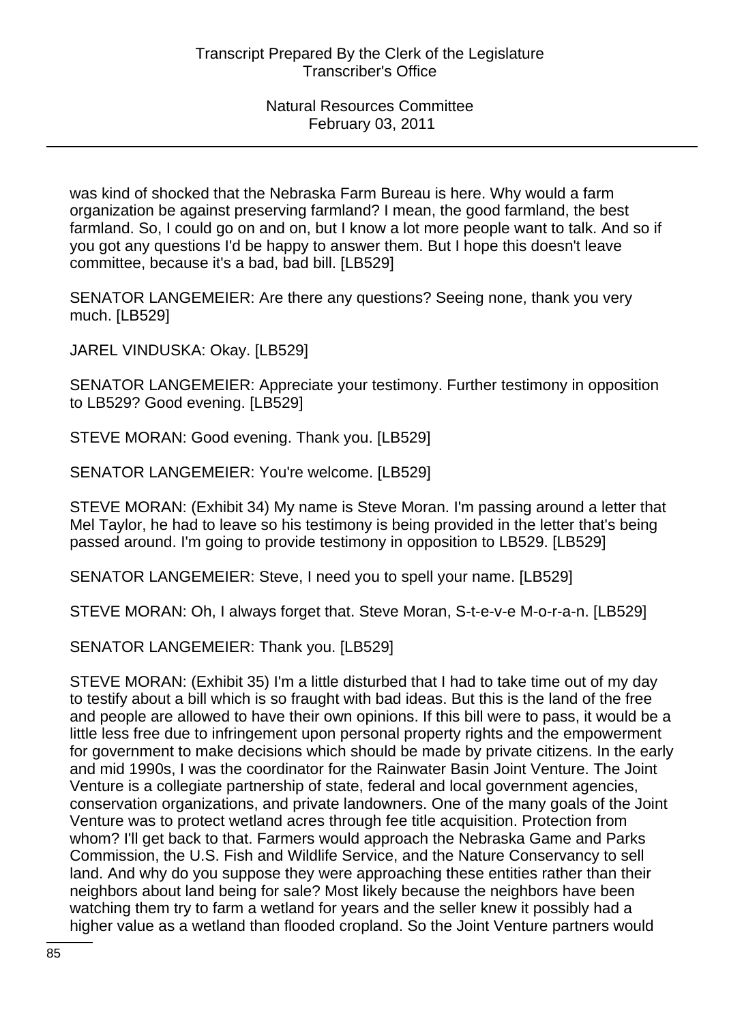was kind of shocked that the Nebraska Farm Bureau is here. Why would a farm organization be against preserving farmland? I mean, the good farmland, the best farmland. So, I could go on and on, but I know a lot more people want to talk. And so if you got any questions I'd be happy to answer them. But I hope this doesn't leave committee, because it's a bad, bad bill. [LB529]

SENATOR LANGEMEIER: Are there any questions? Seeing none, thank you very much. [LB529]

JAREL VINDUSKA: Okay. [LB529]

SENATOR LANGEMEIER: Appreciate your testimony. Further testimony in opposition to LB529? Good evening. [LB529]

STEVE MORAN: Good evening. Thank you. [LB529]

SENATOR LANGEMEIER: You're welcome. [LB529]

STEVE MORAN: (Exhibit 34) My name is Steve Moran. I'm passing around a letter that Mel Taylor, he had to leave so his testimony is being provided in the letter that's being passed around. I'm going to provide testimony in opposition to LB529. [LB529]

SENATOR LANGEMEIER: Steve, I need you to spell your name. [LB529]

STEVE MORAN: Oh, I always forget that. Steve Moran, S-t-e-v-e M-o-r-a-n. [LB529]

SENATOR LANGEMEIER: Thank you. [LB529]

STEVE MORAN: (Exhibit 35) I'm a little disturbed that I had to take time out of my day to testify about a bill which is so fraught with bad ideas. But this is the land of the free and people are allowed to have their own opinions. If this bill were to pass, it would be a little less free due to infringement upon personal property rights and the empowerment for government to make decisions which should be made by private citizens. In the early and mid 1990s, I was the coordinator for the Rainwater Basin Joint Venture. The Joint Venture is a collegiate partnership of state, federal and local government agencies, conservation organizations, and private landowners. One of the many goals of the Joint Venture was to protect wetland acres through fee title acquisition. Protection from whom? I'll get back to that. Farmers would approach the Nebraska Game and Parks Commission, the U.S. Fish and Wildlife Service, and the Nature Conservancy to sell land. And why do you suppose they were approaching these entities rather than their neighbors about land being for sale? Most likely because the neighbors have been watching them try to farm a wetland for years and the seller knew it possibly had a higher value as a wetland than flooded cropland. So the Joint Venture partners would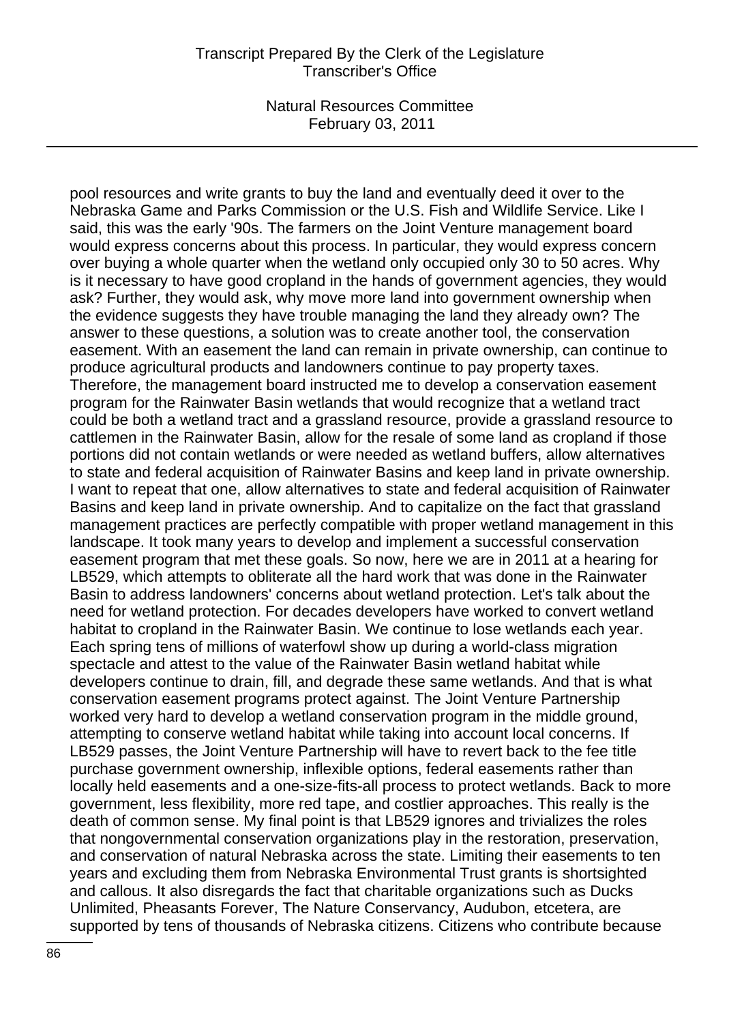pool resources and write grants to buy the land and eventually deed it over to the Nebraska Game and Parks Commission or the U.S. Fish and Wildlife Service. Like I said, this was the early '90s. The farmers on the Joint Venture management board would express concerns about this process. In particular, they would express concern over buying a whole quarter when the wetland only occupied only 30 to 50 acres. Why is it necessary to have good cropland in the hands of government agencies, they would ask? Further, they would ask, why move more land into government ownership when the evidence suggests they have trouble managing the land they already own? The answer to these questions, a solution was to create another tool, the conservation easement. With an easement the land can remain in private ownership, can continue to produce agricultural products and landowners continue to pay property taxes. Therefore, the management board instructed me to develop a conservation easement program for the Rainwater Basin wetlands that would recognize that a wetland tract could be both a wetland tract and a grassland resource, provide a grassland resource to cattlemen in the Rainwater Basin, allow for the resale of some land as cropland if those portions did not contain wetlands or were needed as wetland buffers, allow alternatives to state and federal acquisition of Rainwater Basins and keep land in private ownership. I want to repeat that one, allow alternatives to state and federal acquisition of Rainwater Basins and keep land in private ownership. And to capitalize on the fact that grassland management practices are perfectly compatible with proper wetland management in this landscape. It took many years to develop and implement a successful conservation easement program that met these goals. So now, here we are in 2011 at a hearing for LB529, which attempts to obliterate all the hard work that was done in the Rainwater Basin to address landowners' concerns about wetland protection. Let's talk about the need for wetland protection. For decades developers have worked to convert wetland habitat to cropland in the Rainwater Basin. We continue to lose wetlands each year. Each spring tens of millions of waterfowl show up during a world-class migration spectacle and attest to the value of the Rainwater Basin wetland habitat while developers continue to drain, fill, and degrade these same wetlands. And that is what conservation easement programs protect against. The Joint Venture Partnership worked very hard to develop a wetland conservation program in the middle ground, attempting to conserve wetland habitat while taking into account local concerns. If LB529 passes, the Joint Venture Partnership will have to revert back to the fee title purchase government ownership, inflexible options, federal easements rather than locally held easements and a one-size-fits-all process to protect wetlands. Back to more government, less flexibility, more red tape, and costlier approaches. This really is the death of common sense. My final point is that LB529 ignores and trivializes the roles that nongovernmental conservation organizations play in the restoration, preservation, and conservation of natural Nebraska across the state. Limiting their easements to ten years and excluding them from Nebraska Environmental Trust grants is shortsighted and callous. It also disregards the fact that charitable organizations such as Ducks Unlimited, Pheasants Forever, The Nature Conservancy, Audubon, etcetera, are supported by tens of thousands of Nebraska citizens. Citizens who contribute because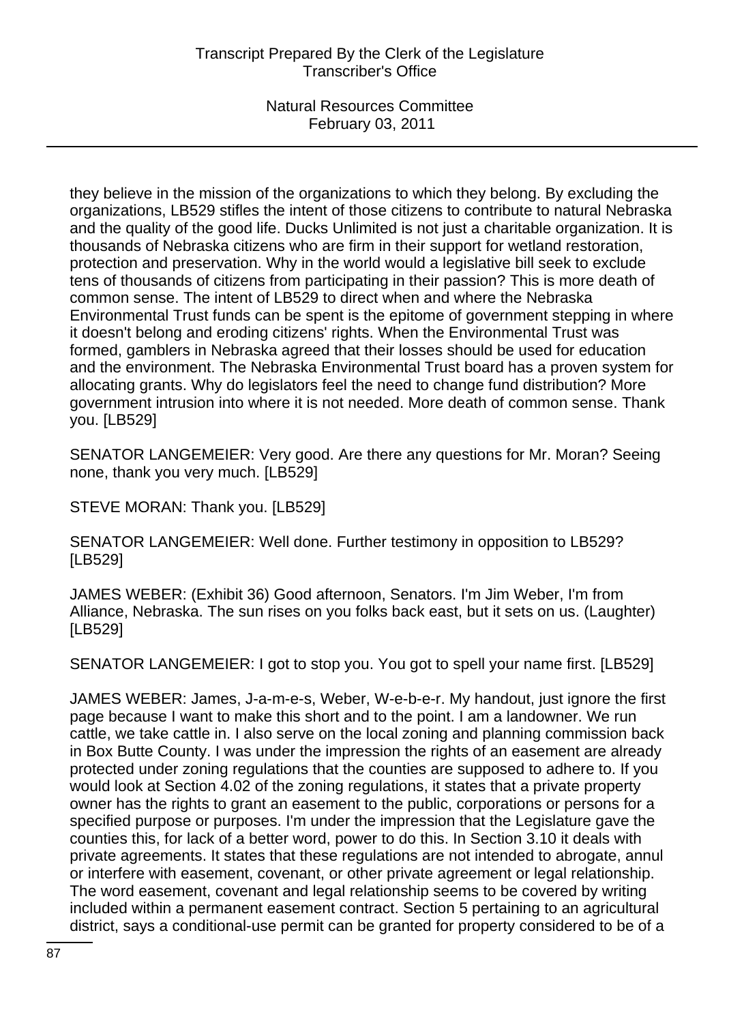they believe in the mission of the organizations to which they belong. By excluding the organizations, LB529 stifles the intent of those citizens to contribute to natural Nebraska and the quality of the good life. Ducks Unlimited is not just a charitable organization. It is thousands of Nebraska citizens who are firm in their support for wetland restoration, protection and preservation. Why in the world would a legislative bill seek to exclude tens of thousands of citizens from participating in their passion? This is more death of common sense. The intent of LB529 to direct when and where the Nebraska Environmental Trust funds can be spent is the epitome of government stepping in where it doesn't belong and eroding citizens' rights. When the Environmental Trust was formed, gamblers in Nebraska agreed that their losses should be used for education and the environment. The Nebraska Environmental Trust board has a proven system for allocating grants. Why do legislators feel the need to change fund distribution? More government intrusion into where it is not needed. More death of common sense. Thank you. [LB529]

SENATOR LANGEMEIER: Very good. Are there any questions for Mr. Moran? Seeing none, thank you very much. [LB529]

STEVE MORAN: Thank you. [LB529]

SENATOR LANGEMEIER: Well done. Further testimony in opposition to LB529? [LB529]

JAMES WEBER: (Exhibit 36) Good afternoon, Senators. I'm Jim Weber, I'm from Alliance, Nebraska. The sun rises on you folks back east, but it sets on us. (Laughter) [LB529]

SENATOR LANGEMEIER: I got to stop you. You got to spell your name first. [LB529]

JAMES WEBER: James, J-a-m-e-s, Weber, W-e-b-e-r. My handout, just ignore the first page because I want to make this short and to the point. I am a landowner. We run cattle, we take cattle in. I also serve on the local zoning and planning commission back in Box Butte County. I was under the impression the rights of an easement are already protected under zoning regulations that the counties are supposed to adhere to. If you would look at Section 4.02 of the zoning regulations, it states that a private property owner has the rights to grant an easement to the public, corporations or persons for a specified purpose or purposes. I'm under the impression that the Legislature gave the counties this, for lack of a better word, power to do this. In Section 3.10 it deals with private agreements. It states that these regulations are not intended to abrogate, annul or interfere with easement, covenant, or other private agreement or legal relationship. The word easement, covenant and legal relationship seems to be covered by writing included within a permanent easement contract. Section 5 pertaining to an agricultural district, says a conditional-use permit can be granted for property considered to be of a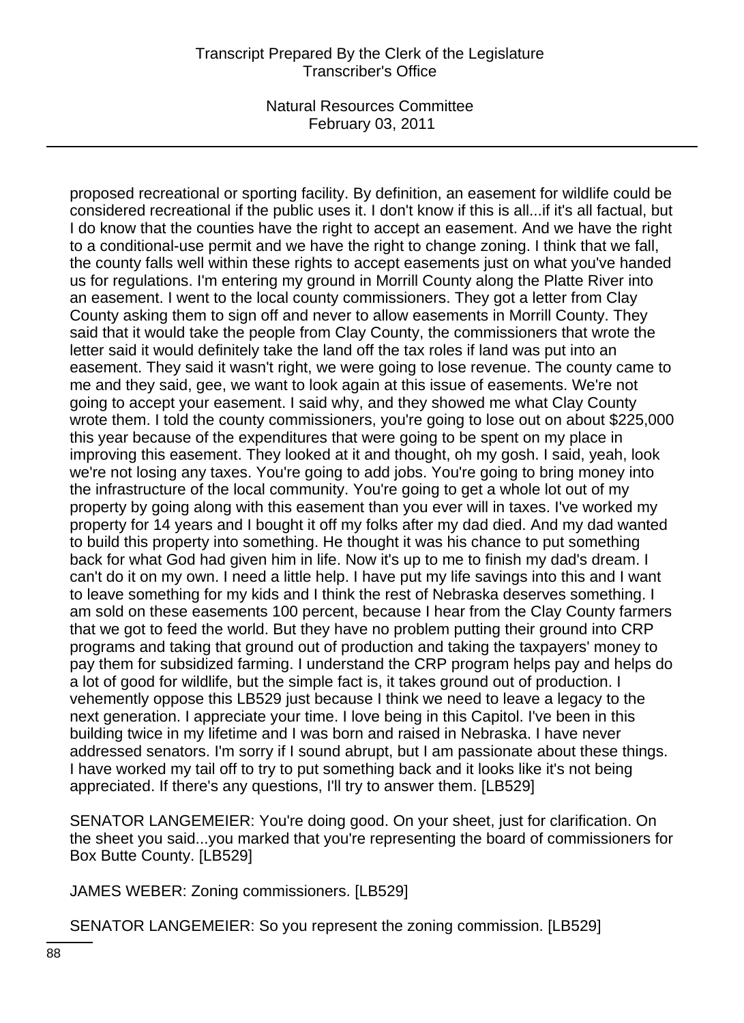proposed recreational or sporting facility. By definition, an easement for wildlife could be considered recreational if the public uses it. I don't know if this is all...if it's all factual, but I do know that the counties have the right to accept an easement. And we have the right to a conditional-use permit and we have the right to change zoning. I think that we fall, the county falls well within these rights to accept easements just on what you've handed us for regulations. I'm entering my ground in Morrill County along the Platte River into an easement. I went to the local county commissioners. They got a letter from Clay County asking them to sign off and never to allow easements in Morrill County. They said that it would take the people from Clay County, the commissioners that wrote the letter said it would definitely take the land off the tax roles if land was put into an easement. They said it wasn't right, we were going to lose revenue. The county came to me and they said, gee, we want to look again at this issue of easements. We're not going to accept your easement. I said why, and they showed me what Clay County wrote them. I told the county commissioners, you're going to lose out on about \$225,000 this year because of the expenditures that were going to be spent on my place in improving this easement. They looked at it and thought, oh my gosh. I said, yeah, look we're not losing any taxes. You're going to add jobs. You're going to bring money into the infrastructure of the local community. You're going to get a whole lot out of my property by going along with this easement than you ever will in taxes. I've worked my property for 14 years and I bought it off my folks after my dad died. And my dad wanted to build this property into something. He thought it was his chance to put something back for what God had given him in life. Now it's up to me to finish my dad's dream. I can't do it on my own. I need a little help. I have put my life savings into this and I want to leave something for my kids and I think the rest of Nebraska deserves something. I am sold on these easements 100 percent, because I hear from the Clay County farmers that we got to feed the world. But they have no problem putting their ground into CRP programs and taking that ground out of production and taking the taxpayers' money to pay them for subsidized farming. I understand the CRP program helps pay and helps do a lot of good for wildlife, but the simple fact is, it takes ground out of production. I vehemently oppose this LB529 just because I think we need to leave a legacy to the next generation. I appreciate your time. I love being in this Capitol. I've been in this building twice in my lifetime and I was born and raised in Nebraska. I have never addressed senators. I'm sorry if I sound abrupt, but I am passionate about these things. I have worked my tail off to try to put something back and it looks like it's not being appreciated. If there's any questions, I'll try to answer them. [LB529]

SENATOR LANGEMEIER: You're doing good. On your sheet, just for clarification. On the sheet you said...you marked that you're representing the board of commissioners for Box Butte County. [LB529]

JAMES WEBER: Zoning commissioners. [LB529]

SENATOR LANGEMEIER: So you represent the zoning commission. [LB529]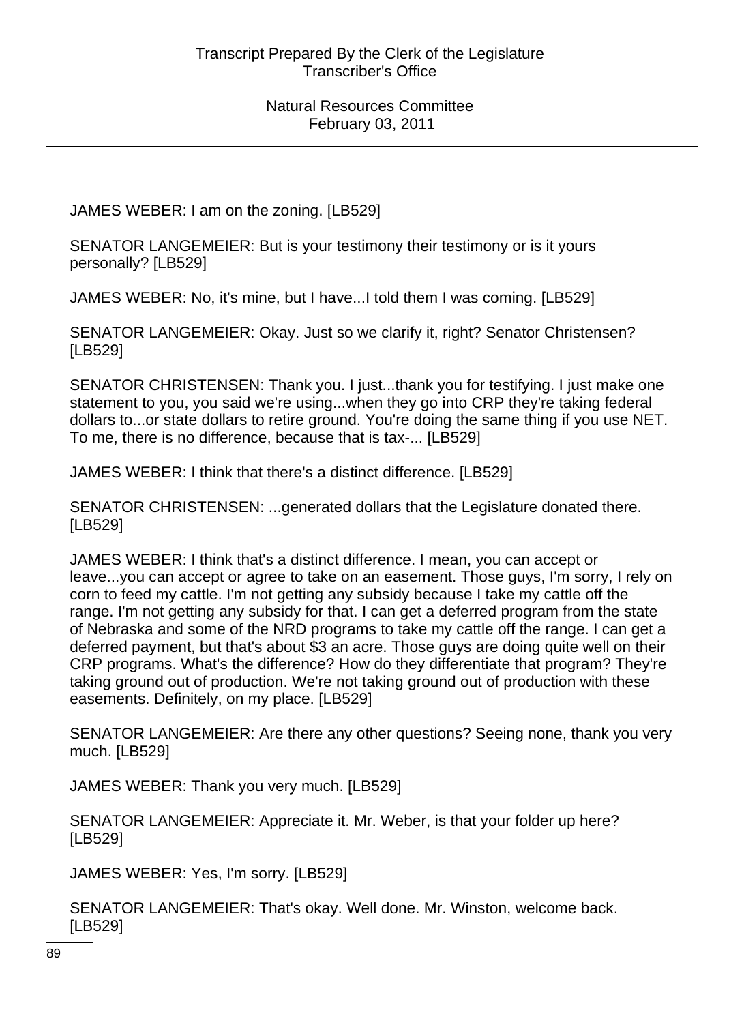JAMES WEBER: I am on the zoning. [LB529]

SENATOR LANGEMEIER: But is your testimony their testimony or is it yours personally? [LB529]

JAMES WEBER: No, it's mine, but I have...I told them I was coming. [LB529]

SENATOR LANGEMEIER: Okay. Just so we clarify it, right? Senator Christensen? [LB529]

SENATOR CHRISTENSEN: Thank you. I just...thank you for testifying. I just make one statement to you, you said we're using...when they go into CRP they're taking federal dollars to...or state dollars to retire ground. You're doing the same thing if you use NET. To me, there is no difference, because that is tax-... [LB529]

JAMES WEBER: I think that there's a distinct difference. [LB529]

SENATOR CHRISTENSEN: ...generated dollars that the Legislature donated there. [LB529]

JAMES WEBER: I think that's a distinct difference. I mean, you can accept or leave...you can accept or agree to take on an easement. Those guys, I'm sorry, I rely on corn to feed my cattle. I'm not getting any subsidy because I take my cattle off the range. I'm not getting any subsidy for that. I can get a deferred program from the state of Nebraska and some of the NRD programs to take my cattle off the range. I can get a deferred payment, but that's about \$3 an acre. Those guys are doing quite well on their CRP programs. What's the difference? How do they differentiate that program? They're taking ground out of production. We're not taking ground out of production with these easements. Definitely, on my place. [LB529]

SENATOR LANGEMEIER: Are there any other questions? Seeing none, thank you very much. [LB529]

JAMES WEBER: Thank you very much. [LB529]

SENATOR LANGEMEIER: Appreciate it. Mr. Weber, is that your folder up here? [LB529]

JAMES WEBER: Yes, I'm sorry. [LB529]

SENATOR LANGEMEIER: That's okay. Well done. Mr. Winston, welcome back. [LB529]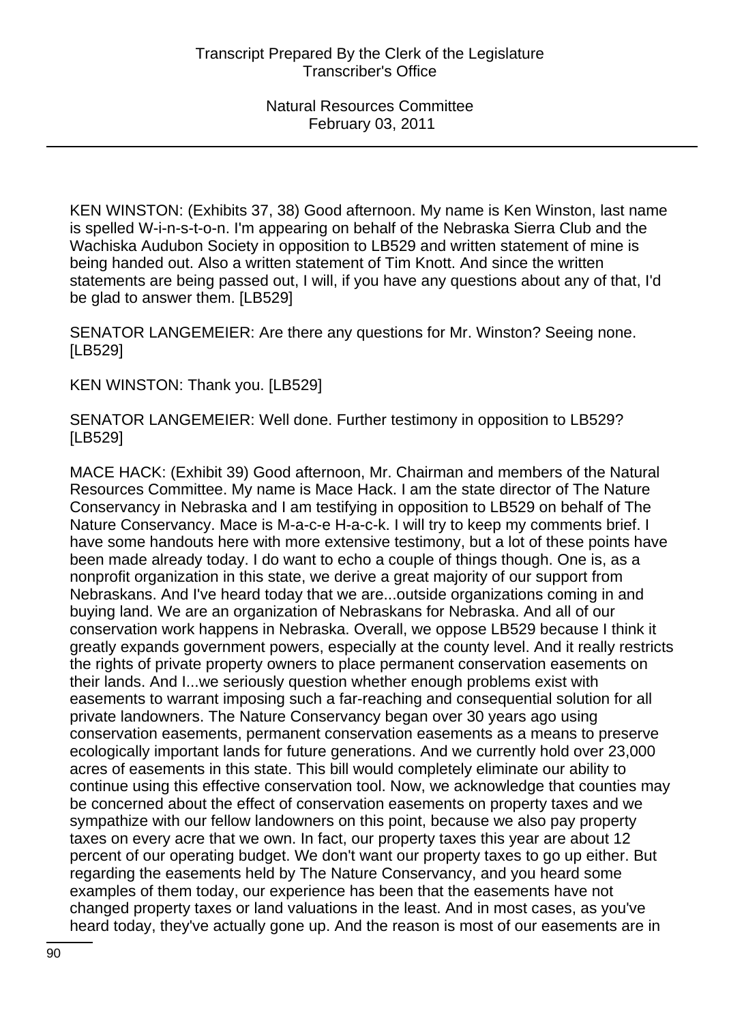KEN WINSTON: (Exhibits 37, 38) Good afternoon. My name is Ken Winston, last name is spelled W-i-n-s-t-o-n. I'm appearing on behalf of the Nebraska Sierra Club and the Wachiska Audubon Society in opposition to LB529 and written statement of mine is being handed out. Also a written statement of Tim Knott. And since the written statements are being passed out, I will, if you have any questions about any of that, I'd be glad to answer them. [LB529]

SENATOR LANGEMEIER: Are there any questions for Mr. Winston? Seeing none. [LB529]

KEN WINSTON: Thank you. [LB529]

SENATOR LANGEMEIER: Well done. Further testimony in opposition to LB529? [LB529]

MACE HACK: (Exhibit 39) Good afternoon, Mr. Chairman and members of the Natural Resources Committee. My name is Mace Hack. I am the state director of The Nature Conservancy in Nebraska and I am testifying in opposition to LB529 on behalf of The Nature Conservancy. Mace is M-a-c-e H-a-c-k. I will try to keep my comments brief. I have some handouts here with more extensive testimony, but a lot of these points have been made already today. I do want to echo a couple of things though. One is, as a nonprofit organization in this state, we derive a great majority of our support from Nebraskans. And I've heard today that we are...outside organizations coming in and buying land. We are an organization of Nebraskans for Nebraska. And all of our conservation work happens in Nebraska. Overall, we oppose LB529 because I think it greatly expands government powers, especially at the county level. And it really restricts the rights of private property owners to place permanent conservation easements on their lands. And I...we seriously question whether enough problems exist with easements to warrant imposing such a far-reaching and consequential solution for all private landowners. The Nature Conservancy began over 30 years ago using conservation easements, permanent conservation easements as a means to preserve ecologically important lands for future generations. And we currently hold over 23,000 acres of easements in this state. This bill would completely eliminate our ability to continue using this effective conservation tool. Now, we acknowledge that counties may be concerned about the effect of conservation easements on property taxes and we sympathize with our fellow landowners on this point, because we also pay property taxes on every acre that we own. In fact, our property taxes this year are about 12 percent of our operating budget. We don't want our property taxes to go up either. But regarding the easements held by The Nature Conservancy, and you heard some examples of them today, our experience has been that the easements have not changed property taxes or land valuations in the least. And in most cases, as you've heard today, they've actually gone up. And the reason is most of our easements are in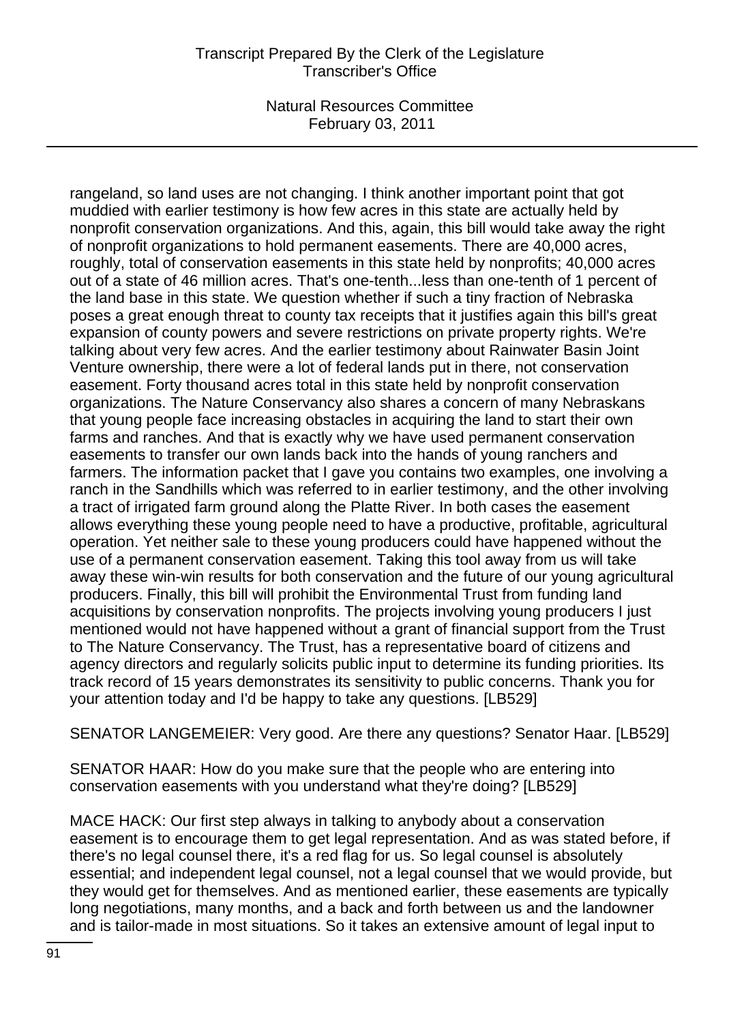rangeland, so land uses are not changing. I think another important point that got muddied with earlier testimony is how few acres in this state are actually held by nonprofit conservation organizations. And this, again, this bill would take away the right of nonprofit organizations to hold permanent easements. There are 40,000 acres, roughly, total of conservation easements in this state held by nonprofits; 40,000 acres out of a state of 46 million acres. That's one-tenth...less than one-tenth of 1 percent of the land base in this state. We question whether if such a tiny fraction of Nebraska poses a great enough threat to county tax receipts that it justifies again this bill's great expansion of county powers and severe restrictions on private property rights. We're talking about very few acres. And the earlier testimony about Rainwater Basin Joint Venture ownership, there were a lot of federal lands put in there, not conservation easement. Forty thousand acres total in this state held by nonprofit conservation organizations. The Nature Conservancy also shares a concern of many Nebraskans that young people face increasing obstacles in acquiring the land to start their own farms and ranches. And that is exactly why we have used permanent conservation easements to transfer our own lands back into the hands of young ranchers and farmers. The information packet that I gave you contains two examples, one involving a ranch in the Sandhills which was referred to in earlier testimony, and the other involving a tract of irrigated farm ground along the Platte River. In both cases the easement allows everything these young people need to have a productive, profitable, agricultural operation. Yet neither sale to these young producers could have happened without the use of a permanent conservation easement. Taking this tool away from us will take away these win-win results for both conservation and the future of our young agricultural producers. Finally, this bill will prohibit the Environmental Trust from funding land acquisitions by conservation nonprofits. The projects involving young producers I just mentioned would not have happened without a grant of financial support from the Trust to The Nature Conservancy. The Trust, has a representative board of citizens and agency directors and regularly solicits public input to determine its funding priorities. Its track record of 15 years demonstrates its sensitivity to public concerns. Thank you for your attention today and I'd be happy to take any questions. [LB529]

SENATOR LANGEMEIER: Very good. Are there any questions? Senator Haar. [LB529]

SENATOR HAAR: How do you make sure that the people who are entering into conservation easements with you understand what they're doing? [LB529]

MACE HACK: Our first step always in talking to anybody about a conservation easement is to encourage them to get legal representation. And as was stated before, if there's no legal counsel there, it's a red flag for us. So legal counsel is absolutely essential; and independent legal counsel, not a legal counsel that we would provide, but they would get for themselves. And as mentioned earlier, these easements are typically long negotiations, many months, and a back and forth between us and the landowner and is tailor-made in most situations. So it takes an extensive amount of legal input to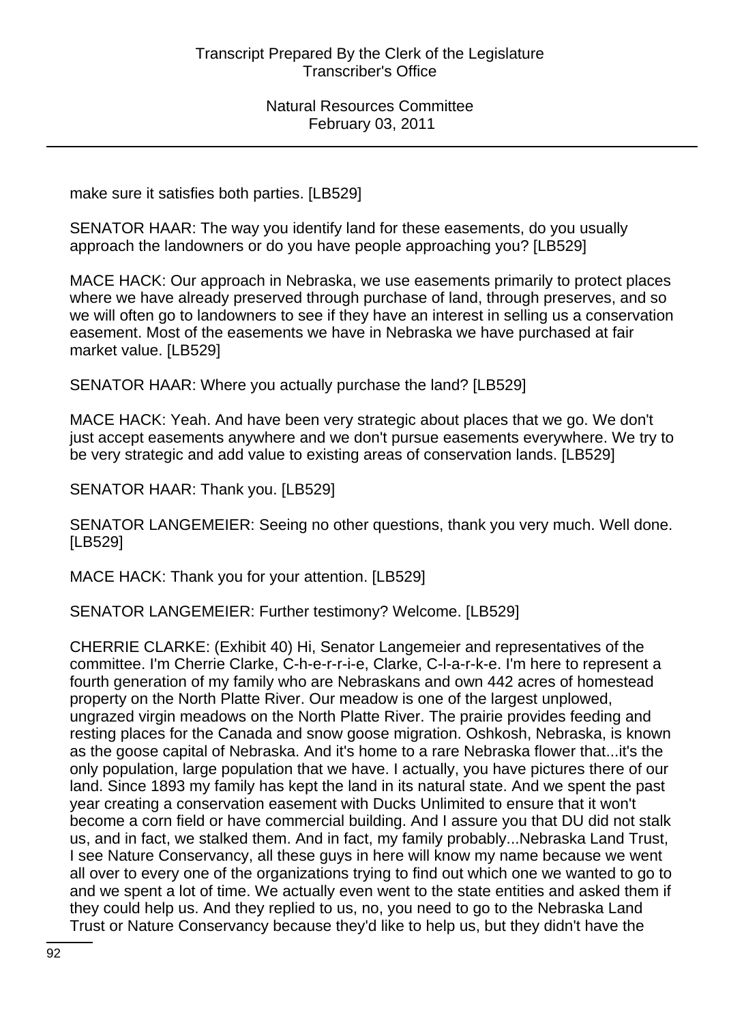make sure it satisfies both parties. [LB529]

SENATOR HAAR: The way you identify land for these easements, do you usually approach the landowners or do you have people approaching you? [LB529]

MACE HACK: Our approach in Nebraska, we use easements primarily to protect places where we have already preserved through purchase of land, through preserves, and so we will often go to landowners to see if they have an interest in selling us a conservation easement. Most of the easements we have in Nebraska we have purchased at fair market value. [LB529]

SENATOR HAAR: Where you actually purchase the land? [LB529]

MACE HACK: Yeah. And have been very strategic about places that we go. We don't just accept easements anywhere and we don't pursue easements everywhere. We try to be very strategic and add value to existing areas of conservation lands. [LB529]

SENATOR HAAR: Thank you. [LB529]

SENATOR LANGEMEIER: Seeing no other questions, thank you very much. Well done. [LB529]

MACE HACK: Thank you for your attention. [LB529]

SENATOR LANGEMEIER: Further testimony? Welcome. [LB529]

CHERRIE CLARKE: (Exhibit 40) Hi, Senator Langemeier and representatives of the committee. I'm Cherrie Clarke, C-h-e-r-r-i-e, Clarke, C-l-a-r-k-e. I'm here to represent a fourth generation of my family who are Nebraskans and own 442 acres of homestead property on the North Platte River. Our meadow is one of the largest unplowed, ungrazed virgin meadows on the North Platte River. The prairie provides feeding and resting places for the Canada and snow goose migration. Oshkosh, Nebraska, is known as the goose capital of Nebraska. And it's home to a rare Nebraska flower that...it's the only population, large population that we have. I actually, you have pictures there of our land. Since 1893 my family has kept the land in its natural state. And we spent the past year creating a conservation easement with Ducks Unlimited to ensure that it won't become a corn field or have commercial building. And I assure you that DU did not stalk us, and in fact, we stalked them. And in fact, my family probably...Nebraska Land Trust, I see Nature Conservancy, all these guys in here will know my name because we went all over to every one of the organizations trying to find out which one we wanted to go to and we spent a lot of time. We actually even went to the state entities and asked them if they could help us. And they replied to us, no, you need to go to the Nebraska Land Trust or Nature Conservancy because they'd like to help us, but they didn't have the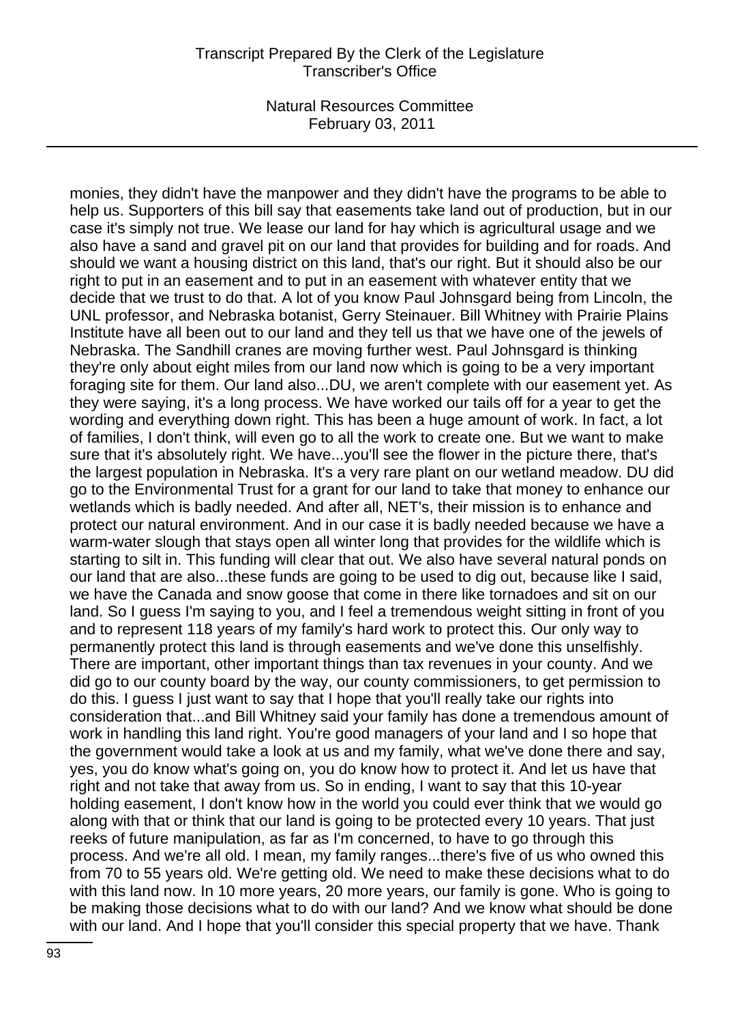monies, they didn't have the manpower and they didn't have the programs to be able to help us. Supporters of this bill say that easements take land out of production, but in our case it's simply not true. We lease our land for hay which is agricultural usage and we also have a sand and gravel pit on our land that provides for building and for roads. And should we want a housing district on this land, that's our right. But it should also be our right to put in an easement and to put in an easement with whatever entity that we decide that we trust to do that. A lot of you know Paul Johnsgard being from Lincoln, the UNL professor, and Nebraska botanist, Gerry Steinauer. Bill Whitney with Prairie Plains Institute have all been out to our land and they tell us that we have one of the jewels of Nebraska. The Sandhill cranes are moving further west. Paul Johnsgard is thinking they're only about eight miles from our land now which is going to be a very important foraging site for them. Our land also...DU, we aren't complete with our easement yet. As they were saying, it's a long process. We have worked our tails off for a year to get the wording and everything down right. This has been a huge amount of work. In fact, a lot of families, I don't think, will even go to all the work to create one. But we want to make sure that it's absolutely right. We have...you'll see the flower in the picture there, that's the largest population in Nebraska. It's a very rare plant on our wetland meadow. DU did go to the Environmental Trust for a grant for our land to take that money to enhance our wetlands which is badly needed. And after all, NET's, their mission is to enhance and protect our natural environment. And in our case it is badly needed because we have a warm-water slough that stays open all winter long that provides for the wildlife which is starting to silt in. This funding will clear that out. We also have several natural ponds on our land that are also...these funds are going to be used to dig out, because like I said, we have the Canada and snow goose that come in there like tornadoes and sit on our land. So I guess I'm saying to you, and I feel a tremendous weight sitting in front of you and to represent 118 years of my family's hard work to protect this. Our only way to permanently protect this land is through easements and we've done this unselfishly. There are important, other important things than tax revenues in your county. And we did go to our county board by the way, our county commissioners, to get permission to do this. I guess I just want to say that I hope that you'll really take our rights into consideration that...and Bill Whitney said your family has done a tremendous amount of work in handling this land right. You're good managers of your land and I so hope that the government would take a look at us and my family, what we've done there and say, yes, you do know what's going on, you do know how to protect it. And let us have that right and not take that away from us. So in ending, I want to say that this 10-year holding easement, I don't know how in the world you could ever think that we would go along with that or think that our land is going to be protected every 10 years. That just reeks of future manipulation, as far as I'm concerned, to have to go through this process. And we're all old. I mean, my family ranges...there's five of us who owned this from 70 to 55 years old. We're getting old. We need to make these decisions what to do with this land now. In 10 more years, 20 more years, our family is gone. Who is going to be making those decisions what to do with our land? And we know what should be done with our land. And I hope that you'll consider this special property that we have. Thank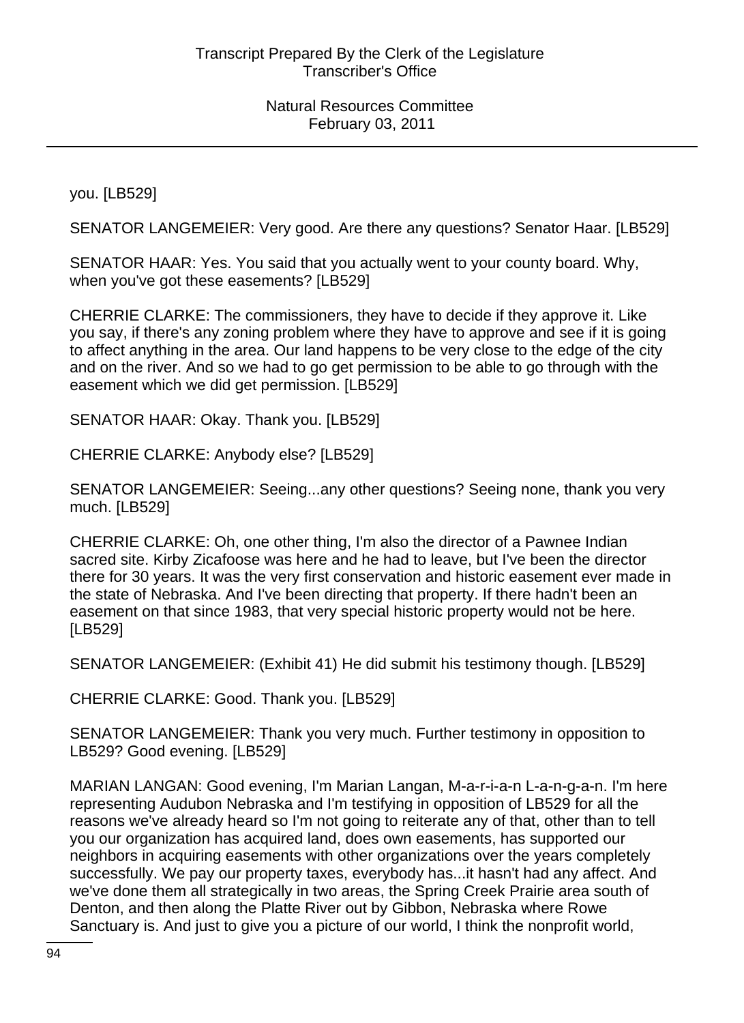you. [LB529]

SENATOR LANGEMEIER: Very good. Are there any questions? Senator Haar. [LB529]

SENATOR HAAR: Yes. You said that you actually went to your county board. Why, when you've got these easements? [LB529]

CHERRIE CLARKE: The commissioners, they have to decide if they approve it. Like you say, if there's any zoning problem where they have to approve and see if it is going to affect anything in the area. Our land happens to be very close to the edge of the city and on the river. And so we had to go get permission to be able to go through with the easement which we did get permission. [LB529]

SENATOR HAAR: Okay. Thank you. [LB529]

CHERRIE CLARKE: Anybody else? [LB529]

SENATOR LANGEMEIER: Seeing...any other questions? Seeing none, thank you very much. [LB529]

CHERRIE CLARKE: Oh, one other thing, I'm also the director of a Pawnee Indian sacred site. Kirby Zicafoose was here and he had to leave, but I've been the director there for 30 years. It was the very first conservation and historic easement ever made in the state of Nebraska. And I've been directing that property. If there hadn't been an easement on that since 1983, that very special historic property would not be here. [LB529]

SENATOR LANGEMEIER: (Exhibit 41) He did submit his testimony though. [LB529]

CHERRIE CLARKE: Good. Thank you. [LB529]

SENATOR LANGEMEIER: Thank you very much. Further testimony in opposition to LB529? Good evening. [LB529]

MARIAN LANGAN: Good evening, I'm Marian Langan, M-a-r-i-a-n L-a-n-g-a-n. I'm here representing Audubon Nebraska and I'm testifying in opposition of LB529 for all the reasons we've already heard so I'm not going to reiterate any of that, other than to tell you our organization has acquired land, does own easements, has supported our neighbors in acquiring easements with other organizations over the years completely successfully. We pay our property taxes, everybody has...it hasn't had any affect. And we've done them all strategically in two areas, the Spring Creek Prairie area south of Denton, and then along the Platte River out by Gibbon, Nebraska where Rowe Sanctuary is. And just to give you a picture of our world, I think the nonprofit world,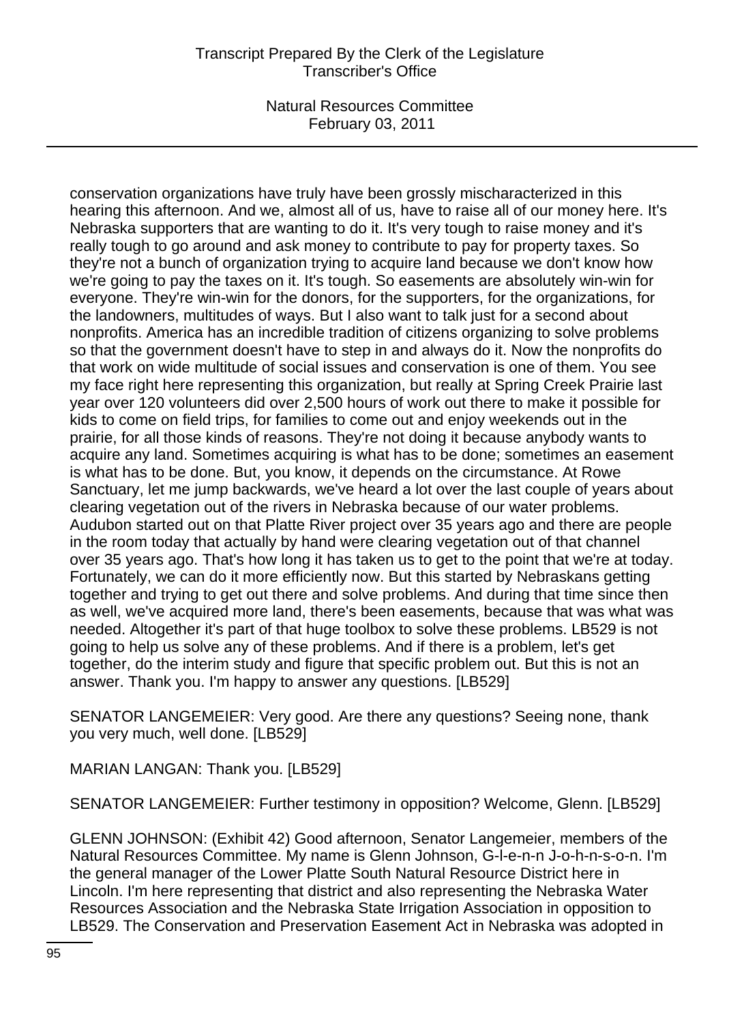conservation organizations have truly have been grossly mischaracterized in this hearing this afternoon. And we, almost all of us, have to raise all of our money here. It's Nebraska supporters that are wanting to do it. It's very tough to raise money and it's really tough to go around and ask money to contribute to pay for property taxes. So they're not a bunch of organization trying to acquire land because we don't know how we're going to pay the taxes on it. It's tough. So easements are absolutely win-win for everyone. They're win-win for the donors, for the supporters, for the organizations, for the landowners, multitudes of ways. But I also want to talk just for a second about nonprofits. America has an incredible tradition of citizens organizing to solve problems so that the government doesn't have to step in and always do it. Now the nonprofits do that work on wide multitude of social issues and conservation is one of them. You see my face right here representing this organization, but really at Spring Creek Prairie last year over 120 volunteers did over 2,500 hours of work out there to make it possible for kids to come on field trips, for families to come out and enjoy weekends out in the prairie, for all those kinds of reasons. They're not doing it because anybody wants to acquire any land. Sometimes acquiring is what has to be done; sometimes an easement is what has to be done. But, you know, it depends on the circumstance. At Rowe Sanctuary, let me jump backwards, we've heard a lot over the last couple of years about clearing vegetation out of the rivers in Nebraska because of our water problems. Audubon started out on that Platte River project over 35 years ago and there are people in the room today that actually by hand were clearing vegetation out of that channel over 35 years ago. That's how long it has taken us to get to the point that we're at today. Fortunately, we can do it more efficiently now. But this started by Nebraskans getting together and trying to get out there and solve problems. And during that time since then as well, we've acquired more land, there's been easements, because that was what was needed. Altogether it's part of that huge toolbox to solve these problems. LB529 is not going to help us solve any of these problems. And if there is a problem, let's get together, do the interim study and figure that specific problem out. But this is not an answer. Thank you. I'm happy to answer any questions. [LB529]

SENATOR LANGEMEIER: Very good. Are there any questions? Seeing none, thank you very much, well done. [LB529]

MARIAN LANGAN: Thank you. [LB529]

SENATOR LANGEMEIER: Further testimony in opposition? Welcome, Glenn. [LB529]

GLENN JOHNSON: (Exhibit 42) Good afternoon, Senator Langemeier, members of the Natural Resources Committee. My name is Glenn Johnson, G-l-e-n-n J-o-h-n-s-o-n. I'm the general manager of the Lower Platte South Natural Resource District here in Lincoln. I'm here representing that district and also representing the Nebraska Water Resources Association and the Nebraska State Irrigation Association in opposition to LB529. The Conservation and Preservation Easement Act in Nebraska was adopted in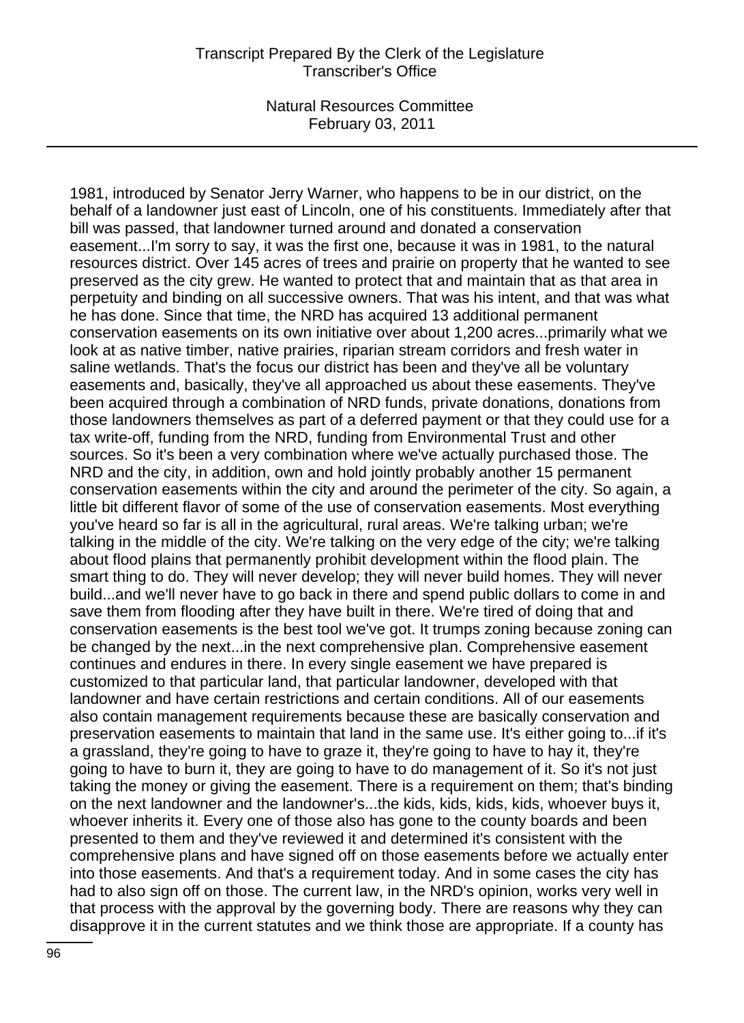1981, introduced by Senator Jerry Warner, who happens to be in our district, on the behalf of a landowner just east of Lincoln, one of his constituents. Immediately after that bill was passed, that landowner turned around and donated a conservation easement...I'm sorry to say, it was the first one, because it was in 1981, to the natural resources district. Over 145 acres of trees and prairie on property that he wanted to see preserved as the city grew. He wanted to protect that and maintain that as that area in perpetuity and binding on all successive owners. That was his intent, and that was what he has done. Since that time, the NRD has acquired 13 additional permanent conservation easements on its own initiative over about 1,200 acres...primarily what we look at as native timber, native prairies, riparian stream corridors and fresh water in saline wetlands. That's the focus our district has been and they've all be voluntary easements and, basically, they've all approached us about these easements. They've been acquired through a combination of NRD funds, private donations, donations from those landowners themselves as part of a deferred payment or that they could use for a tax write-off, funding from the NRD, funding from Environmental Trust and other sources. So it's been a very combination where we've actually purchased those. The NRD and the city, in addition, own and hold jointly probably another 15 permanent conservation easements within the city and around the perimeter of the city. So again, a little bit different flavor of some of the use of conservation easements. Most everything you've heard so far is all in the agricultural, rural areas. We're talking urban; we're talking in the middle of the city. We're talking on the very edge of the city; we're talking about flood plains that permanently prohibit development within the flood plain. The smart thing to do. They will never develop; they will never build homes. They will never build...and we'll never have to go back in there and spend public dollars to come in and save them from flooding after they have built in there. We're tired of doing that and conservation easements is the best tool we've got. It trumps zoning because zoning can be changed by the next...in the next comprehensive plan. Comprehensive easement continues and endures in there. In every single easement we have prepared is customized to that particular land, that particular landowner, developed with that landowner and have certain restrictions and certain conditions. All of our easements also contain management requirements because these are basically conservation and preservation easements to maintain that land in the same use. It's either going to...if it's a grassland, they're going to have to graze it, they're going to have to hay it, they're going to have to burn it, they are going to have to do management of it. So it's not just taking the money or giving the easement. There is a requirement on them; that's binding on the next landowner and the landowner's...the kids, kids, kids, kids, whoever buys it, whoever inherits it. Every one of those also has gone to the county boards and been presented to them and they've reviewed it and determined it's consistent with the comprehensive plans and have signed off on those easements before we actually enter into those easements. And that's a requirement today. And in some cases the city has had to also sign off on those. The current law, in the NRD's opinion, works very well in that process with the approval by the governing body. There are reasons why they can disapprove it in the current statutes and we think those are appropriate. If a county has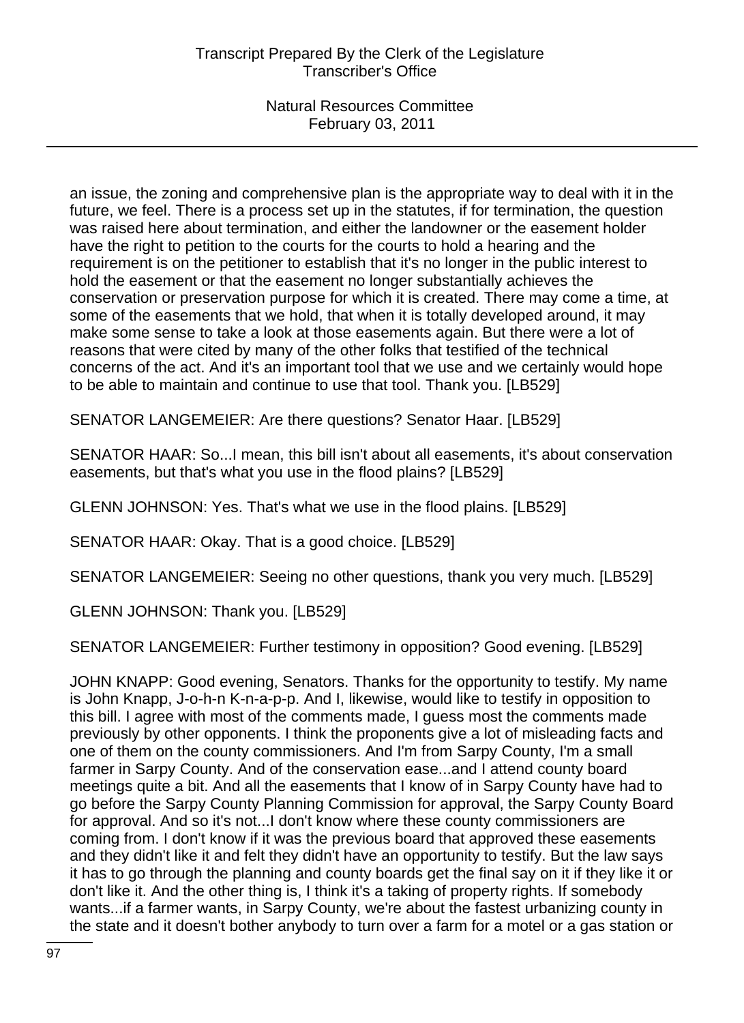an issue, the zoning and comprehensive plan is the appropriate way to deal with it in the future, we feel. There is a process set up in the statutes, if for termination, the question was raised here about termination, and either the landowner or the easement holder have the right to petition to the courts for the courts to hold a hearing and the requirement is on the petitioner to establish that it's no longer in the public interest to hold the easement or that the easement no longer substantially achieves the conservation or preservation purpose for which it is created. There may come a time, at some of the easements that we hold, that when it is totally developed around, it may make some sense to take a look at those easements again. But there were a lot of reasons that were cited by many of the other folks that testified of the technical concerns of the act. And it's an important tool that we use and we certainly would hope to be able to maintain and continue to use that tool. Thank you. [LB529]

SENATOR LANGEMEIER: Are there questions? Senator Haar. [LB529]

SENATOR HAAR: So...I mean, this bill isn't about all easements, it's about conservation easements, but that's what you use in the flood plains? [LB529]

GLENN JOHNSON: Yes. That's what we use in the flood plains. [LB529]

SENATOR HAAR: Okay. That is a good choice. [LB529]

SENATOR LANGEMEIER: Seeing no other questions, thank you very much. [LB529]

GLENN JOHNSON: Thank you. [LB529]

SENATOR LANGEMEIER: Further testimony in opposition? Good evening. [LB529]

JOHN KNAPP: Good evening, Senators. Thanks for the opportunity to testify. My name is John Knapp, J-o-h-n K-n-a-p-p. And I, likewise, would like to testify in opposition to this bill. I agree with most of the comments made, I guess most the comments made previously by other opponents. I think the proponents give a lot of misleading facts and one of them on the county commissioners. And I'm from Sarpy County, I'm a small farmer in Sarpy County. And of the conservation ease...and I attend county board meetings quite a bit. And all the easements that I know of in Sarpy County have had to go before the Sarpy County Planning Commission for approval, the Sarpy County Board for approval. And so it's not...I don't know where these county commissioners are coming from. I don't know if it was the previous board that approved these easements and they didn't like it and felt they didn't have an opportunity to testify. But the law says it has to go through the planning and county boards get the final say on it if they like it or don't like it. And the other thing is, I think it's a taking of property rights. If somebody wants...if a farmer wants, in Sarpy County, we're about the fastest urbanizing county in the state and it doesn't bother anybody to turn over a farm for a motel or a gas station or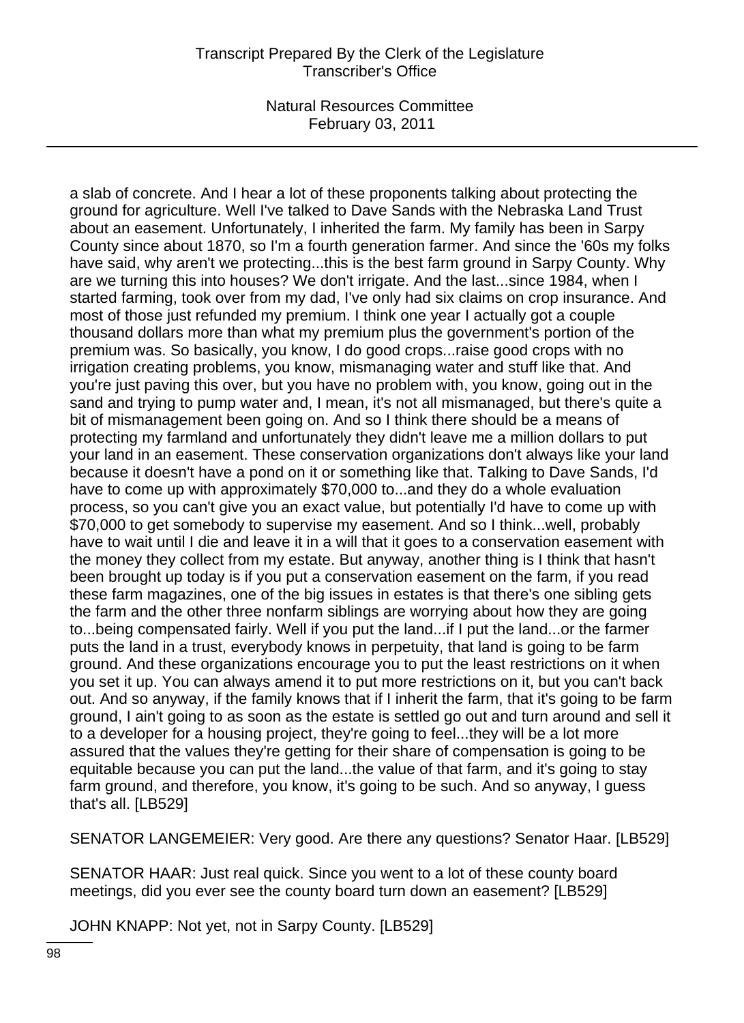a slab of concrete. And I hear a lot of these proponents talking about protecting the ground for agriculture. Well I've talked to Dave Sands with the Nebraska Land Trust about an easement. Unfortunately, I inherited the farm. My family has been in Sarpy County since about 1870, so I'm a fourth generation farmer. And since the '60s my folks have said, why aren't we protecting...this is the best farm ground in Sarpy County. Why are we turning this into houses? We don't irrigate. And the last...since 1984, when I started farming, took over from my dad, I've only had six claims on crop insurance. And most of those just refunded my premium. I think one year I actually got a couple thousand dollars more than what my premium plus the government's portion of the premium was. So basically, you know, I do good crops...raise good crops with no irrigation creating problems, you know, mismanaging water and stuff like that. And you're just paving this over, but you have no problem with, you know, going out in the sand and trying to pump water and, I mean, it's not all mismanaged, but there's quite a bit of mismanagement been going on. And so I think there should be a means of protecting my farmland and unfortunately they didn't leave me a million dollars to put your land in an easement. These conservation organizations don't always like your land because it doesn't have a pond on it or something like that. Talking to Dave Sands, I'd have to come up with approximately \$70,000 to...and they do a whole evaluation process, so you can't give you an exact value, but potentially I'd have to come up with \$70,000 to get somebody to supervise my easement. And so I think...well, probably have to wait until I die and leave it in a will that it goes to a conservation easement with the money they collect from my estate. But anyway, another thing is I think that hasn't been brought up today is if you put a conservation easement on the farm, if you read these farm magazines, one of the big issues in estates is that there's one sibling gets the farm and the other three nonfarm siblings are worrying about how they are going to...being compensated fairly. Well if you put the land...if I put the land...or the farmer puts the land in a trust, everybody knows in perpetuity, that land is going to be farm ground. And these organizations encourage you to put the least restrictions on it when you set it up. You can always amend it to put more restrictions on it, but you can't back out. And so anyway, if the family knows that if I inherit the farm, that it's going to be farm ground, I ain't going to as soon as the estate is settled go out and turn around and sell it to a developer for a housing project, they're going to feel...they will be a lot more assured that the values they're getting for their share of compensation is going to be equitable because you can put the land...the value of that farm, and it's going to stay farm ground, and therefore, you know, it's going to be such. And so anyway, I guess that's all. [LB529]

SENATOR LANGEMEIER: Very good. Are there any questions? Senator Haar. [LB529]

SENATOR HAAR: Just real quick. Since you went to a lot of these county board meetings, did you ever see the county board turn down an easement? [LB529]

JOHN KNAPP: Not yet, not in Sarpy County. [LB529]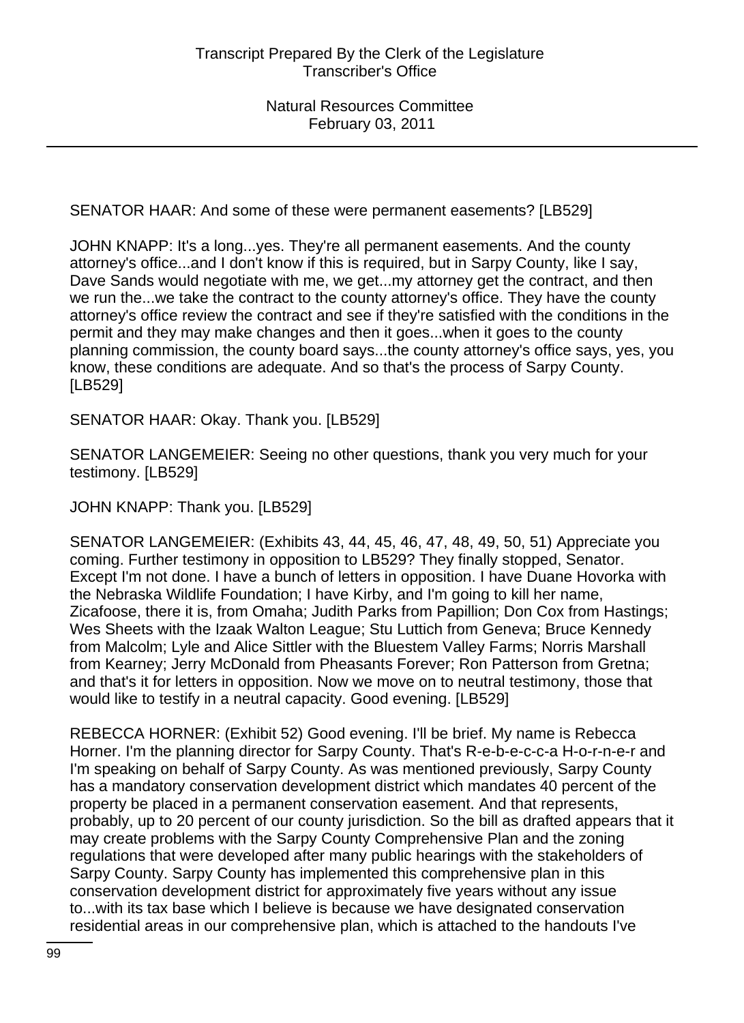SENATOR HAAR: And some of these were permanent easements? [LB529]

JOHN KNAPP: It's a long...yes. They're all permanent easements. And the county attorney's office...and I don't know if this is required, but in Sarpy County, like I say, Dave Sands would negotiate with me, we get...my attorney get the contract, and then we run the...we take the contract to the county attorney's office. They have the county attorney's office review the contract and see if they're satisfied with the conditions in the permit and they may make changes and then it goes...when it goes to the county planning commission, the county board says...the county attorney's office says, yes, you know, these conditions are adequate. And so that's the process of Sarpy County. [LB529]

SENATOR HAAR: Okay. Thank you. [LB529]

SENATOR LANGEMEIER: Seeing no other questions, thank you very much for your testimony. [LB529]

JOHN KNAPP: Thank you. [LB529]

SENATOR LANGEMEIER: (Exhibits 43, 44, 45, 46, 47, 48, 49, 50, 51) Appreciate you coming. Further testimony in opposition to LB529? They finally stopped, Senator. Except I'm not done. I have a bunch of letters in opposition. I have Duane Hovorka with the Nebraska Wildlife Foundation; I have Kirby, and I'm going to kill her name, Zicafoose, there it is, from Omaha; Judith Parks from Papillion; Don Cox from Hastings; Wes Sheets with the Izaak Walton League; Stu Luttich from Geneva; Bruce Kennedy from Malcolm; Lyle and Alice Sittler with the Bluestem Valley Farms; Norris Marshall from Kearney; Jerry McDonald from Pheasants Forever; Ron Patterson from Gretna; and that's it for letters in opposition. Now we move on to neutral testimony, those that would like to testify in a neutral capacity. Good evening. [LB529]

REBECCA HORNER: (Exhibit 52) Good evening. I'll be brief. My name is Rebecca Horner. I'm the planning director for Sarpy County. That's R-e-b-e-c-c-a H-o-r-n-e-r and I'm speaking on behalf of Sarpy County. As was mentioned previously, Sarpy County has a mandatory conservation development district which mandates 40 percent of the property be placed in a permanent conservation easement. And that represents, probably, up to 20 percent of our county jurisdiction. So the bill as drafted appears that it may create problems with the Sarpy County Comprehensive Plan and the zoning regulations that were developed after many public hearings with the stakeholders of Sarpy County. Sarpy County has implemented this comprehensive plan in this conservation development district for approximately five years without any issue to...with its tax base which I believe is because we have designated conservation residential areas in our comprehensive plan, which is attached to the handouts I've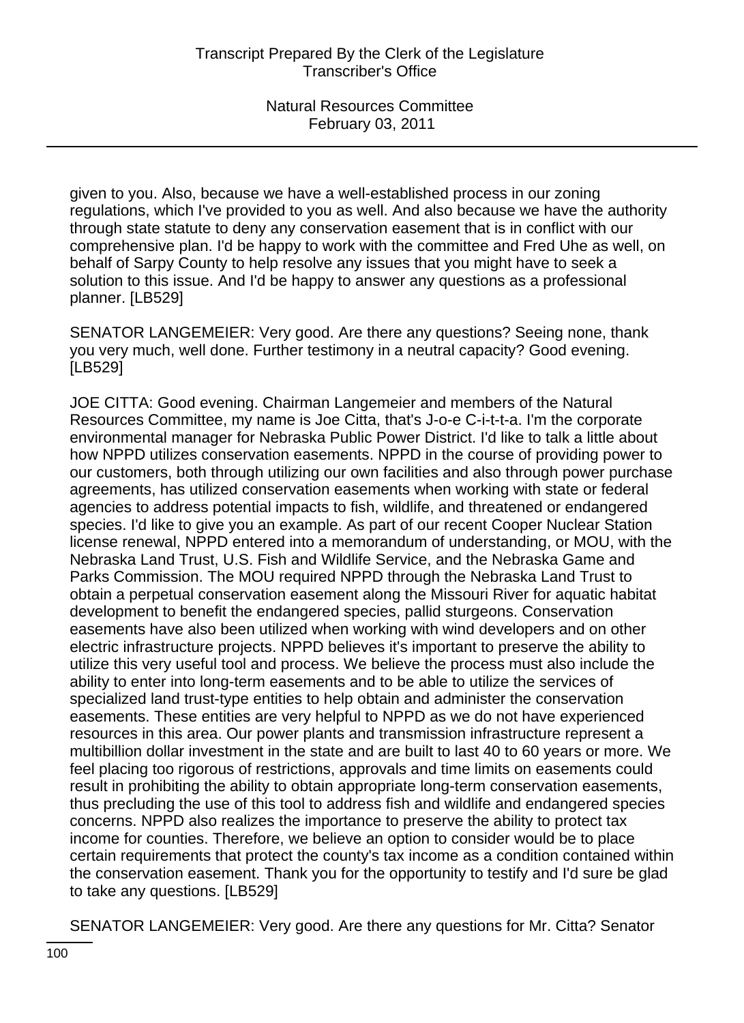given to you. Also, because we have a well-established process in our zoning regulations, which I've provided to you as well. And also because we have the authority through state statute to deny any conservation easement that is in conflict with our comprehensive plan. I'd be happy to work with the committee and Fred Uhe as well, on behalf of Sarpy County to help resolve any issues that you might have to seek a solution to this issue. And I'd be happy to answer any questions as a professional planner. [LB529]

SENATOR LANGEMEIER: Very good. Are there any questions? Seeing none, thank you very much, well done. Further testimony in a neutral capacity? Good evening. [LB529]

JOE CITTA: Good evening. Chairman Langemeier and members of the Natural Resources Committee, my name is Joe Citta, that's J-o-e C-i-t-t-a. I'm the corporate environmental manager for Nebraska Public Power District. I'd like to talk a little about how NPPD utilizes conservation easements. NPPD in the course of providing power to our customers, both through utilizing our own facilities and also through power purchase agreements, has utilized conservation easements when working with state or federal agencies to address potential impacts to fish, wildlife, and threatened or endangered species. I'd like to give you an example. As part of our recent Cooper Nuclear Station license renewal, NPPD entered into a memorandum of understanding, or MOU, with the Nebraska Land Trust, U.S. Fish and Wildlife Service, and the Nebraska Game and Parks Commission. The MOU required NPPD through the Nebraska Land Trust to obtain a perpetual conservation easement along the Missouri River for aquatic habitat development to benefit the endangered species, pallid sturgeons. Conservation easements have also been utilized when working with wind developers and on other electric infrastructure projects. NPPD believes it's important to preserve the ability to utilize this very useful tool and process. We believe the process must also include the ability to enter into long-term easements and to be able to utilize the services of specialized land trust-type entities to help obtain and administer the conservation easements. These entities are very helpful to NPPD as we do not have experienced resources in this area. Our power plants and transmission infrastructure represent a multibillion dollar investment in the state and are built to last 40 to 60 years or more. We feel placing too rigorous of restrictions, approvals and time limits on easements could result in prohibiting the ability to obtain appropriate long-term conservation easements, thus precluding the use of this tool to address fish and wildlife and endangered species concerns. NPPD also realizes the importance to preserve the ability to protect tax income for counties. Therefore, we believe an option to consider would be to place certain requirements that protect the county's tax income as a condition contained within the conservation easement. Thank you for the opportunity to testify and I'd sure be glad to take any questions. [LB529]

SENATOR LANGEMEIER: Very good. Are there any questions for Mr. Citta? Senator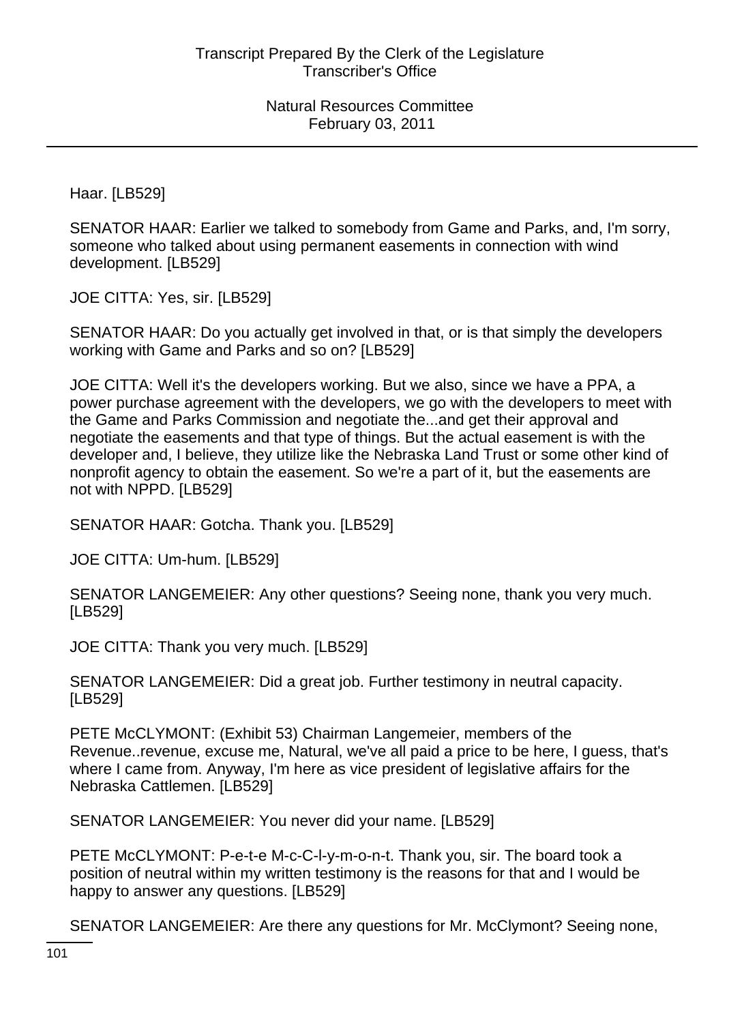Haar. [LB529]

SENATOR HAAR: Earlier we talked to somebody from Game and Parks, and, I'm sorry, someone who talked about using permanent easements in connection with wind development. [LB529]

JOE CITTA: Yes, sir. [LB529]

SENATOR HAAR: Do you actually get involved in that, or is that simply the developers working with Game and Parks and so on? [LB529]

JOE CITTA: Well it's the developers working. But we also, since we have a PPA, a power purchase agreement with the developers, we go with the developers to meet with the Game and Parks Commission and negotiate the...and get their approval and negotiate the easements and that type of things. But the actual easement is with the developer and, I believe, they utilize like the Nebraska Land Trust or some other kind of nonprofit agency to obtain the easement. So we're a part of it, but the easements are not with NPPD. [LB529]

SENATOR HAAR: Gotcha. Thank you. [LB529]

JOE CITTA: Um-hum. [LB529]

SENATOR LANGEMEIER: Any other questions? Seeing none, thank you very much. [LB529]

JOE CITTA: Thank you very much. [LB529]

SENATOR LANGEMEIER: Did a great job. Further testimony in neutral capacity. [LB529]

PETE McCLYMONT: (Exhibit 53) Chairman Langemeier, members of the Revenue..revenue, excuse me, Natural, we've all paid a price to be here, I guess, that's where I came from. Anyway, I'm here as vice president of legislative affairs for the Nebraska Cattlemen. [LB529]

SENATOR LANGEMEIER: You never did your name. [LB529]

PETE McCLYMONT: P-e-t-e M-c-C-l-y-m-o-n-t. Thank you, sir. The board took a position of neutral within my written testimony is the reasons for that and I would be happy to answer any questions. [LB529]

SENATOR LANGEMEIER: Are there any questions for Mr. McClymont? Seeing none,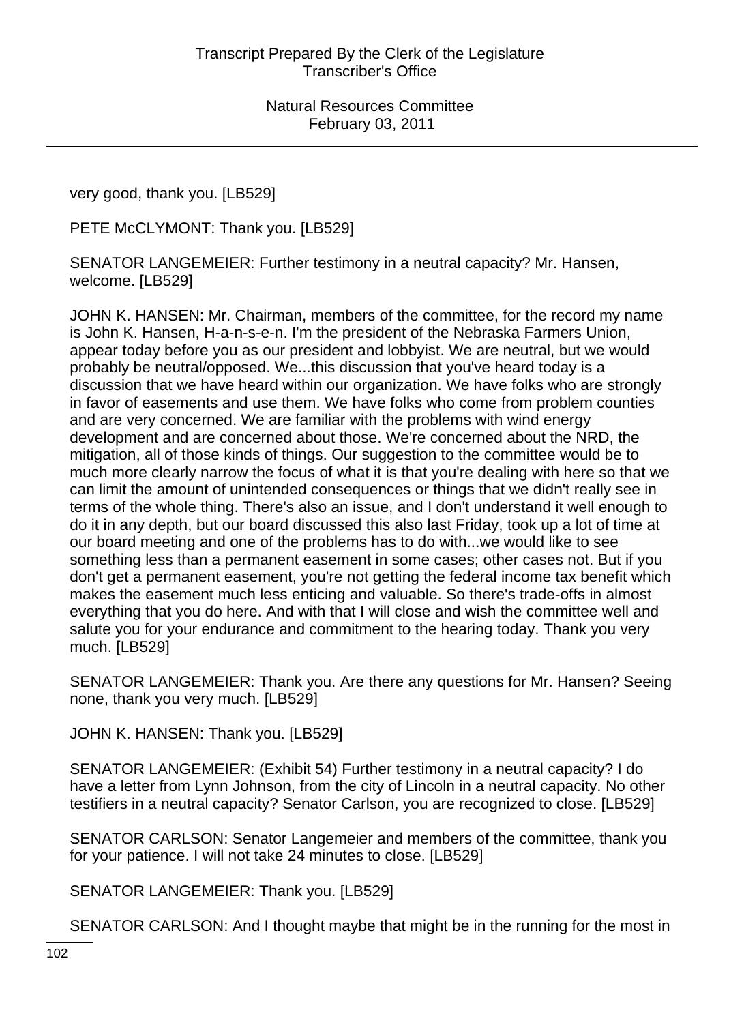very good, thank you. [LB529]

PETE McCLYMONT: Thank you. [LB529]

SENATOR LANGEMEIER: Further testimony in a neutral capacity? Mr. Hansen, welcome. [LB529]

JOHN K. HANSEN: Mr. Chairman, members of the committee, for the record my name is John K. Hansen, H-a-n-s-e-n. I'm the president of the Nebraska Farmers Union, appear today before you as our president and lobbyist. We are neutral, but we would probably be neutral/opposed. We...this discussion that you've heard today is a discussion that we have heard within our organization. We have folks who are strongly in favor of easements and use them. We have folks who come from problem counties and are very concerned. We are familiar with the problems with wind energy development and are concerned about those. We're concerned about the NRD, the mitigation, all of those kinds of things. Our suggestion to the committee would be to much more clearly narrow the focus of what it is that you're dealing with here so that we can limit the amount of unintended consequences or things that we didn't really see in terms of the whole thing. There's also an issue, and I don't understand it well enough to do it in any depth, but our board discussed this also last Friday, took up a lot of time at our board meeting and one of the problems has to do with...we would like to see something less than a permanent easement in some cases; other cases not. But if you don't get a permanent easement, you're not getting the federal income tax benefit which makes the easement much less enticing and valuable. So there's trade-offs in almost everything that you do here. And with that I will close and wish the committee well and salute you for your endurance and commitment to the hearing today. Thank you very much. [LB529]

SENATOR LANGEMEIER: Thank you. Are there any questions for Mr. Hansen? Seeing none, thank you very much. [LB529]

JOHN K. HANSEN: Thank you. [LB529]

SENATOR LANGEMEIER: (Exhibit 54) Further testimony in a neutral capacity? I do have a letter from Lynn Johnson, from the city of Lincoln in a neutral capacity. No other testifiers in a neutral capacity? Senator Carlson, you are recognized to close. [LB529]

SENATOR CARLSON: Senator Langemeier and members of the committee, thank you for your patience. I will not take 24 minutes to close. [LB529]

SENATOR LANGEMEIER: Thank you. [LB529]

SENATOR CARLSON: And I thought maybe that might be in the running for the most in